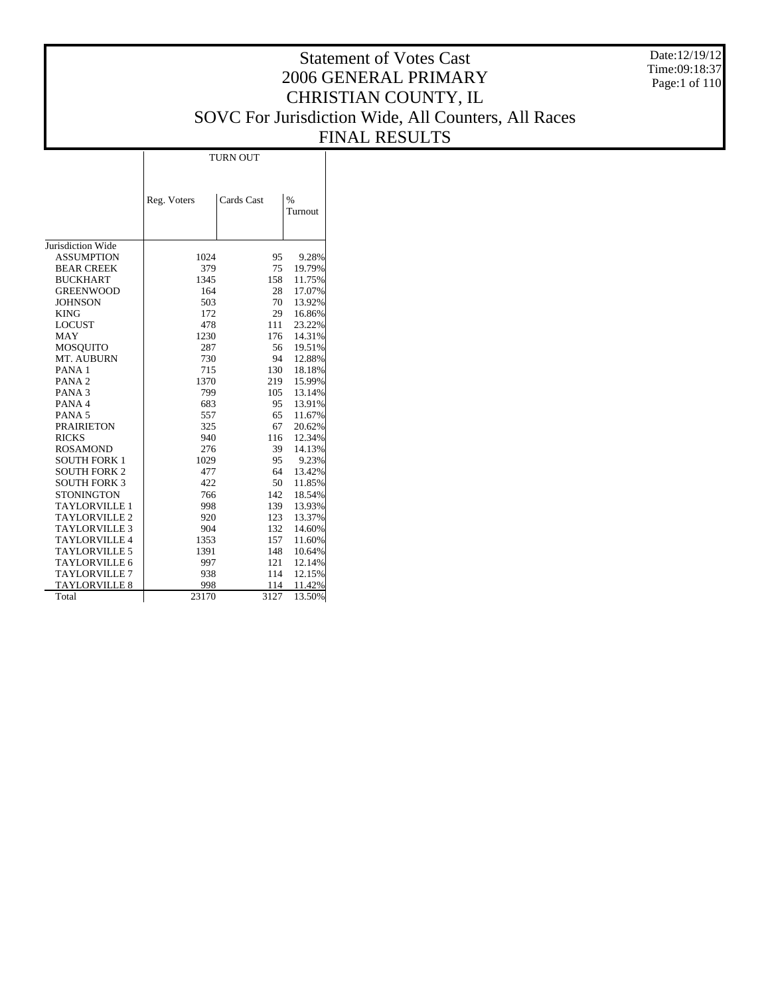Date:12/19/12 Time:09:18:37 Page:1 of 110

# Statement of Votes Cast 2006 GENERAL PRIMARY CHRISTIAN COUNTY, IL SOVC For Jurisdiction Wide, All Counters, All Races FINAL RESULTS

TURN OUT

|                      | Reg. Voters | Cards Cast | $\%$    |
|----------------------|-------------|------------|---------|
|                      |             |            | Turnout |
|                      |             |            |         |
|                      |             |            |         |
| Jurisdiction Wide    |             |            |         |
| <b>ASSUMPTION</b>    | 1024        | 95         | 9.28%   |
| <b>BEAR CREEK</b>    | 379         | 75         | 19.79%  |
| <b>BUCKHART</b>      | 1345        | 158        | 11.75%  |
| <b>GREENWOOD</b>     | 164         | 28         | 17.07%  |
| <b>JOHNSON</b>       | 503         | 70         | 13.92%  |
| <b>KING</b>          | 172         | 29         | 16.86%  |
| <b>LOCUST</b>        | 478         | 111        | 23.22%  |
| MAY                  | 1230        | 176        | 14.31%  |
| <b>MOSOUITO</b>      | 287         | 56         | 19.51%  |
| MT. AUBURN           | 730         | 94         | 12.88%  |
| PANA <sub>1</sub>    | 715         | 130        | 18.18%  |
| PANA <sub>2</sub>    | 1370        | 219        | 15.99%  |
| PANA <sub>3</sub>    | 799         | 105        | 13.14%  |
| PANA 4               | 683         | 95         | 13.91%  |
| PANA <sub>5</sub>    | 557         | 65         | 11.67%  |
| <b>PRAIRIETON</b>    | 325         | 67         | 20.62%  |
| <b>RICKS</b>         | 940         | 116        | 12.34%  |
| <b>ROSAMOND</b>      | 276         | 39         | 14.13%  |
| <b>SOUTH FORK 1</b>  | 1029        | 95         | 9.23%   |
| <b>SOUTH FORK 2</b>  | 477         | 64         | 13.42%  |
| <b>SOUTH FORK 3</b>  | 422         | 50         | 11.85%  |
| <b>STONINGTON</b>    | 766         | 142        | 18.54%  |
| <b>TAYLORVILLE 1</b> | 998         | 139        | 13.93%  |
| <b>TAYLORVILLE 2</b> | 920         | 123        | 13.37%  |
| <b>TAYLORVILLE 3</b> | 904         | 132        | 14.60%  |
| TAYLORVILLE 4        | 1353        | 157        | 11.60%  |
| <b>TAYLORVILLE 5</b> | 1391        | 148        | 10.64%  |
| <b>TAYLORVILLE 6</b> | 997         | 121        | 12.14%  |
| <b>TAYLORVILLE 7</b> | 938         | 114        | 12.15%  |
| <b>TAYLORVILLE 8</b> | 998         | 114        | 11.42%  |
| Total                | 23170       | 3127       | 13.50%  |
|                      |             |            |         |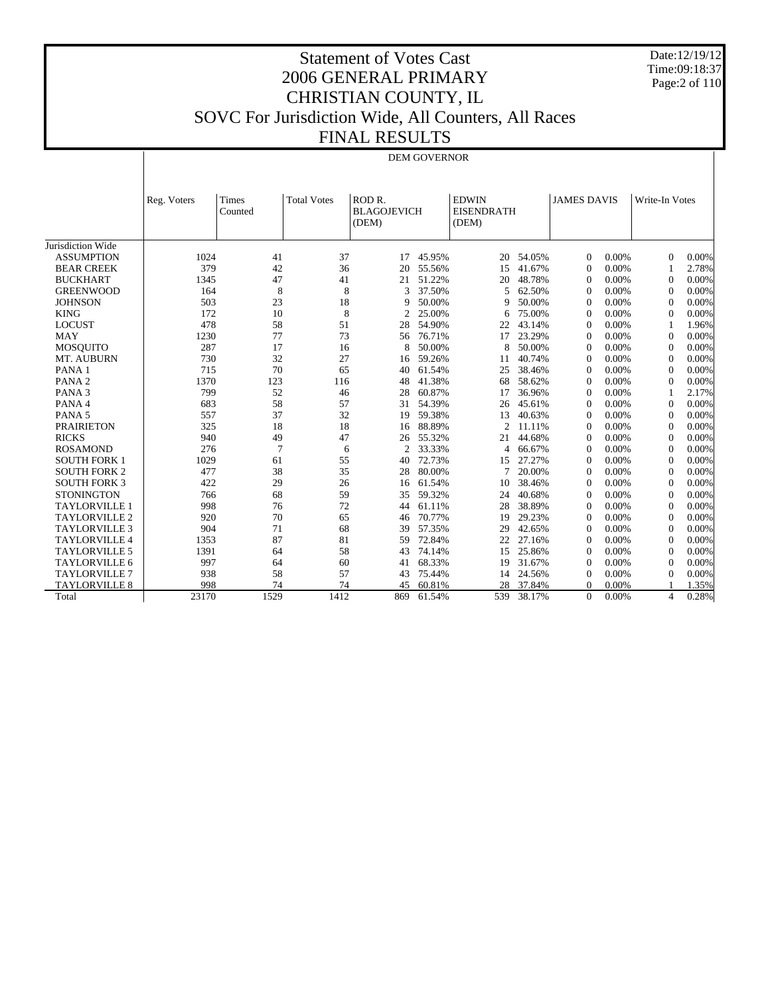Date:12/19/12 Time:09:18:37 Page:2 of 110

## Statement of Votes Cast 2006 GENERAL PRIMARY CHRISTIAN COUNTY, IL SOVC For Jurisdiction Wide, All Counters, All Races FINAL RESULTS

|  | <b>DEM GOVERNOR</b> |  |
|--|---------------------|--|

|                      | Reg. Voters | Times<br>Counted | <b>Total Votes</b> | ROD <sub>R</sub><br><b>BLAGOJEVICH</b><br>(DEM) |        | <b>EDWIN</b><br><b>EISENDRATH</b><br>(DEM) |        | <b>JAMES DAVIS</b> |          | Write-In Votes |       |
|----------------------|-------------|------------------|--------------------|-------------------------------------------------|--------|--------------------------------------------|--------|--------------------|----------|----------------|-------|
| Jurisdiction Wide    |             |                  |                    |                                                 |        |                                            |        |                    |          |                |       |
| <b>ASSUMPTION</b>    | 1024        | 41               | 37                 | 17                                              | 45.95% | 20                                         | 54.05% | $\Omega$           | $0.00\%$ | $\Omega$       | 0.00% |
| <b>BEAR CREEK</b>    | 379         | 42               | 36                 | 20                                              | 55.56% | 15                                         | 41.67% | $\Omega$           | 0.00%    | $\mathbf{1}$   | 2.78% |
| <b>BUCKHART</b>      | 1345        | 47               | 41                 | 21                                              | 51.22% | 20                                         | 48.78% | $\Omega$           | 0.00%    | $\Omega$       | 0.00% |
| <b>GREENWOOD</b>     | 164         | 8                | 8                  | 3                                               | 37.50% | 5                                          | 62.50% | $\theta$           | 0.00%    | $\Omega$       | 0.00% |
| <b>JOHNSON</b>       | 503         | 23               | 18                 | 9                                               | 50.00% | 9                                          | 50.00% | $\theta$           | 0.00%    | $\Omega$       | 0.00% |
| <b>KING</b>          | 172         | 10               | 8                  | $\overline{c}$                                  | 25.00% | 6                                          | 75.00% | $\theta$           | 0.00%    | $\Omega$       | 0.00% |
| <b>LOCUST</b>        | 478         | 58               | 51                 | 28                                              | 54.90% | 22                                         | 43.14% | $\Omega$           | 0.00%    | -1             | 1.96% |
| <b>MAY</b>           | 1230        | 77               | 73                 | 56                                              | 76.71% | 17                                         | 23.29% | $\Omega$           | 0.00%    | $\Omega$       | 0.00% |
| <b>MOSOUITO</b>      | 287         | 17               | 16                 | 8                                               | 50.00% | 8                                          | 50.00% | $\Omega$           | 0.00%    | $\Omega$       | 0.00% |
| MT. AUBURN           | 730         | 32               | 27                 | 16                                              | 59.26% | 11                                         | 40.74% | $\Omega$           | 0.00%    | $\Omega$       | 0.00% |
| PANA <sub>1</sub>    | 715         | 70               | 65                 | 40                                              | 61.54% | 25                                         | 38.46% | $\Omega$           | 0.00%    | $\Omega$       | 0.00% |
| PANA <sub>2</sub>    | 1370        | 123              | 116                | 48                                              | 41.38% | 68                                         | 58.62% | $\Omega$           | 0.00%    | $\Omega$       | 0.00% |
| PANA <sub>3</sub>    | 799         | 52               | 46                 | 28                                              | 60.87% | 17                                         | 36.96% | $\mathbf{0}$       | 0.00%    | -1             | 2.17% |
| PANA 4               | 683         | 58               | 57                 | 31                                              | 54.39% | 26                                         | 45.61% | $\Omega$           | 0.00%    | $\Omega$       | 0.00% |
| PANA <sub>5</sub>    | 557         | 37               | 32                 | 19                                              | 59.38% | 13                                         | 40.63% | $\Omega$           | 0.00%    | $\Omega$       | 0.00% |
| <b>PRAIRIETON</b>    | 325         | 18               | 18                 | 16                                              | 88.89% | $\mathfrak{D}$                             | 11.11% | $\Omega$           | 0.00%    | $\Omega$       | 0.00% |
| <b>RICKS</b>         | 940         | 49               | 47                 | 26                                              | 55.32% | 21                                         | 44.68% | $\Omega$           | 0.00%    | $\Omega$       | 0.00% |
| <b>ROSAMOND</b>      | 276         | $\overline{7}$   | 6                  | $\overline{c}$                                  | 33.33% | 4                                          | 66.67% | $\Omega$           | 0.00%    | $\Omega$       | 0.00% |
| <b>SOUTH FORK 1</b>  | 1029        | 61               | 55                 | 40                                              | 72.73% | 15                                         | 27.27% | $\Omega$           | 0.00%    | $\Omega$       | 0.00% |
| <b>SOUTH FORK 2</b>  | 477         | 38               | 35                 | 28                                              | 80.00% | 7                                          | 20.00% | $\Omega$           | 0.00%    | $\Omega$       | 0.00% |
| <b>SOUTH FORK 3</b>  | 422         | 29               | 26                 | 16                                              | 61.54% | 10                                         | 38.46% | $\Omega$           | 0.00%    | $\Omega$       | 0.00% |
| <b>STONINGTON</b>    | 766         | 68               | 59                 | 35                                              | 59.32% | 24                                         | 40.68% | $\mathbf{0}$       | 0.00%    | $\Omega$       | 0.00% |
| <b>TAYLORVILLE 1</b> | 998         | 76               | 72                 | 44                                              | 61.11% | 28                                         | 38.89% | $\Omega$           | 0.00%    | $\Omega$       | 0.00% |
| <b>TAYLORVILLE 2</b> | 920         | 70               | 65                 | 46                                              | 70.77% | 19                                         | 29.23% | $\Omega$           | 0.00%    | $\Omega$       | 0.00% |
| <b>TAYLORVILLE 3</b> | 904         | 71               | 68                 | 39                                              | 57.35% | 29                                         | 42.65% | $\Omega$           | 0.00%    | $\Omega$       | 0.00% |
| <b>TAYLORVILLE 4</b> | 1353        | 87               | 81                 | 59                                              | 72.84% | 22                                         | 27.16% | $\Omega$           | 0.00%    | $\Omega$       | 0.00% |
| <b>TAYLORVILLE 5</b> | 1391        | 64               | 58                 | 43                                              | 74.14% | 15                                         | 25.86% | $\Omega$           | 0.00%    | $\Omega$       | 0.00% |
| TAYLORVILLE 6        | 997         | 64               | 60                 | 41                                              | 68.33% | 19                                         | 31.67% | $\Omega$           | 0.00%    | $\Omega$       | 0.00% |
| <b>TAYLORVILLE 7</b> | 938         | 58               | 57                 | 43                                              | 75.44% | 14                                         | 24.56% | $\Omega$           | 0.00%    | $\Omega$       | 0.00% |
| <b>TAYLORVILLE 8</b> | 998         | 74               | 74                 | 45                                              | 60.81% | 28                                         | 37.84% | $\Omega$           | 0.00%    |                | 1.35% |
| Total                | 23170       | 1529             | 1412               | 869                                             | 61.54% | 539                                        | 38.17% | $\Omega$           | 0.00%    | $\overline{4}$ | 0.28% |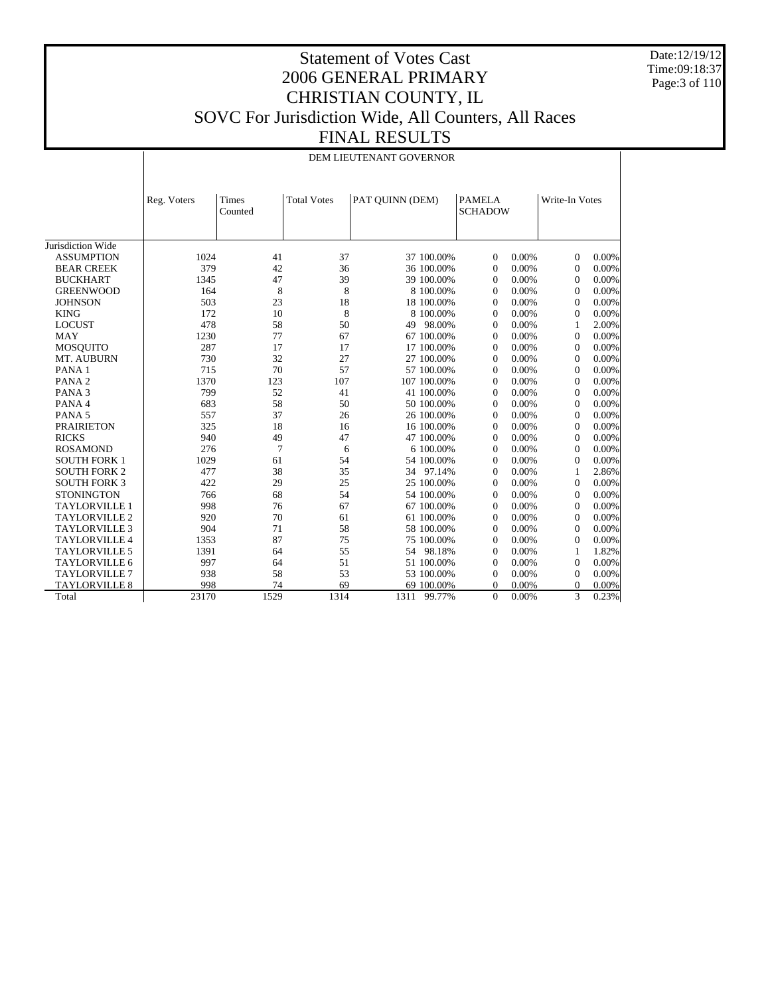Date:12/19/12 Time:09:18:37 Page:3 of 110

## Statement of Votes Cast 2006 GENERAL PRIMARY CHRISTIAN COUNTY, IL SOVC For Jurisdiction Wide, All Counters, All Races FINAL RESULTS

#### DEM LIEUTENANT GOVERNOR

|                      | Reg. Voters | <b>Times</b><br>Counted | <b>Total Votes</b> | PAT QUINN (DEM) | <b>PAMELA</b><br><b>SCHADOW</b> | Write-In Votes          |
|----------------------|-------------|-------------------------|--------------------|-----------------|---------------------------------|-------------------------|
| Jurisdiction Wide    |             |                         |                    |                 |                                 |                         |
| <b>ASSUMPTION</b>    | 1024        | 41                      | 37                 | 37 100.00%      | $\theta$<br>0.00%               | 0.00%<br>$\Omega$       |
| <b>BEAR CREEK</b>    | 379         | 42                      | 36                 | 36 100.00%      | 0.00%<br>$\Omega$               | 0.00%<br>$\overline{0}$ |
| <b>BUCKHART</b>      | 1345        | 47                      | 39                 | 39 100.00%      | 0.00%<br>$\Omega$               | 0.00%<br>$\Omega$       |
| <b>GREENWOOD</b>     | 164         | 8                       | 8                  | 8 100,00%       | 0.00%<br>$\Omega$               | 0.00%<br>$\Omega$       |
| <b>JOHNSON</b>       | 503         | 23                      | 18                 | 18 100.00%      | 0.00%<br>$\Omega$               | 0.00%<br>$\Omega$       |
| <b>KING</b>          | 172         | 10                      | 8                  | 8 100,00%       | 0.00%<br>$\Omega$               | 0.00%<br>$\Omega$       |
| <b>LOCUST</b>        | 478         | 58                      | 50                 | 49 98.00%       | 0.00%<br>$\Omega$               | 2.00%<br>1              |
| <b>MAY</b>           | 1230        | 77                      | 67                 | 67 100.00%      | 0.00%<br>$\Omega$               | 0.00%<br>$\Omega$       |
| <b>MOSQUITO</b>      | 287         | 17                      | 17                 | 17 100.00%      | 0.00%<br>$\Omega$               | 0.00%<br>$\Omega$       |
| MT. AUBURN           | 730         | 32                      | 27                 | 27 100.00%      | 0.00%<br>$\Omega$               | 0.00%<br>$\Omega$       |
| PANA <sub>1</sub>    | 715         | 70                      | 57                 | 57 100.00%      | 0.00%<br>$\Omega$               | 0.00%<br>$\Omega$       |
| PANA <sub>2</sub>    | 1370        | 123                     | 107                | 107 100.00%     | 0.00%<br>$\Omega$               | 0.00%<br>$\Omega$       |
| PANA <sub>3</sub>    | 799         | 52                      | 41                 | 41 100.00%      | 0.00%<br>$\overline{0}$         | 0.00%<br>$\overline{0}$ |
| PANA 4               | 683         | 58                      | 50                 | 50 100.00%      | 0.00%<br>$\overline{0}$         | 0.00%<br>$\overline{0}$ |
| PANA <sub>5</sub>    | 557         | 37                      | 26                 | 26 100.00%      | 0.00%<br>$\overline{0}$         | 0.00%<br>$\overline{0}$ |
| <b>PRAIRIETON</b>    | 325         | 18                      | 16                 | 16 100.00%      | 0.00%<br>$\overline{0}$         | 0.00%<br>$\overline{0}$ |
| <b>RICKS</b>         | 940         | 49                      | 47                 | 47 100.00%      | 0.00%<br>$\overline{0}$         | 0.00%<br>$\overline{0}$ |
| <b>ROSAMOND</b>      | 276         | 7                       | 6                  | 6 100,00%       | 0.00%<br>$\overline{0}$         | 0.00%<br>$\overline{0}$ |
| <b>SOUTH FORK 1</b>  | 1029        | 61                      | 54                 | 54 100.00%      | 0.00%<br>$\overline{0}$         | 0.00%<br>$\overline{0}$ |
| <b>SOUTH FORK 2</b>  | 477         | 38                      | 35                 | 34 97.14%       | 0.00%<br>$\overline{0}$         | 2.86%<br>1              |
| <b>SOUTH FORK 3</b>  | 422         | 29                      | 25                 | 25 100.00%      | 0.00%<br>$\overline{0}$         | 0.00%<br>$\overline{0}$ |
| <b>STONINGTON</b>    | 766         | 68                      | 54                 | 54 100.00%      | 0.00%<br>$\overline{0}$         | 0.00%<br>$\overline{0}$ |
| <b>TAYLORVILLE 1</b> | 998         | 76                      | 67                 | 67 100.00%      | 0.00%<br>$\overline{0}$         | 0.00%<br>$\mathbf{0}$   |
| <b>TAYLORVILLE 2</b> | 920         | 70                      | 61                 | 61 100.00%      | 0.00%<br>$\overline{0}$         | 0.00%<br>$\mathbf{0}$   |
| <b>TAYLORVILLE 3</b> | 904         | 71                      | 58                 | 58 100.00%      | 0.00%<br>$\overline{0}$         | 0.00%<br>$\Omega$       |
| <b>TAYLORVILLE 4</b> | 1353        | 87                      | 75                 | 75 100.00%      | 0.00%<br>$\overline{0}$         | 0.00%<br>$\Omega$       |
| <b>TAYLORVILLE 5</b> | 1391        | 64                      | 55                 | 54 98.18%       | $\overline{0}$<br>0.00%         | 1.82%<br>1              |
| <b>TAYLORVILLE 6</b> | 997         | 64                      | 51                 | 51 100.00%      | $\overline{0}$<br>0.00%         | 0.00%<br>$\overline{0}$ |
| <b>TAYLORVILLE 7</b> | 938         | 58                      | 53                 | 53 100.00%      | 0.00%<br>$\theta$               | 0.00%<br>$\Omega$       |
| <b>TAYLORVILLE 8</b> | 998         | 74                      | 69                 | 69 100.00%      | $\Omega$<br>0.00%               | 0.00%<br>$\Omega$       |
| Total                | 23170       | 1529                    | 1314               | 1311<br>99.77%  | $\mathbf{0}$<br>0.00%           | 3<br>0.23%              |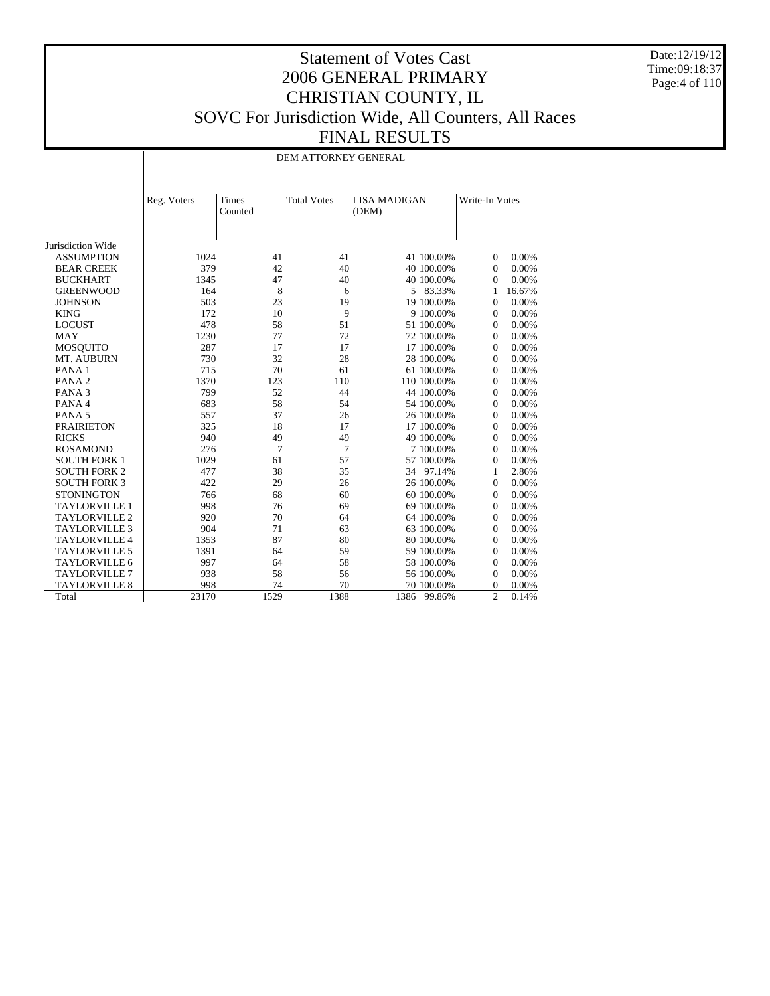Date:12/19/12 Time:09:18:37 Page:4 of 110

## Statement of Votes Cast 2006 GENERAL PRIMARY CHRISTIAN COUNTY, IL SOVC For Jurisdiction Wide, All Counters, All Races FINAL RESULTS

DEM ATTORNEY GENERAL

|                      | Reg. Voters | Times<br>Counted | <b>Total Votes</b> | <b>LISA MADIGAN</b><br>(DEM) |             | Write-In Votes |        |
|----------------------|-------------|------------------|--------------------|------------------------------|-------------|----------------|--------|
| Jurisdiction Wide    |             |                  |                    |                              |             |                |        |
| <b>ASSUMPTION</b>    | 1024        | 41               | 41                 |                              | 41 100.00%  | $\theta$       | 0.00%  |
| <b>BEAR CREEK</b>    | 379         | 42               | 40                 |                              | 40 100.00%  | $\theta$       | 0.00%  |
| <b>BUCKHART</b>      | 1345        | 47               | 40                 |                              | 40 100.00%  | $\theta$       | 0.00%  |
| <b>GREENWOOD</b>     | 164         | 8                | 6                  |                              | 5 83.33%    | 1              | 16.67% |
| <b>JOHNSON</b>       | 503         | 23               | 19                 |                              | 19 100.00%  | $\Omega$       | 0.00%  |
| <b>KING</b>          | 172         | 10               | 9                  |                              | 9 100.00%   | $\theta$       | 0.00%  |
| <b>LOCUST</b>        | 478         | 58               | 51                 |                              | 51 100.00%  | $\theta$       | 0.00%  |
| <b>MAY</b>           | 1230        | 77               | 72                 |                              | 72 100.00%  | $\Omega$       | 0.00%  |
| <b>MOSQUITO</b>      | 287         | 17               | 17                 |                              | 17 100.00%  | $\Omega$       | 0.00%  |
| MT. AUBURN           | 730         | 32               | 28                 |                              | 28 100.00%  | $\Omega$       | 0.00%  |
| PANA <sub>1</sub>    | 715         | 70               | 61                 |                              | 61 100.00%  | $\theta$       | 0.00%  |
| PANA <sub>2</sub>    | 1370        | 123              | 110                |                              | 110 100.00% | $\Omega$       | 0.00%  |
| PANA <sub>3</sub>    | 799         | 52               | 44                 |                              | 44 100.00%  | $\Omega$       | 0.00%  |
| PANA 4               | 683         | 58               | 54                 |                              | 54 100.00%  | $\Omega$       | 0.00%  |
| PANA <sub>5</sub>    | 557         | 37               | 26                 |                              | 26 100.00%  | $\mathbf{0}$   | 0.00%  |
| <b>PRAIRIETON</b>    | 325         | 18               | 17                 |                              | 17 100.00%  | $\Omega$       | 0.00%  |
| <b>RICKS</b>         | 940         | 49               | 49                 |                              | 49 100.00%  | $\Omega$       | 0.00%  |
| <b>ROSAMOND</b>      | 276         | 7                | 7                  |                              | 7 100.00%   | $\Omega$       | 0.00%  |
| <b>SOUTH FORK 1</b>  | 1029        | 61               | 57                 |                              | 57 100.00%  | $\mathbf{0}$   | 0.00%  |
| <b>SOUTH FORK 2</b>  | 477         | 38               | 35                 |                              | 34 97.14%   | 1              | 2.86%  |
| <b>SOUTH FORK 3</b>  | 422         | 29               | 26                 |                              | 26 100.00%  | $\Omega$       | 0.00%  |
| <b>STONINGTON</b>    | 766         | 68               | 60                 |                              | 60 100.00%  | $\mathbf{0}$   | 0.00%  |
| <b>TAYLORVILLE 1</b> | 998         | 76               | 69                 |                              | 69 100.00%  | $\mathbf{0}$   | 0.00%  |
| <b>TAYLORVILLE 2</b> | 920         | 70               | 64                 |                              | 64 100.00%  | $\Omega$       | 0.00%  |
| <b>TAYLORVILLE 3</b> | 904         | 71               | 63                 |                              | 63 100.00%  | $\Omega$       | 0.00%  |
| <b>TAYLORVILLE 4</b> | 1353        | 87               | 80                 |                              | 80 100.00%  | $\overline{0}$ | 0.00%  |
| <b>TAYLORVILLE 5</b> | 1391        | 64               | 59                 |                              | 59 100.00%  | $\theta$       | 0.00%  |
| <b>TAYLORVILLE 6</b> | 997         | 64               | 58                 |                              | 58 100.00%  | $\theta$       | 0.00%  |
| <b>TAYLORVILLE 7</b> | 938         | 58               | 56                 |                              | 56 100.00%  | $\overline{0}$ | 0.00%  |
| <b>TAYLORVILLE 8</b> | 998         | 74               | 70                 |                              | 70 100.00%  | $\theta$       | 0.00%  |
| Total                | 23170       | 1529             | 1388               | 1386                         | 99.86%      | $\overline{c}$ | 0.14%  |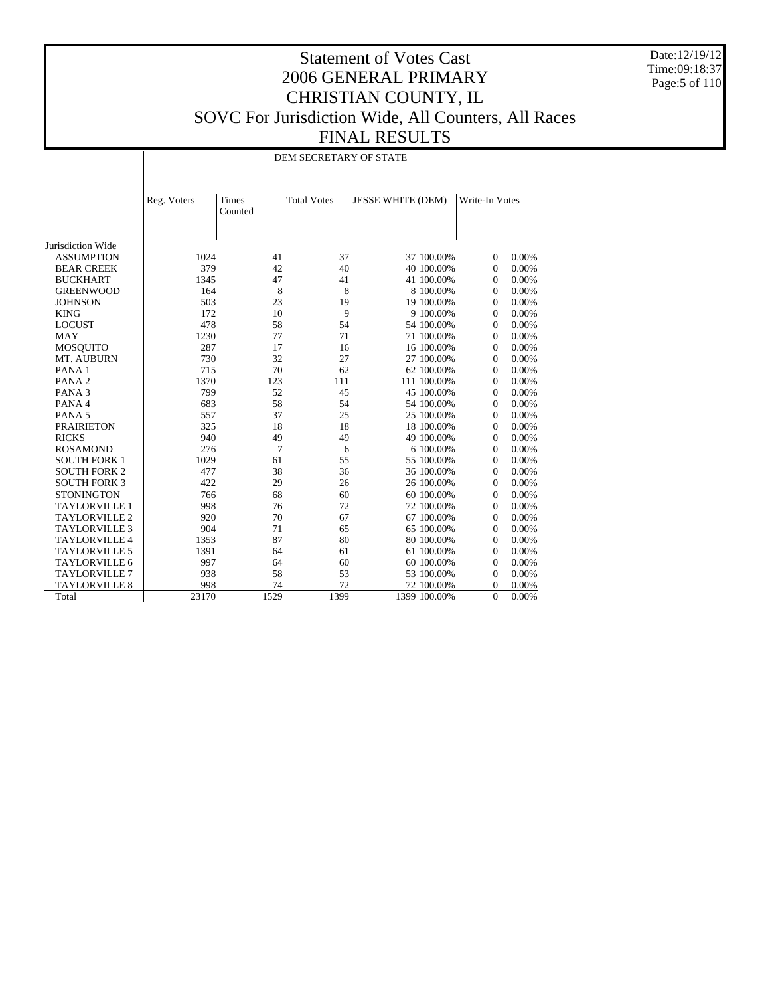Date:12/19/12 Time:09:18:37 Page:5 of 110

## Statement of Votes Cast 2006 GENERAL PRIMARY CHRISTIAN COUNTY, IL SOVC For Jurisdiction Wide, All Counters, All Races FINAL RESULTS

DEM SECRETARY OF STATE

|                      | Reg. Voters | Times<br>Counted | <b>Total Votes</b> | <b>JESSE WHITE (DEM)</b> |              | Write-In Votes |          |
|----------------------|-------------|------------------|--------------------|--------------------------|--------------|----------------|----------|
| Jurisdiction Wide    |             |                  |                    |                          |              |                |          |
| <b>ASSUMPTION</b>    | 1024        | 41               | 37                 |                          | 37 100.00%   | $\overline{0}$ | 0.00%    |
| <b>BEAR CREEK</b>    | 379         | 42               | 40                 |                          | 40 100.00%   | $\mathbf{0}$   | $0.00\%$ |
| <b>BUCKHART</b>      | 1345        | 47               | 41                 |                          | 41 100.00%   | $\mathbf{0}$   | 0.00%    |
| <b>GREENWOOD</b>     | 164         | 8                | 8                  |                          | 8 100,00%    | $\mathbf{0}$   | $0.00\%$ |
| <b>JOHNSON</b>       | 503         | 23               | 19                 |                          | 19 100.00%   | $\mathbf{0}$   | 0.00%    |
| <b>KING</b>          | 172         | 10               | $\mathbf{Q}$       |                          | 9 100.00%    | $\mathbf{0}$   | 0.00%    |
| <b>LOCUST</b>        | 478         | 58               | 54                 |                          | 54 100.00%   | $\mathbf{0}$   | 0.00%    |
| <b>MAY</b>           | 1230        | 77               | 71                 |                          | 71 100.00%   | $\mathbf{0}$   | 0.00%    |
| <b>MOSQUITO</b>      | 287         | 17               | 16                 |                          | 16 100.00%   | $\mathbf{0}$   | 0.00%    |
| MT. AUBURN           | 730         | 32               | 27                 |                          | 27 100.00%   | $\mathbf{0}$   | 0.00%    |
| PANA <sub>1</sub>    | 715         | 70               | 62                 |                          | 62 100.00%   | $\mathbf{0}$   | 0.00%    |
| PANA <sub>2</sub>    | 1370        | 123              | 111                |                          | 111 100.00%  | $\Omega$       | 0.00%    |
| PANA <sub>3</sub>    | 799         | 52               | 45                 |                          | 45 100.00%   | $\mathbf{0}$   | 0.00%    |
| PANA 4               | 683         | 58               | 54                 |                          | 54 100.00%   | $\mathbf{0}$   | 0.00%    |
| PANA <sub>5</sub>    | 557         | 37               | 25                 |                          | 25 100.00%   | $\Omega$       | 0.00%    |
| <b>PRAIRIETON</b>    | 325         | 18               | 18                 |                          | 18 100.00%   | $\Omega$       | 0.00%    |
| <b>RICKS</b>         | 940         | 49               | 49                 |                          | 49 100.00%   | $\mathbf{0}$   | 0.00%    |
| <b>ROSAMOND</b>      | 276         | 7                | 6                  |                          | 6 100,00%    | $\Omega$       | 0.00%    |
| <b>SOUTH FORK 1</b>  | 1029        | 61               | 55                 |                          | 55 100.00%   | $\mathbf{0}$   | 0.00%    |
| <b>SOUTH FORK 2</b>  | 477         | 38               | 36                 |                          | 36 100.00%   | $\mathbf{0}$   | 0.00%    |
| <b>SOUTH FORK 3</b>  | 422         | 29               | 26                 |                          | 26 100.00%   | $\Omega$       | 0.00%    |
| <b>STONINGTON</b>    | 766         | 68               | 60                 |                          | 60 100.00%   | $\mathbf{0}$   | 0.00%    |
| <b>TAYLORVILLE 1</b> | 998         | 76               | 72                 |                          | 72 100.00%   | $\mathbf{0}$   | 0.00%    |
| <b>TAYLORVILLE 2</b> | 920         | 70               | 67                 |                          | 67 100.00%   | $\Omega$       | 0.00%    |
| <b>TAYLORVILLE 3</b> | 904         | 71               | 65                 |                          | 65 100.00%   | $\mathbf{0}$   | 0.00%    |
| <b>TAYLORVILLE 4</b> | 1353        | 87               | 80                 |                          | 80 100.00%   | $\Omega$       | 0.00%    |
| <b>TAYLORVILLE 5</b> | 1391        | 64               | 61                 |                          | 61 100.00%   | $\mathbf{0}$   | 0.00%    |
| <b>TAYLORVILLE 6</b> | 997         | 64               | 60                 |                          | 60 100.00%   | $\mathbf{0}$   | 0.00%    |
| <b>TAYLORVILLE 7</b> | 938         | 58               | 53                 |                          | 53 100.00%   | $\mathbf{0}$   | 0.00%    |
| TAYLORVILLE 8        | 998         | 74               | 72                 |                          | 72 100.00%   | $\Omega$       | 0.00%    |
| Total                | 23170       | 1529             | 1399               |                          | 1399 100.00% | $\overline{0}$ | $0.00\%$ |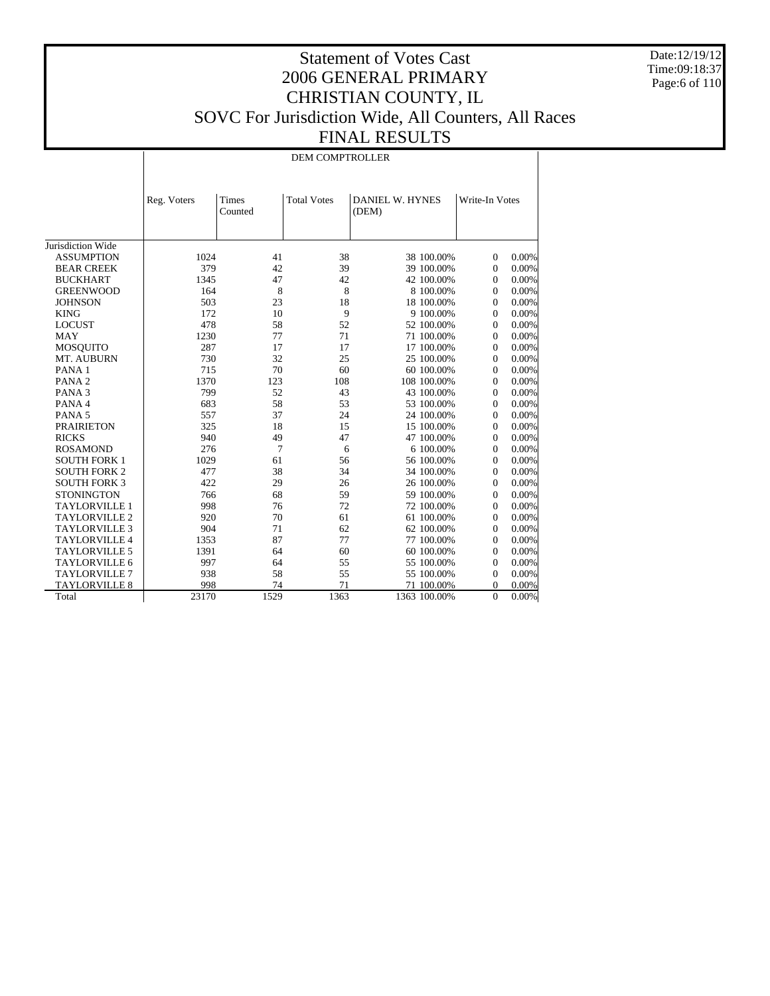Date:12/19/12 Time:09:18:37 Page:6 of 110

## Statement of Votes Cast 2006 GENERAL PRIMARY CHRISTIAN COUNTY, IL SOVC For Jurisdiction Wide, All Counters, All Races FINAL RESULTS

DEM COMPTROLLER

|                      | Reg. Voters | <b>Times</b><br>Counted | <b>Total Votes</b> | <b>DANIEL W. HYNES</b><br>(DEM) |            | Write-In Votes |          |
|----------------------|-------------|-------------------------|--------------------|---------------------------------|------------|----------------|----------|
| Jurisdiction Wide    |             |                         |                    |                                 |            |                |          |
| <b>ASSUMPTION</b>    | 1024        | 41                      | 38                 |                                 | 38 100.00% | $\overline{0}$ | 0.00%    |
| <b>BEAR CREEK</b>    | 379         | 42                      | 39                 |                                 | 39 100.00% | $\mathbf{0}$   | 0.00%    |
| <b>BUCKHART</b>      | 1345        | 47                      | 42                 |                                 | 42 100.00% | $\Omega$       | 0.00%    |
| <b>GREENWOOD</b>     | 164         | 8                       | 8                  |                                 | 8 100.00%  | $\overline{0}$ | 0.00%    |
| <b>JOHNSON</b>       | 503         | 23                      | 18                 |                                 | 18 100.00% | $\overline{0}$ | 0.00%    |
| <b>KING</b>          | 172         | 10                      | 9                  |                                 | 9 100.00%  | $\Omega$       | 0.00%    |
| <b>LOCUST</b>        | 478         | 58                      | 52                 |                                 | 52 100.00% | $\overline{0}$ | 0.00%    |
| <b>MAY</b>           | 1230        | 77                      | 71                 |                                 | 71 100.00% | $\overline{0}$ | 0.00%    |
| <b>MOSQUITO</b>      | 287         | 17                      | 17                 |                                 | 17 100.00% | $\mathbf{0}$   | 0.00%    |
| MT. AUBURN           | 730         | 32                      | 25                 |                                 | 25 100.00% | $\mathbf{0}$   | 0.00%    |
| PANA <sub>1</sub>    | 715         | 70                      | 60                 |                                 | 60 100.00% | $\overline{0}$ | 0.00%    |
| PANA <sub>2</sub>    | 1370        | 123                     | 108                | 108 100.00%                     |            | $\mathbf{0}$   | 0.00%    |
| PANA <sub>3</sub>    | 799         | 52                      | 43                 |                                 | 43 100.00% | $\Omega$       | 0.00%    |
| PANA 4               | 683         | 58                      | 53                 |                                 | 53 100.00% | $\overline{0}$ | 0.00%    |
| PANA <sub>5</sub>    | 557         | 37                      | 24                 |                                 | 24 100.00% | $\mathbf{0}$   | 0.00%    |
| <b>PRAIRIETON</b>    | 325         | 18                      | 15                 |                                 | 15 100.00% | $\mathbf{0}$   | 0.00%    |
| <b>RICKS</b>         | 940         | 49                      | 47                 |                                 | 47 100.00% | $\theta$       | 0.00%    |
| <b>ROSAMOND</b>      | 276         | $\overline{7}$          | 6                  |                                 | 6 100.00%  | $\Omega$       | 0.00%    |
| <b>SOUTH FORK 1</b>  | 1029        | 61                      | 56                 |                                 | 56 100.00% | $\mathbf{0}$   | 0.00%    |
| <b>SOUTH FORK 2</b>  | 477         | 38                      | 34                 |                                 | 34 100.00% | $\Omega$       | 0.00%    |
| <b>SOUTH FORK 3</b>  | 422         | 29                      | 26                 |                                 | 26 100.00% | $\Omega$       | 0.00%    |
| <b>STONINGTON</b>    | 766         | 68                      | 59                 |                                 | 59 100.00% | $\Omega$       | 0.00%    |
| <b>TAYLORVILLE 1</b> | 998         | 76                      | 72                 |                                 | 72 100.00% | $\mathbf{0}$   | 0.00%    |
| <b>TAYLORVILLE 2</b> | 920         | 70                      | 61                 |                                 | 61 100.00% | $\Omega$       | 0.00%    |
| <b>TAYLORVILLE 3</b> | 904         | 71                      | 62                 |                                 | 62 100.00% | $\Omega$       | 0.00%    |
| <b>TAYLORVILLE 4</b> | 1353        | 87                      | 77                 |                                 | 77 100.00% | $\mathbf{0}$   | 0.00%    |
| <b>TAYLORVILLE 5</b> | 1391        | 64                      | 60                 |                                 | 60 100.00% | $\Omega$       | 0.00%    |
| <b>TAYLORVILLE 6</b> | 997         | 64                      | 55                 |                                 | 55 100.00% | $\Omega$       | 0.00%    |
| <b>TAYLORVILLE 7</b> | 938         | 58                      | 55                 |                                 | 55 100.00% | $\mathbf{0}$   | 0.00%    |
| <b>TAYLORVILLE 8</b> | 998         | 74                      | 71                 |                                 | 71 100.00% | $\mathbf{0}$   | 0.00%    |
| Total                | 23170       | 1529                    | 1363               | 1363 100.00%                    |            | $\overline{0}$ | $0.00\%$ |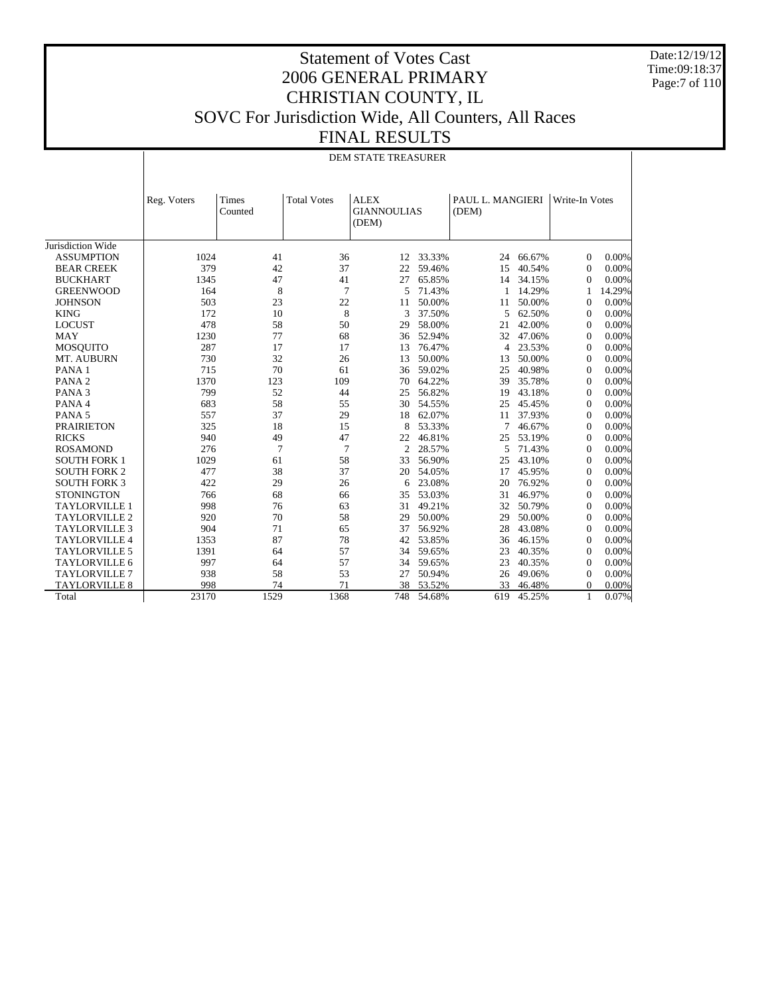Date:12/19/12 Time:09:18:37 Page:7 of 110

## Statement of Votes Cast 2006 GENERAL PRIMARY CHRISTIAN COUNTY, IL SOVC For Jurisdiction Wide, All Counters, All Races FINAL RESULTS

#### DEM STATE TREASURER

|                      | Reg. Voters | Times<br>Counted | <b>Total Votes</b> | <b>ALEX</b><br><b>GIANNOULIAS</b><br>(DEM) |        | PAUL L. MANGIERI<br>(DEM) |        | Write-In Votes   |        |
|----------------------|-------------|------------------|--------------------|--------------------------------------------|--------|---------------------------|--------|------------------|--------|
| Jurisdiction Wide    |             |                  |                    |                                            |        |                           |        |                  |        |
| <b>ASSUMPTION</b>    | 1024        | 41               | 36                 | 12                                         | 33.33% | 24                        | 66.67% | 0                | 0.00%  |
| <b>BEAR CREEK</b>    | 379         | 42               | 37                 | 22                                         | 59.46% | 15                        | 40.54% | $\Omega$         | 0.00%  |
| <b>BUCKHART</b>      | 1345        | 47               | 41                 | 27                                         | 65.85% | 14                        | 34.15% | $\Omega$         | 0.00%  |
| <b>GREENWOOD</b>     | 164         | 8                | $\overline{7}$     | 5                                          | 71.43% | 1                         | 14.29% | 1                | 14.29% |
| <b>JOHNSON</b>       | 503         | 23               | 22                 | 11                                         | 50.00% | 11                        | 50.00% | $\Omega$         | 0.00%  |
| <b>KING</b>          | 172         | 10               | 8                  | 3                                          | 37.50% | 5                         | 62.50% | $\boldsymbol{0}$ | 0.00%  |
| <b>LOCUST</b>        | 478         | 58               | 50                 | 29                                         | 58.00% | 21                        | 42.00% | $\boldsymbol{0}$ | 0.00%  |
| <b>MAY</b>           | 1230        | 77               | 68                 | 36                                         | 52.94% | 32                        | 47.06% | $\Omega$         | 0.00%  |
| <b>MOSOUITO</b>      | 287         | 17               | 17                 | 13                                         | 76.47% | $\overline{4}$            | 23.53% | $\Omega$         | 0.00%  |
| MT. AUBURN           | 730         | 32               | 26                 | 13                                         | 50.00% | 13                        | 50.00% | $\Omega$         | 0.00%  |
| PANA <sub>1</sub>    | 715         | 70               | 61                 | 36                                         | 59.02% | 25                        | 40.98% | $\Omega$         | 0.00%  |
| PANA <sub>2</sub>    | 1370        | 123              | 109                | 70                                         | 64.22% | 39                        | 35.78% | $\Omega$         | 0.00%  |
| PANA <sub>3</sub>    | 799         | 52               | 44                 | 25                                         | 56.82% | 19                        | 43.18% | $\boldsymbol{0}$ | 0.00%  |
| PANA 4               | 683         | 58               | 55                 | 30                                         | 54.55% | 25                        | 45.45% | $\boldsymbol{0}$ | 0.00%  |
| PANA <sub>5</sub>    | 557         | 37               | 29                 | 18                                         | 62.07% | 11                        | 37.93% | $\boldsymbol{0}$ | 0.00%  |
| <b>PRAIRIETON</b>    | 325         | 18               | 15                 | 8                                          | 53.33% | 7                         | 46.67% | $\Omega$         | 0.00%  |
| <b>RICKS</b>         | 940         | 49               | 47                 | 22                                         | 46.81% | 25                        | 53.19% | $\Omega$         | 0.00%  |
| <b>ROSAMOND</b>      | 276         | $\overline{7}$   | $\overline{7}$     | $\overline{c}$                             | 28.57% | 5                         | 71.43% | $\Omega$         | 0.00%  |
| <b>SOUTH FORK 1</b>  | 1029        | 61               | 58                 | 33                                         | 56.90% | 25                        | 43.10% | $\Omega$         | 0.00%  |
| <b>SOUTH FORK 2</b>  | 477         | 38               | 37                 | 20                                         | 54.05% | 17                        | 45.95% | $\boldsymbol{0}$ | 0.00%  |
| <b>SOUTH FORK 3</b>  | 422         | 29               | 26                 | 6                                          | 23.08% | 20                        | 76.92% | $\boldsymbol{0}$ | 0.00%  |
| <b>STONINGTON</b>    | 766         | 68               | 66                 | 35                                         | 53.03% | 31                        | 46.97% | $\boldsymbol{0}$ | 0.00%  |
| <b>TAYLORVILLE 1</b> | 998         | 76               | 63                 | 31                                         | 49.21% | 32                        | 50.79% | $\boldsymbol{0}$ | 0.00%  |
| <b>TAYLORVILLE 2</b> | 920         | 70               | 58                 | 29                                         | 50.00% | 29                        | 50.00% | $\Omega$         | 0.00%  |
| <b>TAYLORVILLE 3</b> | 904         | 71               | 65                 | 37                                         | 56.92% | 28                        | 43.08% | $\Omega$         | 0.00%  |
| <b>TAYLORVILLE 4</b> | 1353        | 87               | 78                 | 42                                         | 53.85% | 36                        | 46.15% | $\Omega$         | 0.00%  |
| <b>TAYLORVILLE 5</b> | 1391        | 64               | 57                 | 34                                         | 59.65% | 23                        | 40.35% | $\boldsymbol{0}$ | 0.00%  |
| <b>TAYLORVILLE 6</b> | 997         | 64               | 57                 | 34                                         | 59.65% | 23                        | 40.35% | $\boldsymbol{0}$ | 0.00%  |
| <b>TAYLORVILLE 7</b> | 938         | 58               | 53                 | 27                                         | 50.94% | 26                        | 49.06% | $\boldsymbol{0}$ | 0.00%  |
| <b>TAYLORVILLE 8</b> | 998         | 74               | 71                 | 38                                         | 53.52% | 33                        | 46.48% | $\Omega$         | 0.00%  |
| Total                | 23170       | 1529             | 1368               | 748                                        | 54.68% | 619                       | 45.25% | 1                | 0.07%  |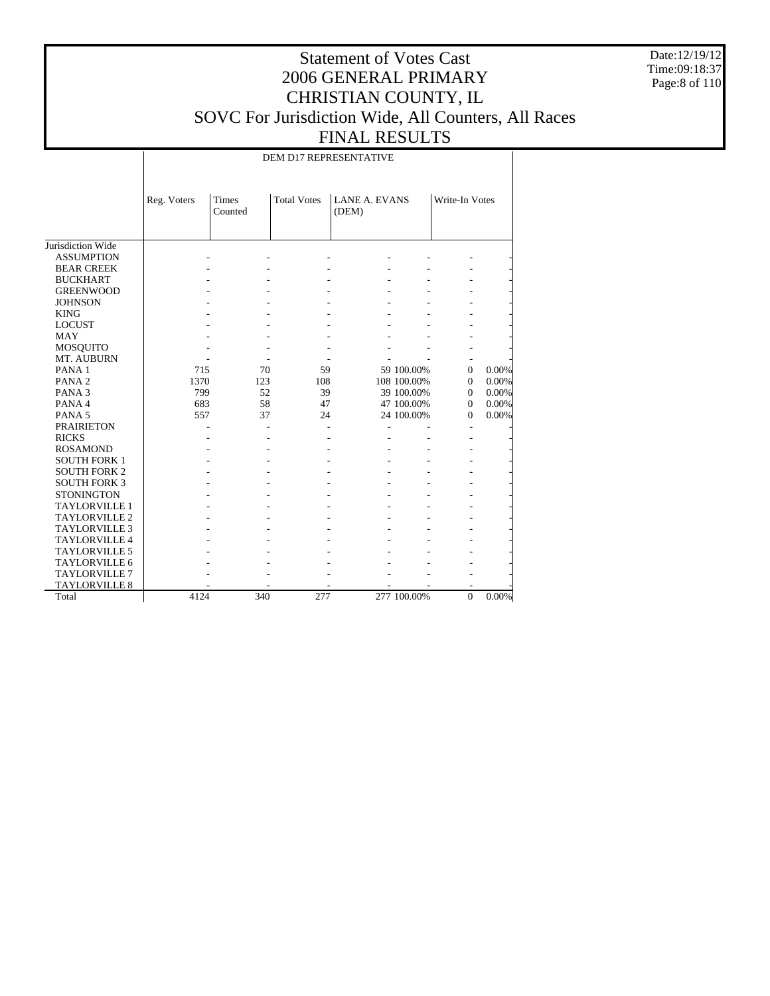Date:12/19/12 Time:09:18:37 Page:8 of 110

## Statement of Votes Cast 2006 GENERAL PRIMARY CHRISTIAN COUNTY, IL SOVC For Jurisdiction Wide, All Counters, All Races FINAL RESULTS

DEM D17 REPRESENTATIVE

|                      | Reg. Voters | Times<br>Counted | <b>Total Votes</b> | <b>LANE A. EVANS</b><br>(DEM) |             | Write-In Votes |       |
|----------------------|-------------|------------------|--------------------|-------------------------------|-------------|----------------|-------|
| Jurisdiction Wide    |             |                  |                    |                               |             |                |       |
| <b>ASSUMPTION</b>    |             |                  |                    |                               |             |                |       |
| <b>BEAR CREEK</b>    |             |                  |                    |                               |             |                |       |
| <b>BUCKHART</b>      |             |                  |                    |                               |             |                |       |
| <b>GREENWOOD</b>     |             |                  |                    |                               |             |                |       |
| <b>JOHNSON</b>       |             |                  |                    |                               |             |                |       |
| <b>KING</b>          |             |                  |                    |                               |             |                |       |
| <b>LOCUST</b>        |             |                  |                    |                               |             |                |       |
| <b>MAY</b>           |             |                  |                    |                               |             |                |       |
| <b>MOSQUITO</b>      |             |                  |                    |                               |             |                |       |
| MT. AUBURN           |             |                  |                    |                               |             |                |       |
| PANA <sub>1</sub>    | 715         | 70               | 59                 |                               | 59 100.00%  | $\Omega$       | 0.00% |
| PANA <sub>2</sub>    | 1370        | 123              | 108                |                               | 108 100.00% | $\Omega$       | 0.00% |
| PANA <sub>3</sub>    | 799         | 52               | 39                 |                               | 39 100.00%  | $\Omega$       | 0.00% |
| PANA 4               | 683         | 58               | 47                 |                               | 47 100.00%  | $\Omega$       | 0.00% |
| PANA <sub>5</sub>    | 557         | 37               | 24                 |                               | 24 100.00%  | $\Omega$       | 0.00% |
| <b>PRAIRIETON</b>    |             |                  |                    |                               |             |                |       |
| <b>RICKS</b>         |             |                  |                    |                               |             |                |       |
| <b>ROSAMOND</b>      |             |                  |                    |                               |             |                |       |
| <b>SOUTH FORK 1</b>  |             |                  |                    |                               |             |                |       |
| <b>SOUTH FORK 2</b>  |             |                  |                    |                               |             |                |       |
| <b>SOUTH FORK 3</b>  |             |                  |                    |                               |             |                |       |
| <b>STONINGTON</b>    |             |                  |                    |                               |             |                |       |
| <b>TAYLORVILLE 1</b> |             |                  |                    |                               |             |                |       |
| <b>TAYLORVILLE 2</b> |             |                  |                    |                               |             |                |       |
| <b>TAYLORVILLE 3</b> |             |                  |                    |                               |             |                |       |
| <b>TAYLORVILLE 4</b> |             |                  |                    |                               |             |                |       |
| <b>TAYLORVILLE 5</b> |             |                  |                    |                               |             |                |       |
| TAYLORVILLE 6        |             |                  |                    |                               |             |                |       |
| <b>TAYLORVILLE 7</b> |             |                  |                    |                               |             |                |       |
| <b>TAYLORVILLE 8</b> |             |                  |                    |                               |             |                |       |
| Total                | 4124        | 340              | 277                |                               | 277 100.00% | $\overline{0}$ | 0.00% |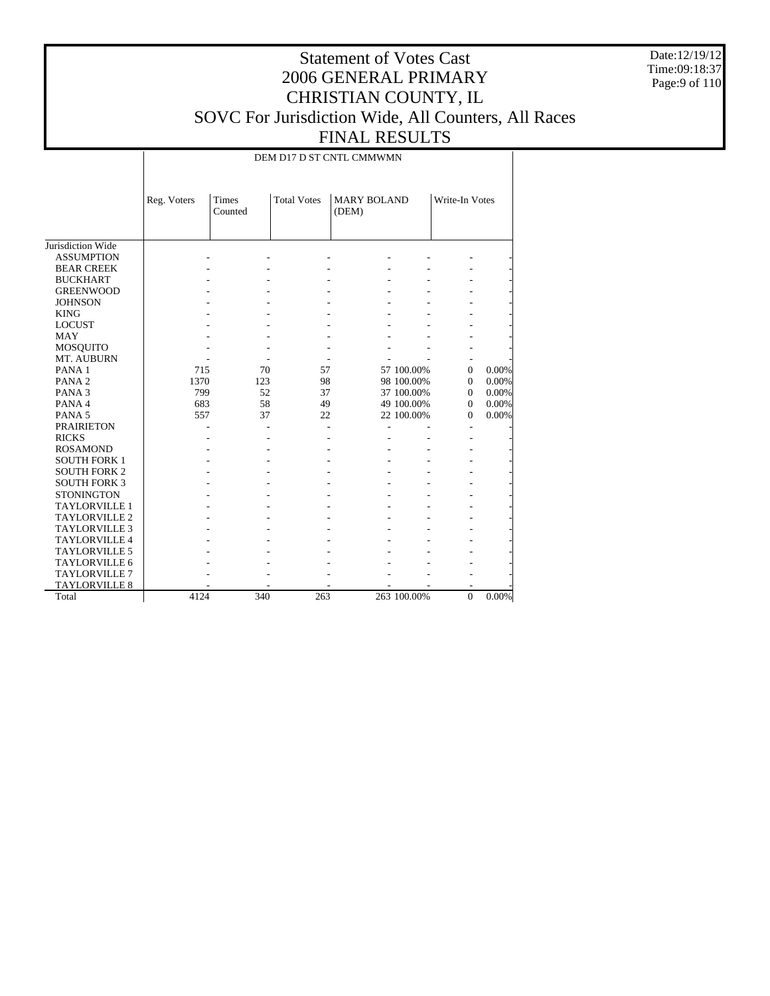Date:12/19/12 Time:09:18:37 Page:9 of 110

## Statement of Votes Cast 2006 GENERAL PRIMARY CHRISTIAN COUNTY, IL SOVC For Jurisdiction Wide, All Counters, All Races FINAL RESULTS

DEM D17 D ST CNTL CMMWMN

|                      | Reg. Voters | Times<br>Counted | <b>Total Votes</b> | <b>MARY BOLAND</b><br>(DEM) |             | Write-In Votes |       |
|----------------------|-------------|------------------|--------------------|-----------------------------|-------------|----------------|-------|
| Jurisdiction Wide    |             |                  |                    |                             |             |                |       |
| <b>ASSUMPTION</b>    |             |                  |                    |                             |             |                |       |
| <b>BEAR CREEK</b>    |             |                  |                    |                             |             |                |       |
| <b>BUCKHART</b>      |             |                  |                    |                             |             |                |       |
| <b>GREENWOOD</b>     |             |                  |                    |                             |             |                |       |
| <b>JOHNSON</b>       |             |                  |                    |                             |             |                |       |
| <b>KING</b>          |             |                  |                    |                             |             |                |       |
| <b>LOCUST</b>        |             |                  |                    |                             |             |                |       |
| <b>MAY</b>           |             |                  |                    |                             |             |                |       |
| <b>MOSQUITO</b>      |             |                  |                    |                             |             |                |       |
| MT. AUBURN           |             |                  |                    |                             |             |                |       |
| PANA <sub>1</sub>    | 715         | 70               | 57                 |                             | 57 100.00%  | $\Omega$       | 0.00% |
| PANA <sub>2</sub>    | 1370        | 123              | 98                 |                             | 98 100.00%  | $\Omega$       | 0.00% |
| PANA <sub>3</sub>    | 799         | 52               | 37                 |                             | 37 100.00%  | $\Omega$       | 0.00% |
| PANA 4               | 683         | 58               | 49                 |                             | 49 100.00%  | $\Omega$       | 0.00% |
| PANA <sub>5</sub>    | 557         | 37               | 22                 |                             | 22 100.00%  | $\Omega$       | 0.00% |
| <b>PRAIRIETON</b>    |             |                  |                    |                             |             |                |       |
| <b>RICKS</b>         |             |                  |                    |                             |             |                |       |
| <b>ROSAMOND</b>      |             |                  |                    |                             |             |                |       |
| <b>SOUTH FORK 1</b>  |             |                  |                    |                             |             |                |       |
| <b>SOUTH FORK 2</b>  |             |                  |                    |                             |             |                |       |
| <b>SOUTH FORK 3</b>  |             |                  |                    |                             |             |                |       |
| <b>STONINGTON</b>    |             |                  |                    |                             |             |                |       |
| <b>TAYLORVILLE 1</b> |             |                  |                    |                             |             |                |       |
| <b>TAYLORVILLE 2</b> |             |                  |                    |                             |             |                |       |
| <b>TAYLORVILLE 3</b> |             |                  |                    |                             |             |                |       |
| <b>TAYLORVILLE 4</b> |             |                  |                    |                             |             |                |       |
| <b>TAYLORVILLE 5</b> |             |                  |                    |                             |             |                |       |
| TAYLORVILLE 6        |             |                  |                    |                             |             |                |       |
| TAYLORVILLE 7        |             |                  |                    |                             |             |                |       |
| <b>TAYLORVILLE 8</b> |             |                  |                    |                             |             |                |       |
| Total                | 4124        | 340              | 263                |                             | 263 100.00% | $\overline{0}$ | 0.00% |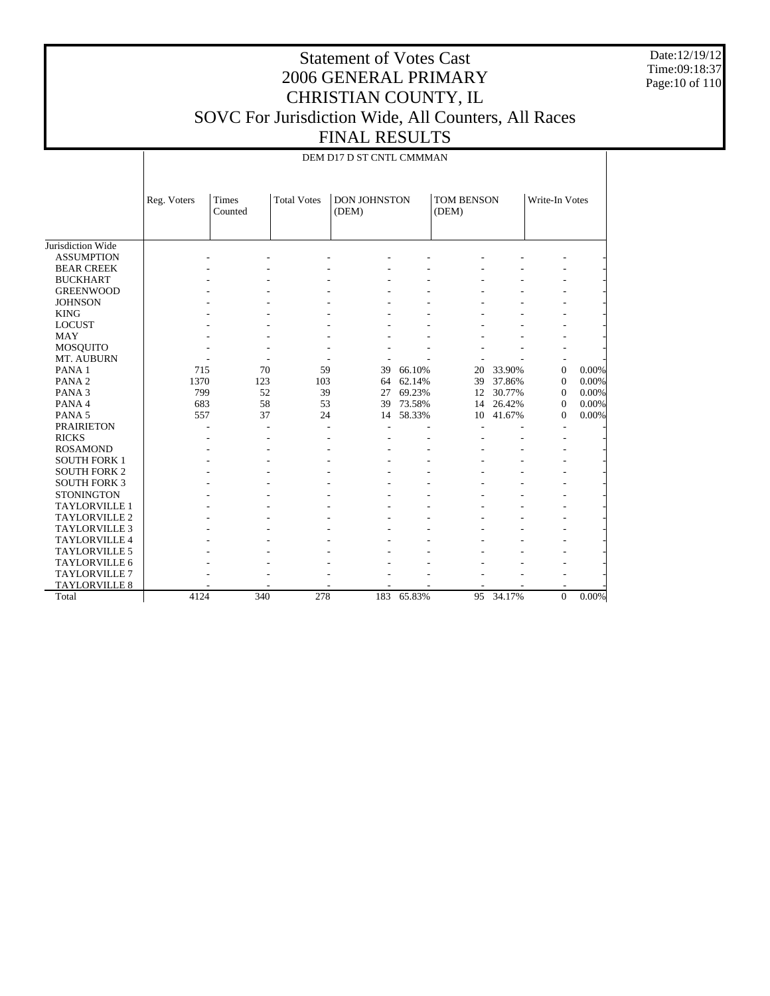Date:12/19/12 Time:09:18:37 Page:10 of 110

## Statement of Votes Cast 2006 GENERAL PRIMARY CHRISTIAN COUNTY, IL SOVC For Jurisdiction Wide, All Counters, All Races FINAL RESULTS

|                      | Reg. Voters | Times<br>Counted | <b>Total Votes</b> | <b>DON JOHNSTON</b><br>(DEM) |        | <b>TOM BENSON</b><br>(DEM) |        | Write-In Votes |       |
|----------------------|-------------|------------------|--------------------|------------------------------|--------|----------------------------|--------|----------------|-------|
| Jurisdiction Wide    |             |                  |                    |                              |        |                            |        |                |       |
| <b>ASSUMPTION</b>    |             |                  |                    |                              |        |                            |        |                |       |
| <b>BEAR CREEK</b>    |             |                  |                    |                              |        |                            |        |                |       |
| <b>BUCKHART</b>      |             |                  |                    |                              |        |                            |        |                |       |
| <b>GREENWOOD</b>     |             |                  |                    |                              |        |                            |        |                |       |
| <b>JOHNSON</b>       |             |                  |                    |                              |        |                            |        |                |       |
| <b>KING</b>          |             |                  |                    |                              |        |                            |        |                |       |
| <b>LOCUST</b>        |             |                  |                    |                              |        |                            |        |                |       |
| <b>MAY</b>           |             |                  |                    |                              |        |                            |        |                |       |
| <b>MOSQUITO</b>      |             |                  |                    |                              |        |                            |        |                |       |
| MT. AUBURN           |             |                  |                    |                              |        |                            |        |                |       |
| PANA <sub>1</sub>    | 715         | 70               | 59                 | 39                           | 66.10% | 20                         | 33.90% | $\mathbf{0}$   | 0.00% |
| PANA <sub>2</sub>    | 1370        | 123              | 103                | 64                           | 62.14% | 39                         | 37.86% | $\mathbf{0}$   | 0.00% |
| PANA <sub>3</sub>    | 799         | 52               | 39                 | 27                           | 69.23% | 12                         | 30.77% | $\mathbf{0}$   | 0.00% |
| PANA 4               | 683         | 58               | 53                 | 39                           | 73.58% | 14                         | 26.42% | $\mathbf{0}$   | 0.00% |
| PANA <sub>5</sub>    | 557         | 37               | 24                 | 14                           | 58.33% | 10                         | 41.67% | $\mathbf{0}$   | 0.00% |
| <b>PRAIRIETON</b>    |             |                  |                    |                              |        |                            |        |                |       |
| <b>RICKS</b>         |             |                  |                    |                              |        |                            |        |                |       |
| <b>ROSAMOND</b>      |             |                  |                    |                              |        |                            |        |                |       |
| <b>SOUTH FORK 1</b>  |             |                  |                    |                              |        |                            |        |                |       |
| <b>SOUTH FORK 2</b>  |             |                  |                    |                              |        |                            |        |                |       |
| <b>SOUTH FORK 3</b>  |             |                  |                    |                              |        |                            |        |                |       |
| <b>STONINGTON</b>    |             |                  |                    |                              |        |                            |        |                |       |
| <b>TAYLORVILLE 1</b> |             |                  |                    |                              |        |                            |        |                |       |
| <b>TAYLORVILLE 2</b> |             |                  |                    |                              |        |                            |        |                |       |
| <b>TAYLORVILLE 3</b> |             |                  |                    |                              |        |                            |        |                |       |
| <b>TAYLORVILLE 4</b> |             |                  |                    |                              |        |                            |        |                |       |
| <b>TAYLORVILLE 5</b> |             |                  |                    |                              |        |                            |        |                |       |
| TAYLORVILLE 6        |             |                  |                    |                              |        |                            |        |                |       |
| TAYLORVILLE 7        |             |                  |                    |                              |        |                            |        |                |       |
| <b>TAYLORVILLE 8</b> |             |                  |                    |                              |        |                            |        |                |       |
| Total                | 4124        | 340              | 278                | 183                          | 65.83% | 95                         | 34.17% | $\Omega$       | 0.00% |

DEM D17 D ST CNTL CMMMAN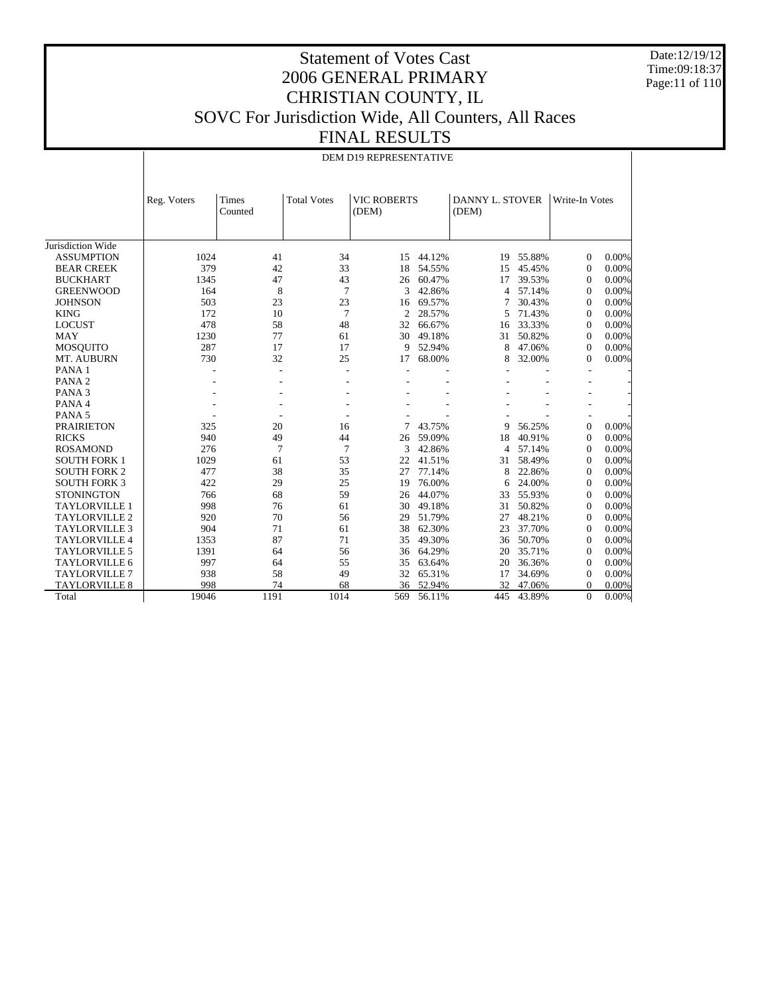Date:12/19/12 Time:09:18:37 Page:11 of 110

 $\overline{\phantom{a}}$ 

#### Statement of Votes Cast 2006 GENERAL PRIMARY CHRISTIAN COUNTY, IL SOVC For Jurisdiction Wide, All Counters, All Races FINAL RESULTS

DEM D19 REPRESENTATIVE

|                      | Reg. Voters | Times<br>Counted | <b>Total Votes</b> | <b>VIC ROBERTS</b><br>(DEM) |        | <b>DANNY L. STOVER</b><br>(DEM) |        | Write-In Votes   |       |
|----------------------|-------------|------------------|--------------------|-----------------------------|--------|---------------------------------|--------|------------------|-------|
|                      |             |                  |                    |                             |        |                                 |        |                  |       |
| Jurisdiction Wide    |             |                  |                    |                             |        |                                 |        |                  |       |
| <b>ASSUMPTION</b>    | 1024        | 41               | 34                 | 15                          | 44.12% | 19                              | 55.88% | $\mathbf{0}$     | 0.00% |
| <b>BEAR CREEK</b>    | 379         | 42               | 33                 | 18                          | 54.55% | 15                              | 45.45% | $\theta$         | 0.00% |
| <b>BUCKHART</b>      | 1345        | 47               | 43                 | 26                          | 60.47% | 17                              | 39.53% | $\mathbf{0}$     | 0.00% |
| <b>GREENWOOD</b>     | 164         | 8                | 7                  | $\mathbf{3}$                | 42.86% | 4                               | 57.14% | $\mathbf{0}$     | 0.00% |
| <b>JOHNSON</b>       | 503         | 23               | 23                 | 16                          | 69.57% |                                 | 30.43% | $\mathbf{0}$     | 0.00% |
| <b>KING</b>          | 172         | 10               | $\overline{7}$     | $\overline{2}$              | 28.57% | 5                               | 71.43% | $\mathbf{0}$     | 0.00% |
| <b>LOCUST</b>        | 478         | 58               | 48                 | 32                          | 66.67% | 16                              | 33.33% | $\Omega$         | 0.00% |
| MAY                  | 1230        | 77               | 61                 | 30                          | 49.18% | 31                              | 50.82% | $\mathbf{0}$     | 0.00% |
| <b>MOSQUITO</b>      | 287         | 17               | 17                 | 9                           | 52.94% | 8                               | 47.06% | $\boldsymbol{0}$ | 0.00% |
| MT. AUBURN           | 730         | 32               | 25                 | 17                          | 68.00% | 8                               | 32.00% | $\mathbf{0}$     | 0.00% |
| PANA <sub>1</sub>    |             |                  | ٠                  |                             |        |                                 |        |                  |       |
| PANA <sub>2</sub>    |             |                  |                    |                             |        |                                 |        |                  |       |
| PANA <sub>3</sub>    |             |                  |                    |                             |        |                                 |        |                  |       |
| PANA 4               |             |                  |                    |                             |        |                                 |        |                  |       |
| PANA <sub>5</sub>    |             |                  |                    |                             |        |                                 |        |                  |       |
| <b>PRAIRIETON</b>    | 325         | 20               | 16                 | 7                           | 43.75% | 9                               | 56.25% | $\mathbf{0}$     | 0.00% |
| <b>RICKS</b>         | 940         | 49               | 44                 | 26                          | 59.09% | 18                              | 40.91% | $\mathbf{0}$     | 0.00% |
| <b>ROSAMOND</b>      | 276         | $\tau$           | 7                  | 3                           | 42.86% | 4                               | 57.14% | $\mathbf{0}$     | 0.00% |
| <b>SOUTH FORK 1</b>  | 1029        | 61               | 53                 | 22                          | 41.51% | 31                              | 58.49% | $\mathbf{0}$     | 0.00% |
| <b>SOUTH FORK 2</b>  | 477         | 38               | 35                 | 27                          | 77.14% | 8                               | 22.86% | $\mathbf{0}$     | 0.00% |
| <b>SOUTH FORK 3</b>  | 422         | 29               | 25                 | 19                          | 76.00% | 6                               | 24.00% | $\mathbf{0}$     | 0.00% |
| <b>STONINGTON</b>    | 766         | 68               | 59                 | 26                          | 44.07% | 33                              | 55.93% | $\mathbf{0}$     | 0.00% |
| <b>TAYLORVILLE 1</b> | 998         | 76               | 61                 | 30                          | 49.18% | 31                              | 50.82% | $\mathbf{0}$     | 0.00% |
| <b>TAYLORVILLE 2</b> | 920         | 70               | 56                 | 29                          | 51.79% | 27                              | 48.21% | $\mathbf{0}$     | 0.00% |
| <b>TAYLORVILLE 3</b> | 904         | 71               | 61                 | 38                          | 62.30% | 23                              | 37.70% | $\mathbf{0}$     | 0.00% |
| <b>TAYLORVILLE 4</b> | 1353        | 87               | 71                 | 35                          | 49.30% | 36                              | 50.70% | $\mathbf{0}$     | 0.00% |
| <b>TAYLORVILLE 5</b> | 1391        | 64               | 56                 | 36                          | 64.29% | 20                              | 35.71% | $\mathbf{0}$     | 0.00% |
| <b>TAYLORVILLE 6</b> | 997         | 64               | 55                 | 35                          | 63.64% | 20                              | 36.36% | $\mathbf{0}$     | 0.00% |
| <b>TAYLORVILLE 7</b> | 938         | 58               | 49                 | 32                          | 65.31% | 17                              | 34.69% | $\mathbf{0}$     | 0.00% |
| <b>TAYLORVILLE 8</b> | 998         | 74               | 68                 | 36                          | 52.94% | 32                              | 47.06% | $\boldsymbol{0}$ | 0.00% |
| Total                | 19046       | 1191             | 1014               | 569                         | 56.11% | 445                             | 43.89% | $\Omega$         | 0.00% |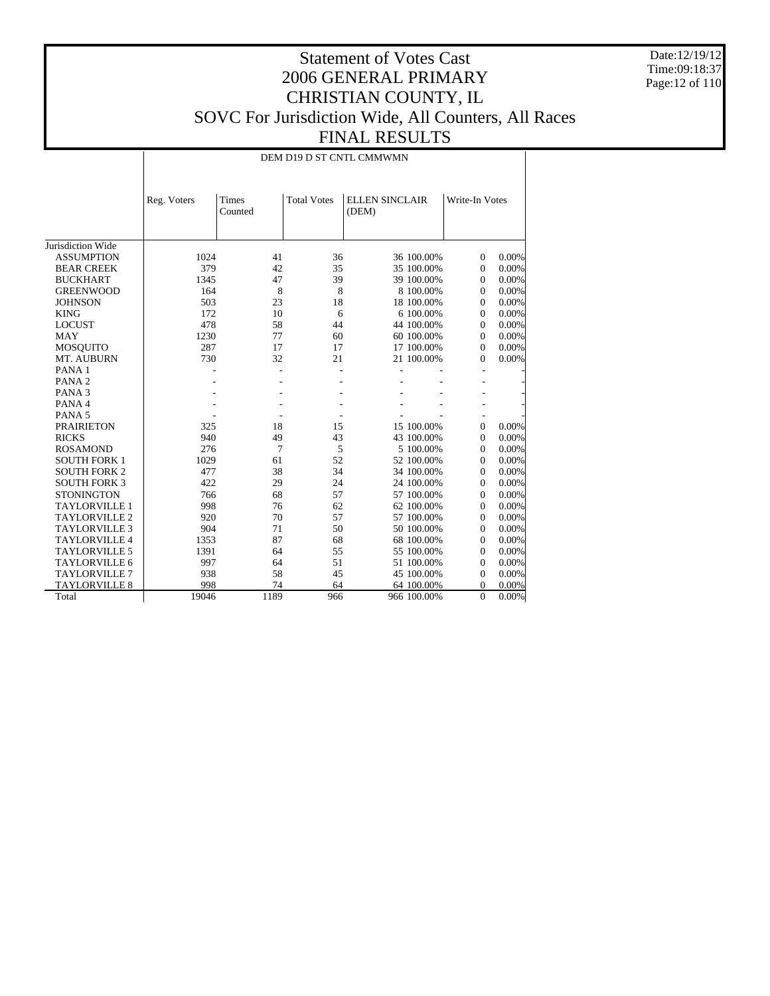Date:12/19/12 Time:09:18:37 Page:12 of 110

## Statement of Votes Cast 2006 GENERAL PRIMARY CHRISTIAN COUNTY, IL SOVC For Jurisdiction Wide, All Counters, All Races FINAL RESULTS

#### DEM D19 D ST CNTL CMMWMN

|                      | Reg. Voters | Times<br>Counted | <b>Total Votes</b> | <b>ELLEN SINCLAIR</b><br>(DEM) |             | Write-In Votes |       |
|----------------------|-------------|------------------|--------------------|--------------------------------|-------------|----------------|-------|
| Jurisdiction Wide    |             |                  |                    |                                |             |                |       |
| <b>ASSUMPTION</b>    | 1024        | 41               | 36                 |                                | 36 100.00%  | $\mathbf{0}$   | 0.00% |
| <b>BEAR CREEK</b>    | 379         | 42               | 35                 |                                | 35 100.00%  | $\mathbf{0}$   | 0.00% |
| <b>BUCKHART</b>      | 1345        | 47               | 39                 |                                | 39 100.00%  | $\mathbf{0}$   | 0.00% |
| <b>GREENWOOD</b>     | 164         | 8                | 8                  |                                | 8 100,00%   | $\mathbf{0}$   | 0.00% |
| <b>JOHNSON</b>       | 503         | 23               | 18                 |                                | 18 100.00%  | $\mathbf{0}$   | 0.00% |
| <b>KING</b>          | 172         | 10               | 6                  |                                | 6 100.00%   | $\mathbf{0}$   | 0.00% |
| <b>LOCUST</b>        | 478         | 58               | 44                 |                                | 44 100.00%  | $\mathbf{0}$   | 0.00% |
| <b>MAY</b>           | 1230        | 77               | 60                 |                                | 60 100.00%  | $\mathbf{0}$   | 0.00% |
| <b>MOSQUITO</b>      | 287         | 17               | 17                 |                                | 17 100.00%  | $\mathbf{0}$   | 0.00% |
| MT. AUBURN           | 730         | 32               | 21                 |                                | 21 100.00%  | $\Omega$       | 0.00% |
| PANA <sub>1</sub>    |             |                  |                    |                                |             |                |       |
| PANA <sub>2</sub>    |             |                  |                    |                                |             |                |       |
| PANA <sub>3</sub>    |             |                  |                    |                                |             |                |       |
| PANA 4               |             |                  |                    |                                |             |                |       |
| PANA <sub>5</sub>    |             |                  |                    |                                |             |                |       |
| <b>PRAIRIETON</b>    | 325         | 18               | 15                 |                                | 15 100.00%  | $\Omega$       | 0.00% |
| <b>RICKS</b>         | 940         | 49               | 43                 |                                | 43 100.00%  | $\Omega$       | 0.00% |
| <b>ROSAMOND</b>      | 276         | 7                | 5                  |                                | 5 100,00%   | $\Omega$       | 0.00% |
| <b>SOUTH FORK 1</b>  | 1029        | 61               | 52                 |                                | 52 100.00%  | $\Omega$       | 0.00% |
| <b>SOUTH FORK 2</b>  | 477         | 38               | 34                 |                                | 34 100.00%  | $\mathbf{0}$   | 0.00% |
| <b>SOUTH FORK 3</b>  | 422         | 29               | 24                 |                                | 24 100.00%  | $\Omega$       | 0.00% |
| <b>STONINGTON</b>    | 766         | 68               | 57                 |                                | 57 100.00%  | $\Omega$       | 0.00% |
| <b>TAYLORVILLE 1</b> | 998         | 76               | 62                 |                                | 62 100.00%  | $\mathbf{0}$   | 0.00% |
| <b>TAYLORVILLE 2</b> | 920         | 70               | 57                 |                                | 57 100.00%  | $\Omega$       | 0.00% |
| <b>TAYLORVILLE 3</b> | 904         | 71               | 50                 |                                | 50 100.00%  | $\Omega$       | 0.00% |
| <b>TAYLORVILLE 4</b> | 1353        | 87               | 68                 |                                | 68 100,00%  | $\Omega$       | 0.00% |
| <b>TAYLORVILLE 5</b> | 1391        | 64               | 55                 |                                | 55 100.00%  | $\Omega$       | 0.00% |
| <b>TAYLORVILLE 6</b> | 997         | 64               | 51                 |                                | 51 100.00%  | $\mathbf{0}$   | 0.00% |
| <b>TAYLORVILLE 7</b> | 938         | 58               | 45                 |                                | 45 100.00%  | $\Omega$       | 0.00% |
| <b>TAYLORVILLE 8</b> | 998         | 74               | 64                 |                                | 64 100.00%  | $\Omega$       | 0.00% |
| Total                | 19046       | 1189             | 966                |                                | 966 100.00% | $\overline{0}$ | 0.00% |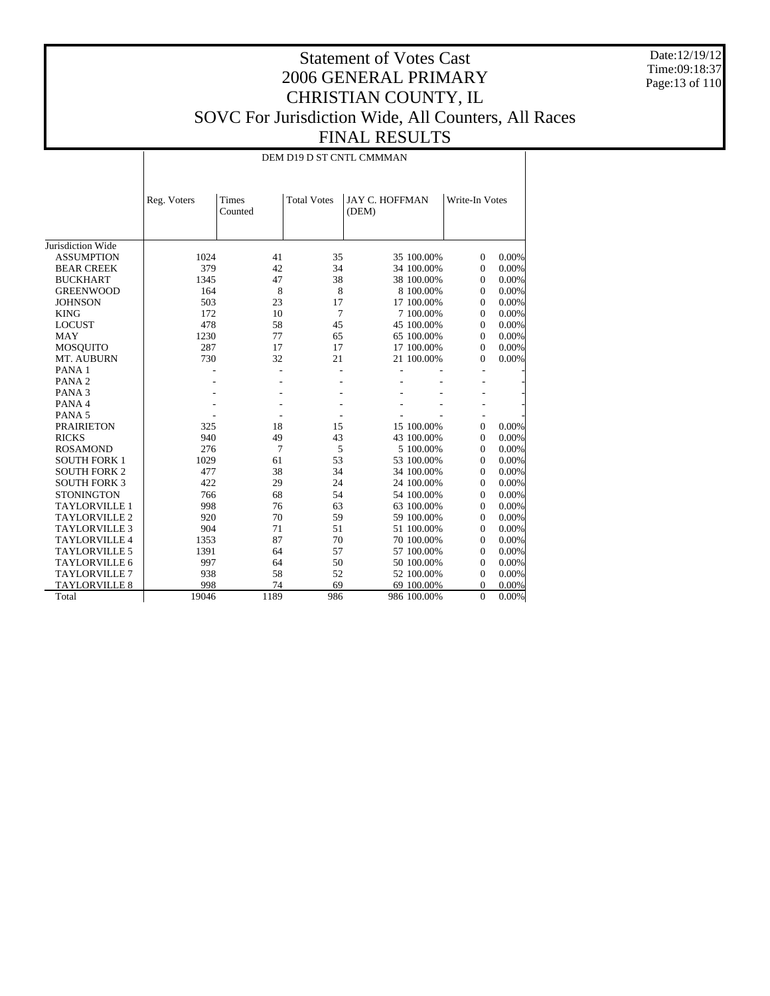Date:12/19/12 Time:09:18:37 Page:13 of 110

## Statement of Votes Cast 2006 GENERAL PRIMARY CHRISTIAN COUNTY, IL SOVC For Jurisdiction Wide, All Counters, All Races FINAL RESULTS

#### DEM D19 D ST CNTL CMMMAN

|                      | Reg. Voters | Times<br>Counted | <b>Total Votes</b> | <b>JAY C. HOFFMAN</b><br>(DEM) |             | Write-In Votes |       |
|----------------------|-------------|------------------|--------------------|--------------------------------|-------------|----------------|-------|
| Jurisdiction Wide    |             |                  |                    |                                |             |                |       |
| <b>ASSUMPTION</b>    | 1024        | 41               | 35                 |                                | 35 100.00%  | $\mathbf{0}$   | 0.00% |
| <b>BEAR CREEK</b>    | 379         | 42               | 34                 |                                | 34 100.00%  | $\mathbf{0}$   | 0.00% |
| <b>BUCKHART</b>      | 1345        | 47               | 38                 |                                | 38 100.00%  | $\mathbf{0}$   | 0.00% |
| <b>GREENWOOD</b>     | 164         | 8                | 8                  |                                | 8 100,00%   | $\mathbf{0}$   | 0.00% |
| <b>JOHNSON</b>       | 503         | 23               | 17                 |                                | 17 100.00%  | $\mathbf{0}$   | 0.00% |
| <b>KING</b>          | 172         | 10               | 7                  |                                | 7 100,00%   | $\mathbf{0}$   | 0.00% |
| <b>LOCUST</b>        | 478         | 58               | 45                 |                                | 45 100.00%  | $\mathbf{0}$   | 0.00% |
| <b>MAY</b>           | 1230        | 77               | 65                 |                                | 65 100.00%  | $\mathbf{0}$   | 0.00% |
| <b>MOSQUITO</b>      | 287         | 17               | 17                 |                                | 17 100.00%  | $\mathbf{0}$   | 0.00% |
| MT. AUBURN           | 730         | 32               | 21                 |                                | 21 100.00%  | $\Omega$       | 0.00% |
| PANA <sub>1</sub>    |             |                  |                    |                                |             |                |       |
| PANA <sub>2</sub>    |             |                  |                    |                                |             |                |       |
| PANA <sub>3</sub>    |             |                  |                    |                                |             |                |       |
| PANA 4               |             |                  |                    |                                |             |                |       |
| PANA <sub>5</sub>    |             |                  |                    |                                |             |                |       |
| <b>PRAIRIETON</b>    | 325         | 18               | 15                 |                                | 15 100.00%  | $\Omega$       | 0.00% |
| <b>RICKS</b>         | 940         | 49               | 43                 |                                | 43 100.00%  | $\Omega$       | 0.00% |
| <b>ROSAMOND</b>      | 276         | 7                | 5                  |                                | 5 100,00%   | $\Omega$       | 0.00% |
| <b>SOUTH FORK 1</b>  | 1029        | 61               | 53                 |                                | 53 100.00%  | $\Omega$       | 0.00% |
| <b>SOUTH FORK 2</b>  | 477         | 38               | 34                 |                                | 34 100.00%  | $\mathbf{0}$   | 0.00% |
| <b>SOUTH FORK 3</b>  | 422         | 29               | 24                 |                                | 24 100.00%  | $\Omega$       | 0.00% |
| <b>STONINGTON</b>    | 766         | 68               | 54                 |                                | 54 100.00%  | $\Omega$       | 0.00% |
| <b>TAYLORVILLE 1</b> | 998         | 76               | 63                 |                                | 63 100.00%  | $\mathbf{0}$   | 0.00% |
| <b>TAYLORVILLE 2</b> | 920         | 70               | 59                 |                                | 59 100.00%  | $\Omega$       | 0.00% |
| <b>TAYLORVILLE 3</b> | 904         | 71               | 51                 |                                | 51 100.00%  | $\Omega$       | 0.00% |
| <b>TAYLORVILLE 4</b> | 1353        | 87               | 70                 |                                | 70 100.00%  | $\Omega$       | 0.00% |
| <b>TAYLORVILLE 5</b> | 1391        | 64               | 57                 |                                | 57 100.00%  | $\Omega$       | 0.00% |
| <b>TAYLORVILLE 6</b> | 997         | 64               | 50                 |                                | 50 100.00%  | $\mathbf{0}$   | 0.00% |
| <b>TAYLORVILLE 7</b> | 938         | 58               | 52                 |                                | 52 100.00%  | $\Omega$       | 0.00% |
| <b>TAYLORVILLE 8</b> | 998         | 74               | 69                 |                                | 69 100.00%  | $\Omega$       | 0.00% |
| Total                | 19046       | 1189             | 986                |                                | 986 100.00% | $\overline{0}$ | 0.00% |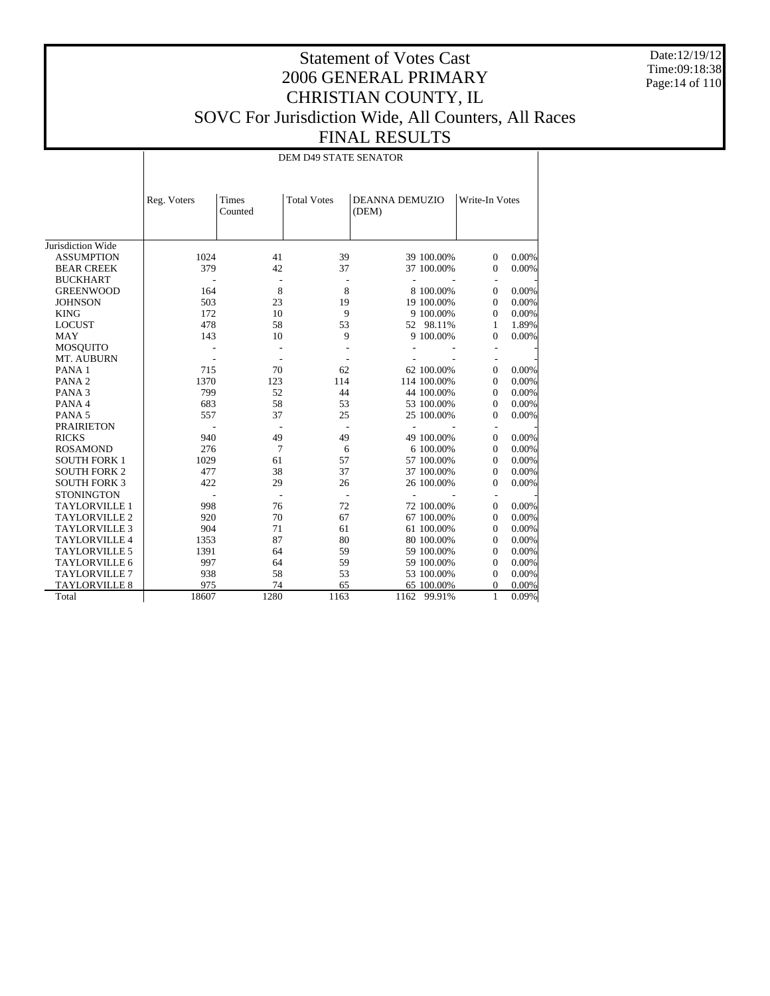Date:12/19/12 Time:09:18:38 Page:14 of 110

## Statement of Votes Cast 2006 GENERAL PRIMARY CHRISTIAN COUNTY, IL SOVC For Jurisdiction Wide, All Counters, All Races FINAL RESULTS

DEM D49 STATE SENATOR

|                      | Reg. Voters | Times<br>Counted | <b>Total Votes</b> | <b>DEANNA DEMUZIO</b><br>(DEM) |             | Write-In Votes |          |
|----------------------|-------------|------------------|--------------------|--------------------------------|-------------|----------------|----------|
| Jurisdiction Wide    |             |                  |                    |                                |             |                |          |
| <b>ASSUMPTION</b>    | 1024        | 41               | 39                 |                                | 39 100.00%  | $\overline{0}$ | 0.00%    |
| <b>BEAR CREEK</b>    | 379         | 42               | 37                 |                                | 37 100.00%  | $\mathbf{0}$   | 0.00%    |
| <b>BUCKHART</b>      |             |                  |                    |                                |             |                |          |
| <b>GREENWOOD</b>     | 164         | 8                | 8                  |                                | 8 100,00%   | $\overline{0}$ | 0.00%    |
| <b>JOHNSON</b>       | 503         | 23               | 19                 |                                | 19 100.00%  | $\mathbf{0}$   | 0.00%    |
| <b>KING</b>          | 172         | 10               | 9                  |                                | 9 100.00%   | $\mathbf{0}$   | 0.00%    |
| <b>LOCUST</b>        | 478         | 58               | 53                 |                                | 52 98.11%   | 1              | 1.89%    |
| <b>MAY</b>           | 143         | 10               | 9                  |                                | 9 100.00%   | $\Omega$       | 0.00%    |
| <b>MOSQUITO</b>      |             |                  |                    |                                |             |                |          |
| MT. AUBURN           |             |                  |                    |                                |             |                |          |
| PANA <sub>1</sub>    | 715         | 70               | 62                 |                                | 62 100.00%  | $\overline{0}$ | 0.00%    |
| PANA <sub>2</sub>    | 1370        | 123              | 114                |                                | 114 100.00% | $\mathbf{0}$   | 0.00%    |
| PANA <sub>3</sub>    | 799         | 52               | 44                 |                                | 44 100.00%  | $\mathbf{0}$   | 0.00%    |
| PANA 4               | 683         | 58               | 53                 |                                | 53 100.00%  | $\mathbf{0}$   | 0.00%    |
| PANA <sub>5</sub>    | 557         | 37               | 25                 |                                | 25 100.00%  | $\mathbf{0}$   | 0.00%    |
| <b>PRAIRIETON</b>    |             |                  |                    |                                |             |                |          |
| <b>RICKS</b>         | 940         | 49               | 49                 |                                | 49 100.00%  | $\overline{0}$ | 0.00%    |
| <b>ROSAMOND</b>      | 276         | $\overline{7}$   | 6                  |                                | 6 100.00%   | $\Omega$       | 0.00%    |
| <b>SOUTH FORK 1</b>  | 1029        | 61               | 57                 |                                | 57 100.00%  | $\mathbf{0}$   | 0.00%    |
| <b>SOUTH FORK 2</b>  | 477         | 38               | 37                 |                                | 37 100.00%  | $\mathbf{0}$   | 0.00%    |
| <b>SOUTH FORK 3</b>  | 422         | 29               | 26                 |                                | 26 100.00%  | $\mathbf{0}$   | 0.00%    |
| <b>STONINGTON</b>    |             |                  |                    |                                |             |                |          |
| <b>TAYLORVILLE 1</b> | 998         | 76               | 72                 |                                | 72 100.00%  | $\mathbf{0}$   | 0.00%    |
| <b>TAYLORVILLE 2</b> | 920         | 70               | 67                 |                                | 67 100.00%  | $\mathbf{0}$   | 0.00%    |
| <b>TAYLORVILLE 3</b> | 904         | 71               | 61                 |                                | 61 100.00%  | $\Omega$       | 0.00%    |
| <b>TAYLORVILLE 4</b> | 1353        | 87               | 80                 |                                | 80 100.00%  | $\Omega$       | 0.00%    |
| <b>TAYLORVILLE 5</b> | 1391        | 64               | 59                 |                                | 59 100.00%  | $\mathbf{0}$   | 0.00%    |
| <b>TAYLORVILLE 6</b> | 997         | 64               | 59                 |                                | 59 100.00%  | $\theta$       | 0.00%    |
| <b>TAYLORVILLE 7</b> | 938         | 58               | 53                 |                                | 53 100.00%  | $\Omega$       | 0.00%    |
| <b>TAYLORVILLE 8</b> | 975         | 74               | 65                 |                                | 65 100.00%  | 0              | 0.00%    |
| Total                | 18607       | 1280             | 1163               |                                | 1162 99.91% | 1              | $0.09\%$ |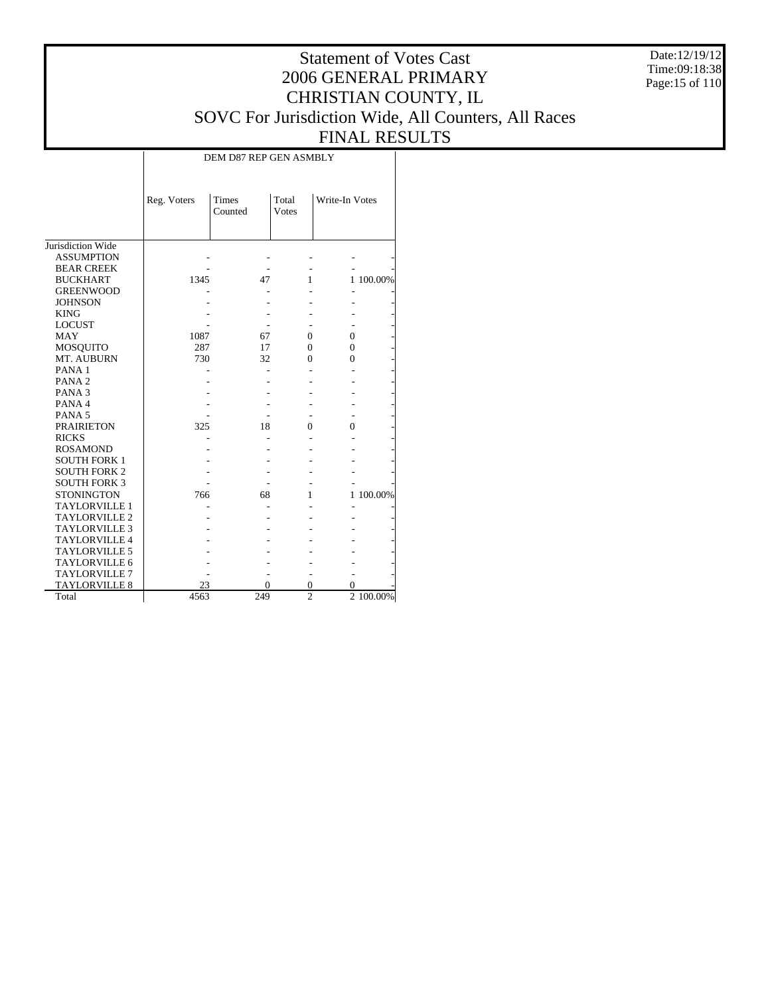Date:12/19/12 Time:09:18:38 Page:15 of 110

# Statement of Votes Cast 2006 GENERAL PRIMARY CHRISTIAN COUNTY, IL SOVC For Jurisdiction Wide, All Counters, All Races FINAL RESULTS

| DEM D87 REP GEN ASMBLY |  |  |
|------------------------|--|--|
|------------------------|--|--|

|                      | Times<br>Total<br>Reg. Voters<br>Counted<br>Votes |     |                | Write-In Votes |           |
|----------------------|---------------------------------------------------|-----|----------------|----------------|-----------|
| Jurisdiction Wide    |                                                   |     |                |                |           |
| <b>ASSUMPTION</b>    |                                                   |     |                |                |           |
| <b>BEAR CREEK</b>    |                                                   |     |                |                |           |
| <b>BUCKHART</b>      | 1345                                              | 47  | 1              |                | 1 100.00% |
| <b>GREENWOOD</b>     |                                                   |     |                |                |           |
| <b>JOHNSON</b>       |                                                   |     |                |                |           |
| <b>KING</b>          |                                                   |     |                |                |           |
| <b>LOCUST</b>        |                                                   |     |                |                |           |
| MAY                  | 1087                                              | 67  | $\Omega$       | $\Omega$       |           |
| <b>MOSQUITO</b>      | 287                                               | 17  | $\Omega$       | $\Omega$       |           |
| MT. AUBURN           | 730                                               | 32  | $\Omega$       | 0              |           |
| PANA <sub>1</sub>    |                                                   |     |                |                |           |
| PANA <sub>2</sub>    |                                                   |     |                |                |           |
| PANA <sub>3</sub>    |                                                   |     |                |                |           |
| PANA 4               |                                                   |     |                |                |           |
| PANA <sub>5</sub>    |                                                   |     |                |                |           |
| <b>PRAIRIETON</b>    | 325                                               | 18  | 0              | $\Omega$       |           |
| <b>RICKS</b>         |                                                   |     |                |                |           |
| <b>ROSAMOND</b>      |                                                   |     |                |                |           |
| <b>SOUTH FORK 1</b>  |                                                   |     |                |                |           |
| <b>SOUTH FORK 2</b>  |                                                   |     |                |                |           |
| <b>SOUTH FORK 3</b>  |                                                   |     |                |                |           |
| <b>STONINGTON</b>    | 766                                               | 68  | 1              |                | 1 100.00% |
| <b>TAYLORVILLE 1</b> |                                                   |     |                |                |           |
| <b>TAYLORVILLE 2</b> |                                                   |     |                |                |           |
| <b>TAYLORVILLE 3</b> |                                                   |     |                |                |           |
| TAYLORVILLE 4        |                                                   |     |                |                |           |
| <b>TAYLORVILLE 5</b> |                                                   |     |                |                |           |
| <b>TAYLORVILLE 6</b> |                                                   |     |                |                |           |
| <b>TAYLORVILLE 7</b> |                                                   |     |                |                |           |
| <b>TAYLORVILLE 8</b> | 23                                                | 0   | $\overline{0}$ | 0              |           |
| Total                | 4563                                              | 249 | $\overline{2}$ |                | 2 100.00% |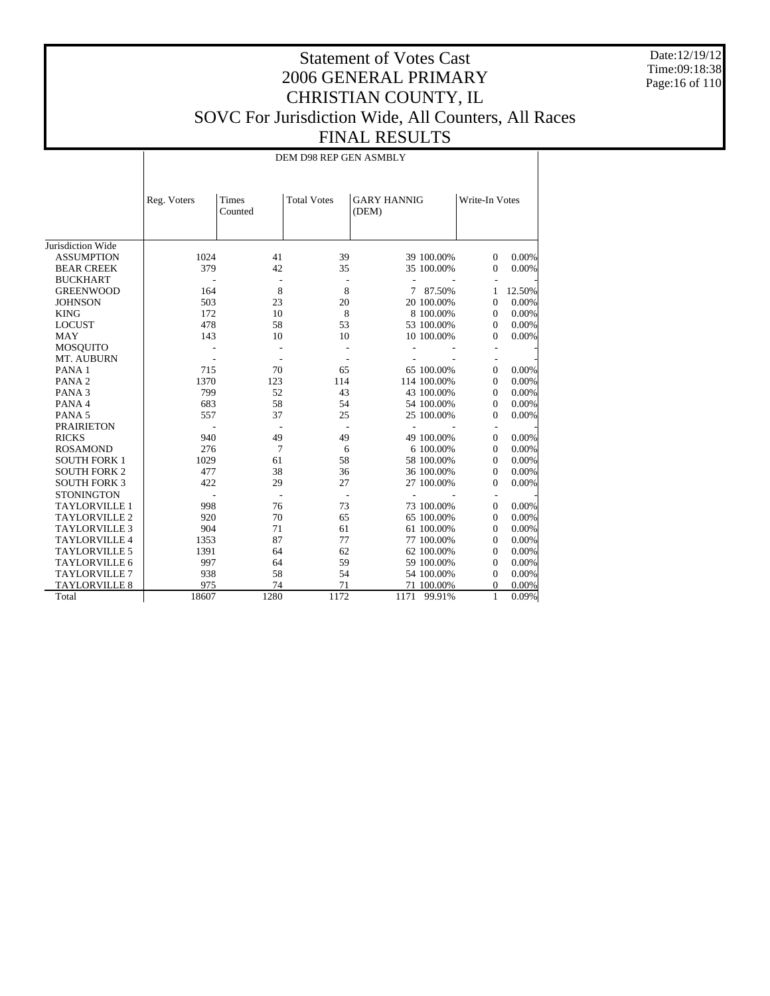Date:12/19/12 Time:09:18:38 Page:16 of 110

## Statement of Votes Cast 2006 GENERAL PRIMARY CHRISTIAN COUNTY, IL SOVC For Jurisdiction Wide, All Counters, All Races FINAL RESULTS

DEM D98 REP GEN ASMBLY

|                      | Reg. Voters | Times<br>Counted | <b>Total Votes</b> | (DEM)          | <b>GARY HANNIG</b> |                          | Write-In Votes |
|----------------------|-------------|------------------|--------------------|----------------|--------------------|--------------------------|----------------|
| Jurisdiction Wide    |             |                  |                    |                |                    |                          |                |
| <b>ASSUMPTION</b>    | 1024        | 41               | 39                 |                | 39 100.00%         | $\overline{0}$           | 0.00%          |
| <b>BEAR CREEK</b>    | 379         | 42               | 35                 |                | 35 100.00%         | $\mathbf{0}$             | $0.00\%$       |
| <b>BUCKHART</b>      |             |                  |                    |                |                    |                          |                |
| <b>GREENWOOD</b>     | 164         | 8                | 8                  |                | 7 87.50%           | 1                        | 12.50%         |
| <b>JOHNSON</b>       | 503         | 23               | 20                 |                | 20 100.00%         | $\Omega$                 | 0.00%          |
| <b>KING</b>          | 172         | 10               | 8                  |                | 8 100.00%          | $\Omega$                 | 0.00%          |
| <b>LOCUST</b>        | 478         | 58               | 53                 |                | 53 100.00%         | $\theta$                 | 0.00%          |
| <b>MAY</b>           | 143         | 10               | 10                 |                | 10 100.00%         | $\theta$                 | 0.00%          |
| <b>MOSQUITO</b>      |             |                  |                    |                |                    |                          |                |
| MT. AUBURN           |             |                  |                    |                |                    |                          |                |
| PANA <sub>1</sub>    | 715         | 70               | 65                 |                | 65 100.00%         | $\overline{0}$           | 0.00%          |
| PANA <sub>2</sub>    | 1370        | 123              | 114                |                | 114 100.00%        | $\mathbf{0}$             | 0.00%          |
| PANA <sub>3</sub>    | 799         | 52               | 43                 |                | 43 100.00%         | $\Omega$                 | 0.00%          |
| PANA 4               | 683         | 58               | 54                 |                | 54 100.00%         | $\Omega$                 | 0.00%          |
| PANA <sub>5</sub>    | 557         | 37               | 25                 |                | 25 100.00%         | $\mathbf{0}$             | 0.00%          |
| <b>PRAIRIETON</b>    |             |                  |                    |                |                    | $\overline{\phantom{a}}$ |                |
| <b>RICKS</b>         | 940         | 49               | 49                 |                | 49 100.00%         | $\overline{0}$           | 0.00%          |
| <b>ROSAMOND</b>      | 276         | 7                | 6                  |                | 6 100,00%          | $\Omega$                 | 0.00%          |
| <b>SOUTH FORK 1</b>  | 1029        | 61               | 58                 |                | 58 100.00%         | $\mathbf{0}$             | 0.00%          |
| <b>SOUTH FORK 2</b>  | 477         | 38               | 36                 |                | 36 100.00%         | $\mathbf{0}$             | 0.00%          |
| <b>SOUTH FORK 3</b>  | 422         | 29               | 27                 |                | 27 100.00%         | $\mathbf{0}$             | 0.00%          |
| <b>STONINGTON</b>    |             |                  |                    | $\overline{a}$ |                    | $\overline{\phantom{a}}$ |                |
| <b>TAYLORVILLE 1</b> | 998         | 76               | 73                 |                | 73 100.00%         | $\mathbf{0}$             | 0.00%          |
| <b>TAYLORVILLE 2</b> | 920         | 70               | 65                 |                | 65 100.00%         | $\mathbf{0}$             | 0.00%          |
| <b>TAYLORVILLE 3</b> | 904         | 71               | 61                 |                | 61 100.00%         | $\mathbf{0}$             | 0.00%          |
| <b>TAYLORVILLE 4</b> | 1353        | 87               | 77                 |                | 77 100.00%         | $\mathbf{0}$             | 0.00%          |
| <b>TAYLORVILLE 5</b> | 1391        | 64               | 62                 |                | 62 100.00%         | $\theta$                 | 0.00%          |
| <b>TAYLORVILLE 6</b> | 997         | 64               | 59                 |                | 59 100.00%         | $\mathbf{0}$             | 0.00%          |
| TAYLORVILLE 7        | 938         | 58               | 54                 |                | 54 100.00%         | $\mathbf{0}$             | 0.00%          |
| <b>TAYLORVILLE 8</b> | 975         | 74               | 71                 |                | 71 100.00%         | 0                        | 0.00%          |
| Total                | 18607       | 1280             | 1172               |                | 1171 99.91%        | $\mathbf{1}$             | 0.09%          |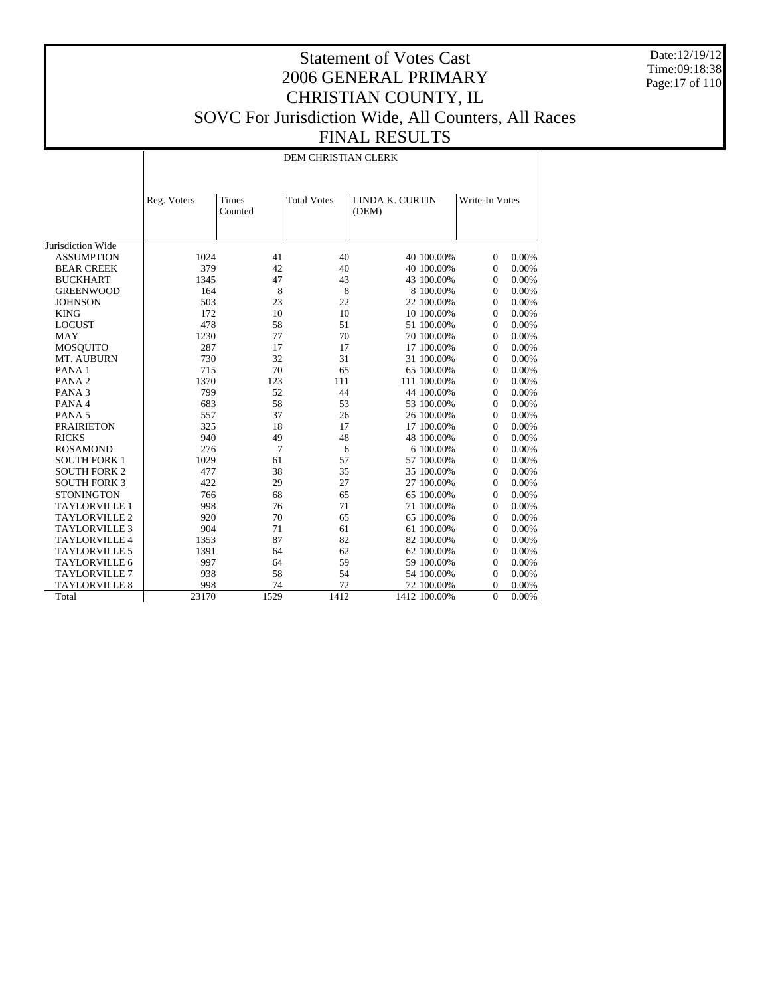Date:12/19/12 Time:09:18:38 Page:17 of 110

## Statement of Votes Cast 2006 GENERAL PRIMARY CHRISTIAN COUNTY, IL SOVC For Jurisdiction Wide, All Counters, All Races FINAL RESULTS

DEM CHRISTIAN CLERK

|                      | Reg. Voters | <b>Times</b><br>Counted | <b>Total Votes</b> | LINDA K. CURTIN<br>(DEM) | Write-In Votes             |
|----------------------|-------------|-------------------------|--------------------|--------------------------|----------------------------|
| Jurisdiction Wide    |             |                         |                    |                          |                            |
| <b>ASSUMPTION</b>    | 1024        | 41                      | 40                 | 40 100.00%               | 0.00%<br>$\Omega$          |
| <b>BEAR CREEK</b>    | 379         | 42                      | 40                 | 40 100.00%               | $\overline{0}$<br>0.00%    |
| <b>BUCKHART</b>      | 1345        | 47                      | 43                 | 43 100.00%               | $\overline{0}$<br>0.00%    |
| <b>GREENWOOD</b>     | 164         | 8                       | 8                  | 8 100,00%                | $\Omega$<br>0.00%          |
| <b>JOHNSON</b>       | 503         | 23                      | 22                 | 22 100.00%               | $\overline{0}$<br>0.00%    |
| <b>KING</b>          | 172         | 10                      | 10                 | 10 100.00%               | 0.00%<br>$\mathbf{0}$      |
| <b>LOCUST</b>        | 478         | 58                      | 51                 | 51 100.00%               | $\overline{0}$<br>0.00%    |
| <b>MAY</b>           | 1230        | 77                      | 70                 | 70 100.00%               | 0.00%<br>$\mathbf{0}$      |
| <b>MOSQUITO</b>      | 287         | 17                      | 17                 | 17 100.00%               | 0.00%<br>$\mathbf{0}$      |
| MT. AUBURN           | 730         | 32                      | 31                 | 31 100.00%               | 0.00%<br>$\Omega$          |
| PANA <sub>1</sub>    | 715         | 70                      | 65                 | 65 100.00%               | 0.00%<br>$\mathbf{0}$      |
| PANA <sub>2</sub>    | 1370        | 123                     | 111                | 111 100.00%              | 0.00%<br>$\Omega$          |
| PANA <sub>3</sub>    | 799         | 52                      | 44                 | 44 100.00%               | $\theta$<br>0.00%          |
| PANA 4               | 683         | 58                      | 53                 | 53 100.00%               | 0.00%<br>$\mathbf{0}$      |
| PANA <sub>5</sub>    | 557         | 37                      | 26                 | 26 100.00%               | $\Omega$<br>0.00%          |
| <b>PRAIRIETON</b>    | 325         | 18                      | 17                 | 17 100.00%               | 0.00%<br>$\Omega$          |
| <b>RICKS</b>         | 940         | 49                      | 48                 | 48 100.00%               | 0.00%<br>$\mathbf{0}$      |
| <b>ROSAMOND</b>      | 276         | 7                       | 6                  | 6 100.00%                | 0.00%<br>$\Omega$          |
| <b>SOUTH FORK 1</b>  | 1029        | 61                      | 57                 | 57 100.00%               | 0.00%<br>$\Omega$          |
| <b>SOUTH FORK 2</b>  | 477         | 38                      | 35                 | 35 100.00%               | 0.00%<br>$\mathbf{0}$      |
| <b>SOUTH FORK 3</b>  | 422         | 29                      | 27                 | 27 100.00%               | 0.00%<br>$\Omega$          |
| <b>STONINGTON</b>    | 766         | 68                      | 65                 | 65 100.00%               | 0.00%<br>$\mathbf{0}$      |
| <b>TAYLORVILLE 1</b> | 998         | 76                      | 71                 | 71 100.00%               | $\mathbf{0}$<br>0.00%      |
| <b>TAYLORVILLE 2</b> | 920         | 70                      | 65                 | 65 100.00%               | $\theta$<br>0.00%          |
| <b>TAYLORVILLE 3</b> | 904         | 71                      | 61                 | 61 100.00%               | $\mathbf{0}$<br>0.00%      |
| <b>TAYLORVILLE 4</b> | 1353        | 87                      | 82                 | 82 100.00%               | $\Omega$<br>0.00%          |
| <b>TAYLORVILLE 5</b> | 1391        | 64                      | 62                 | 62 100.00%               | $\theta$<br>0.00%          |
| <b>TAYLORVILLE 6</b> | 997         | 64                      | 59                 | 59 100.00%               | 0.00%<br>$\mathbf{0}$      |
| <b>TAYLORVILLE 7</b> | 938         | 58                      | 54                 | 54 100.00%               | $\Omega$<br>0.00%          |
| <b>TAYLORVILLE 8</b> | 998         | 74                      | 72                 | 72 100.00%               | 0.00%<br>0                 |
| Total                | 23170       | 1529                    | 1412               | 1412 100.00%             | $\overline{0}$<br>$0.00\%$ |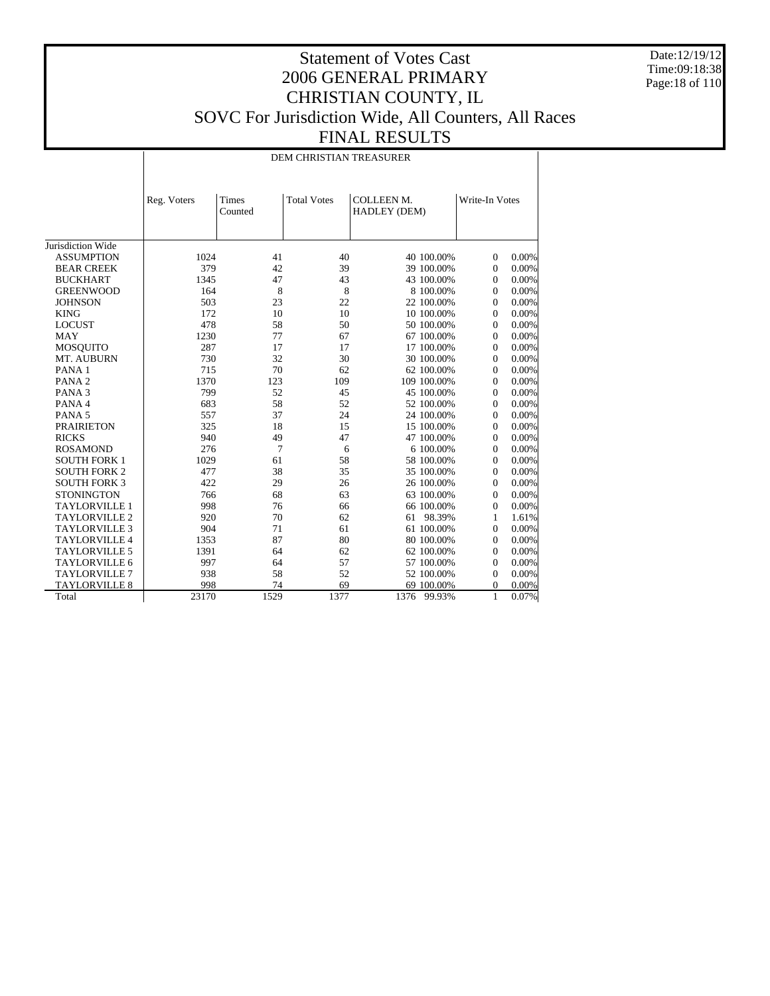Date:12/19/12 Time:09:18:38 Page:18 of 110

## Statement of Votes Cast 2006 GENERAL PRIMARY CHRISTIAN COUNTY, IL SOVC For Jurisdiction Wide, All Counters, All Races FINAL RESULTS

DEM CHRISTIAN TREASURER

|                      | Reg. Voters | <b>Times</b><br>Counted | <b>Total Votes</b> | <b>COLLEEN M.</b><br>HADLEY (DEM) |             | Write-In Votes |       |
|----------------------|-------------|-------------------------|--------------------|-----------------------------------|-------------|----------------|-------|
| Jurisdiction Wide    |             |                         |                    |                                   |             |                |       |
| <b>ASSUMPTION</b>    | 1024        | 41                      | 40                 |                                   | 40 100.00%  | $\overline{0}$ | 0.00% |
| <b>BEAR CREEK</b>    | 379         | 42                      | 39                 |                                   | 39 100.00%  | $\mathbf{0}$   | 0.00% |
| <b>BUCKHART</b>      | 1345        | 47                      | 43                 |                                   | 43 100.00%  | $\mathbf{0}$   | 0.00% |
| <b>GREENWOOD</b>     | 164         | 8                       | 8                  |                                   | 8 100,00%   | $\Omega$       | 0.00% |
| <b>JOHNSON</b>       | 503         | 23                      | 22                 |                                   | 22 100.00%  | $\Omega$       | 0.00% |
| <b>KING</b>          | 172         | 10                      | 10                 |                                   | 10 100.00%  | $\mathbf{0}$   | 0.00% |
| <b>LOCUST</b>        | 478         | 58                      | 50                 |                                   | 50 100.00%  | $\mathbf{0}$   | 0.00% |
| <b>MAY</b>           | 1230        | 77                      | 67                 |                                   | 67 100.00%  | $\mathbf{0}$   | 0.00% |
| <b>MOSQUITO</b>      | 287         | 17                      | 17                 |                                   | 17 100.00%  | $\Omega$       | 0.00% |
| MT. AUBURN           | 730         | 32                      | 30                 |                                   | 30 100.00%  | $\mathbf{0}$   | 0.00% |
| PANA <sub>1</sub>    | 715         | 70                      | 62                 |                                   | 62 100.00%  | $\mathbf{0}$   | 0.00% |
| PANA <sub>2</sub>    | 1370        | 123                     | 109                |                                   | 109 100.00% | $\mathbf{0}$   | 0.00% |
| PANA <sub>3</sub>    | 799         | 52                      | 45                 |                                   | 45 100.00%  | $\Omega$       | 0.00% |
| PANA 4               | 683         | 58                      | 52                 |                                   | 52 100.00%  | $\Omega$       | 0.00% |
| PANA <sub>5</sub>    | 557         | 37                      | 24                 |                                   | 24 100.00%  | $\mathbf{0}$   | 0.00% |
| <b>PRAIRIETON</b>    | 325         | 18                      | 15                 |                                   | 15 100.00%  | $\mathbf{0}$   | 0.00% |
| <b>RICKS</b>         | 940         | 49                      | 47                 |                                   | 47 100.00%  | $\mathbf{0}$   | 0.00% |
| <b>ROSAMOND</b>      | 276         | 7                       | 6                  |                                   | 6 100,00%   | $\Omega$       | 0.00% |
| <b>SOUTH FORK 1</b>  | 1029        | 61                      | 58                 |                                   | 58 100.00%  | $\Omega$       | 0.00% |
| <b>SOUTH FORK 2</b>  | 477         | 38                      | 35                 |                                   | 35 100.00%  | $\mathbf{0}$   | 0.00% |
| <b>SOUTH FORK 3</b>  | 422         | 29                      | 26                 |                                   | 26 100.00%  | $\mathbf{0}$   | 0.00% |
| <b>STONINGTON</b>    | 766         | 68                      | 63                 |                                   | 63 100.00%  | $\mathbf{0}$   | 0.00% |
| <b>TAYLORVILLE 1</b> | 998         | 76                      | 66                 |                                   | 66 100.00%  | $\theta$       | 0.00% |
| <b>TAYLORVILLE 2</b> | 920         | 70                      | 62                 | 61                                | 98.39%      | 1              | 1.61% |
| <b>TAYLORVILLE 3</b> | 904         | 71                      | 61                 |                                   | 61 100.00%  | $\mathbf{0}$   | 0.00% |
| <b>TAYLORVILLE 4</b> | 1353        | 87                      | 80                 |                                   | 80 100.00%  | $\mathbf{0}$   | 0.00% |
| <b>TAYLORVILLE 5</b> | 1391        | 64                      | 62                 |                                   | 62 100.00%  | $\mathbf{0}$   | 0.00% |
| <b>TAYLORVILLE 6</b> | 997         | 64                      | 57                 |                                   | 57 100.00%  | $\mathbf{0}$   | 0.00% |
| <b>TAYLORVILLE 7</b> | 938         | 58                      | 52                 |                                   | 52 100.00%  | $\mathbf{0}$   | 0.00% |
| <b>TAYLORVILLE 8</b> | 998         | 74                      | 69                 |                                   | 69 100.00%  | 0              | 0.00% |
| Total                | 23170       | 1529                    | 1377               | 1376                              | 99.93%      | $\mathbf{1}$   | 0.07% |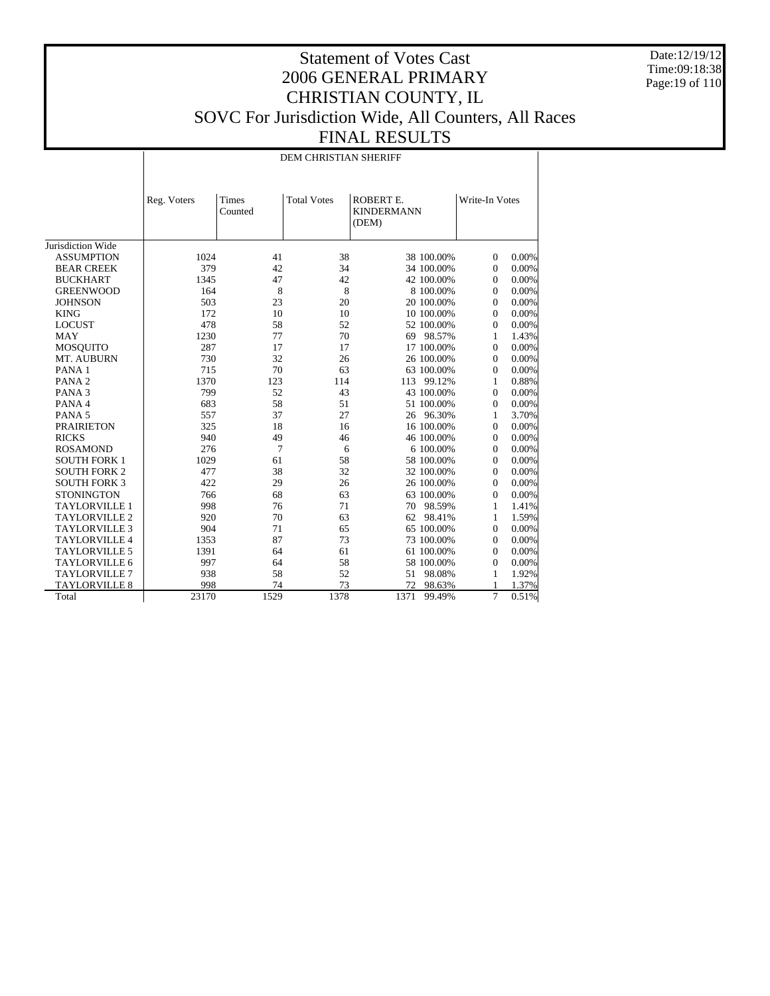Date:12/19/12 Time:09:18:38 Page:19 of 110

## Statement of Votes Cast 2006 GENERAL PRIMARY CHRISTIAN COUNTY, IL SOVC For Jurisdiction Wide, All Counters, All Races FINAL RESULTS

#### DEM CHRISTIAN SHERIFF

|                      | Reg. Voters | Times<br>Counted | <b>Total Votes</b> | ROBERT E.<br><b>KINDERMANN</b><br>(DEM) |            | Write-In Votes |       |
|----------------------|-------------|------------------|--------------------|-----------------------------------------|------------|----------------|-------|
| Jurisdiction Wide    |             |                  |                    |                                         |            |                |       |
| <b>ASSUMPTION</b>    | 1024        | 41               | 38                 |                                         | 38 100.00% | $\Omega$       | 0.00% |
| <b>BEAR CREEK</b>    | 379         | 42               | 34                 |                                         | 34 100.00% | $\Omega$       | 0.00% |
| <b>BUCKHART</b>      | 1345        | 47               | 42                 |                                         | 42 100.00% | $\Omega$       | 0.00% |
| <b>GREENWOOD</b>     | 164         | 8                | 8                  |                                         | 8 100.00%  | $\Omega$       | 0.00% |
| <b>JOHNSON</b>       | 503         | 23               | 20                 |                                         | 20 100.00% | $\Omega$       | 0.00% |
| <b>KING</b>          | 172         | 10               | 10                 |                                         | 10 100.00% | $\Omega$       | 0.00% |
| <b>LOCUST</b>        | 478         | 58               | 52                 |                                         | 52 100.00% | $\Omega$       | 0.00% |
| <b>MAY</b>           | 1230        | 77               | 70                 |                                         | 69 98.57%  | 1              | 1.43% |
| <b>MOSQUITO</b>      | 287         | 17               | 17                 |                                         | 17 100.00% | $\Omega$       | 0.00% |
| MT. AUBURN           | 730         | 32               | 26                 |                                         | 26 100.00% | $\Omega$       | 0.00% |
| PANA 1               | 715         | 70               | 63                 |                                         | 63 100.00% | $\Omega$       | 0.00% |
| PANA <sub>2</sub>    | 1370        | 123              | 114                | 113                                     | 99.12%     | 1              | 0.88% |
| PANA <sub>3</sub>    | 799         | 52               | 43                 |                                         | 43 100.00% | $\Omega$       | 0.00% |
| PANA 4               | 683         | 58               | 51                 |                                         | 51 100.00% | $\Omega$       | 0.00% |
| PANA <sub>5</sub>    | 557         | 37               | 27                 |                                         | 26 96.30%  | 1              | 3.70% |
| <b>PRAIRIETON</b>    | 325         | 18               | 16                 |                                         | 16 100.00% | $\Omega$       | 0.00% |
| <b>RICKS</b>         | 940         | 49               | 46                 |                                         | 46 100.00% | $\Omega$       | 0.00% |
| <b>ROSAMOND</b>      | 276         | 7                | 6                  |                                         | 6 100.00%  | $\Omega$       | 0.00% |
| <b>SOUTH FORK 1</b>  | 1029        | 61               | 58                 |                                         | 58 100.00% | $\Omega$       | 0.00% |
| <b>SOUTH FORK 2</b>  | 477         | 38               | 32                 |                                         | 32 100.00% | $\theta$       | 0.00% |
| <b>SOUTH FORK 3</b>  | 422         | 29               | 26                 |                                         | 26 100.00% | $\Omega$       | 0.00% |
| <b>STONINGTON</b>    | 766         | 68               | 63                 |                                         | 63 100.00% | $\Omega$       | 0.00% |
| <b>TAYLORVILLE 1</b> | 998         | 76               | 71                 | 70                                      | 98.59%     | 1              | 1.41% |
| <b>TAYLORVILLE 2</b> | 920         | 70               | 63                 | 62                                      | 98.41%     | 1              | 1.59% |
| <b>TAYLORVILLE 3</b> | 904         | 71               | 65                 |                                         | 65 100.00% | $\theta$       | 0.00% |
| <b>TAYLORVILLE 4</b> | 1353        | 87               | 73                 |                                         | 73 100.00% | $\Omega$       | 0.00% |
| <b>TAYLORVILLE 5</b> | 1391        | 64               | 61                 |                                         | 61 100.00% | $\Omega$       | 0.00% |
| <b>TAYLORVILLE 6</b> | 997         | 64               | 58                 |                                         | 58 100.00% | $\Omega$       | 0.00% |
| <b>TAYLORVILLE 7</b> | 938         | 58               | 52                 | 51                                      | 98.08%     | 1              | 1.92% |
| <b>TAYLORVILLE 8</b> | 998         | 74               | 73                 | 72                                      | 98.63%     | 1              | 1.37% |
| Total                | 23170       | 1529             | 1378               | 1371                                    | 99.49%     | 7              | 0.51% |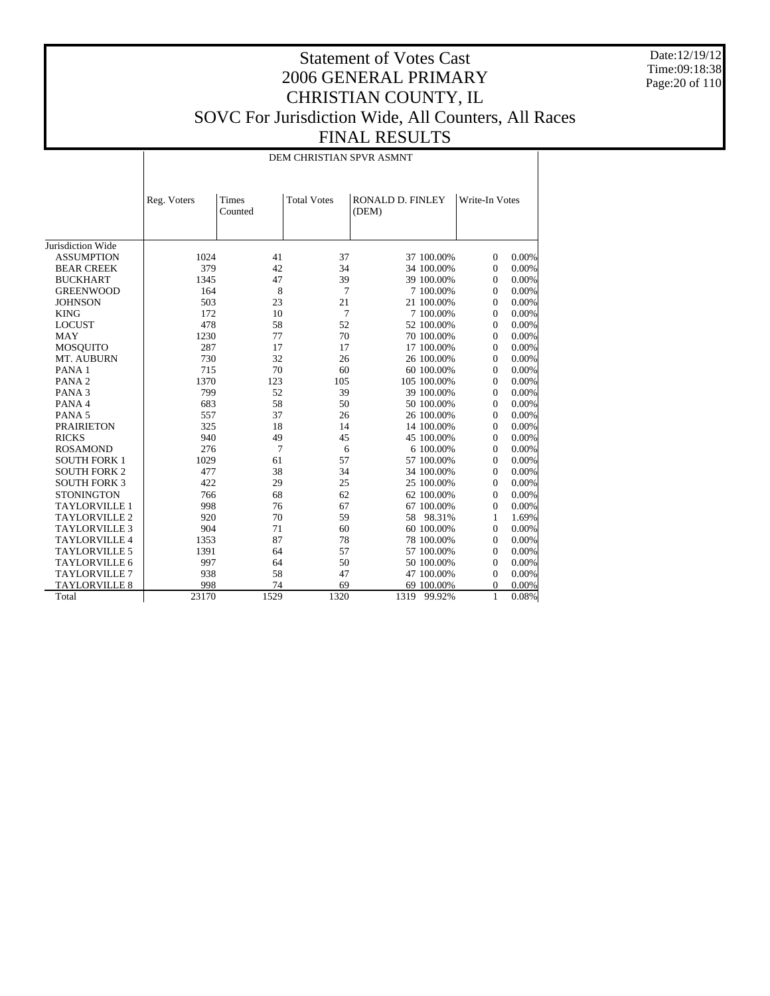Date:12/19/12 Time:09:18:38 Page:20 of 110

## Statement of Votes Cast 2006 GENERAL PRIMARY CHRISTIAN COUNTY, IL SOVC For Jurisdiction Wide, All Counters, All Races FINAL RESULTS

DEM CHRISTIAN SPVR ASMNT

|                      | Reg. Voters | <b>Times</b><br>Counted | <b>Total Votes</b> | RONALD D. FINLEY<br>(DEM) | Write-In Votes |          |
|----------------------|-------------|-------------------------|--------------------|---------------------------|----------------|----------|
| Jurisdiction Wide    |             |                         |                    |                           |                |          |
| <b>ASSUMPTION</b>    | 1024        | 41                      | 37                 | 37 100.00%                | $\overline{0}$ | 0.00%    |
| <b>BEAR CREEK</b>    | 379         | 42                      | 34                 | 34 100.00%                | $\mathbf{0}$   | 0.00%    |
| <b>BUCKHART</b>      | 1345        | 47                      | 39                 | 39 100.00%                | $\mathbf{0}$   | $0.00\%$ |
| <b>GREENWOOD</b>     | 164         | 8                       | 7                  | 7 100,00%                 | $\mathbf{0}$   | 0.00%    |
| <b>JOHNSON</b>       | 503         | 23                      | 21                 | 21 100.00%                | $\mathbf{0}$   | $0.00\%$ |
| <b>KING</b>          | 172         | 10                      | 7                  | 7 100.00%                 | $\mathbf{0}$   | 0.00%    |
| <b>LOCUST</b>        | 478         | 58                      | 52                 | 52 100.00%                | $\mathbf{0}$   | 0.00%    |
| <b>MAY</b>           | 1230        | 77                      | 70                 | 70 100,00%                | $\mathbf{0}$   | 0.00%    |
| <b>MOSQUITO</b>      | 287         | 17                      | 17                 | 17 100.00%                | $\overline{0}$ | 0.00%    |
| MT. AUBURN           | 730         | 32                      | 26                 | 26 100.00%                | $\mathbf{0}$   | 0.00%    |
| PANA <sub>1</sub>    | 715         | 70                      | 60                 | 60 100.00%                | $\mathbf{0}$   | 0.00%    |
| PANA <sub>2</sub>    | 1370        | 123                     | 105                | 105 100.00%               | $\mathbf{0}$   | 0.00%    |
| PANA <sub>3</sub>    | 799         | 52                      | 39                 | 39 100.00%                | $\Omega$       | 0.00%    |
| PANA 4               | 683         | 58                      | 50                 | 50 100.00%                | $\mathbf{0}$   | 0.00%    |
| PANA <sub>5</sub>    | 557         | 37                      | 26                 | 26 100.00%                | $\mathbf{0}$   | 0.00%    |
| <b>PRAIRIETON</b>    | 325         | 18                      | 14                 | 14 100.00%                | $\Omega$       | 0.00%    |
| <b>RICKS</b>         | 940         | 49                      | 45                 | 45 100.00%                | $\mathbf{0}$   | 0.00%    |
| <b>ROSAMOND</b>      | 276         | $\overline{7}$          | 6                  | 6 100,00%                 | $\mathbf{0}$   | 0.00%    |
| <b>SOUTH FORK 1</b>  | 1029        | 61                      | 57                 | 57 100.00%                | $\Omega$       | 0.00%    |
| <b>SOUTH FORK 2</b>  | 477         | 38                      | 34                 | 34 100.00%                | $\Omega$       | 0.00%    |
| <b>SOUTH FORK 3</b>  | 422         | 29                      | 25                 | 25 100.00%                | $\mathbf{0}$   | 0.00%    |
| <b>STONINGTON</b>    | 766         | 68                      | 62                 | 62 100.00%                | $\Omega$       | 0.00%    |
| <b>TAYLORVILLE 1</b> | 998         | 76                      | 67                 | 67 100.00%                | $\Omega$       | 0.00%    |
| <b>TAYLORVILLE 2</b> | 920         | 70                      | 59                 | 98.31%<br>58              | 1              | 1.69%    |
| <b>TAYLORVILLE 3</b> | 904         | 71                      | 60                 | 60 100.00%                | $\Omega$       | 0.00%    |
| <b>TAYLORVILLE 4</b> | 1353        | 87                      | 78                 | 78 100,00%                | $\mathbf{0}$   | 0.00%    |
| <b>TAYLORVILLE 5</b> | 1391        | 64                      | 57                 | 57 100.00%                | $\Omega$       | 0.00%    |
| <b>TAYLORVILLE 6</b> | 997         | 64                      | 50                 | 50 100.00%                | $\Omega$       | 0.00%    |
| <b>TAYLORVILLE 7</b> | 938         | 58                      | 47                 | 47 100.00%                | $\mathbf{0}$   | $0.00\%$ |
| <b>TAYLORVILLE 8</b> | 998         | 74                      | 69                 | 69 100.00%                | $\Omega$       | 0.00%    |
| Total                | 23170       | 1529                    | 1320               | 1319<br>99.92%            | $\mathbf{1}$   | 0.08%    |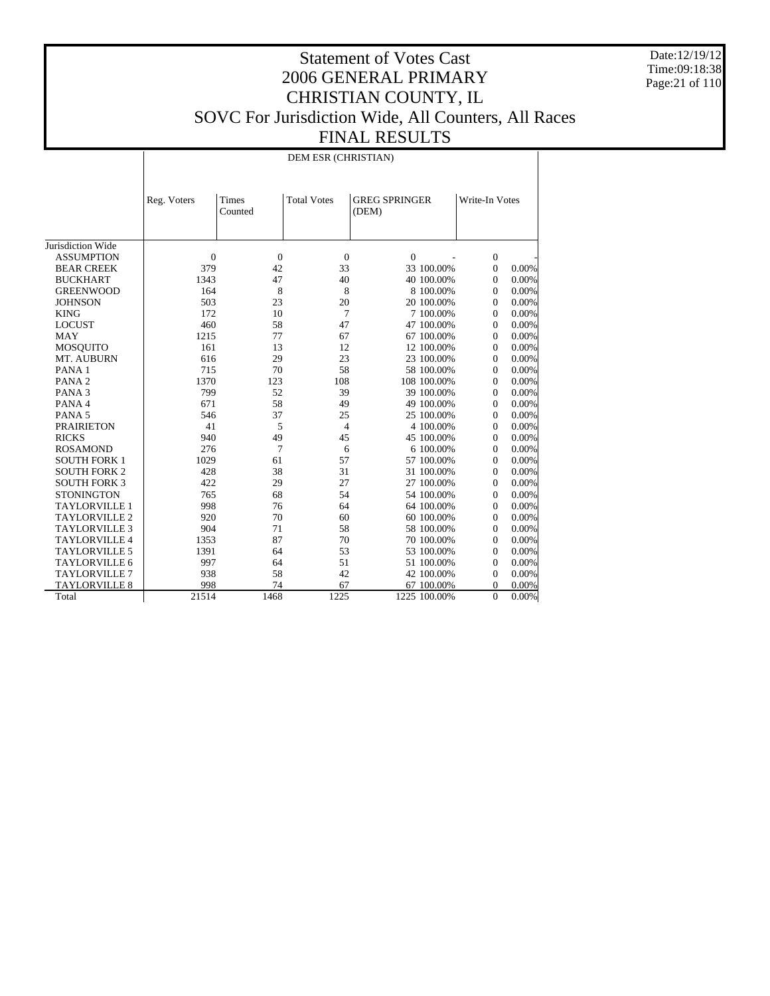Date:12/19/12 Time:09:18:38 Page:21 of 110

## Statement of Votes Cast 2006 GENERAL PRIMARY CHRISTIAN COUNTY, IL SOVC For Jurisdiction Wide, All Counters, All Races FINAL RESULTS

DEM ESR (CHRISTIAN)

|                      | Reg. Voters    | Times<br>Counted | <b>Total Votes</b> | <b>GREG SPRINGER</b><br>(DEM) |              | Write-In Votes   |          |
|----------------------|----------------|------------------|--------------------|-------------------------------|--------------|------------------|----------|
| Jurisdiction Wide    |                |                  |                    |                               |              |                  |          |
| <b>ASSUMPTION</b>    | $\overline{0}$ | $\overline{0}$   | $\mathbf{0}$       | $\Omega$                      |              | $\mathbf{0}$     |          |
| <b>BEAR CREEK</b>    | 379            | 42               | 33                 |                               | 33 100.00%   | $\boldsymbol{0}$ | 0.00%    |
| <b>BUCKHART</b>      | 1343           | 47               | 40                 |                               | 40 100.00%   | $\mathbf{0}$     | 0.00%    |
| <b>GREENWOOD</b>     | 164            | 8                | 8                  |                               | 8 100.00%    | $\mathbf{0}$     | 0.00%    |
| <b>JOHNSON</b>       | 503            | 23               | 20                 |                               | 20 100.00%   | $\mathbf{0}$     | 0.00%    |
| <b>KING</b>          | 172            | 10               | $\tau$             |                               | 7 100,00%    | $\mathbf{0}$     | 0.00%    |
| <b>LOCUST</b>        | 460            | 58               | 47                 |                               | 47 100.00%   | $\Omega$         | 0.00%    |
| <b>MAY</b>           | 1215           | 77               | 67                 |                               | 67 100.00%   | $\mathbf{0}$     | 0.00%    |
| <b>MOSQUITO</b>      | 161            | 13               | 12                 |                               | 12 100.00%   | $\mathbf{0}$     | 0.00%    |
| MT. AUBURN           | 616            | 29               | 23                 |                               | 23 100.00%   | $\mathbf{0}$     | 0.00%    |
| PANA <sub>1</sub>    | 715            | 70               | 58                 |                               | 58 100,00%   | $\Omega$         | 0.00%    |
| PANA <sub>2</sub>    | 1370           | 123              | 108                |                               | 108 100.00%  | $\mathbf{0}$     | 0.00%    |
| PANA <sub>3</sub>    | 799            | 52               | 39                 |                               | 39 100.00%   | $\mathbf{0}$     | 0.00%    |
| PANA 4               | 671            | 58               | 49                 |                               | 49 100.00%   | $\Omega$         | 0.00%    |
| PANA <sub>5</sub>    | 546            | 37               | 25                 |                               | 25 100.00%   | $\Omega$         | 0.00%    |
| <b>PRAIRIETON</b>    | 41             | 5                | $\overline{4}$     |                               | 4 100.00%    | $\mathbf{0}$     | 0.00%    |
| <b>RICKS</b>         | 940            | 49               | 45                 |                               | 45 100.00%   | $\mathbf{0}$     | 0.00%    |
| <b>ROSAMOND</b>      | 276            | 7                | 6                  |                               | 6 100,00%    | $\Omega$         | 0.00%    |
| <b>SOUTH FORK 1</b>  | 1029           | 61               | 57                 |                               | 57 100.00%   | $\mathbf{0}$     | 0.00%    |
| <b>SOUTH FORK 2</b>  | 428            | 38               | 31                 |                               | 31 100.00%   | $\mathbf{0}$     | 0.00%    |
| <b>SOUTH FORK 3</b>  | 422            | 29               | 27                 |                               | 27 100.00%   | $\Omega$         | 0.00%    |
| <b>STONINGTON</b>    | 765            | 68               | 54                 |                               | 54 100.00%   | $\Omega$         | 0.00%    |
| <b>TAYLORVILLE 1</b> | 998            | 76               | 64                 |                               | 64 100.00%   | $\mathbf{0}$     | 0.00%    |
| <b>TAYLORVILLE 2</b> | 920            | 70               | 60                 |                               | 60 100.00%   | $\mathbf{0}$     | 0.00%    |
| <b>TAYLORVILLE 3</b> | 904            | 71               | 58                 |                               | 58 100,00%   | $\Omega$         | 0.00%    |
| <b>TAYLORVILLE 4</b> | 1353           | 87               | 70                 |                               | 70 100.00%   | $\overline{0}$   | 0.00%    |
| <b>TAYLORVILLE 5</b> | 1391           | 64               | 53                 |                               | 53 100.00%   | $\overline{0}$   | 0.00%    |
| <b>TAYLORVILLE 6</b> | 997            | 64               | 51                 |                               | 51 100.00%   | $\overline{0}$   | 0.00%    |
| <b>TAYLORVILLE 7</b> | 938            | 58               | 42                 |                               | 42 100.00%   | $\overline{0}$   | 0.00%    |
| <b>TAYLORVILLE 8</b> | 998            | 74               | 67                 |                               | 67 100.00%   | 0                | 0.00%    |
| Total                | 21514          | 1468             | 1225               |                               | 1225 100.00% | $\overline{0}$   | $0.00\%$ |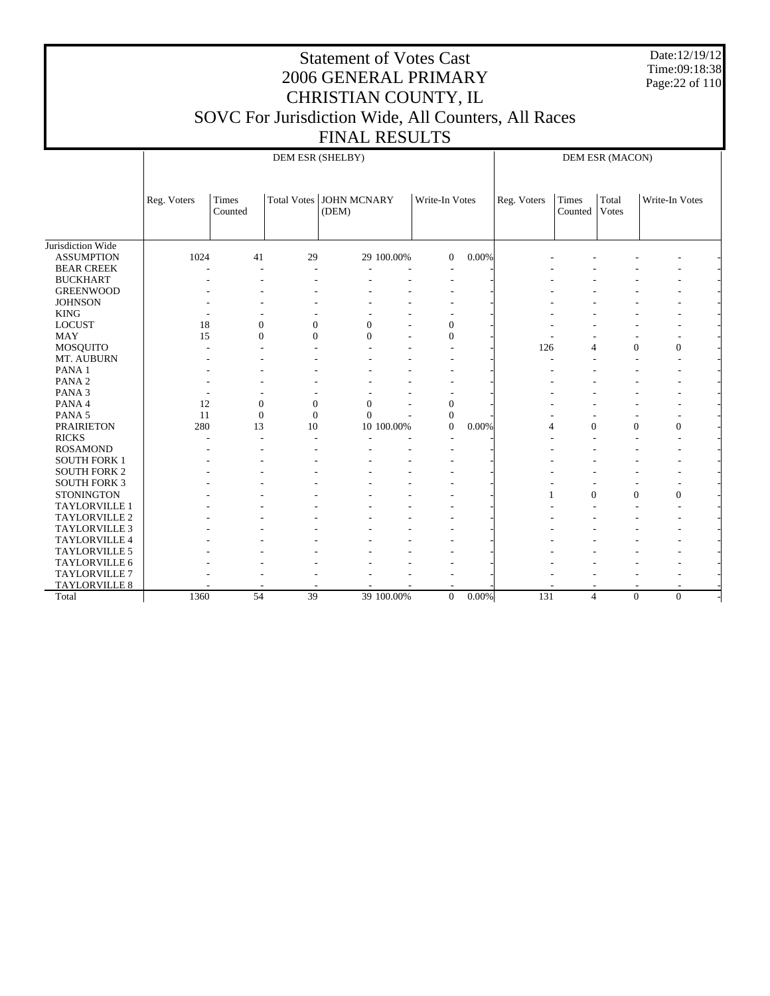Date:12/19/12 Time:09:18:38 Page:22 of 110

# Statement of Votes Cast 2006 GENERAL PRIMARY CHRISTIAN COUNTY, IL SOVC For Jurisdiction Wide, All Counters, All Races

FINAL RESULTS

|                      |             |                  | DEM ESR (SHELBY) |                                    |            |                          |          |             |                  | DEM ESR (MACON) |                          |  |
|----------------------|-------------|------------------|------------------|------------------------------------|------------|--------------------------|----------|-------------|------------------|-----------------|--------------------------|--|
|                      | Reg. Voters | Times<br>Counted |                  | Total Votes   JOHN MCNARY<br>(DEM) |            | Write-In Votes           |          | Reg. Voters | Times<br>Counted | Total<br>Votes  | Write-In Votes           |  |
| Jurisdiction Wide    |             |                  |                  |                                    |            |                          |          |             |                  |                 |                          |  |
| <b>ASSUMPTION</b>    | 1024        | 41               | 29               |                                    | 29 100.00% | $\overline{0}$           | 0.00%    |             |                  |                 |                          |  |
| <b>BEAR CREEK</b>    |             |                  |                  |                                    |            | $\overline{\phantom{a}}$ |          |             |                  |                 |                          |  |
| <b>BUCKHART</b>      |             |                  |                  |                                    |            |                          |          |             |                  |                 |                          |  |
| <b>GREENWOOD</b>     |             |                  |                  |                                    |            |                          |          |             |                  |                 |                          |  |
| <b>JOHNSON</b>       |             |                  |                  |                                    |            |                          |          |             |                  |                 |                          |  |
| <b>KING</b>          |             |                  |                  |                                    |            |                          |          |             |                  |                 |                          |  |
| <b>LOCUST</b>        | 18          | $\mathbf{0}$     | $\mathbf{0}$     | $\mathbf{0}$                       |            | $\overline{0}$           |          |             |                  |                 |                          |  |
| <b>MAY</b>           | 15          | $\mathbf{0}$     | $\theta$         | $\Omega$                           |            | $\theta$                 |          |             |                  | $\overline{a}$  |                          |  |
| MOSQUITO             |             |                  |                  |                                    |            |                          |          | 126         | $\overline{4}$   | $\mathbf{0}$    | $\boldsymbol{0}$         |  |
| MT. AUBURN           |             |                  |                  |                                    |            |                          |          |             |                  |                 | ۰                        |  |
| PANA <sub>1</sub>    |             |                  |                  |                                    |            |                          |          |             |                  |                 | ۰                        |  |
| PANA <sub>2</sub>    |             |                  |                  |                                    |            |                          |          |             |                  |                 |                          |  |
| PANA <sub>3</sub>    |             |                  |                  |                                    |            |                          |          |             |                  |                 |                          |  |
| PANA 4               | 12          | $\boldsymbol{0}$ | $\mathbf{0}$     | $\Omega$                           |            | $\mathbf{0}$             |          |             |                  |                 |                          |  |
| PANA <sub>5</sub>    | 11          | $\overline{0}$   | $\overline{0}$   | $\Omega$                           |            | $\theta$                 |          |             |                  | $\overline{a}$  |                          |  |
| <b>PRAIRIETON</b>    | 280         | 13               | 10               |                                    | 10 100.00% | $\overline{0}$           | 0.00%    | 4           | $\mathbf{0}$     | $\mathbf{0}$    | $\boldsymbol{0}$         |  |
| <b>RICKS</b>         |             |                  |                  |                                    |            |                          |          |             |                  |                 |                          |  |
| <b>ROSAMOND</b>      |             |                  |                  |                                    |            |                          |          |             |                  |                 |                          |  |
| <b>SOUTH FORK 1</b>  |             |                  |                  |                                    |            |                          |          |             |                  |                 |                          |  |
| <b>SOUTH FORK 2</b>  |             |                  |                  |                                    |            |                          |          |             |                  |                 |                          |  |
| <b>SOUTH FORK 3</b>  |             |                  |                  |                                    |            |                          |          |             |                  | ٠               | $\overline{\phantom{a}}$ |  |
| <b>STONINGTON</b>    |             |                  |                  |                                    |            |                          |          |             | $\theta$         | $\Omega$        | $\mathbf{0}$             |  |
| TAYLORVILLE 1        |             |                  |                  |                                    |            |                          |          |             |                  |                 | $\overline{\phantom{a}}$ |  |
| <b>TAYLORVILLE 2</b> |             |                  |                  |                                    |            |                          |          |             |                  |                 |                          |  |
| TAYLORVILLE 3        |             |                  |                  |                                    |            |                          |          |             |                  |                 |                          |  |
| <b>TAYLORVILLE 4</b> |             |                  |                  |                                    |            |                          |          |             |                  |                 |                          |  |
| TAYLORVILLE 5        |             |                  |                  |                                    |            |                          |          |             |                  |                 |                          |  |
| TAYLORVILLE 6        |             |                  |                  |                                    |            |                          |          |             |                  |                 |                          |  |
| <b>TAYLORVILLE 7</b> |             |                  |                  |                                    |            |                          |          |             |                  |                 | ٠                        |  |
| <b>TAYLORVILLE 8</b> |             |                  |                  |                                    |            |                          |          |             |                  |                 |                          |  |
| Total                | 1360        | 54               | 39               |                                    | 39 100.00% | $\Omega$                 | $0.00\%$ | 131         | $\overline{4}$   | $\Omega$        | $\Omega$                 |  |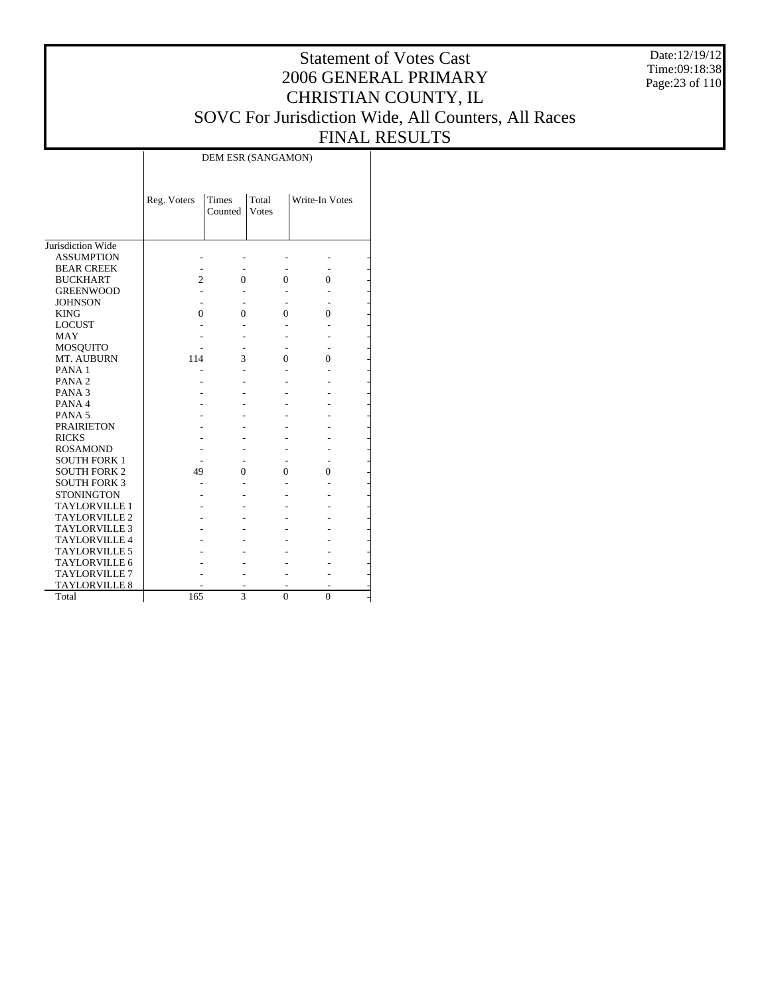Date:12/19/12 Time:09:18:38 Page:23 of 110

## Statement of Votes Cast 2006 GENERAL PRIMARY CHRISTIAN COUNTY, IL SOVC For Jurisdiction Wide, All Counters, All Races FINAL RESULTS

DEM ESR (SANGAMON)

|                      | Reg. Voters    | Times<br>Counted | Total<br><b>V</b> otes | Write-In Votes |  |
|----------------------|----------------|------------------|------------------------|----------------|--|
|                      |                |                  |                        |                |  |
|                      |                |                  |                        |                |  |
| Jurisdiction Wide    |                |                  |                        |                |  |
| <b>ASSUMPTION</b>    |                |                  |                        |                |  |
| <b>BEAR CREEK</b>    |                |                  |                        |                |  |
| <b>BUCKHART</b>      | $\overline{c}$ | 0                | 0                      | 0              |  |
| <b>GREENWOOD</b>     |                |                  |                        |                |  |
| <b>JOHNSON</b>       |                |                  |                        |                |  |
| <b>KING</b>          | 0              | 0                | 0                      | 0              |  |
| <b>LOCUST</b>        |                |                  |                        |                |  |
| MAY                  |                |                  |                        |                |  |
| <b>MOSQUITO</b>      |                |                  |                        |                |  |
| MT. AUBURN           | 114            | 3                | 0                      | 0              |  |
| PANA <sub>1</sub>    |                |                  |                        |                |  |
| PANA <sub>2</sub>    |                |                  |                        |                |  |
| PANA <sub>3</sub>    |                |                  |                        |                |  |
| PANA4                |                |                  |                        |                |  |
| PANA <sub>5</sub>    |                |                  |                        |                |  |
| <b>PRAIRIETON</b>    |                |                  |                        |                |  |
| <b>RICKS</b>         |                |                  |                        |                |  |
| <b>ROSAMOND</b>      |                |                  |                        |                |  |
| <b>SOUTH FORK 1</b>  |                |                  |                        |                |  |
| <b>SOUTH FORK 2</b>  | 49             | 0                | 0                      | 0              |  |
| <b>SOUTH FORK 3</b>  |                |                  |                        |                |  |
| <b>STONINGTON</b>    |                |                  |                        |                |  |
| <b>TAYLORVILLE 1</b> |                |                  |                        |                |  |
| <b>TAYLORVILLE 2</b> |                |                  |                        |                |  |
| <b>TAYLORVILLE 3</b> |                |                  |                        |                |  |
| <b>TAYLORVILLE 4</b> |                |                  |                        |                |  |
| <b>TAYLORVILLE 5</b> |                |                  |                        |                |  |
| TAYLORVILLE 6        |                |                  |                        |                |  |
| <b>TAYLORVILLE 7</b> |                |                  |                        |                |  |
| <b>TAYLORVILLE 8</b> |                |                  |                        |                |  |
| Total                | 165            | 3                | $\theta$               | $\theta$       |  |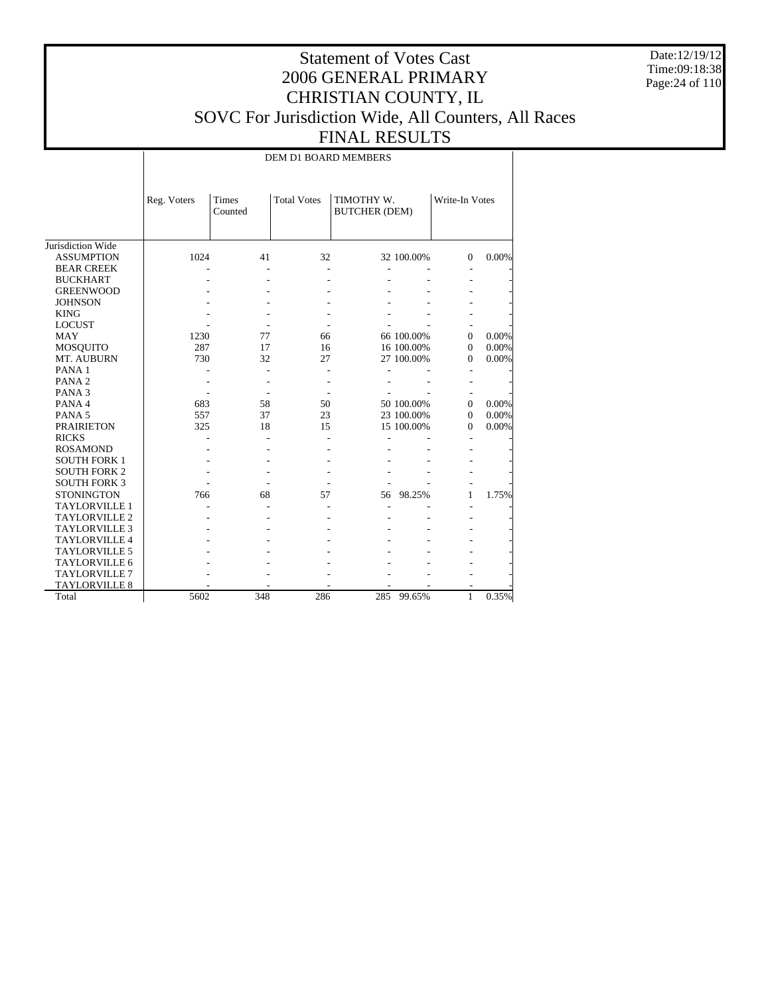Date:12/19/12 Time:09:18:38 Page:24 of 110

## Statement of Votes Cast 2006 GENERAL PRIMARY CHRISTIAN COUNTY, IL SOVC For Jurisdiction Wide, All Counters, All Races FINAL RESULTS

DEM D1 BOARD MEMBERS

|                      | Reg. Voters | Times<br>Counted | <b>Total Votes</b> | TIMOTHY W.<br><b>BUTCHER (DEM)</b> |            | Write-In Votes |       |
|----------------------|-------------|------------------|--------------------|------------------------------------|------------|----------------|-------|
| Jurisdiction Wide    |             |                  |                    |                                    |            |                |       |
| <b>ASSUMPTION</b>    | 1024        | 41               | 32                 |                                    | 32 100.00% | $\Omega$       | 0.00% |
| <b>BEAR CREEK</b>    |             |                  |                    |                                    |            |                |       |
| <b>BUCKHART</b>      |             |                  |                    |                                    |            |                |       |
| <b>GREENWOOD</b>     |             |                  |                    |                                    |            |                |       |
| <b>JOHNSON</b>       |             |                  |                    |                                    |            |                |       |
| <b>KING</b>          |             |                  |                    |                                    |            |                |       |
| <b>LOCUST</b>        |             |                  |                    |                                    |            |                |       |
| <b>MAY</b>           | 1230        | 77               | 66                 |                                    | 66 100.00% | $\Omega$       | 0.00% |
| <b>MOSQUITO</b>      | 287         | 17               | 16                 |                                    | 16 100.00% | $\Omega$       | 0.00% |
| MT. AUBURN           | 730         | 32               | 27                 |                                    | 27 100.00% | $\Omega$       | 0.00% |
| PANA <sub>1</sub>    |             |                  |                    |                                    |            |                |       |
| PANA <sub>2</sub>    |             |                  |                    |                                    |            |                |       |
| PANA <sub>3</sub>    |             |                  |                    |                                    |            |                |       |
| PANA 4               | 683         | 58               | 50                 |                                    | 50 100.00% | $\Omega$       | 0.00% |
| PANA <sub>5</sub>    | 557         | 37               | 23                 |                                    | 23 100.00% | $\Omega$       | 0.00% |
| <b>PRAIRIETON</b>    | 325         | 18               | 15                 |                                    | 15 100.00% | $\Omega$       | 0.00% |
| <b>RICKS</b>         |             |                  |                    |                                    |            |                |       |
| <b>ROSAMOND</b>      |             |                  |                    |                                    |            |                |       |
| <b>SOUTH FORK 1</b>  |             |                  |                    |                                    |            |                |       |
| <b>SOUTH FORK 2</b>  |             |                  |                    |                                    |            |                |       |
| <b>SOUTH FORK 3</b>  |             |                  |                    |                                    |            |                |       |
| <b>STONINGTON</b>    | 766         | 68               | 57                 | 56                                 | 98.25%     | 1              | 1.75% |
| <b>TAYLORVILLE 1</b> |             |                  |                    |                                    |            |                |       |
| <b>TAYLORVILLE 2</b> |             |                  |                    |                                    |            |                |       |
| <b>TAYLORVILLE 3</b> |             |                  |                    |                                    |            |                |       |
| <b>TAYLORVILLE 4</b> |             |                  |                    |                                    |            |                |       |
| <b>TAYLORVILLE 5</b> |             |                  |                    |                                    |            |                |       |
| TAYLORVILLE 6        |             |                  |                    |                                    |            |                |       |
| <b>TAYLORVILLE 7</b> |             |                  |                    |                                    |            |                |       |
| TAYLORVILLE 8        |             |                  |                    |                                    |            |                |       |
| Total                | 5602        | 348              | 286                | 285                                | 99.65%     | 1              | 0.35% |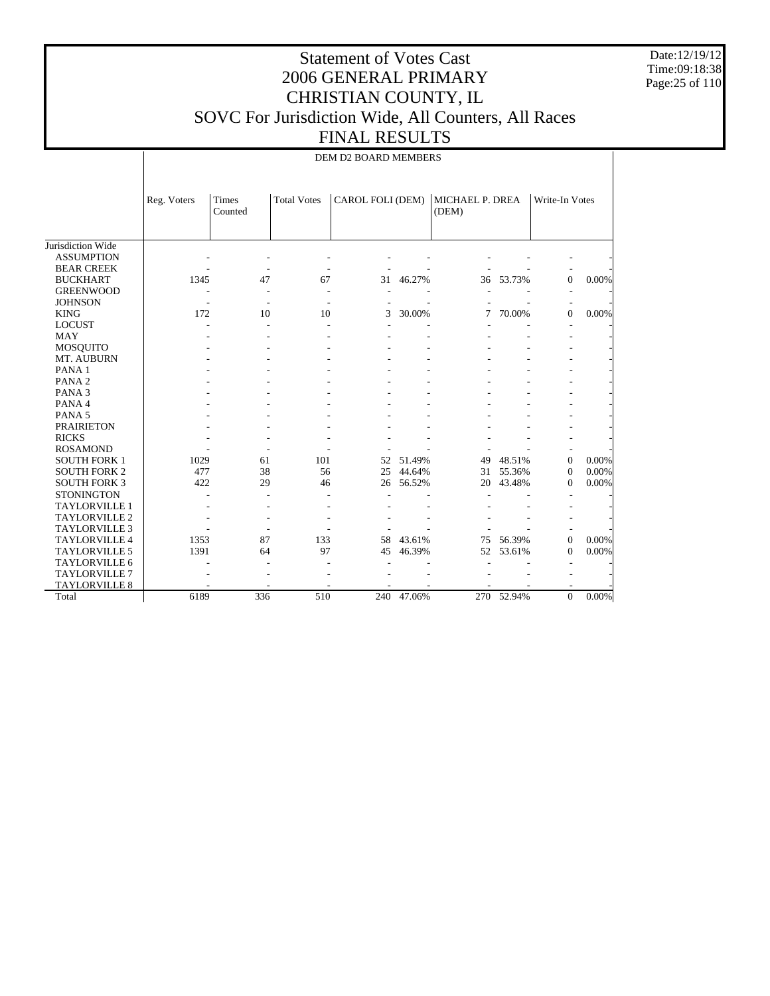Date:12/19/12 Time:09:18:38 Page:25 of 110

#### Statement of Votes Cast 2006 GENERAL PRIMARY CHRISTIAN COUNTY, IL SOVC For Jurisdiction Wide, All Counters, All Races FINAL RESULTS

DEM D2 BOARD MEMBERS

|                      | Reg. Voters | Times<br>Counted | <b>Total Votes</b> | CAROL FOLI (DEM) |        | MICHAEL P. DREA<br>(DEM) |        | Write-In Votes |          |
|----------------------|-------------|------------------|--------------------|------------------|--------|--------------------------|--------|----------------|----------|
| Jurisdiction Wide    |             |                  |                    |                  |        |                          |        |                |          |
| <b>ASSUMPTION</b>    |             |                  |                    |                  |        |                          |        |                |          |
| <b>BEAR CREEK</b>    |             |                  |                    |                  |        |                          |        |                |          |
| <b>BUCKHART</b>      | 1345        | 47               | 67                 | 31               | 46.27% | 36                       | 53.73% | $\mathbf{0}$   | 0.00%    |
| <b>GREENWOOD</b>     |             |                  |                    |                  |        |                          |        |                |          |
| <b>JOHNSON</b>       |             |                  |                    |                  |        |                          |        |                |          |
| <b>KING</b>          | 172         | 10               | 10                 | 3                | 30.00% | 7                        | 70.00% | $\Omega$       | 0.00%    |
| <b>LOCUST</b>        |             |                  |                    |                  |        |                          |        |                |          |
| MAY                  |             |                  |                    |                  |        |                          |        |                |          |
| <b>MOSQUITO</b>      |             |                  |                    |                  |        |                          |        |                |          |
| MT. AUBURN           |             |                  |                    |                  |        |                          |        |                |          |
| PANA <sub>1</sub>    |             |                  |                    |                  |        |                          |        |                |          |
| PANA <sub>2</sub>    |             |                  |                    |                  |        |                          |        |                |          |
| PANA <sub>3</sub>    |             |                  |                    |                  |        |                          |        |                |          |
| PANA 4               |             |                  |                    |                  |        |                          |        |                |          |
| PANA <sub>5</sub>    |             |                  |                    |                  |        |                          |        |                |          |
| <b>PRAIRIETON</b>    |             |                  |                    |                  |        |                          |        |                |          |
| <b>RICKS</b>         |             |                  |                    |                  |        |                          |        |                |          |
| <b>ROSAMOND</b>      |             |                  |                    |                  |        |                          |        |                |          |
| <b>SOUTH FORK 1</b>  | 1029        | 61               | 101                | 52               | 51.49% | 49                       | 48.51% | $\mathbf{0}$   | 0.00%    |
| <b>SOUTH FORK 2</b>  | 477         | 38               | 56                 | 25               | 44.64% | 31                       | 55.36% | $\theta$       | 0.00%    |
| <b>SOUTH FORK 3</b>  | 422         | 29               | 46                 | 26               | 56.52% | 20                       | 43.48% | $\Omega$       | 0.00%    |
| <b>STONINGTON</b>    |             |                  |                    |                  |        |                          |        |                |          |
| <b>TAYLORVILLE 1</b> |             |                  |                    |                  |        |                          |        |                |          |
| <b>TAYLORVILLE 2</b> |             |                  |                    |                  |        |                          |        |                |          |
| <b>TAYLORVILLE 3</b> |             |                  |                    |                  |        |                          |        |                |          |
| <b>TAYLORVILLE 4</b> | 1353        | 87               | 133                | 58               | 43.61% | 75                       | 56.39% | $\mathbf{0}$   | 0.00%    |
| <b>TAYLORVILLE 5</b> | 1391        | 64               | 97                 | 45               | 46.39% | 52                       | 53.61% | $\Omega$       | 0.00%    |
| TAYLORVILLE 6        |             |                  |                    |                  |        |                          |        |                |          |
| <b>TAYLORVILLE 7</b> |             |                  |                    |                  |        |                          |        |                |          |
| <b>TAYLORVILLE 8</b> |             |                  |                    |                  |        |                          |        |                |          |
| Total                | 6189        | 336              | 510                | 240              | 47.06% | 270                      | 52.94% | $\mathbf{0}$   | $0.00\%$ |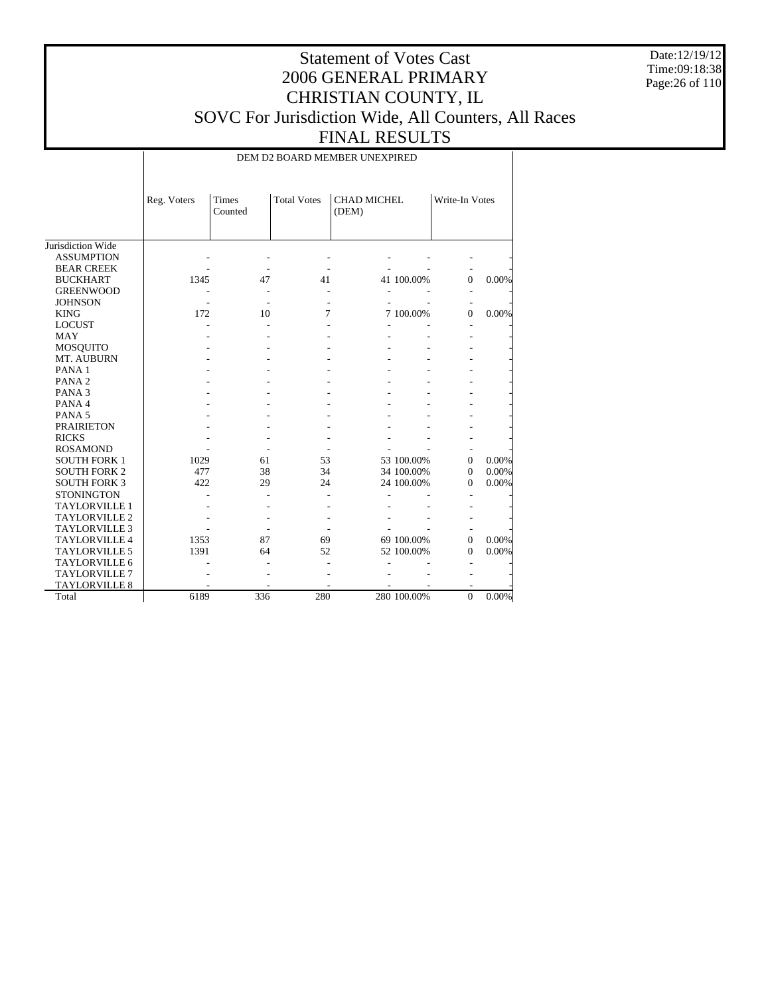Date:12/19/12 Time:09:18:38 Page:26 of 110

## Statement of Votes Cast 2006 GENERAL PRIMARY CHRISTIAN COUNTY, IL SOVC For Jurisdiction Wide, All Counters, All Races FINAL RESULTS

DEM D2 BOARD MEMBER UNEXPIRED

|                      | Reg. Voters | Times<br>Counted | <b>Total Votes</b> | <b>CHAD MICHEL</b><br>(DEM) |             | Write-In Votes |       |
|----------------------|-------------|------------------|--------------------|-----------------------------|-------------|----------------|-------|
| Jurisdiction Wide    |             |                  |                    |                             |             |                |       |
| <b>ASSUMPTION</b>    |             |                  |                    |                             |             |                |       |
| <b>BEAR CREEK</b>    |             |                  |                    |                             |             |                |       |
| <b>BUCKHART</b>      | 1345        | 47               | 41                 |                             | 41 100.00%  | $\Omega$       | 0.00% |
| <b>GREENWOOD</b>     |             |                  |                    |                             |             |                |       |
| <b>JOHNSON</b>       |             |                  |                    |                             |             |                |       |
| <b>KING</b>          | 172         | 10               | 7                  |                             | 7 100.00%   | $\Omega$       | 0.00% |
| <b>LOCUST</b>        |             |                  |                    |                             |             |                |       |
| <b>MAY</b>           |             |                  |                    |                             |             |                |       |
| <b>MOSQUITO</b>      |             |                  |                    |                             |             |                |       |
| MT. AUBURN           |             |                  |                    |                             |             |                |       |
| PANA <sub>1</sub>    |             |                  |                    |                             |             |                |       |
| PANA <sub>2</sub>    |             |                  |                    |                             |             |                |       |
| PANA <sub>3</sub>    |             |                  |                    |                             |             |                |       |
| PANA 4               |             |                  |                    |                             |             |                |       |
| PANA <sub>5</sub>    |             |                  |                    |                             |             |                |       |
| <b>PRAIRIETON</b>    |             |                  |                    |                             |             |                |       |
| <b>RICKS</b>         |             |                  |                    |                             |             |                |       |
| <b>ROSAMOND</b>      |             |                  |                    |                             |             |                |       |
| <b>SOUTH FORK 1</b>  | 1029        | 61               | 53                 |                             | 53 100.00%  | $\mathbf{0}$   | 0.00% |
| <b>SOUTH FORK 2</b>  | 477         | 38               | 34                 |                             | 34 100.00%  | $\Omega$       | 0.00% |
| <b>SOUTH FORK 3</b>  | 422         | 29               | 24                 |                             | 24 100.00%  | $\Omega$       | 0.00% |
| <b>STONINGTON</b>    |             |                  |                    |                             |             |                |       |
| <b>TAYLORVILLE 1</b> |             |                  |                    |                             |             |                |       |
| <b>TAYLORVILLE 2</b> |             |                  |                    |                             |             |                |       |
| <b>TAYLORVILLE 3</b> |             |                  |                    |                             |             |                |       |
| <b>TAYLORVILLE 4</b> | 1353        | 87               | 69                 |                             | 69 100.00%  | $\Omega$       | 0.00% |
| <b>TAYLORVILLE 5</b> | 1391        | 64               | 52                 |                             | 52 100.00%  | $\Omega$       | 0.00% |
| TAYLORVILLE 6        |             |                  |                    |                             |             |                |       |
| <b>TAYLORVILLE 7</b> |             |                  |                    |                             |             |                |       |
| <b>TAYLORVILLE 8</b> |             |                  |                    |                             |             |                |       |
| Total                | 6189        | 336              | 280                |                             | 280 100.00% | $\overline{0}$ | 0.00% |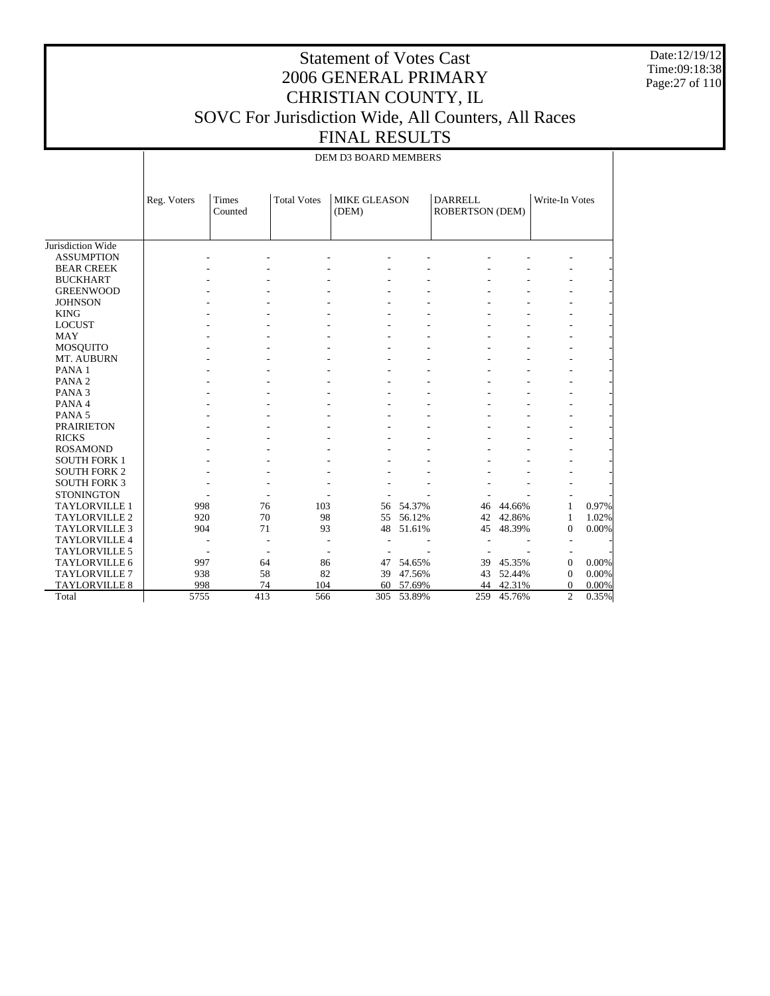Date:12/19/12 Time:09:18:38 Page:27 of 110

 $\overline{1}$ 

## Statement of Votes Cast 2006 GENERAL PRIMARY CHRISTIAN COUNTY, IL SOVC For Jurisdiction Wide, All Counters, All Races FINAL RESULTS

|                      | Reg. Voters | Times<br>Counted | <b>Total Votes</b>       | <b>MIKE GLEASON</b><br>(DEM) |        | <b>DARRELL</b><br>ROBERTSON (DEM) |        | Write-In Votes           |       |
|----------------------|-------------|------------------|--------------------------|------------------------------|--------|-----------------------------------|--------|--------------------------|-------|
| Jurisdiction Wide    |             |                  |                          |                              |        |                                   |        |                          |       |
| <b>ASSUMPTION</b>    |             |                  |                          |                              |        |                                   |        |                          |       |
| <b>BEAR CREEK</b>    |             |                  |                          |                              |        |                                   |        |                          |       |
| <b>BUCKHART</b>      |             |                  |                          |                              |        |                                   |        |                          |       |
| <b>GREENWOOD</b>     |             |                  |                          |                              |        |                                   |        |                          |       |
| <b>JOHNSON</b>       |             |                  |                          |                              |        |                                   |        |                          |       |
| <b>KING</b>          |             |                  |                          |                              |        |                                   |        | ٠                        |       |
| <b>LOCUST</b>        |             |                  |                          |                              |        |                                   |        | ۰                        |       |
| <b>MAY</b>           |             |                  |                          |                              |        |                                   |        |                          |       |
| <b>MOSQUITO</b>      |             |                  |                          |                              |        |                                   |        |                          |       |
| MT. AUBURN           |             |                  |                          |                              |        |                                   |        |                          |       |
| PANA <sub>1</sub>    |             |                  |                          |                              |        |                                   |        |                          |       |
| PANA <sub>2</sub>    |             |                  |                          |                              |        |                                   |        |                          |       |
| PANA <sub>3</sub>    |             |                  |                          |                              |        |                                   |        |                          |       |
| PANA 4               |             |                  |                          |                              |        |                                   |        |                          |       |
| PANA <sub>5</sub>    |             |                  |                          |                              |        |                                   |        |                          |       |
| <b>PRAIRIETON</b>    |             |                  |                          |                              |        |                                   |        |                          |       |
| <b>RICKS</b>         |             |                  |                          |                              |        |                                   |        |                          |       |
| <b>ROSAMOND</b>      |             |                  |                          |                              |        |                                   |        |                          |       |
| <b>SOUTH FORK 1</b>  |             |                  |                          |                              |        |                                   |        |                          |       |
| <b>SOUTH FORK 2</b>  |             |                  |                          |                              |        |                                   |        |                          |       |
| <b>SOUTH FORK 3</b>  |             |                  |                          |                              |        |                                   |        |                          |       |
| <b>STONINGTON</b>    |             |                  |                          |                              |        |                                   |        | $\overline{\phantom{a}}$ |       |
| <b>TAYLORVILLE 1</b> | 998         |                  | 76<br>103                | 56                           | 54.37% | 46                                | 44.66% | 1                        | 0.97% |
| <b>TAYLORVILLE 2</b> | 920         |                  | 70                       | 98<br>55                     | 56.12% | 42                                | 42.86% | $\mathbf{1}$             | 1.02% |
| <b>TAYLORVILLE 3</b> | 904         |                  | 71                       | 48<br>93                     | 51.61% | 45                                | 48.39% | $\boldsymbol{0}$         | 0.00% |
| <b>TAYLORVILLE 4</b> |             |                  |                          |                              |        |                                   |        | $\overline{\phantom{a}}$ |       |
| <b>TAYLORVILLE 5</b> |             | ٠                | $\overline{\phantom{a}}$ |                              |        |                                   |        |                          |       |
| TAYLORVILLE 6        | 997         |                  | 64                       | 86<br>47                     | 54.65% | 39                                | 45.35% | $\boldsymbol{0}$         | 0.00% |
| <b>TAYLORVILLE 7</b> | 938         |                  | 58                       | 82<br>39                     | 47.56% | 43                                | 52.44% | $\boldsymbol{0}$         | 0.00% |
| TAYLORVILLE 8        | 998         |                  | 74<br>104                | 60                           | 57.69% | 44                                | 42.31% | $\boldsymbol{0}$         | 0.00% |
| Total                | 5755        |                  | 413<br>566               | 305                          | 53.89% | 259                               | 45.76% | $\overline{c}$           | 0.35% |

 $\mathbf{I}$ 

DEM D3 BOARD MEMBERS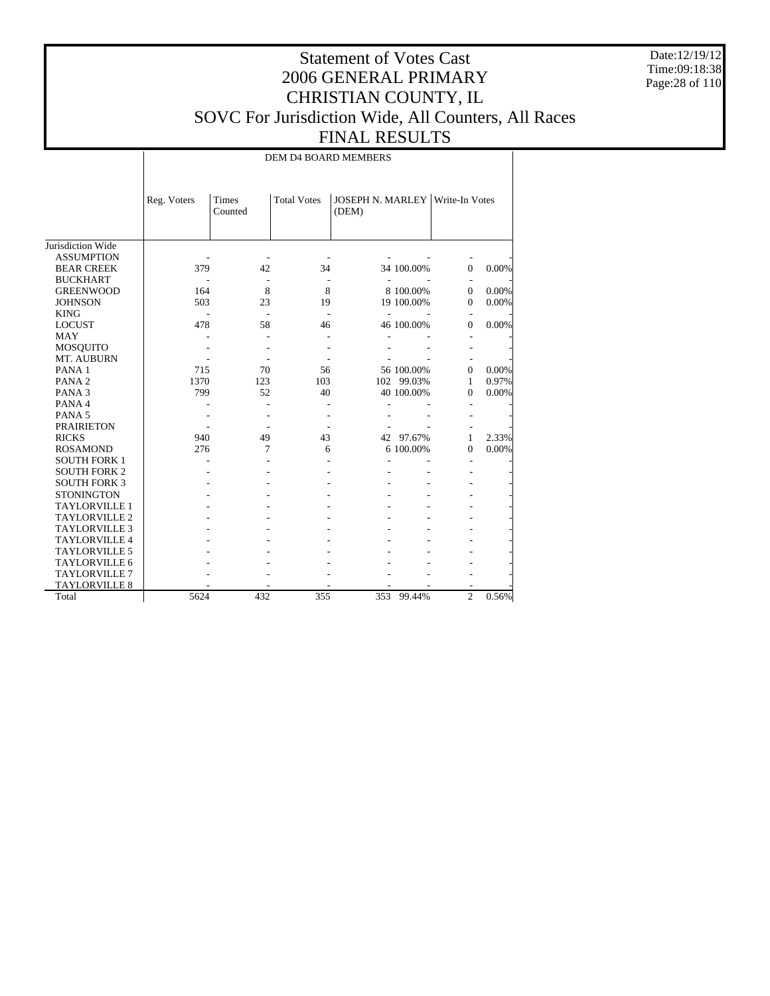Date:12/19/12 Time:09:18:38 Page:28 of 110

## Statement of Votes Cast 2006 GENERAL PRIMARY CHRISTIAN COUNTY, IL SOVC For Jurisdiction Wide, All Counters, All Races FINAL RESULTS

DEM D4 BOARD MEMBERS

|                      | Reg. Voters | Times<br>Counted | <b>Total Votes</b> | <b>JOSEPH N. MARLEY Write-In Votes</b><br>(DEM) |            |                |       |
|----------------------|-------------|------------------|--------------------|-------------------------------------------------|------------|----------------|-------|
| Jurisdiction Wide    |             |                  |                    |                                                 |            |                |       |
| <b>ASSUMPTION</b>    |             |                  |                    |                                                 |            |                |       |
| <b>BEAR CREEK</b>    | 379         | 42               | 34                 |                                                 | 34 100.00% | $\Omega$       | 0.00% |
| <b>BUCKHART</b>      |             |                  |                    |                                                 |            |                |       |
| <b>GREENWOOD</b>     | 164         | 8                | 8                  |                                                 | 8 100.00%  | $\Omega$       | 0.00% |
| <b>JOHNSON</b>       | 503         | 23               | 19                 |                                                 | 19 100.00% | $\Omega$       | 0.00% |
| <b>KING</b>          |             |                  |                    |                                                 |            |                |       |
| <b>LOCUST</b>        | 478         | 58               | 46                 |                                                 | 46 100.00% | $\Omega$       | 0.00% |
| MAY                  |             |                  |                    |                                                 |            |                |       |
| <b>MOSQUITO</b>      |             |                  |                    |                                                 |            |                |       |
| MT. AUBURN           |             |                  |                    |                                                 |            |                |       |
| PANA <sub>1</sub>    | 715         | 70               | 56                 |                                                 | 56 100.00% | $\Omega$       | 0.00% |
| PANA <sub>2</sub>    | 1370        | 123              | 103                |                                                 | 102 99.03% | 1              | 0.97% |
| PANA <sub>3</sub>    | 799         | 52               | 40                 |                                                 | 40 100.00% | 0              | 0.00% |
| PANA 4               |             |                  |                    |                                                 |            |                |       |
| PANA <sub>5</sub>    |             |                  |                    |                                                 |            |                |       |
| <b>PRAIRIETON</b>    |             |                  |                    |                                                 |            |                |       |
| <b>RICKS</b>         | 940         | 49               | 43                 |                                                 | 42 97.67%  | 1              | 2.33% |
| <b>ROSAMOND</b>      | 276         | 7                | 6                  |                                                 | 6 100.00%  | 0              | 0.00% |
| <b>SOUTH FORK 1</b>  |             |                  |                    |                                                 |            |                |       |
| <b>SOUTH FORK 2</b>  |             |                  |                    |                                                 |            |                |       |
| <b>SOUTH FORK 3</b>  |             |                  |                    |                                                 |            |                |       |
| <b>STONINGTON</b>    |             |                  |                    |                                                 |            |                |       |
| <b>TAYLORVILLE 1</b> |             |                  |                    |                                                 |            |                |       |
| <b>TAYLORVILLE 2</b> |             |                  |                    |                                                 |            |                |       |
| <b>TAYLORVILLE 3</b> |             |                  |                    |                                                 |            |                |       |
| <b>TAYLORVILLE 4</b> |             |                  |                    |                                                 |            |                |       |
| <b>TAYLORVILLE 5</b> |             |                  |                    |                                                 |            |                |       |
| TAYLORVILLE 6        |             |                  |                    |                                                 |            |                |       |
| <b>TAYLORVILLE 7</b> |             |                  |                    |                                                 |            |                |       |
| <b>TAYLORVILLE 8</b> |             |                  |                    |                                                 |            |                |       |
| Total                | 5624        | 432              | 355                | 353                                             | 99.44%     | $\overline{c}$ | 0.56% |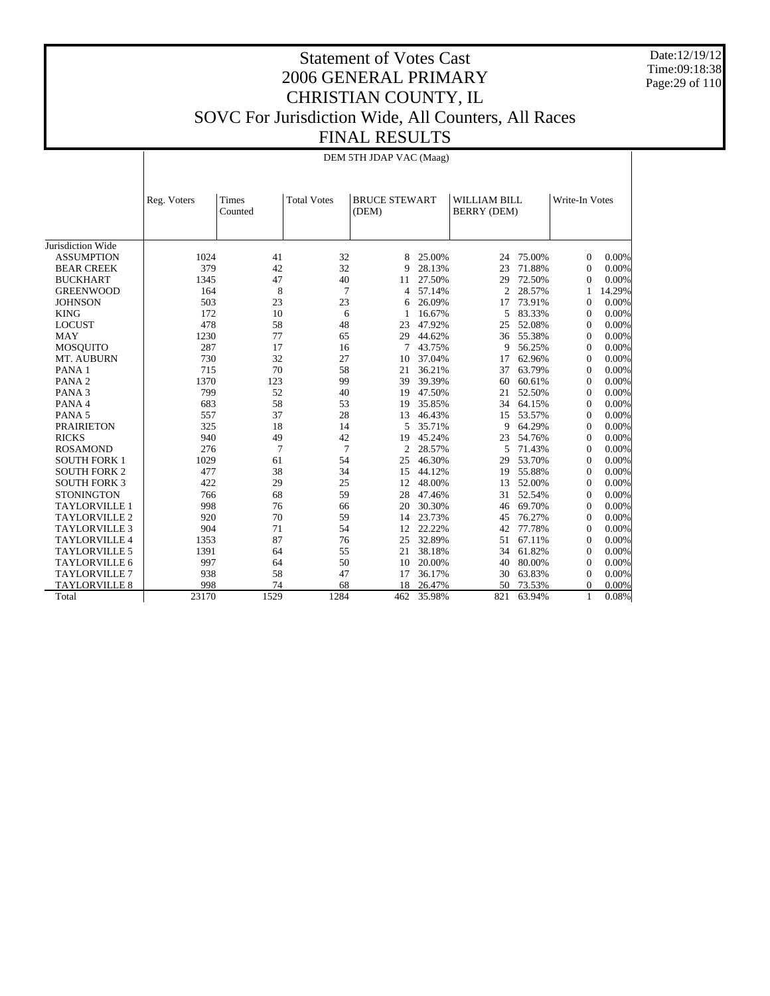Date:12/19/12 Time:09:18:38 Page:29 of 110

## Statement of Votes Cast 2006 GENERAL PRIMARY CHRISTIAN COUNTY, IL SOVC For Jurisdiction Wide, All Counters, All Races FINAL RESULTS

DEM 5TH JDAP VAC (Maag)

|                      | Reg. Voters | <b>Times</b><br>Counted | <b>Total Votes</b> | <b>BRUCE STEWART</b><br>(DEM) |        | <b>WILLIAM BILL</b><br>BERRY (DEM) |        | Write-In Votes |        |
|----------------------|-------------|-------------------------|--------------------|-------------------------------|--------|------------------------------------|--------|----------------|--------|
|                      |             |                         |                    |                               |        |                                    |        |                |        |
| Jurisdiction Wide    |             |                         |                    |                               |        |                                    |        |                |        |
| <b>ASSUMPTION</b>    | 1024        | 41                      | 32                 | 8                             | 25.00% | 24                                 | 75.00% | $\Omega$       | 0.00%  |
| <b>BEAR CREEK</b>    | 379         | 42                      | 32                 | 9                             | 28.13% | 23                                 | 71.88% | $\mathbf{0}$   | 0.00%  |
| <b>BUCKHART</b>      | 1345        | 47                      | 40                 | 11                            | 27.50% | 29                                 | 72.50% | $\Omega$       | 0.00%  |
| <b>GREENWOOD</b>     | 164         | 8                       | 7                  | 4                             | 57.14% | $\overline{2}$                     | 28.57% |                | 14.29% |
| <b>JOHNSON</b>       | 503         | 23                      | 23                 | 6                             | 26.09% | 17                                 | 73.91% | $\mathbf{0}$   | 0.00%  |
| <b>KING</b>          | 172         | 10                      | 6                  | 1                             | 16.67% | 5                                  | 83.33% | $\mathbf{0}$   | 0.00%  |
| <b>LOCUST</b>        | 478         | 58                      | 48                 | 23                            | 47.92% | 25                                 | 52.08% | $\Omega$       | 0.00%  |
| <b>MAY</b>           | 1230        | 77                      | 65                 | 29                            | 44.62% | 36                                 | 55.38% | $\mathbf{0}$   | 0.00%  |
| <b>MOSQUITO</b>      | 287         | 17                      | 16                 | 7                             | 43.75% | 9                                  | 56.25% | $\mathbf{0}$   | 0.00%  |
| MT. AUBURN           | 730         | 32                      | 27                 | 10                            | 37.04% | 17                                 | 62.96% | $\mathbf{0}$   | 0.00%  |
| PANA <sub>1</sub>    | 715         | 70                      | 58                 | 21                            | 36.21% | 37                                 | 63.79% | $\mathbf{0}$   | 0.00%  |
| PANA <sub>2</sub>    | 1370        | 123                     | 99                 | 39                            | 39.39% | 60                                 | 60.61% | $\Omega$       | 0.00%  |
| PANA <sub>3</sub>    | 799         | 52                      | 40                 | 19                            | 47.50% | 21                                 | 52.50% | $\mathbf{0}$   | 0.00%  |
| PANA 4               | 683         | 58                      | 53                 | 19                            | 35.85% | 34                                 | 64.15% | $\mathbf{0}$   | 0.00%  |
| PANA <sub>5</sub>    | 557         | 37                      | 28                 | 13                            | 46.43% | 15                                 | 53.57% | $\Omega$       | 0.00%  |
| <b>PRAIRIETON</b>    | 325         | 18                      | 14                 | 5                             | 35.71% | 9                                  | 64.29% | $\theta$       | 0.00%  |
| <b>RICKS</b>         | 940         | 49                      | 42                 | 19                            | 45.24% | 23                                 | 54.76% | $\theta$       | 0.00%  |
| <b>ROSAMOND</b>      | 276         | 7                       | 7                  | $\overline{c}$                | 28.57% | 5                                  | 71.43% | $\theta$       | 0.00%  |
| <b>SOUTH FORK 1</b>  | 1029        | 61                      | 54                 | 25                            | 46.30% | 29                                 | 53.70% | $\mathbf{0}$   | 0.00%  |
| <b>SOUTH FORK 2</b>  | 477         | 38                      | 34                 | 15                            | 44.12% | 19                                 | 55.88% | $\Omega$       | 0.00%  |
| <b>SOUTH FORK 3</b>  | 422         | 29                      | 25                 | 12                            | 48.00% | 13                                 | 52.00% | $\theta$       | 0.00%  |
| <b>STONINGTON</b>    | 766         | 68                      | 59                 | 28                            | 47.46% | 31                                 | 52.54% | $\Omega$       | 0.00%  |
| <b>TAYLORVILLE 1</b> | 998         | 76                      | 66                 | 20                            | 30.30% | 46                                 | 69.70% | $\theta$       | 0.00%  |
| <b>TAYLORVILLE 2</b> | 920         | 70                      | 59                 | 14                            | 23.73% | 45                                 | 76.27% | $\theta$       | 0.00%  |
| <b>TAYLORVILLE 3</b> | 904         | 71                      | 54                 | 12                            | 22.22% | 42                                 | 77.78% | $\Omega$       | 0.00%  |
| <b>TAYLORVILLE 4</b> | 1353        | 87                      | 76                 | 25                            | 32.89% | 51                                 | 67.11% | $\mathbf{0}$   | 0.00%  |
| <b>TAYLORVILLE 5</b> | 1391        | 64                      | 55                 | 21                            | 38.18% | 34                                 | 61.82% | $\Omega$       | 0.00%  |
| <b>TAYLORVILLE 6</b> | 997         | 64                      | 50                 | 10                            | 20.00% | 40                                 | 80.00% | $\mathbf{0}$   | 0.00%  |
| <b>TAYLORVILLE 7</b> | 938         | 58                      | 47                 | 17                            | 36.17% | 30                                 | 63.83% | $\theta$       | 0.00%  |
| <b>TAYLORVILLE 8</b> | 998         | 74                      | 68                 | 18                            | 26.47% | 50                                 | 73.53% | $\Omega$       | 0.00%  |
| Total                | 23170       | 1529                    | 1284               | 462                           | 35.98% | 821                                | 63.94% | 1              | 0.08%  |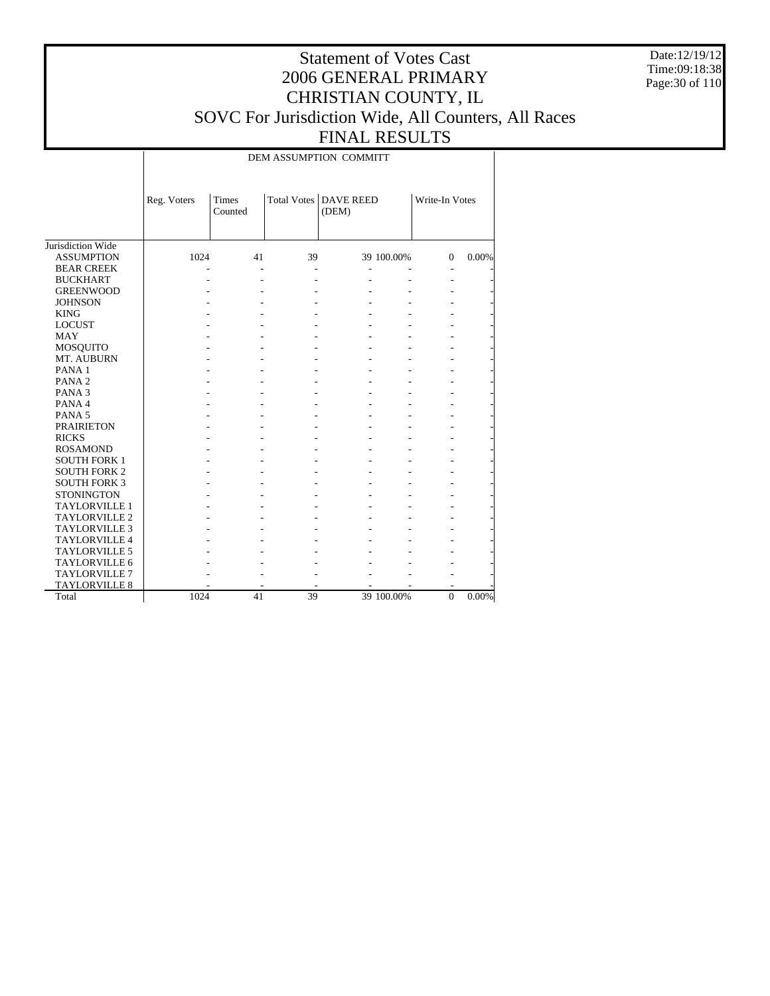Date:12/19/12 Time:09:18:38 Page:30 of 110

## Statement of Votes Cast 2006 GENERAL PRIMARY CHRISTIAN COUNTY, IL SOVC For Jurisdiction Wide, All Counters, All Races FINAL RESULTS

DEM ASSUMPTION COMMITT

|                      | Reg. Voters | Times<br>Counted |    | Total Votes   DAVE REED<br>(DEM) |            | Write-In Votes |          |
|----------------------|-------------|------------------|----|----------------------------------|------------|----------------|----------|
| Jurisdiction Wide    |             |                  |    |                                  |            |                |          |
| <b>ASSUMPTION</b>    | 1024        | 41               | 39 |                                  | 39 100.00% | $\theta$       | 0.00%    |
| <b>BEAR CREEK</b>    |             |                  |    |                                  |            |                |          |
| <b>BUCKHART</b>      |             |                  |    |                                  |            |                |          |
| <b>GREENWOOD</b>     |             |                  |    |                                  |            |                |          |
| <b>JOHNSON</b>       |             |                  |    |                                  |            |                |          |
| <b>KING</b>          |             |                  |    |                                  |            |                |          |
| <b>LOCUST</b>        |             |                  |    |                                  |            |                |          |
| <b>MAY</b>           |             |                  |    |                                  |            |                |          |
| <b>MOSQUITO</b>      |             |                  |    |                                  |            |                |          |
| MT. AUBURN           |             |                  |    |                                  |            |                |          |
| PANA <sub>1</sub>    |             |                  |    |                                  |            |                |          |
| PANA <sub>2</sub>    |             |                  |    |                                  |            |                |          |
| PANA <sub>3</sub>    |             |                  |    |                                  |            |                |          |
| PANA 4               |             |                  |    |                                  |            |                |          |
| PANA <sub>5</sub>    |             |                  |    |                                  |            |                |          |
| <b>PRAIRIETON</b>    |             |                  |    |                                  |            |                |          |
| <b>RICKS</b>         |             |                  |    |                                  |            |                |          |
| <b>ROSAMOND</b>      |             |                  |    |                                  |            |                |          |
| <b>SOUTH FORK 1</b>  |             |                  |    |                                  |            |                |          |
| <b>SOUTH FORK 2</b>  |             |                  |    |                                  |            |                |          |
| <b>SOUTH FORK 3</b>  |             |                  |    |                                  |            |                |          |
| <b>STONINGTON</b>    |             |                  |    |                                  |            |                |          |
| <b>TAYLORVILLE 1</b> |             |                  |    |                                  |            |                |          |
| <b>TAYLORVILLE 2</b> |             |                  |    |                                  |            |                |          |
| <b>TAYLORVILLE 3</b> |             |                  |    |                                  |            |                |          |
| <b>TAYLORVILLE 4</b> |             |                  |    |                                  |            |                |          |
| <b>TAYLORVILLE 5</b> |             |                  |    |                                  |            |                |          |
| <b>TAYLORVILLE 6</b> |             |                  |    |                                  |            |                |          |
| <b>TAYLORVILLE 7</b> |             |                  |    |                                  |            |                |          |
| <b>TAYLORVILLE 8</b> |             |                  |    |                                  |            |                |          |
| Total                | 1024        | 41               | 39 |                                  | 39 100.00% | $\mathbf{0}$   | $0.00\%$ |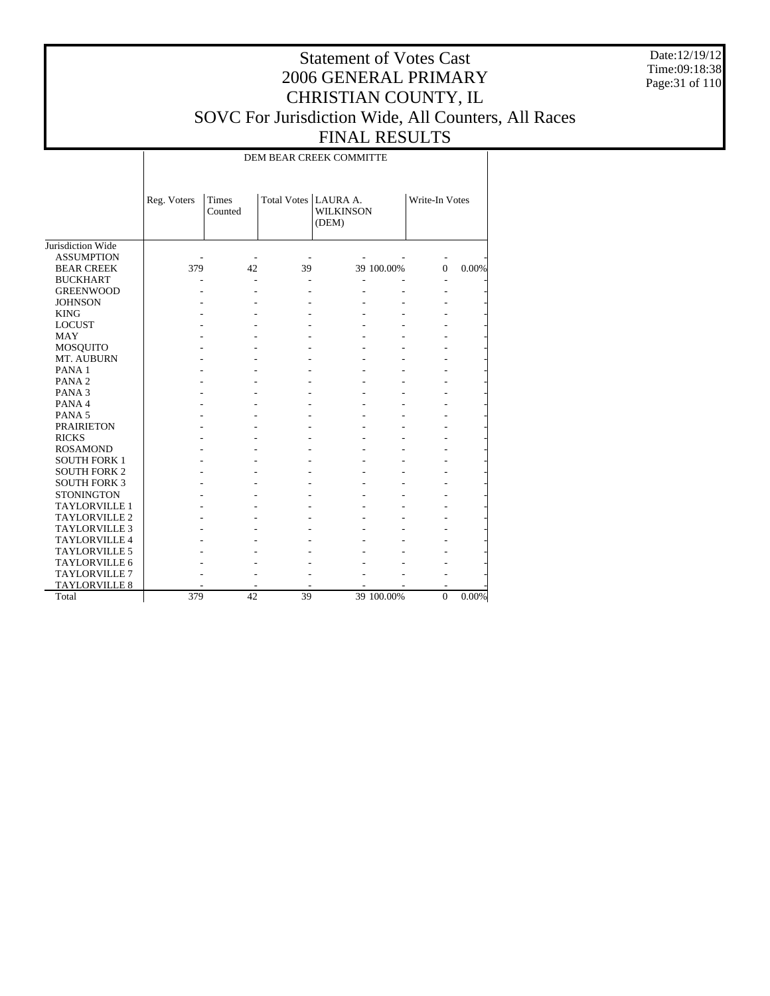Date:12/19/12 Time:09:18:38 Page:31 of 110

## Statement of Votes Cast 2006 GENERAL PRIMARY CHRISTIAN COUNTY, IL SOVC For Jurisdiction Wide, All Counters, All Races FINAL RESULTS

DEM BEAR CREEK COMMITTE

|                      | Reg. Voters | <b>Times</b><br>Counted | Total Votes   LAURA A. | <b>WILKINSON</b><br>(DEM) |            | Write-In Votes |       |
|----------------------|-------------|-------------------------|------------------------|---------------------------|------------|----------------|-------|
| Jurisdiction Wide    |             |                         |                        |                           |            |                |       |
| <b>ASSUMPTION</b>    |             |                         |                        |                           |            |                |       |
| <b>BEAR CREEK</b>    | 379         | 42                      | 39                     |                           | 39 100.00% | $\Omega$       | 0.00% |
| <b>BUCKHART</b>      |             |                         |                        |                           |            |                |       |
| <b>GREENWOOD</b>     |             |                         |                        |                           |            |                |       |
| <b>JOHNSON</b>       |             |                         |                        |                           |            |                |       |
| <b>KING</b>          |             |                         |                        |                           |            |                |       |
| <b>LOCUST</b>        |             |                         |                        |                           |            |                |       |
| MAY                  |             |                         |                        |                           |            |                |       |
| <b>MOSQUITO</b>      |             |                         |                        |                           |            |                |       |
| MT. AUBURN           |             |                         |                        |                           |            |                |       |
| PANA <sub>1</sub>    |             |                         |                        |                           |            |                |       |
| PANA <sub>2</sub>    |             |                         |                        |                           |            |                |       |
| PANA <sub>3</sub>    |             |                         |                        |                           |            |                |       |
| PANA 4               |             |                         |                        |                           |            |                |       |
| PANA <sub>5</sub>    |             |                         |                        |                           |            |                |       |
| <b>PRAIRIETON</b>    |             |                         |                        |                           |            |                |       |
| <b>RICKS</b>         |             |                         |                        |                           |            |                |       |
| <b>ROSAMOND</b>      |             |                         |                        |                           |            |                |       |
| <b>SOUTH FORK 1</b>  |             |                         |                        |                           |            |                |       |
| <b>SOUTH FORK 2</b>  |             |                         |                        |                           |            |                |       |
| <b>SOUTH FORK 3</b>  |             |                         |                        |                           |            |                |       |
| <b>STONINGTON</b>    |             |                         |                        |                           |            |                |       |
| <b>TAYLORVILLE 1</b> |             |                         |                        |                           |            |                |       |
| <b>TAYLORVILLE 2</b> |             |                         |                        |                           |            |                |       |
| <b>TAYLORVILLE 3</b> |             |                         |                        |                           |            |                |       |
| <b>TAYLORVILLE 4</b> |             |                         |                        |                           |            |                |       |
| <b>TAYLORVILLE 5</b> |             |                         |                        |                           |            |                |       |
| <b>TAYLORVILLE 6</b> |             |                         |                        |                           |            |                |       |
| <b>TAYLORVILLE 7</b> |             |                         |                        |                           |            |                |       |
| <b>TAYLORVILLE 8</b> |             |                         |                        |                           |            |                |       |
| Total                | 379         | 42                      | 39                     |                           | 39 100.00% | $\mathbf{0}$   | 0.00% |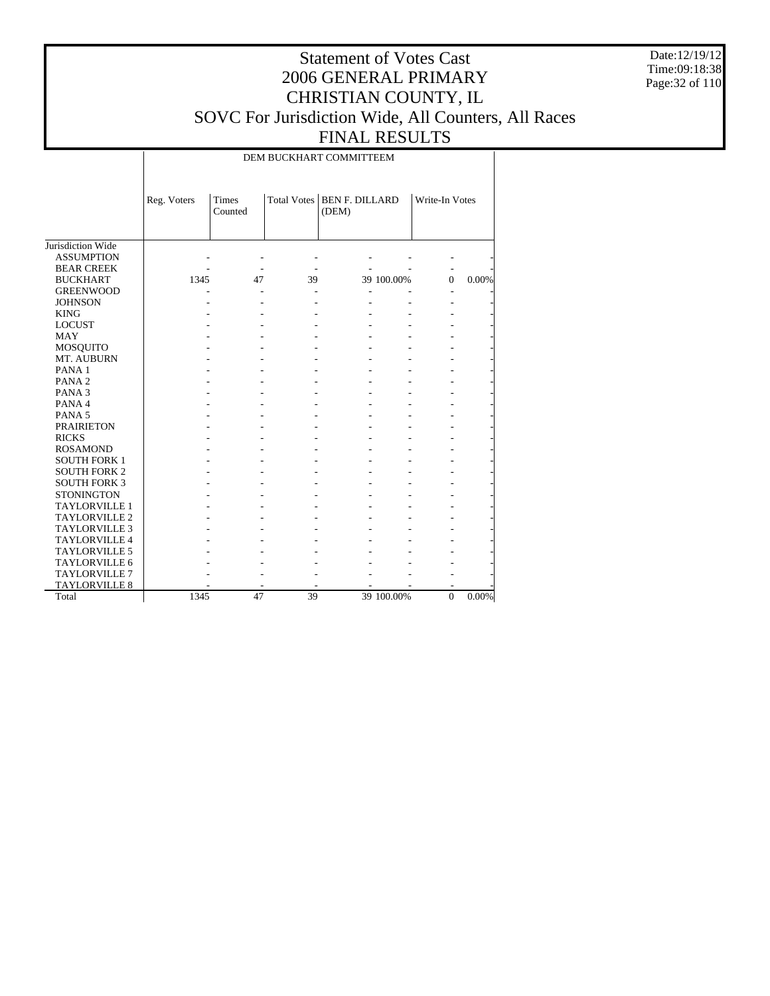Date:12/19/12 Time:09:18:38 Page:32 of 110

## Statement of Votes Cast 2006 GENERAL PRIMARY CHRISTIAN COUNTY, IL SOVC For Jurisdiction Wide, All Counters, All Races FINAL RESULTS

DEM BUCKHART COMMITTEEM

|                      | Reg. Voters | <b>Times</b><br>Counted | Total Votes | <b>BEN F. DILLARD</b><br>(DEM) |            | Write-In Votes |          |
|----------------------|-------------|-------------------------|-------------|--------------------------------|------------|----------------|----------|
| Jurisdiction Wide    |             |                         |             |                                |            |                |          |
| <b>ASSUMPTION</b>    |             |                         |             |                                |            |                |          |
| <b>BEAR CREEK</b>    |             |                         |             |                                |            |                |          |
| <b>BUCKHART</b>      | 1345        | 47                      | 39          |                                | 39 100.00% | $\Omega$       | 0.00%    |
| <b>GREENWOOD</b>     |             |                         |             |                                |            |                |          |
| <b>JOHNSON</b>       |             |                         |             |                                |            |                |          |
| <b>KING</b>          |             |                         |             |                                |            |                |          |
| <b>LOCUST</b>        |             |                         |             |                                |            |                |          |
| <b>MAY</b>           |             |                         |             |                                |            |                |          |
| <b>MOSQUITO</b>      |             |                         |             |                                |            |                |          |
| MT. AUBURN           |             |                         |             |                                |            |                |          |
| PANA <sub>1</sub>    |             |                         |             |                                |            |                |          |
| PANA <sub>2</sub>    |             |                         |             |                                |            |                |          |
| PANA <sub>3</sub>    |             |                         |             |                                |            |                |          |
| PANA 4               |             |                         |             |                                |            |                |          |
| PANA <sub>5</sub>    |             |                         |             |                                |            |                |          |
| <b>PRAIRIETON</b>    |             |                         |             |                                |            |                |          |
| <b>RICKS</b>         |             |                         |             |                                |            |                |          |
| <b>ROSAMOND</b>      |             |                         |             |                                |            |                |          |
| <b>SOUTH FORK 1</b>  |             |                         |             |                                |            |                |          |
| <b>SOUTH FORK 2</b>  |             |                         |             |                                |            |                |          |
| <b>SOUTH FORK 3</b>  |             |                         |             |                                |            |                |          |
| <b>STONINGTON</b>    |             |                         |             |                                |            |                |          |
| <b>TAYLORVILLE 1</b> |             |                         |             |                                |            |                |          |
| <b>TAYLORVILLE 2</b> |             |                         |             |                                |            |                |          |
| <b>TAYLORVILLE 3</b> |             |                         |             |                                |            |                |          |
| <b>TAYLORVILLE 4</b> |             |                         |             |                                |            |                |          |
| <b>TAYLORVILLE 5</b> |             |                         |             |                                |            |                |          |
| TAYLORVILLE 6        |             |                         |             |                                |            |                |          |
| <b>TAYLORVILLE 7</b> |             |                         |             |                                |            |                |          |
| <b>TAYLORVILLE 8</b> |             |                         |             |                                |            |                |          |
| Total                | 1345        | 47                      | 39          |                                | 39 100.00% | $\mathbf{0}$   | $0.00\%$ |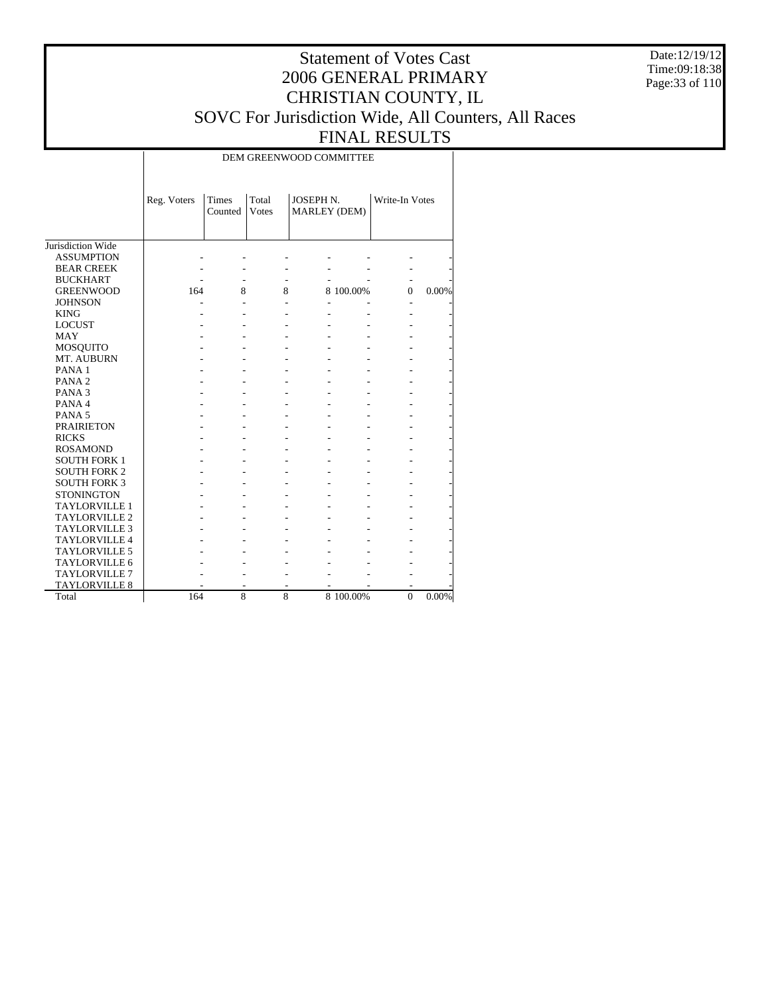Date:12/19/12 Time:09:18:38 Page:33 of 110

## Statement of Votes Cast 2006 GENERAL PRIMARY CHRISTIAN COUNTY, IL SOVC For Jurisdiction Wide, All Counters, All Races FINAL RESULTS

DEM GREENWOOD COMMITTEE

|                      | Reg. Voters | <b>Times</b><br>Counted | Total<br>Votes | JOSEPH N.<br>MARLEY (DEM) |           | Write-In Votes |       |
|----------------------|-------------|-------------------------|----------------|---------------------------|-----------|----------------|-------|
| Jurisdiction Wide    |             |                         |                |                           |           |                |       |
| <b>ASSUMPTION</b>    |             |                         |                |                           |           |                |       |
| <b>BEAR CREEK</b>    |             |                         |                |                           |           |                |       |
| <b>BUCKHART</b>      |             |                         |                |                           |           |                |       |
| <b>GREENWOOD</b>     | 164         | 8                       | 8              |                           | 8 100.00% | $\Omega$       | 0.00% |
| <b>JOHNSON</b>       |             |                         |                |                           |           |                |       |
| <b>KING</b>          |             |                         |                |                           |           |                |       |
| <b>LOCUST</b>        |             |                         |                |                           |           |                |       |
| <b>MAY</b>           |             |                         |                |                           |           |                |       |
| <b>MOSQUITO</b>      |             |                         |                |                           |           |                |       |
| MT. AUBURN           |             |                         |                |                           |           |                |       |
| PANA <sub>1</sub>    |             |                         |                |                           |           |                |       |
| PANA <sub>2</sub>    |             |                         |                |                           |           |                |       |
| PANA <sub>3</sub>    |             |                         |                |                           |           |                |       |
| PANA 4               |             |                         |                |                           |           |                |       |
| PANA <sub>5</sub>    |             |                         |                |                           |           |                |       |
| <b>PRAIRIETON</b>    |             |                         |                |                           |           |                |       |
| <b>RICKS</b>         |             |                         |                |                           |           |                |       |
| <b>ROSAMOND</b>      |             |                         |                |                           |           |                |       |
| <b>SOUTH FORK 1</b>  |             |                         |                |                           |           |                |       |
| <b>SOUTH FORK 2</b>  |             |                         |                |                           |           |                |       |
| <b>SOUTH FORK 3</b>  |             |                         |                |                           |           |                |       |
| <b>STONINGTON</b>    |             |                         |                |                           |           |                |       |
| <b>TAYLORVILLE 1</b> |             |                         |                |                           |           |                |       |
| TAYLORVILLE 2        |             |                         |                |                           |           |                |       |
| <b>TAYLORVILLE 3</b> |             |                         |                |                           |           |                |       |
| <b>TAYLORVILLE 4</b> |             |                         |                |                           |           |                |       |
| <b>TAYLORVILLE 5</b> |             |                         |                |                           |           |                |       |
| TAYLORVILLE 6        |             |                         |                |                           |           |                |       |
| <b>TAYLORVILLE 7</b> |             |                         |                |                           |           |                |       |
| <b>TAYLORVILLE 8</b> |             |                         |                |                           |           |                |       |
| Total                | 164         | 8                       | 8              |                           | 8 100.00% | $\theta$       | 0.00% |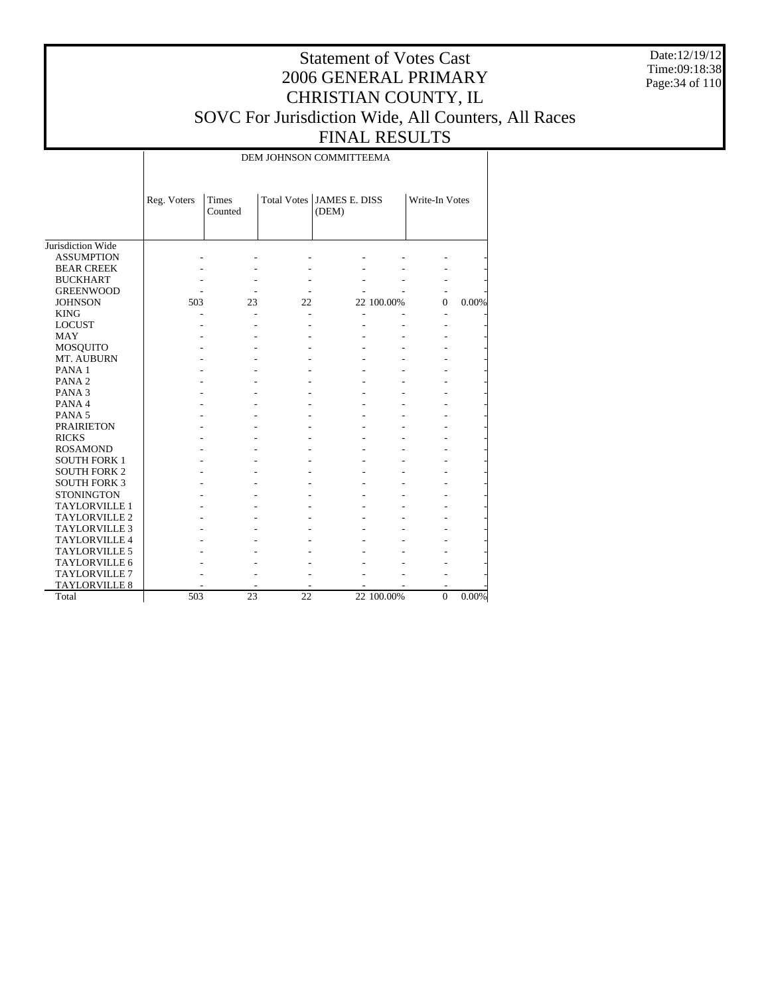Date:12/19/12 Time:09:18:38 Page:34 of 110

## Statement of Votes Cast 2006 GENERAL PRIMARY CHRISTIAN COUNTY, IL SOVC For Jurisdiction Wide, All Counters, All Races FINAL RESULTS

DEM JOHNSON COMMITTEEMA

|                      | Reg. Voters | <b>Times</b><br>Counted |    | Total Votes JAMES E. DISS<br>(DEM) |            | Write-In Votes |       |
|----------------------|-------------|-------------------------|----|------------------------------------|------------|----------------|-------|
| Jurisdiction Wide    |             |                         |    |                                    |            |                |       |
| <b>ASSUMPTION</b>    |             |                         |    |                                    |            |                |       |
| <b>BEAR CREEK</b>    |             |                         |    |                                    |            |                |       |
| <b>BUCKHART</b>      |             |                         |    |                                    |            |                |       |
| <b>GREENWOOD</b>     |             |                         |    |                                    |            |                |       |
| <b>JOHNSON</b>       | 503         | 23                      | 22 |                                    | 22 100.00% | $\theta$       | 0.00% |
| <b>KING</b>          |             |                         |    |                                    |            |                |       |
| <b>LOCUST</b>        |             |                         |    |                                    |            |                |       |
| <b>MAY</b>           |             |                         |    |                                    |            |                |       |
| <b>MOSQUITO</b>      |             |                         |    |                                    |            |                |       |
| MT. AUBURN           |             |                         |    |                                    |            |                |       |
| PANA <sub>1</sub>    |             |                         |    |                                    |            |                |       |
| PANA <sub>2</sub>    |             |                         |    |                                    |            |                |       |
| PANA <sub>3</sub>    |             |                         |    |                                    |            |                |       |
| PANA 4               |             |                         |    |                                    |            |                |       |
| PANA <sub>5</sub>    |             |                         |    |                                    |            |                |       |
| <b>PRAIRIETON</b>    |             |                         |    |                                    |            |                |       |
| <b>RICKS</b>         |             |                         |    |                                    |            |                |       |
| <b>ROSAMOND</b>      |             |                         |    |                                    |            |                |       |
| <b>SOUTH FORK 1</b>  |             |                         |    |                                    |            |                |       |
| <b>SOUTH FORK 2</b>  |             |                         |    |                                    |            |                |       |
| <b>SOUTH FORK 3</b>  |             |                         |    |                                    |            |                |       |
| <b>STONINGTON</b>    |             |                         |    |                                    |            |                |       |
| <b>TAYLORVILLE 1</b> |             |                         |    |                                    |            |                |       |
| <b>TAYLORVILLE 2</b> |             |                         |    |                                    |            |                |       |
| <b>TAYLORVILLE 3</b> |             |                         |    |                                    |            |                |       |
| <b>TAYLORVILLE 4</b> |             |                         |    |                                    |            |                |       |
| <b>TAYLORVILLE 5</b> |             |                         |    |                                    |            |                |       |
| <b>TAYLORVILLE 6</b> |             |                         |    |                                    |            |                |       |
| <b>TAYLORVILLE 7</b> |             |                         |    |                                    |            |                |       |
| <b>TAYLORVILLE 8</b> |             |                         |    |                                    |            |                |       |
| Total                | 503         | 23                      | 22 |                                    | 22 100.00% | $\mathbf{0}$   | 0.00% |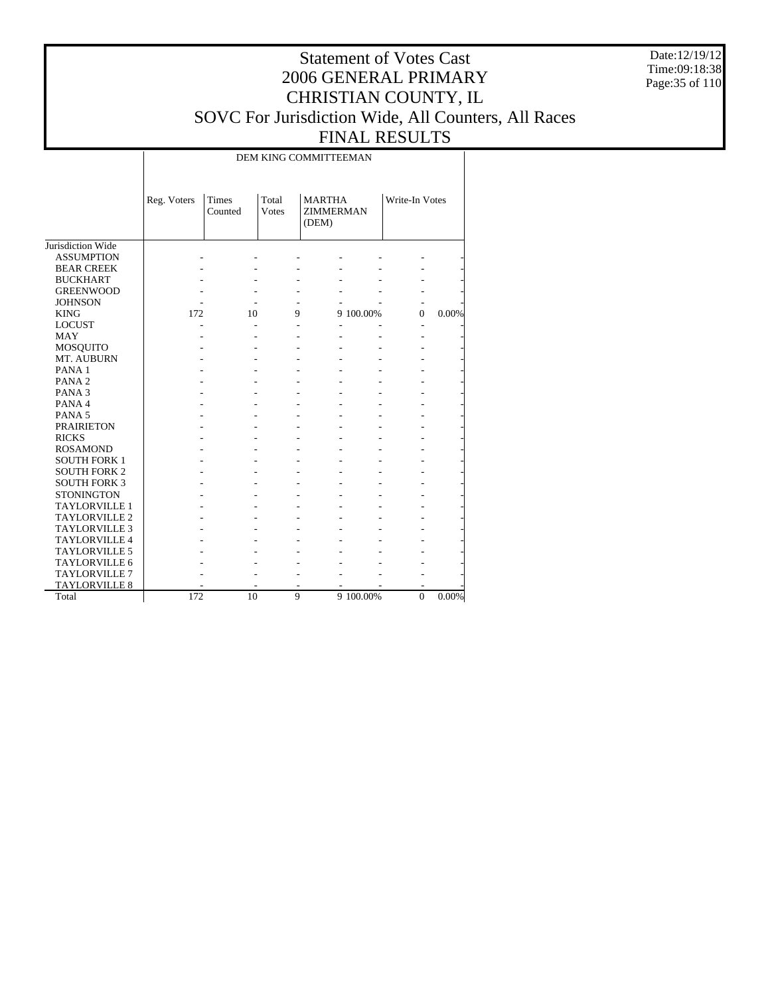Date:12/19/12 Time:09:18:38 Page:35 of 110

## Statement of Votes Cast 2006 GENERAL PRIMARY CHRISTIAN COUNTY, IL SOVC For Jurisdiction Wide, All Counters, All Races FINAL RESULTS

DEM KING COMMITTEEMAN

|                      | Reg. Voters | Times<br>Counted | Total<br><b>Votes</b> | (DEM) | <b>MARTHA</b><br><b>ZIMMERMAN</b> |                | Write-In Votes |
|----------------------|-------------|------------------|-----------------------|-------|-----------------------------------|----------------|----------------|
| Jurisdiction Wide    |             |                  |                       |       |                                   |                |                |
| <b>ASSUMPTION</b>    |             |                  |                       |       |                                   |                |                |
| <b>BEAR CREEK</b>    |             |                  |                       |       |                                   |                |                |
| <b>BUCKHART</b>      |             |                  |                       |       |                                   |                |                |
| <b>GREENWOOD</b>     |             |                  |                       |       |                                   |                |                |
| <b>JOHNSON</b>       |             |                  |                       |       |                                   |                |                |
| <b>KING</b>          | 172         | 10               | 9                     |       | 9 100.00%                         | $\Omega$       | 0.00%          |
| <b>LOCUST</b>        |             |                  |                       |       |                                   |                |                |
| MAY                  |             |                  |                       |       |                                   |                |                |
| <b>MOSQUITO</b>      |             |                  |                       |       |                                   |                |                |
| MT. AUBURN           |             |                  |                       |       |                                   |                |                |
| PANA <sub>1</sub>    |             |                  |                       |       |                                   |                |                |
| PANA <sub>2</sub>    |             |                  |                       |       |                                   |                |                |
| PANA <sub>3</sub>    |             |                  |                       |       |                                   |                |                |
| PANA 4               |             |                  |                       |       |                                   |                |                |
| PANA <sub>5</sub>    |             |                  |                       |       |                                   |                |                |
| <b>PRAIRIETON</b>    |             |                  |                       |       |                                   |                |                |
| <b>RICKS</b>         |             |                  |                       |       |                                   |                |                |
| <b>ROSAMOND</b>      |             |                  |                       |       |                                   |                |                |
| <b>SOUTH FORK 1</b>  |             |                  |                       |       |                                   |                |                |
| <b>SOUTH FORK 2</b>  |             |                  |                       |       |                                   |                |                |
| <b>SOUTH FORK 3</b>  |             |                  |                       |       |                                   |                |                |
| <b>STONINGTON</b>    |             |                  |                       |       |                                   |                |                |
| <b>TAYLORVILLE 1</b> |             |                  |                       |       |                                   |                |                |
| <b>TAYLORVILLE 2</b> |             |                  |                       |       |                                   |                |                |
| <b>TAYLORVILLE 3</b> |             |                  |                       |       |                                   |                |                |
| <b>TAYLORVILLE 4</b> |             |                  |                       |       |                                   |                |                |
| <b>TAYLORVILLE 5</b> |             |                  |                       |       |                                   |                |                |
| <b>TAYLORVILLE 6</b> |             |                  |                       |       |                                   |                |                |
| <b>TAYLORVILLE 7</b> |             |                  |                       |       |                                   |                |                |
| <b>TAYLORVILLE 8</b> |             |                  |                       |       |                                   |                |                |
| Total                | 172         | 10               | 9                     |       | 9 100.00%                         | $\overline{0}$ | $0.00\%$       |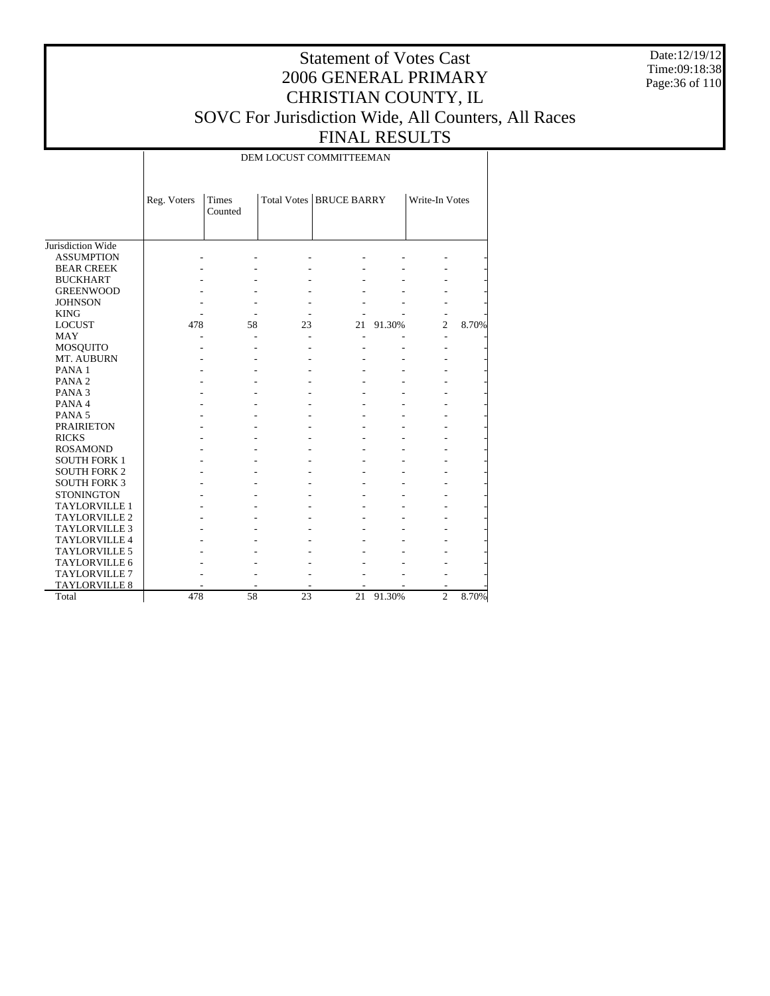Date:12/19/12 Time:09:18:38 Page:36 of 110

## Statement of Votes Cast 2006 GENERAL PRIMARY CHRISTIAN COUNTY, IL SOVC For Jurisdiction Wide, All Counters, All Races FINAL RESULTS

DEM LOCUST COMMITTEEMAN

|                      | Reg. Voters | Times<br>Counted |    | Total Votes   BRUCE BARRY |        | Write-In Votes |       |
|----------------------|-------------|------------------|----|---------------------------|--------|----------------|-------|
| Jurisdiction Wide    |             |                  |    |                           |        |                |       |
| <b>ASSUMPTION</b>    |             |                  |    |                           |        |                |       |
| <b>BEAR CREEK</b>    |             |                  |    |                           |        |                |       |
| <b>BUCKHART</b>      |             |                  |    |                           |        |                |       |
| <b>GREENWOOD</b>     |             |                  |    |                           |        |                |       |
| <b>JOHNSON</b>       |             |                  |    |                           |        |                |       |
| <b>KING</b>          |             |                  |    |                           |        |                |       |
| <b>LOCUST</b>        | 478         | 58               | 23 | 21                        | 91.30% | $\overline{c}$ | 8.70% |
| MAY                  |             |                  |    |                           |        |                |       |
| MOSQUITO             |             |                  |    |                           |        |                |       |
| MT. AUBURN           |             |                  |    |                           |        |                |       |
| PANA <sub>1</sub>    |             |                  |    |                           |        |                |       |
| PANA <sub>2</sub>    |             |                  |    |                           |        |                |       |
| PANA <sub>3</sub>    |             |                  |    |                           |        |                |       |
| PANA 4               |             |                  |    |                           |        |                |       |
| PANA <sub>5</sub>    |             |                  |    |                           |        |                |       |
| <b>PRAIRIETON</b>    |             |                  |    |                           |        |                |       |
| <b>RICKS</b>         |             |                  |    |                           |        |                |       |
| <b>ROSAMOND</b>      |             |                  |    |                           |        |                |       |
| <b>SOUTH FORK 1</b>  |             |                  |    |                           |        |                |       |
| <b>SOUTH FORK 2</b>  |             |                  |    |                           |        |                |       |
| <b>SOUTH FORK 3</b>  |             |                  |    |                           |        |                |       |
| <b>STONINGTON</b>    |             |                  |    |                           |        |                |       |
| <b>TAYLORVILLE 1</b> |             |                  |    |                           |        |                |       |
| <b>TAYLORVILLE 2</b> |             |                  |    |                           |        |                |       |
| <b>TAYLORVILLE 3</b> |             |                  |    |                           |        |                |       |
| <b>TAYLORVILLE 4</b> |             |                  |    |                           |        |                |       |
| <b>TAYLORVILLE 5</b> |             |                  |    |                           |        |                |       |
| TAYLORVILLE 6        |             |                  |    |                           |        |                |       |
| <b>TAYLORVILLE 7</b> |             |                  |    |                           |        |                |       |
| <b>TAYLORVILLE 8</b> |             |                  |    |                           |        |                |       |
| Total                | 478         | 58               | 23 | 21                        | 91.30% | $\overline{c}$ | 8.70% |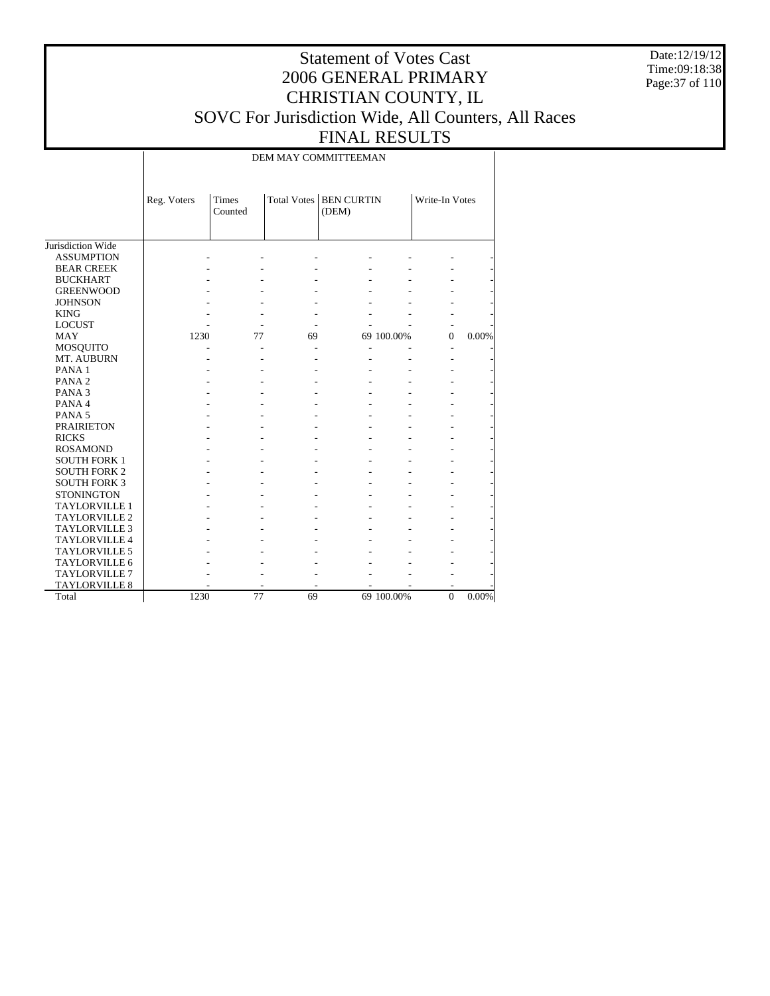Date:12/19/12 Time:09:18:38 Page:37 of 110

## Statement of Votes Cast 2006 GENERAL PRIMARY CHRISTIAN COUNTY, IL SOVC For Jurisdiction Wide, All Counters, All Races FINAL RESULTS

DEM MAY COMMITTEEMAN

|                      | Reg. Voters | Times<br>Counted |    | <b>Total Votes   BEN CURTIN</b><br>(DEM) |            | Write-In Votes |          |
|----------------------|-------------|------------------|----|------------------------------------------|------------|----------------|----------|
| Jurisdiction Wide    |             |                  |    |                                          |            |                |          |
| <b>ASSUMPTION</b>    |             |                  |    |                                          |            |                |          |
| <b>BEAR CREEK</b>    |             |                  |    |                                          |            |                |          |
| <b>BUCKHART</b>      |             |                  |    |                                          |            |                |          |
| <b>GREENWOOD</b>     |             |                  |    |                                          |            |                |          |
| <b>JOHNSON</b>       |             |                  |    |                                          |            |                |          |
| <b>KING</b>          |             |                  |    |                                          |            |                |          |
| <b>LOCUST</b>        |             |                  |    |                                          |            |                |          |
| <b>MAY</b>           | 1230        | 77               | 69 |                                          | 69 100.00% | $\theta$       | 0.00%    |
| MOSQUITO             |             |                  |    |                                          |            |                |          |
| MT. AUBURN           |             |                  |    |                                          |            |                |          |
| PANA <sub>1</sub>    |             |                  |    |                                          |            |                |          |
| PANA <sub>2</sub>    |             |                  |    |                                          |            |                |          |
| PANA <sub>3</sub>    |             |                  |    |                                          |            |                |          |
| PANA 4               |             |                  |    |                                          |            |                |          |
| PANA <sub>5</sub>    |             |                  |    |                                          |            |                |          |
| <b>PRAIRIETON</b>    |             |                  |    |                                          |            |                |          |
| <b>RICKS</b>         |             |                  |    |                                          |            |                |          |
| <b>ROSAMOND</b>      |             |                  |    |                                          |            |                |          |
| <b>SOUTH FORK 1</b>  |             |                  |    |                                          |            |                |          |
| <b>SOUTH FORK 2</b>  |             |                  |    |                                          |            |                |          |
| <b>SOUTH FORK 3</b>  |             |                  |    |                                          |            |                |          |
| <b>STONINGTON</b>    |             |                  |    |                                          |            |                |          |
| <b>TAYLORVILLE 1</b> |             |                  |    |                                          |            |                |          |
| <b>TAYLORVILLE 2</b> |             |                  |    |                                          |            |                |          |
| <b>TAYLORVILLE 3</b> |             |                  |    |                                          |            |                |          |
| <b>TAYLORVILLE 4</b> |             |                  |    |                                          |            |                |          |
| <b>TAYLORVILLE 5</b> |             |                  |    |                                          |            |                |          |
| <b>TAYLORVILLE 6</b> |             |                  |    |                                          |            |                |          |
| <b>TAYLORVILLE 7</b> |             |                  |    |                                          |            |                |          |
| TAYLORVILLE 8        |             |                  |    |                                          |            |                |          |
| Total                | 1230        | 77               | 69 |                                          | 69 100.00% | $\mathbf{0}$   | $0.00\%$ |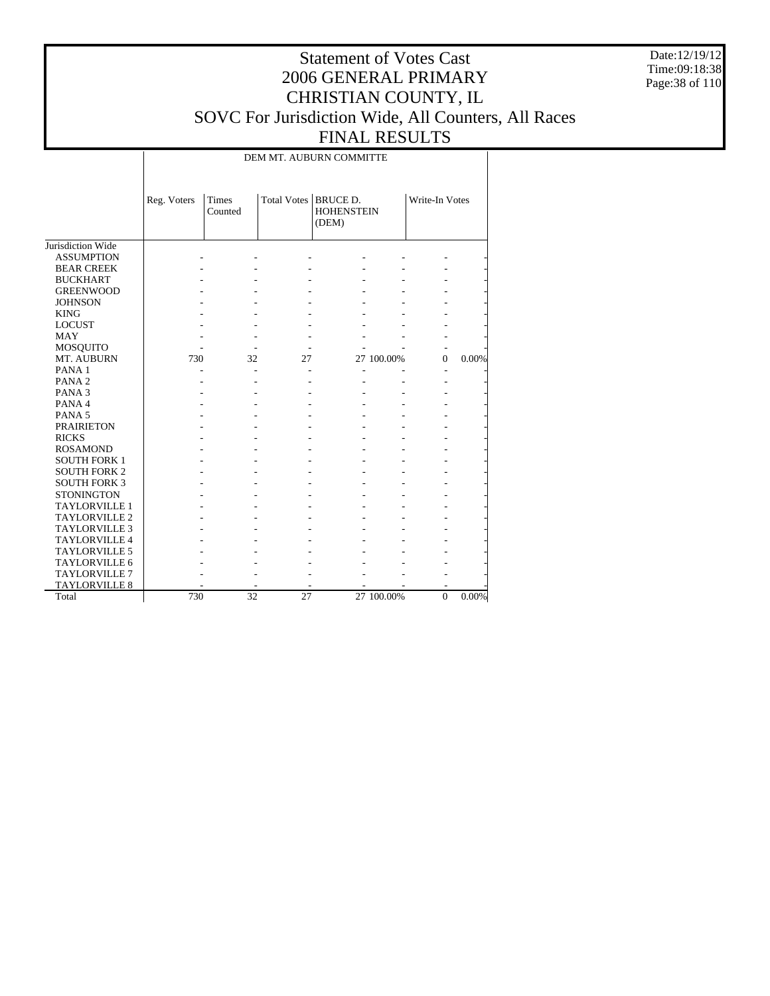Date:12/19/12 Time:09:18:38 Page:38 of 110

## Statement of Votes Cast 2006 GENERAL PRIMARY CHRISTIAN COUNTY, IL SOVC For Jurisdiction Wide, All Counters, All Races FINAL RESULTS

DEM MT. AUBURN COMMITTE

|                      | Reg. Voters | Times<br>Counted | Total Votes   BRUCE D. | <b>HOHENSTEIN</b><br>(DEM) |            | Write-In Votes |       |
|----------------------|-------------|------------------|------------------------|----------------------------|------------|----------------|-------|
| Jurisdiction Wide    |             |                  |                        |                            |            |                |       |
| <b>ASSUMPTION</b>    |             |                  |                        |                            |            |                |       |
| <b>BEAR CREEK</b>    |             |                  |                        |                            |            |                |       |
| <b>BUCKHART</b>      |             |                  |                        |                            |            |                |       |
| <b>GREENWOOD</b>     |             |                  |                        |                            |            |                |       |
| <b>JOHNSON</b>       |             |                  |                        |                            |            |                |       |
| <b>KING</b>          |             |                  |                        |                            |            |                |       |
| <b>LOCUST</b>        |             |                  |                        |                            |            |                |       |
| <b>MAY</b>           |             |                  |                        |                            |            |                |       |
| <b>MOSQUITO</b>      |             |                  |                        |                            |            |                |       |
| MT. AUBURN           | 730         | 32               | 27                     |                            | 27 100.00% | $\Omega$       | 0.00% |
| PANA <sub>1</sub>    |             |                  |                        |                            |            |                |       |
| PANA <sub>2</sub>    |             |                  |                        |                            |            |                |       |
| PANA <sub>3</sub>    |             |                  |                        |                            |            |                |       |
| PANA4                |             |                  |                        |                            |            |                |       |
| PANA <sub>5</sub>    |             |                  |                        |                            |            |                |       |
| <b>PRAIRIETON</b>    |             |                  |                        |                            |            |                |       |
| <b>RICKS</b>         |             |                  |                        |                            |            |                |       |
| <b>ROSAMOND</b>      |             |                  |                        |                            |            |                |       |
| <b>SOUTH FORK 1</b>  |             |                  |                        |                            |            |                |       |
| <b>SOUTH FORK 2</b>  |             |                  |                        |                            |            |                |       |
| <b>SOUTH FORK 3</b>  |             |                  |                        |                            |            |                |       |
| <b>STONINGTON</b>    |             |                  |                        |                            |            |                |       |
| <b>TAYLORVILLE 1</b> |             |                  |                        |                            |            |                |       |
| <b>TAYLORVILLE 2</b> |             |                  |                        |                            |            |                |       |
| <b>TAYLORVILLE 3</b> |             |                  |                        |                            |            |                |       |
| <b>TAYLORVILLE 4</b> |             |                  |                        |                            |            |                |       |
| <b>TAYLORVILLE 5</b> |             |                  |                        |                            |            |                |       |
| <b>TAYLORVILLE 6</b> |             |                  |                        |                            |            |                |       |
| <b>TAYLORVILLE 7</b> |             |                  |                        |                            |            |                |       |
| <b>TAYLORVILLE 8</b> |             |                  |                        |                            |            |                |       |
| Total                | 730         | 32               | 27                     |                            | 27 100.00% | $\mathbf{0}$   | 0.00% |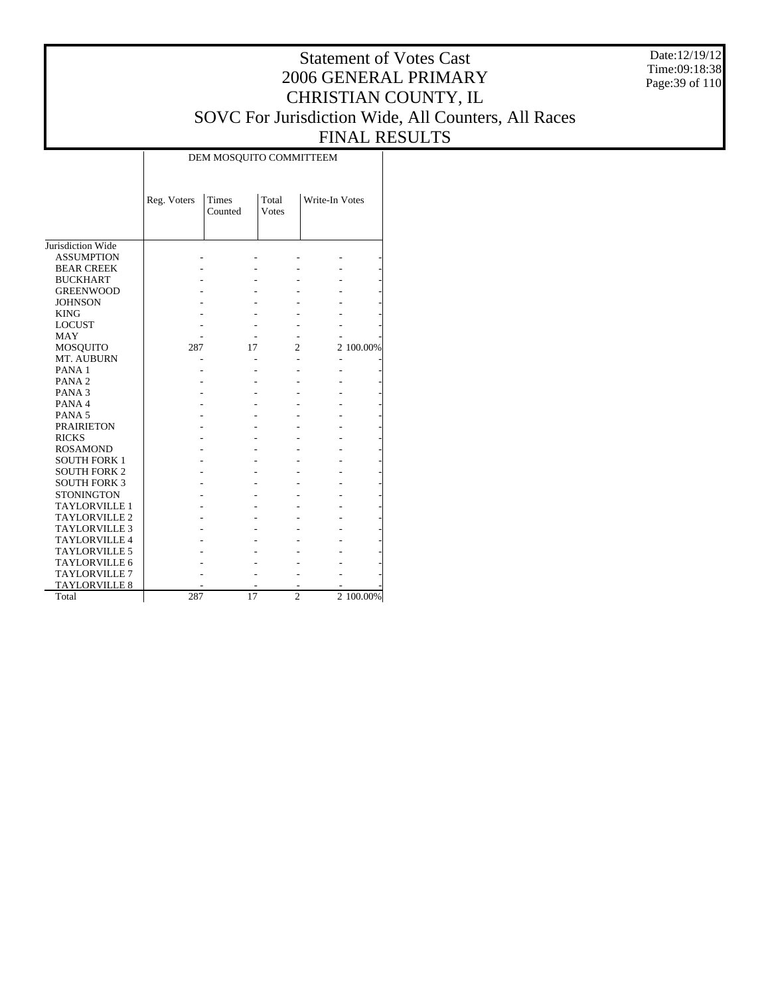Date:12/19/12 Time:09:18:38 Page:39 of 110

#### Statement of Votes Cast 2006 GENERAL PRIMARY CHRISTIAN COUNTY, IL SOVC For Jurisdiction Wide, All Counters, All Races FINAL RESULTS Τ

|                      | Reg. Voters | Times<br>Counted | Total<br>Votes | Write-In Votes |           |
|----------------------|-------------|------------------|----------------|----------------|-----------|
|                      |             |                  |                |                |           |
|                      |             |                  |                |                |           |
| Jurisdiction Wide    |             |                  |                |                |           |
| <b>ASSUMPTION</b>    |             |                  |                |                |           |
| <b>BEAR CREEK</b>    |             |                  |                |                |           |
| <b>BUCKHART</b>      |             |                  |                |                |           |
| <b>GREENWOOD</b>     |             |                  |                |                |           |
| <b>JOHNSON</b>       |             |                  |                |                |           |
| <b>KING</b>          |             |                  |                |                |           |
| <b>LOCUST</b>        |             |                  |                |                |           |
| <b>MAY</b>           |             |                  |                |                |           |
| <b>MOSQUITO</b>      | 287         | 17               | 2              |                | 2 100.00% |
| MT. AUBURN           |             |                  |                |                |           |
| PANA <sub>1</sub>    |             |                  |                |                |           |
| PANA <sub>2</sub>    |             |                  |                |                |           |
| PANA <sub>3</sub>    |             |                  |                |                |           |
| PANA 4               |             |                  |                |                |           |
| PANA <sub>5</sub>    |             |                  |                |                |           |
| <b>PRAIRIETON</b>    |             |                  |                |                |           |
| <b>RICKS</b>         |             |                  |                |                |           |
| <b>ROSAMOND</b>      |             |                  |                |                |           |
| <b>SOUTH FORK 1</b>  |             |                  |                |                |           |
| <b>SOUTH FORK 2</b>  |             |                  |                |                |           |
| <b>SOUTH FORK 3</b>  |             |                  |                |                |           |
| <b>STONINGTON</b>    |             |                  |                |                |           |
| <b>TAYLORVILLE 1</b> |             |                  |                |                |           |
| <b>TAYLORVILLE 2</b> |             |                  |                |                |           |
| <b>TAYLORVILLE 3</b> |             |                  |                |                |           |
| <b>TAYLORVILLE 4</b> |             |                  |                |                |           |
| <b>TAYLORVILLE 5</b> |             |                  |                |                |           |
| TAYLORVILLE 6        |             |                  |                |                |           |
| <b>TAYLORVILLE 7</b> |             |                  |                |                |           |
| <b>TAYLORVILLE 8</b> |             |                  |                |                |           |
| Total                | 287         | 17               | $\overline{c}$ |                | 2 100.00% |

#### DEM MOSQUITO COMMITTEEM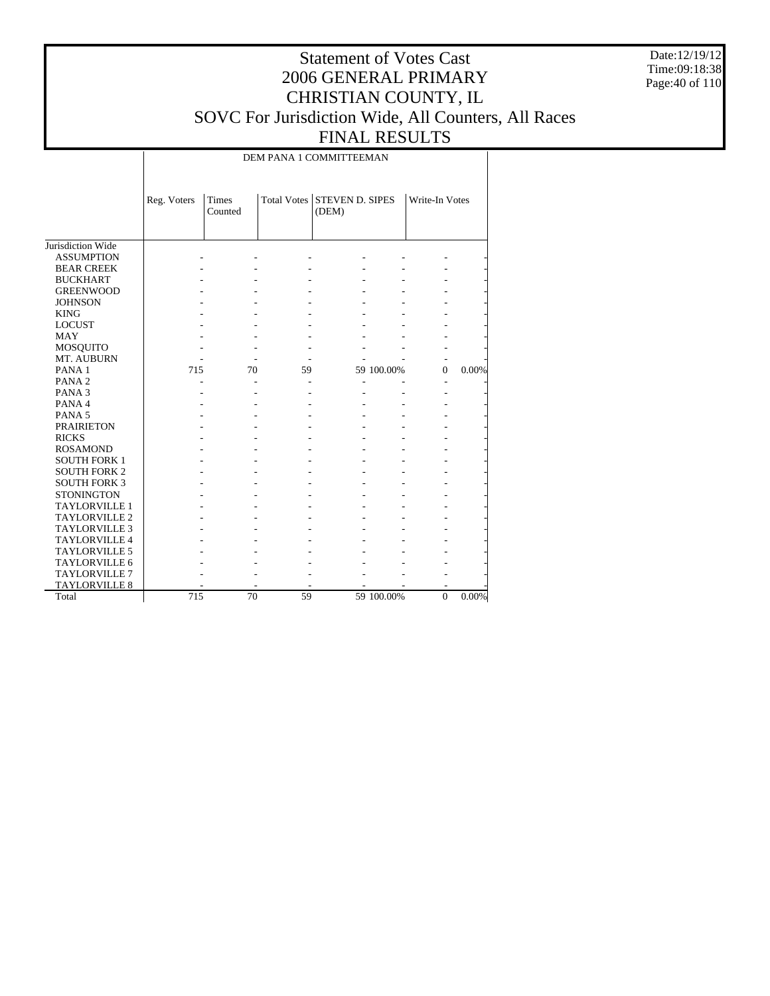Date:12/19/12 Time:09:18:38 Page:40 of 110

## Statement of Votes Cast 2006 GENERAL PRIMARY CHRISTIAN COUNTY, IL SOVC For Jurisdiction Wide, All Counters, All Races FINAL RESULTS

DEM PANA 1 COMMITTEEMAN

|                      | Reg. Voters | <b>Times</b><br>Counted |    | Total Votes STEVEN D. SIPES<br>(DEM) |            | Write-In Votes |       |
|----------------------|-------------|-------------------------|----|--------------------------------------|------------|----------------|-------|
| Jurisdiction Wide    |             |                         |    |                                      |            |                |       |
| <b>ASSUMPTION</b>    |             |                         |    |                                      |            |                |       |
| <b>BEAR CREEK</b>    |             |                         |    |                                      |            |                |       |
| <b>BUCKHART</b>      |             |                         |    |                                      |            |                |       |
| <b>GREENWOOD</b>     |             |                         |    |                                      |            |                |       |
| <b>JOHNSON</b>       |             |                         |    |                                      |            |                |       |
| <b>KING</b>          |             |                         |    |                                      |            |                |       |
| <b>LOCUST</b>        |             |                         |    |                                      |            |                |       |
| <b>MAY</b>           |             |                         |    |                                      |            |                |       |
| <b>MOSQUITO</b>      |             |                         |    |                                      |            |                |       |
| MT. AUBURN           |             |                         |    |                                      |            |                |       |
| PANA <sub>1</sub>    | 715         | 70                      | 59 |                                      | 59 100.00% | $\Omega$       | 0.00% |
| PANA <sub>2</sub>    |             |                         |    |                                      |            |                |       |
| PANA <sub>3</sub>    |             |                         |    |                                      |            |                |       |
| PANA 4               |             |                         |    |                                      |            |                |       |
| PANA <sub>5</sub>    |             |                         |    |                                      |            |                |       |
| <b>PRAIRIETON</b>    |             |                         |    |                                      |            |                |       |
| <b>RICKS</b>         |             |                         |    |                                      |            |                |       |
| <b>ROSAMOND</b>      |             |                         |    |                                      |            |                |       |
| <b>SOUTH FORK 1</b>  |             |                         |    |                                      |            |                |       |
| <b>SOUTH FORK 2</b>  |             |                         |    |                                      |            |                |       |
| <b>SOUTH FORK 3</b>  |             |                         |    |                                      |            |                |       |
| <b>STONINGTON</b>    |             |                         |    |                                      |            |                |       |
| <b>TAYLORVILLE 1</b> |             |                         |    |                                      |            |                |       |
| <b>TAYLORVILLE 2</b> |             |                         |    |                                      |            |                |       |
| <b>TAYLORVILLE 3</b> |             |                         |    |                                      |            |                |       |
| <b>TAYLORVILLE 4</b> |             |                         |    |                                      |            |                |       |
| <b>TAYLORVILLE 5</b> |             |                         |    |                                      |            |                |       |
| <b>TAYLORVILLE 6</b> |             |                         |    |                                      |            |                |       |
| TAYLORVILLE 7        |             |                         |    |                                      |            |                |       |
| <b>TAYLORVILLE 8</b> |             |                         |    |                                      |            |                |       |
| Total                | 715         | 70                      | 59 |                                      | 59 100.00% | $\mathbf{0}$   | 0.00% |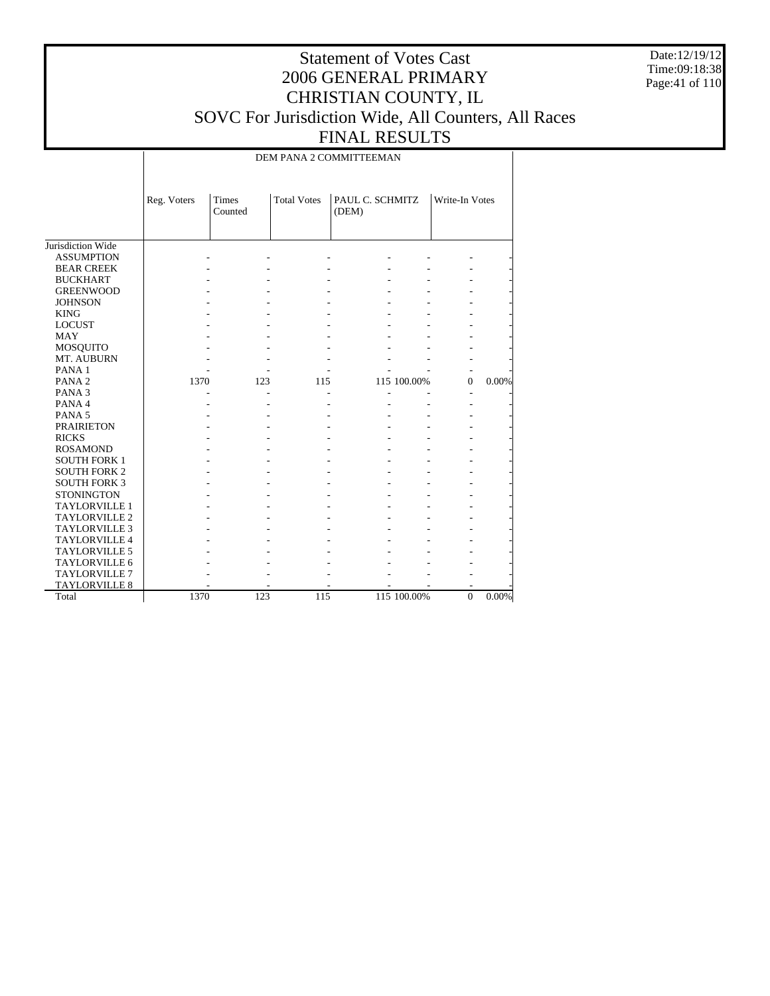Date:12/19/12 Time:09:18:38 Page:41 of 110

## Statement of Votes Cast 2006 GENERAL PRIMARY CHRISTIAN COUNTY, IL SOVC For Jurisdiction Wide, All Counters, All Races FINAL RESULTS

DEM PANA 2 COMMITTEEMAN

|                                              | Reg. Voters | <b>Times</b><br>Counted | <b>Total Votes</b> | PAUL C. SCHMITZ<br>(DEM) |             | Write-In Votes |       |
|----------------------------------------------|-------------|-------------------------|--------------------|--------------------------|-------------|----------------|-------|
| Jurisdiction Wide                            |             |                         |                    |                          |             |                |       |
| <b>ASSUMPTION</b>                            |             |                         |                    |                          |             |                |       |
| <b>BEAR CREEK</b>                            |             |                         |                    |                          |             |                |       |
| <b>BUCKHART</b>                              |             |                         |                    |                          |             |                |       |
| <b>GREENWOOD</b>                             |             |                         |                    |                          |             |                |       |
| <b>JOHNSON</b>                               |             |                         |                    |                          |             |                |       |
| <b>KING</b>                                  |             |                         |                    |                          |             |                |       |
| <b>LOCUST</b>                                |             |                         |                    |                          |             |                |       |
| <b>MAY</b>                                   |             |                         |                    |                          |             |                |       |
| MOSQUITO                                     |             |                         |                    |                          |             |                |       |
| MT. AUBURN                                   |             |                         |                    |                          |             |                |       |
| PANA <sub>1</sub>                            |             |                         |                    |                          |             |                |       |
| PANA <sub>2</sub>                            | 1370        | 123                     | 115                |                          | 115 100.00% | $\Omega$       | 0.00% |
| PANA <sub>3</sub>                            |             |                         |                    |                          |             |                |       |
| PANA 4                                       |             |                         |                    |                          |             |                |       |
| PANA <sub>5</sub>                            |             |                         |                    |                          |             |                |       |
| <b>PRAIRIETON</b>                            |             |                         |                    |                          |             |                |       |
| <b>RICKS</b>                                 |             |                         |                    |                          |             |                |       |
| <b>ROSAMOND</b>                              |             |                         |                    |                          |             |                |       |
| <b>SOUTH FORK 1</b>                          |             |                         |                    |                          |             |                |       |
| <b>SOUTH FORK 2</b>                          |             |                         |                    |                          |             |                |       |
| <b>SOUTH FORK 3</b>                          |             |                         |                    |                          |             |                |       |
| <b>STONINGTON</b>                            |             |                         |                    |                          |             |                |       |
| <b>TAYLORVILLE 1</b>                         |             |                         |                    |                          |             |                |       |
| <b>TAYLORVILLE 2</b>                         |             |                         |                    |                          |             |                |       |
|                                              |             |                         |                    |                          |             |                |       |
| <b>TAYLORVILLE 3</b><br><b>TAYLORVILLE 4</b> |             |                         |                    |                          |             |                |       |
|                                              |             |                         |                    |                          |             |                |       |
| <b>TAYLORVILLE 5</b>                         |             |                         |                    |                          |             |                |       |
| TAYLORVILLE 6                                |             |                         |                    |                          |             |                |       |
| <b>TAYLORVILLE 7</b>                         |             |                         |                    |                          |             |                |       |
| TAYLORVILLE 8                                |             |                         |                    |                          |             |                |       |
| Total                                        | 1370        | 123                     | 115                |                          | 115 100.00% | $\mathbf{0}$   | 0.00% |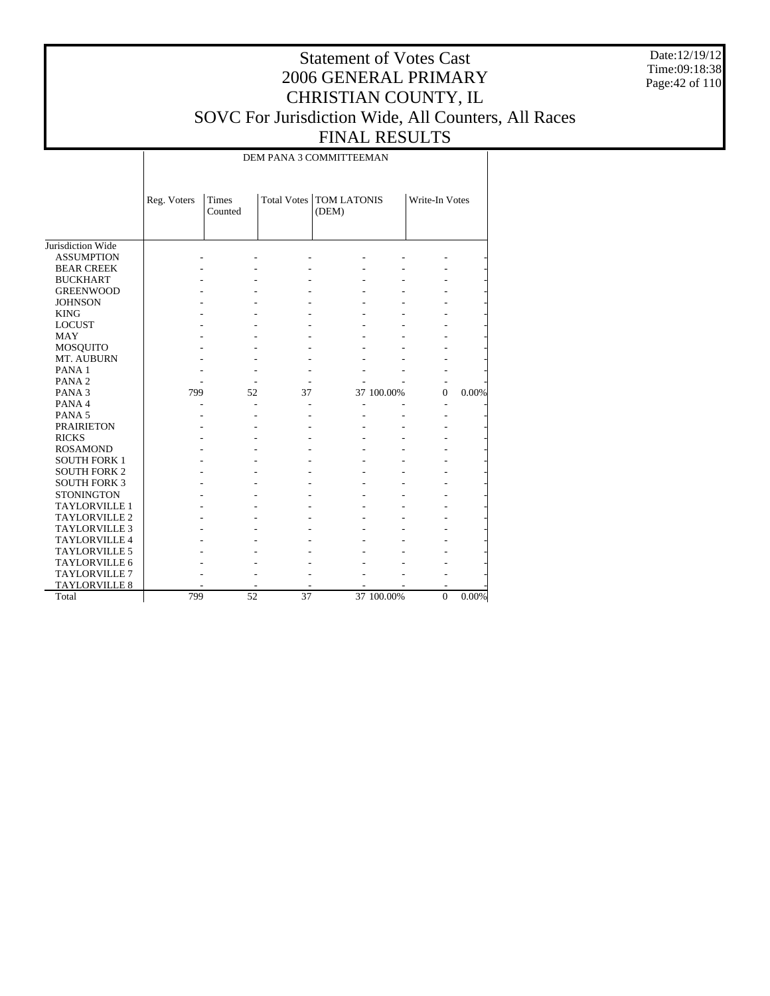Date:12/19/12 Time:09:18:38 Page:42 of 110

## Statement of Votes Cast 2006 GENERAL PRIMARY CHRISTIAN COUNTY, IL SOVC For Jurisdiction Wide, All Counters, All Races FINAL RESULTS

DEM PANA 3 COMMITTEEMAN

|                          | Reg. Voters | <b>Times</b><br>Counted |    | <b>Total Votes   TOM LATONIS</b><br>(DEM) |            | Write-In Votes |       |
|--------------------------|-------------|-------------------------|----|-------------------------------------------|------------|----------------|-------|
| Jurisdiction Wide        |             |                         |    |                                           |            |                |       |
| <b>ASSUMPTION</b>        |             |                         |    |                                           |            |                |       |
| <b>BEAR CREEK</b>        |             |                         |    |                                           |            |                |       |
| <b>BUCKHART</b>          |             |                         |    |                                           |            |                |       |
| <b>GREENWOOD</b>         |             |                         |    |                                           |            |                |       |
| <b>JOHNSON</b>           |             |                         |    |                                           |            |                |       |
| <b>KING</b>              |             |                         |    |                                           |            |                |       |
| <b>LOCUST</b>            |             |                         |    |                                           |            |                |       |
| <b>MAY</b>               |             |                         |    |                                           |            |                |       |
| <b>MOSQUITO</b>          |             |                         |    |                                           |            |                |       |
| MT. AUBURN               |             |                         |    |                                           |            |                |       |
| PANA <sub>1</sub>        |             |                         |    |                                           |            |                |       |
| PANA <sub>2</sub>        |             |                         |    |                                           |            |                |       |
| PANA <sub>3</sub>        | 799         | 52                      | 37 |                                           | 37 100.00% | $\mathbf{0}$   | 0.00% |
| PANA 4                   |             | $\overline{a}$          |    |                                           |            |                |       |
| PANA <sub>5</sub>        |             |                         |    |                                           |            |                |       |
| <b>PRAIRIETON</b>        |             |                         |    |                                           |            |                |       |
| <b>RICKS</b>             |             |                         |    |                                           |            |                |       |
| <b>ROSAMOND</b>          |             |                         |    |                                           |            |                |       |
| <b>SOUTH FORK 1</b>      |             |                         |    |                                           |            |                |       |
| <b>SOUTH FORK 2</b>      |             |                         |    |                                           |            |                |       |
| <b>SOUTH FORK 3</b>      |             |                         |    |                                           |            |                |       |
| <b>STONINGTON</b>        |             |                         |    |                                           |            |                |       |
| TAYLORVILLE 1            |             |                         |    |                                           |            |                |       |
| TAYLORVILLE <sub>2</sub> |             |                         |    |                                           |            |                |       |
| <b>TAYLORVILLE 3</b>     |             |                         |    |                                           |            |                |       |
| <b>TAYLORVILLE 4</b>     |             |                         |    |                                           |            |                |       |
| <b>TAYLORVILLE 5</b>     |             |                         |    |                                           |            |                |       |
| <b>TAYLORVILLE 6</b>     |             |                         |    |                                           |            |                |       |
| <b>TAYLORVILLE 7</b>     |             |                         |    |                                           |            |                |       |
| <b>TAYLORVILLE 8</b>     |             |                         |    |                                           |            | ۰              |       |
| Total                    | 799         | 52                      | 37 |                                           | 37 100.00% | $\mathbf{0}$   | 0.00% |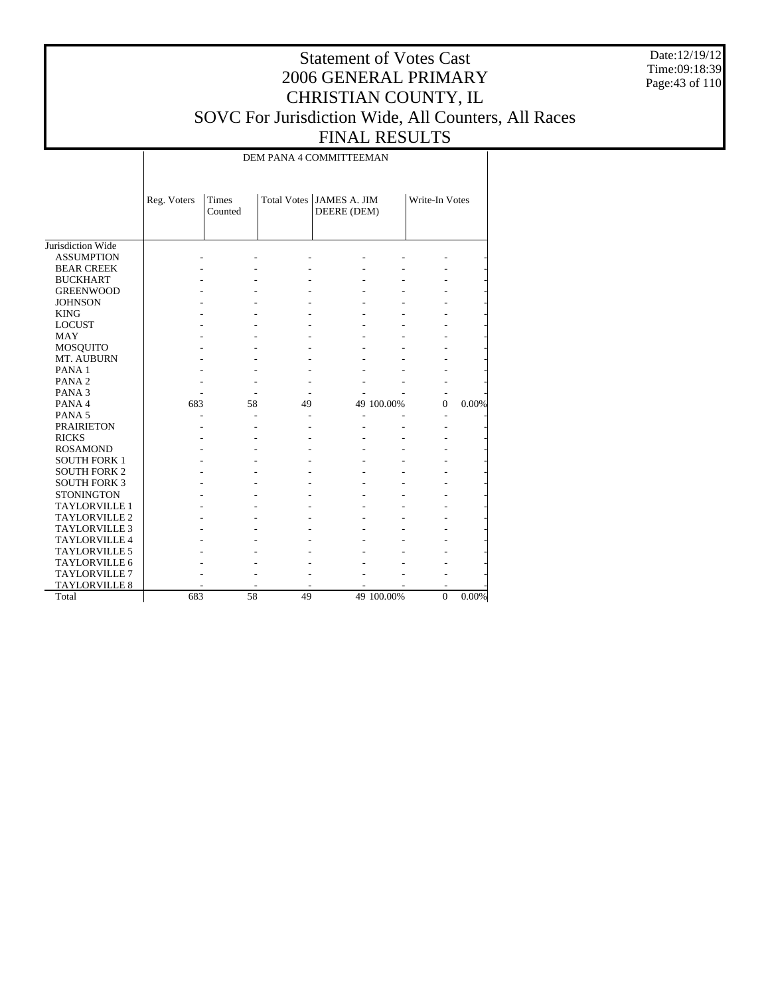Date:12/19/12 Time:09:18:39 Page:43 of 110

## Statement of Votes Cast 2006 GENERAL PRIMARY CHRISTIAN COUNTY, IL SOVC For Jurisdiction Wide, All Counters, All Races FINAL RESULTS

DEM PANA 4 COMMITTEEMAN

|                      | Reg. Voters | Times<br>Counted |    | Total Votes   JAMES A. JIM<br>DEERE (DEM) |            | Write-In Votes |       |
|----------------------|-------------|------------------|----|-------------------------------------------|------------|----------------|-------|
| Jurisdiction Wide    |             |                  |    |                                           |            |                |       |
| <b>ASSUMPTION</b>    |             |                  |    |                                           |            |                |       |
| <b>BEAR CREEK</b>    |             |                  |    |                                           |            |                |       |
| <b>BUCKHART</b>      |             |                  |    |                                           |            |                |       |
| <b>GREENWOOD</b>     |             |                  |    |                                           |            |                |       |
| <b>JOHNSON</b>       |             |                  |    |                                           |            |                |       |
| <b>KING</b>          |             |                  |    |                                           |            |                |       |
| <b>LOCUST</b>        |             |                  |    |                                           |            |                |       |
| <b>MAY</b>           |             |                  |    |                                           |            |                |       |
| <b>MOSQUITO</b>      |             |                  |    |                                           |            |                |       |
| MT. AUBURN           |             |                  |    |                                           |            |                |       |
| PANA <sub>1</sub>    |             |                  |    |                                           |            |                |       |
| PANA <sub>2</sub>    |             |                  |    |                                           |            |                |       |
| PANA <sub>3</sub>    |             |                  |    |                                           |            |                |       |
| PANA 4               | 683         | 58               | 49 |                                           | 49 100.00% | $\mathbf{0}$   | 0.00% |
| PANA <sub>5</sub>    |             | $\overline{a}$   |    |                                           |            |                |       |
| <b>PRAIRIETON</b>    |             |                  |    |                                           |            |                |       |
| <b>RICKS</b>         |             |                  |    |                                           |            |                |       |
| <b>ROSAMOND</b>      |             |                  |    |                                           |            |                |       |
| <b>SOUTH FORK 1</b>  |             |                  |    |                                           |            |                |       |
| <b>SOUTH FORK 2</b>  |             |                  |    |                                           |            |                |       |
| <b>SOUTH FORK 3</b>  |             |                  |    |                                           |            |                |       |
| <b>STONINGTON</b>    |             |                  |    |                                           |            |                |       |
| <b>TAYLORVILLE 1</b> |             |                  |    |                                           |            |                |       |
| <b>TAYLORVILLE 2</b> |             |                  |    |                                           |            |                |       |
| <b>TAYLORVILLE 3</b> |             |                  |    |                                           |            |                |       |
| <b>TAYLORVILLE 4</b> |             |                  |    |                                           |            |                |       |
| <b>TAYLORVILLE 5</b> |             |                  |    |                                           |            |                |       |
| TAYLORVILLE 6        |             |                  |    |                                           |            |                |       |
| <b>TAYLORVILLE 7</b> |             |                  |    |                                           |            |                |       |
| <b>TAYLORVILLE 8</b> |             |                  |    |                                           |            |                |       |
| Total                | 683         | 58               | 49 |                                           | 49 100.00% | $\mathbf{0}$   | 0.00% |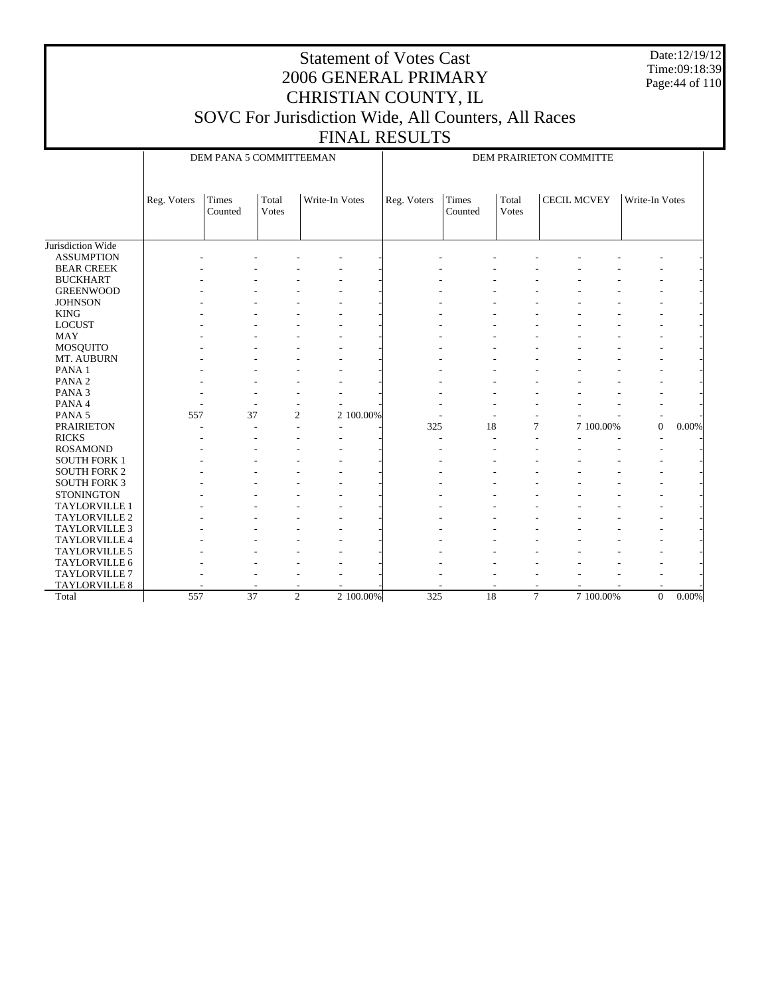Date:12/19/12 Time:09:18:39 Page:44 of 110

# Statement of Votes Cast 2006 GENERAL PRIMARY CHRISTIAN COUNTY, IL SOVC For Jurisdiction Wide, All Counters, All Races

FINAL RESULTS

DEM PANA 5 COMMITTEEMAN

DEM PRAIRIETON COMMITTE

|                      | Reg. Voters | Times<br>Counted | Total<br>Votes | Write-In Votes | Reg. Voters | Times<br>Counted | Total<br>Votes | <b>CECIL MCVEY</b> |           | Write-In Votes           |       |
|----------------------|-------------|------------------|----------------|----------------|-------------|------------------|----------------|--------------------|-----------|--------------------------|-------|
|                      |             |                  |                |                |             |                  |                |                    |           |                          |       |
| Jurisdiction Wide    |             |                  |                |                |             |                  |                |                    |           |                          |       |
| <b>ASSUMPTION</b>    |             |                  |                |                |             |                  |                |                    |           |                          |       |
| <b>BEAR CREEK</b>    |             |                  |                |                |             |                  |                |                    |           |                          |       |
| <b>BUCKHART</b>      |             |                  |                |                |             |                  |                |                    |           | ÷                        |       |
| <b>GREENWOOD</b>     |             |                  |                |                |             |                  |                |                    |           |                          |       |
| <b>JOHNSON</b>       |             |                  |                |                |             |                  |                |                    |           |                          |       |
| <b>KING</b>          |             |                  |                |                |             |                  |                |                    |           | ۰                        |       |
| <b>LOCUST</b>        |             |                  |                |                |             |                  |                |                    |           |                          |       |
| <b>MAY</b>           |             |                  |                |                |             |                  |                |                    |           |                          |       |
| MOSQUITO             |             |                  |                |                |             |                  |                |                    |           |                          |       |
| MT. AUBURN           |             |                  |                |                |             |                  |                |                    |           |                          |       |
| PANA <sub>1</sub>    |             |                  |                |                |             |                  |                |                    |           |                          |       |
| PANA <sub>2</sub>    |             |                  |                |                |             |                  |                |                    |           |                          |       |
| PANA <sub>3</sub>    |             |                  |                |                |             |                  |                |                    |           |                          |       |
| PANA 4               |             |                  |                |                |             |                  |                |                    |           |                          |       |
| PANA <sub>5</sub>    | 557         | 37               | 2              | 2 100,00%      |             |                  | ٠              |                    |           | $\overline{\phantom{a}}$ |       |
| <b>PRAIRIETON</b>    |             |                  |                |                | 325         | 18               | $\overline{7}$ |                    | 7 100.00% | $\overline{0}$           | 0.00% |
| <b>RICKS</b>         |             |                  |                |                |             |                  |                |                    |           |                          |       |
| <b>ROSAMOND</b>      |             |                  |                |                |             |                  |                |                    |           |                          |       |
| <b>SOUTH FORK 1</b>  |             |                  |                |                |             |                  |                |                    |           |                          |       |
| <b>SOUTH FORK 2</b>  |             |                  |                |                |             |                  |                |                    |           |                          |       |
| <b>SOUTH FORK 3</b>  |             |                  |                |                |             |                  |                |                    |           |                          |       |
| <b>STONINGTON</b>    |             |                  |                |                |             |                  |                |                    |           |                          |       |
| <b>TAYLORVILLE 1</b> |             |                  |                |                |             |                  |                |                    |           |                          |       |
| <b>TAYLORVILLE 2</b> |             |                  |                |                |             |                  |                |                    |           |                          |       |
| <b>TAYLORVILLE 3</b> |             |                  |                |                |             |                  |                |                    |           |                          |       |
| TAYLORVILLE 4        |             |                  |                |                |             |                  |                |                    |           |                          |       |
| <b>TAYLORVILLE 5</b> |             |                  |                |                |             |                  |                |                    |           |                          |       |
| <b>TAYLORVILLE 6</b> |             |                  |                |                |             |                  |                |                    |           |                          |       |
| <b>TAYLORVILLE 7</b> |             |                  |                |                |             |                  |                |                    |           |                          |       |
| <b>TAYLORVILLE 8</b> |             |                  |                |                |             |                  |                |                    |           |                          |       |
| Total                | 557         | $\overline{37}$  | 2              | 2 100.00%      | 325         | 18               | $\overline{7}$ |                    | 7 100.00% | $\overline{0}$           | 0.00% |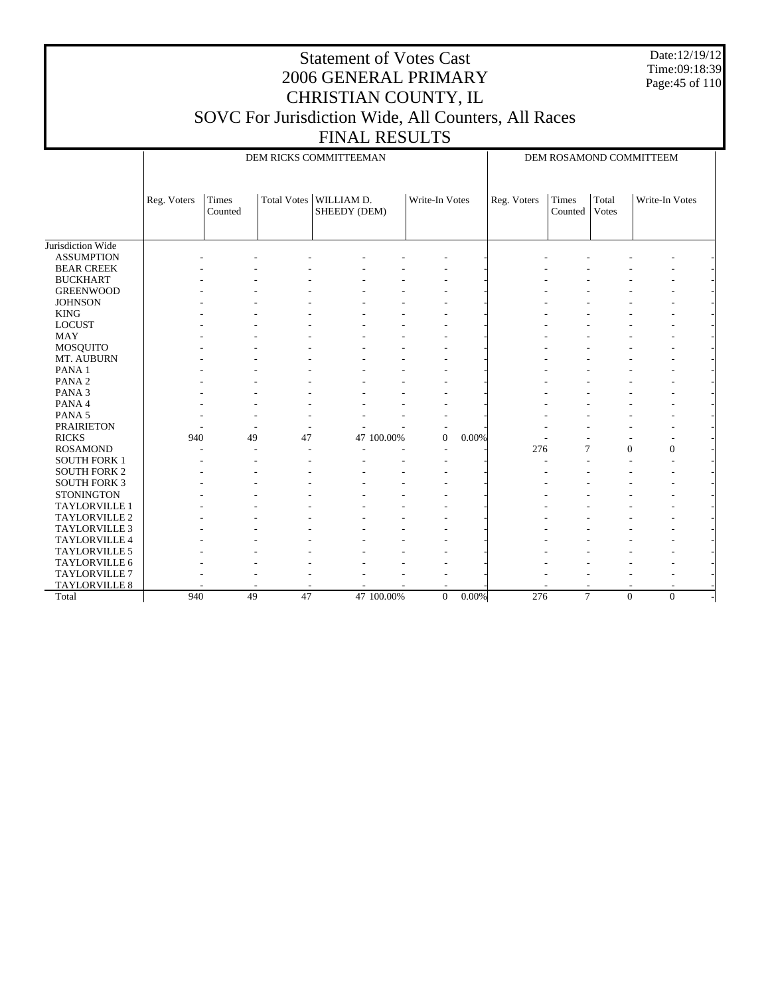Date:12/19/12 Time:09:18:39 Page:45 of 110

# Statement of Votes Cast 2006 GENERAL PRIMARY CHRISTIAN COUNTY, IL SOVC For Jurisdiction Wide, All Counters, All Races

FINAL RESULTS

DEM RICKS COMMITTEEMAN

DEM ROSAMOND COMMITTEEM

|                      | Reg. Voters | Times<br>Counted | <b>Total Votes</b> | WILLIAM D.<br>SHEEDY (DEM) |            | Write-In Votes |          | Reg. Voters | Times<br>Counted | Total<br><b>Votes</b> | Write-In Votes       |  |
|----------------------|-------------|------------------|--------------------|----------------------------|------------|----------------|----------|-------------|------------------|-----------------------|----------------------|--|
|                      |             |                  |                    |                            |            |                |          |             |                  |                       |                      |  |
| Jurisdiction Wide    |             |                  |                    |                            |            |                |          |             |                  |                       |                      |  |
| <b>ASSUMPTION</b>    |             |                  |                    |                            |            |                |          |             |                  |                       |                      |  |
| <b>BEAR CREEK</b>    |             |                  |                    |                            |            |                |          |             |                  |                       |                      |  |
| <b>BUCKHART</b>      |             |                  |                    |                            |            |                |          |             |                  |                       |                      |  |
| <b>GREENWOOD</b>     |             |                  |                    |                            |            |                |          |             |                  |                       |                      |  |
| <b>JOHNSON</b>       |             |                  |                    |                            |            |                |          |             |                  |                       |                      |  |
| <b>KING</b>          |             |                  |                    |                            |            |                |          |             |                  |                       |                      |  |
| <b>LOCUST</b>        |             |                  |                    |                            |            |                |          |             |                  |                       |                      |  |
| <b>MAY</b>           |             |                  |                    |                            |            |                |          |             |                  |                       |                      |  |
| <b>MOSQUITO</b>      |             |                  |                    |                            |            |                |          |             |                  |                       |                      |  |
| MT. AUBURN           |             |                  |                    |                            |            |                |          |             |                  |                       |                      |  |
| PANA <sub>1</sub>    |             |                  |                    |                            |            |                |          |             |                  |                       |                      |  |
| PANA <sub>2</sub>    |             |                  |                    |                            |            |                |          |             |                  |                       |                      |  |
| PANA <sub>3</sub>    |             |                  |                    |                            |            |                |          |             |                  |                       |                      |  |
| PANA 4               |             |                  |                    |                            |            |                |          |             |                  |                       |                      |  |
| PANA <sub>5</sub>    |             |                  |                    |                            |            |                |          |             |                  |                       |                      |  |
| <b>PRAIRIETON</b>    |             |                  |                    |                            |            |                |          |             |                  |                       |                      |  |
| <b>RICKS</b>         | 940         | 49               | 47                 |                            | 47 100.00% | $\overline{0}$ | 0.00%    |             |                  |                       | ٠                    |  |
| <b>ROSAMOND</b>      |             |                  |                    |                            |            |                |          | 276         | 7                | $\Omega$              | $\mathbf{0}$         |  |
| <b>SOUTH FORK 1</b>  |             |                  |                    |                            |            |                |          |             |                  |                       |                      |  |
| <b>SOUTH FORK 2</b>  |             |                  |                    |                            |            |                |          |             |                  |                       |                      |  |
| <b>SOUTH FORK 3</b>  |             |                  |                    |                            |            |                |          |             |                  |                       |                      |  |
| <b>STONINGTON</b>    |             |                  |                    |                            |            |                |          |             |                  |                       |                      |  |
| <b>TAYLORVILLE 1</b> |             |                  |                    |                            |            |                |          |             |                  |                       |                      |  |
| <b>TAYLORVILLE 2</b> |             |                  |                    |                            |            |                |          |             |                  |                       |                      |  |
| <b>TAYLORVILLE 3</b> |             |                  |                    |                            |            |                |          |             |                  |                       |                      |  |
| TAYLORVILLE 4        |             |                  |                    |                            |            |                |          |             |                  |                       |                      |  |
| <b>TAYLORVILLE 5</b> |             |                  |                    |                            |            |                |          |             |                  |                       |                      |  |
| TAYLORVILLE 6        |             |                  |                    |                            |            |                |          |             |                  |                       |                      |  |
| <b>TAYLORVILLE 7</b> |             |                  |                    |                            |            |                |          |             |                  |                       |                      |  |
| TAYLORVILLE 8        |             |                  |                    |                            |            |                |          |             |                  |                       |                      |  |
| Total                | 940         | 49               | 47                 |                            | 47 100.00% | $\overline{0}$ | $0.00\%$ | 276         | $\overline{7}$   |                       | $\Omega$<br>$\Omega$ |  |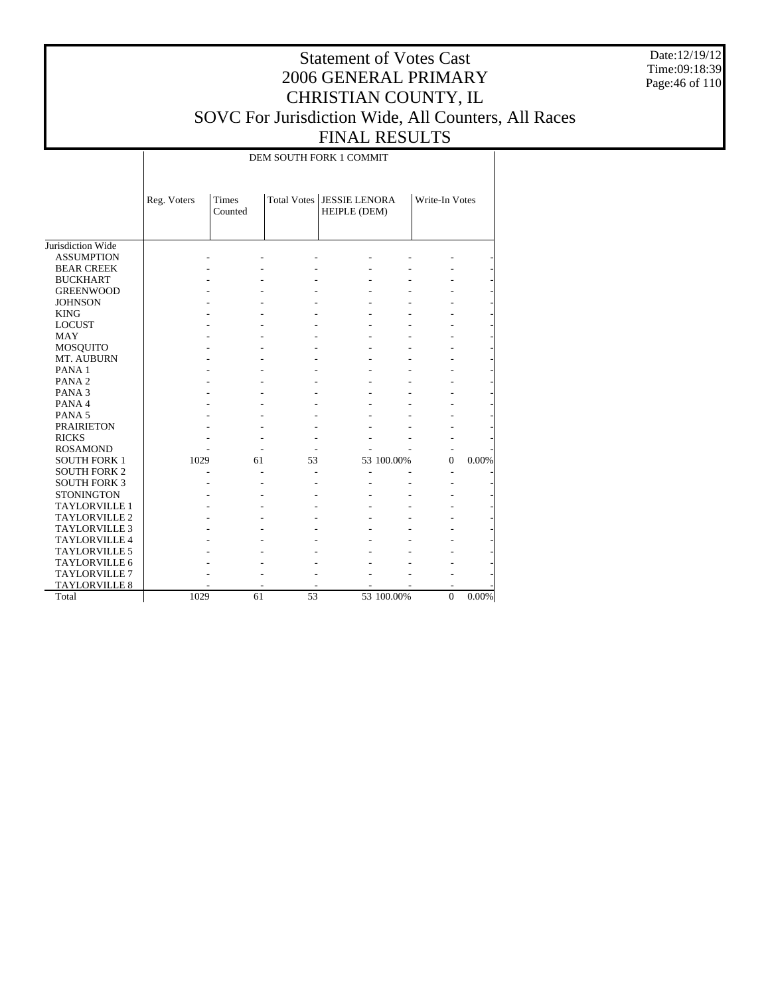Date:12/19/12 Time:09:18:39 Page:46 of 110

## Statement of Votes Cast 2006 GENERAL PRIMARY CHRISTIAN COUNTY, IL SOVC For Jurisdiction Wide, All Counters, All Races FINAL RESULTS

DEM SOUTH FORK 1 COMMIT

|                      | Reg. Voters | Times<br>Counted |    | Total Votes   JESSIE LENORA<br><b>HEIPLE</b> (DEM) |            | Write-In Votes |       |
|----------------------|-------------|------------------|----|----------------------------------------------------|------------|----------------|-------|
| Jurisdiction Wide    |             |                  |    |                                                    |            |                |       |
| <b>ASSUMPTION</b>    |             |                  |    |                                                    |            |                |       |
| <b>BEAR CREEK</b>    |             |                  |    |                                                    |            |                |       |
| <b>BUCKHART</b>      |             |                  |    |                                                    |            |                |       |
| <b>GREENWOOD</b>     |             |                  |    |                                                    |            |                |       |
| <b>JOHNSON</b>       |             |                  |    |                                                    |            |                |       |
| <b>KING</b>          |             |                  |    |                                                    |            |                |       |
| <b>LOCUST</b>        |             |                  |    |                                                    |            |                |       |
| <b>MAY</b>           |             |                  |    |                                                    |            |                |       |
| <b>MOSQUITO</b>      |             |                  |    |                                                    |            |                |       |
| MT. AUBURN           |             |                  |    |                                                    |            |                |       |
| PANA <sub>1</sub>    |             |                  |    |                                                    |            |                |       |
| PANA <sub>2</sub>    |             |                  |    |                                                    |            |                |       |
| PANA <sub>3</sub>    |             |                  |    |                                                    |            |                |       |
| PANA 4               |             |                  |    |                                                    |            |                |       |
| PANA <sub>5</sub>    |             |                  |    |                                                    |            |                |       |
| <b>PRAIRIETON</b>    |             |                  |    |                                                    |            |                |       |
| <b>RICKS</b>         |             |                  |    |                                                    |            |                |       |
| <b>ROSAMOND</b>      |             |                  |    |                                                    |            |                |       |
| <b>SOUTH FORK 1</b>  | 1029        | 61               | 53 |                                                    | 53 100.00% | $\Omega$       | 0.00% |
| <b>SOUTH FORK 2</b>  |             |                  |    |                                                    |            |                |       |
| <b>SOUTH FORK 3</b>  |             |                  |    |                                                    |            |                |       |
| <b>STONINGTON</b>    |             |                  |    |                                                    |            |                |       |
| <b>TAYLORVILLE 1</b> |             |                  |    |                                                    |            |                |       |
| <b>TAYLORVILLE 2</b> |             |                  |    |                                                    |            |                |       |
| <b>TAYLORVILLE 3</b> |             |                  |    |                                                    |            |                |       |
| <b>TAYLORVILLE 4</b> |             |                  |    |                                                    |            |                |       |
| <b>TAYLORVILLE 5</b> |             |                  |    |                                                    |            |                |       |
| TAYLORVILLE 6        |             |                  |    |                                                    |            |                |       |
| <b>TAYLORVILLE 7</b> |             |                  |    |                                                    |            |                |       |
| <b>TAYLORVILLE 8</b> |             |                  |    |                                                    |            |                |       |
| Total                | 1029        | 61               | 53 |                                                    | 53 100.00% | $\overline{0}$ | 0.00% |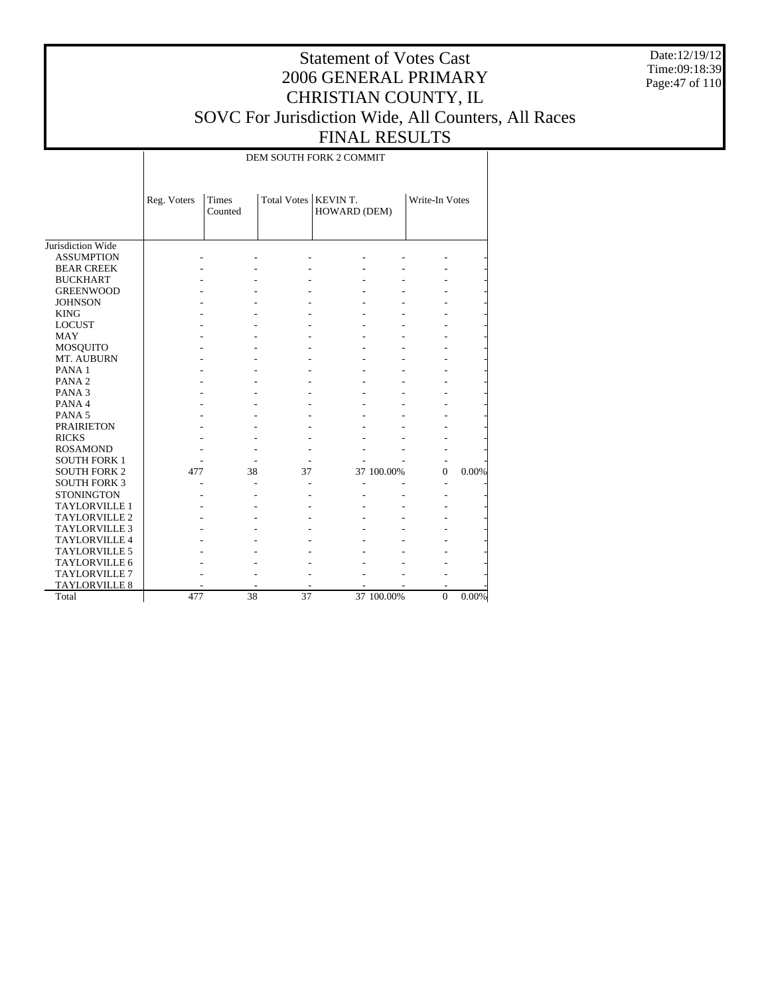Date:12/19/12 Time:09:18:39 Page:47 of 110

## Statement of Votes Cast 2006 GENERAL PRIMARY CHRISTIAN COUNTY, IL SOVC For Jurisdiction Wide, All Counters, All Races FINAL RESULTS

DEM SOUTH FORK 2 COMMIT

|                      | Reg. Voters | Times<br>Counted | Total Votes   KEVIN T. | HOWARD (DEM) |            | Write-In Votes |       |
|----------------------|-------------|------------------|------------------------|--------------|------------|----------------|-------|
| Jurisdiction Wide    |             |                  |                        |              |            |                |       |
| <b>ASSUMPTION</b>    |             |                  |                        |              |            |                |       |
| <b>BEAR CREEK</b>    |             |                  |                        |              |            |                |       |
| <b>BUCKHART</b>      |             |                  |                        |              |            |                |       |
| <b>GREENWOOD</b>     |             |                  |                        |              |            |                |       |
| <b>JOHNSON</b>       |             |                  |                        |              |            |                |       |
| <b>KING</b>          |             |                  |                        |              |            |                |       |
| <b>LOCUST</b>        |             |                  |                        |              |            |                |       |
| <b>MAY</b>           |             |                  |                        |              |            |                |       |
| <b>MOSQUITO</b>      |             |                  |                        |              |            |                |       |
| MT. AUBURN           |             |                  |                        |              |            |                |       |
| PANA <sub>1</sub>    |             |                  |                        |              |            |                |       |
| PANA <sub>2</sub>    |             |                  |                        |              |            |                |       |
| PANA <sub>3</sub>    |             |                  |                        |              |            |                |       |
| PANA 4               |             |                  |                        |              |            |                |       |
| PANA <sub>5</sub>    |             |                  |                        |              |            |                |       |
| <b>PRAIRIETON</b>    |             |                  |                        |              |            |                |       |
| <b>RICKS</b>         |             |                  |                        |              |            |                |       |
| <b>ROSAMOND</b>      |             |                  |                        |              |            |                |       |
| <b>SOUTH FORK 1</b>  |             |                  |                        |              |            |                |       |
| <b>SOUTH FORK 2</b>  | 477         | 38               | 37                     |              | 37 100.00% | $\Omega$       | 0.00% |
| <b>SOUTH FORK 3</b>  |             |                  |                        |              |            |                |       |
| <b>STONINGTON</b>    |             |                  |                        |              |            |                |       |
| <b>TAYLORVILLE 1</b> |             |                  |                        |              |            |                |       |
| <b>TAYLORVILLE 2</b> |             |                  |                        |              |            |                |       |
| <b>TAYLORVILLE 3</b> |             |                  |                        |              |            |                |       |
| <b>TAYLORVILLE 4</b> |             |                  |                        |              |            |                |       |
| <b>TAYLORVILLE 5</b> |             |                  |                        |              |            |                |       |
| <b>TAYLORVILLE 6</b> |             |                  |                        |              |            |                |       |
| <b>TAYLORVILLE 7</b> |             |                  |                        |              |            |                |       |
| <b>TAYLORVILLE 8</b> |             |                  |                        |              |            |                |       |
| Total                | 477         | 38               | 37                     |              | 37 100.00% | $\mathbf{0}$   | 0.00% |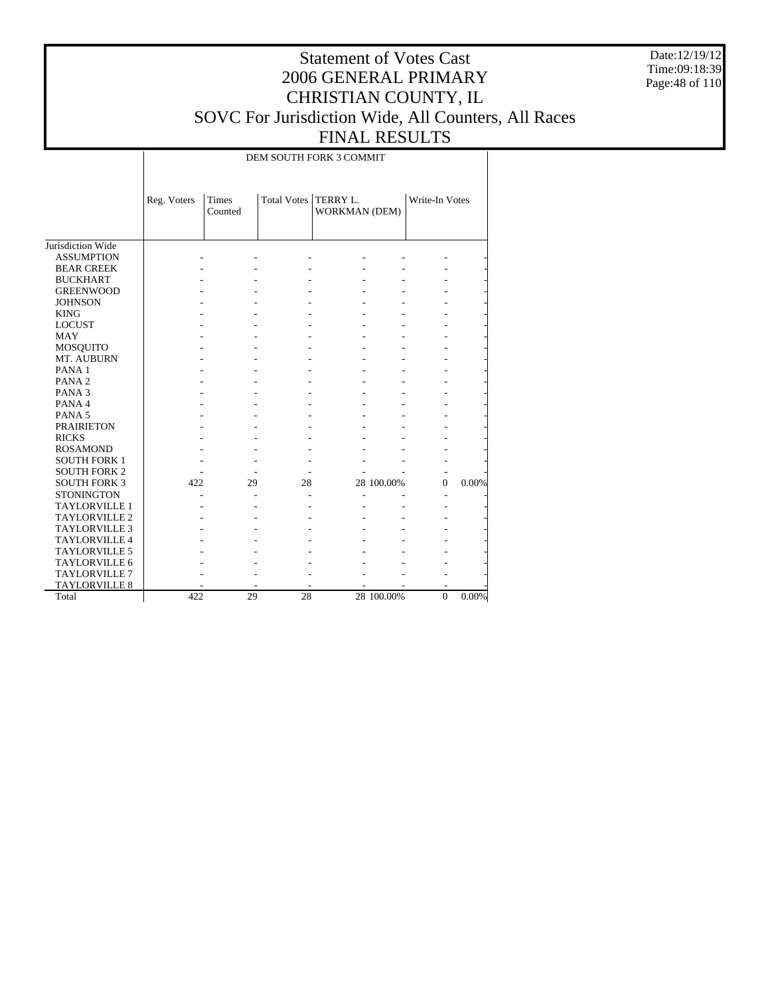Date:12/19/12 Time:09:18:39 Page:48 of 110

## Statement of Votes Cast 2006 GENERAL PRIMARY CHRISTIAN COUNTY, IL SOVC For Jurisdiction Wide, All Counters, All Races FINAL RESULTS

DEM SOUTH FORK 3 COMMIT

|                      | Reg. Voters | <b>Times</b><br>Counted | Total Votes   TERRY L. | WORKMAN (DEM) |            | Write-In Votes |       |
|----------------------|-------------|-------------------------|------------------------|---------------|------------|----------------|-------|
| Jurisdiction Wide    |             |                         |                        |               |            |                |       |
| <b>ASSUMPTION</b>    |             |                         |                        |               |            |                |       |
| <b>BEAR CREEK</b>    |             |                         |                        |               |            |                |       |
| <b>BUCKHART</b>      |             |                         |                        |               |            |                |       |
| <b>GREENWOOD</b>     |             |                         |                        |               |            |                |       |
| <b>JOHNSON</b>       |             |                         |                        |               |            |                |       |
| <b>KING</b>          |             |                         |                        |               |            |                |       |
| <b>LOCUST</b>        |             |                         |                        |               |            |                |       |
| <b>MAY</b>           |             |                         |                        |               |            |                |       |
| <b>MOSQUITO</b>      |             |                         |                        |               |            |                |       |
| MT. AUBURN           |             |                         |                        |               |            |                |       |
| PANA <sub>1</sub>    |             |                         |                        |               |            |                |       |
| PANA <sub>2</sub>    |             |                         |                        |               |            |                |       |
| PANA <sub>3</sub>    |             |                         |                        |               |            |                |       |
| PANA 4               |             |                         |                        |               |            |                |       |
| PANA <sub>5</sub>    |             |                         |                        |               |            |                |       |
| <b>PRAIRIETON</b>    |             |                         |                        |               |            |                |       |
| <b>RICKS</b>         |             |                         |                        |               |            |                |       |
| <b>ROSAMOND</b>      |             |                         |                        |               |            |                |       |
| <b>SOUTH FORK 1</b>  |             |                         |                        |               |            |                |       |
| <b>SOUTH FORK 2</b>  |             |                         |                        |               |            |                |       |
| <b>SOUTH FORK 3</b>  | 422         | 29                      | 28                     |               | 28 100.00% | $\Omega$       | 0.00% |
| <b>STONINGTON</b>    |             |                         |                        |               |            |                |       |
| <b>TAYLORVILLE 1</b> |             |                         |                        |               |            |                |       |
| <b>TAYLORVILLE 2</b> |             |                         |                        |               |            |                |       |
| <b>TAYLORVILLE 3</b> |             |                         |                        |               |            |                |       |
| <b>TAYLORVILLE 4</b> |             |                         |                        |               |            |                |       |
| <b>TAYLORVILLE 5</b> |             |                         |                        |               |            |                |       |
| <b>TAYLORVILLE 6</b> |             |                         |                        |               |            |                |       |
| <b>TAYLORVILLE 7</b> |             |                         |                        |               |            |                |       |
| <b>TAYLORVILLE 8</b> |             |                         |                        |               |            |                |       |
| Total                | 422         | 29                      | 28                     |               | 28 100.00% | $\Omega$       | 0.00% |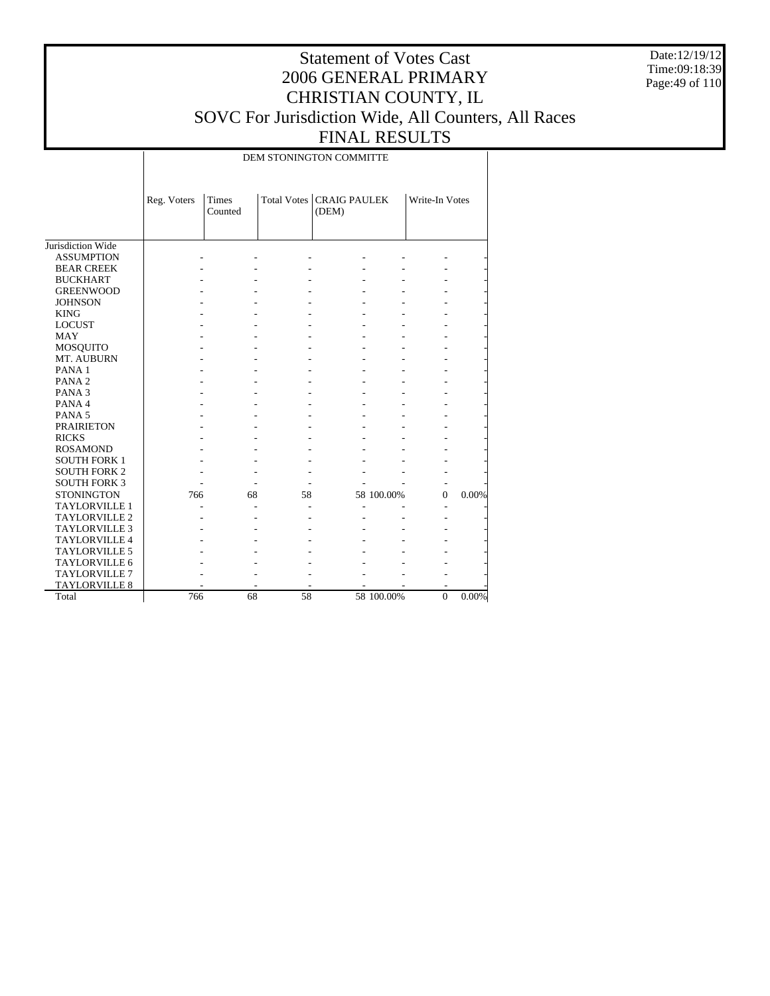Date:12/19/12 Time:09:18:39 Page:49 of 110

## Statement of Votes Cast 2006 GENERAL PRIMARY CHRISTIAN COUNTY, IL SOVC For Jurisdiction Wide, All Counters, All Races FINAL RESULTS

DEM STONINGTON COMMITTE

|                      | Reg. Voters | Times<br>Counted |    | Total Votes   CRAIG PAULEK<br>(DEM) |            | Write-In Votes |       |
|----------------------|-------------|------------------|----|-------------------------------------|------------|----------------|-------|
| Jurisdiction Wide    |             |                  |    |                                     |            |                |       |
| <b>ASSUMPTION</b>    |             |                  |    |                                     |            |                |       |
| <b>BEAR CREEK</b>    |             |                  |    |                                     |            |                |       |
| <b>BUCKHART</b>      |             |                  |    |                                     |            |                |       |
| <b>GREENWOOD</b>     |             |                  |    |                                     |            |                |       |
| <b>JOHNSON</b>       |             |                  |    |                                     |            |                |       |
| <b>KING</b>          |             |                  |    |                                     |            |                |       |
| <b>LOCUST</b>        |             |                  |    |                                     |            |                |       |
| <b>MAY</b>           |             |                  |    |                                     |            |                |       |
| <b>MOSQUITO</b>      |             |                  |    |                                     |            |                |       |
| MT. AUBURN           |             |                  |    |                                     |            |                |       |
| PANA <sub>1</sub>    |             |                  |    |                                     |            |                |       |
| PANA <sub>2</sub>    |             |                  |    |                                     |            |                |       |
| PANA <sub>3</sub>    |             |                  |    |                                     |            |                |       |
| PANA 4               |             |                  |    |                                     |            |                |       |
| PANA <sub>5</sub>    |             |                  |    |                                     |            |                |       |
| <b>PRAIRIETON</b>    |             |                  |    |                                     |            |                |       |
| <b>RICKS</b>         |             |                  |    |                                     |            |                |       |
| <b>ROSAMOND</b>      |             |                  |    |                                     |            |                |       |
| <b>SOUTH FORK 1</b>  |             |                  |    |                                     |            |                |       |
| <b>SOUTH FORK 2</b>  |             |                  |    |                                     |            |                |       |
| <b>SOUTH FORK 3</b>  |             |                  |    |                                     |            |                |       |
| <b>STONINGTON</b>    | 766         | 68               | 58 |                                     | 58 100.00% | $\mathbf{0}$   | 0.00% |
| <b>TAYLORVILLE 1</b> |             |                  |    |                                     |            |                |       |
| <b>TAYLORVILLE 2</b> |             |                  |    |                                     |            |                |       |
| <b>TAYLORVILLE 3</b> |             |                  |    |                                     |            |                |       |
| <b>TAYLORVILLE 4</b> |             |                  |    |                                     |            |                |       |
| <b>TAYLORVILLE 5</b> |             |                  |    |                                     |            |                |       |
| <b>TAYLORVILLE 6</b> |             |                  |    |                                     |            |                |       |
| <b>TAYLORVILLE 7</b> |             |                  |    |                                     |            |                |       |
| <b>TAYLORVILLE 8</b> |             |                  |    |                                     |            | ۰              |       |
| Total                | 766         | 68               | 58 |                                     | 58 100.00% | $\mathbf{0}$   | 0.00% |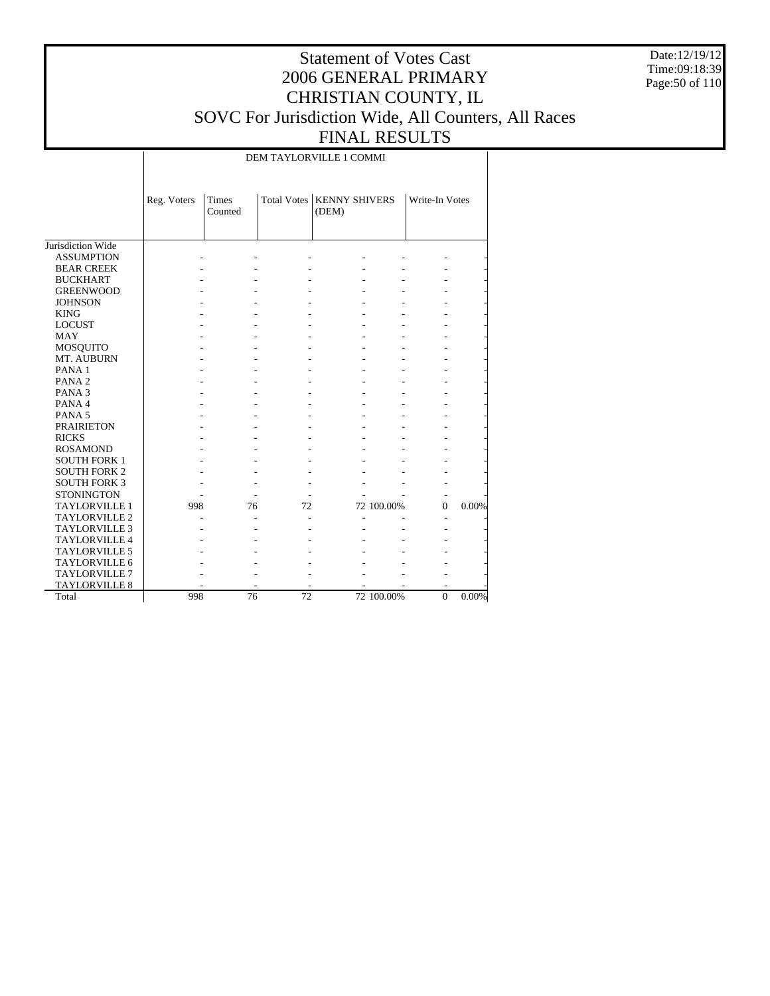Date:12/19/12 Time:09:18:39 Page:50 of 110

## Statement of Votes Cast 2006 GENERAL PRIMARY CHRISTIAN COUNTY, IL SOVC For Jurisdiction Wide, All Counters, All Races FINAL RESULTS

DEM TAYLORVILLE 1 COMMI

|                      | Reg. Voters | Times<br>Counted |    | Total Votes   KENNY SHIVERS<br>(DEM) |            | Write-In Votes |       |
|----------------------|-------------|------------------|----|--------------------------------------|------------|----------------|-------|
| Jurisdiction Wide    |             |                  |    |                                      |            |                |       |
| <b>ASSUMPTION</b>    |             |                  |    |                                      |            |                |       |
| <b>BEAR CREEK</b>    |             |                  |    |                                      |            |                |       |
| <b>BUCKHART</b>      |             |                  |    |                                      |            |                |       |
| <b>GREENWOOD</b>     |             |                  |    |                                      |            |                |       |
| <b>JOHNSON</b>       |             |                  |    |                                      |            |                |       |
| <b>KING</b>          |             |                  |    |                                      |            |                |       |
| <b>LOCUST</b>        |             |                  |    |                                      |            |                |       |
| <b>MAY</b>           |             |                  |    |                                      |            |                |       |
| <b>MOSQUITO</b>      |             |                  |    |                                      |            |                |       |
| MT. AUBURN           |             |                  |    |                                      |            |                |       |
| PANA <sub>1</sub>    |             |                  |    |                                      |            |                |       |
| PANA <sub>2</sub>    |             |                  |    |                                      |            |                |       |
| PANA <sub>3</sub>    |             |                  |    |                                      |            |                |       |
| PANA 4               |             |                  |    |                                      |            |                |       |
| PANA <sub>5</sub>    |             |                  |    |                                      |            |                |       |
| <b>PRAIRIETON</b>    |             |                  |    |                                      |            |                |       |
| <b>RICKS</b>         |             |                  |    |                                      |            |                |       |
| <b>ROSAMOND</b>      |             |                  |    |                                      |            |                |       |
| <b>SOUTH FORK 1</b>  |             |                  |    |                                      |            |                |       |
| <b>SOUTH FORK 2</b>  |             |                  |    |                                      |            |                |       |
| <b>SOUTH FORK 3</b>  |             |                  |    |                                      |            |                |       |
| <b>STONINGTON</b>    |             |                  |    |                                      |            |                |       |
| <b>TAYLORVILLE 1</b> | 998         | 76               | 72 |                                      | 72 100.00% | $\Omega$       | 0.00% |
| <b>TAYLORVILLE 2</b> |             |                  |    |                                      |            |                |       |
| <b>TAYLORVILLE 3</b> |             |                  |    |                                      |            |                |       |
| <b>TAYLORVILLE 4</b> |             |                  |    |                                      |            |                |       |
| TAYLORVILLE 5        |             |                  |    |                                      |            |                |       |
| <b>TAYLORVILLE 6</b> |             |                  |    |                                      |            |                |       |
| <b>TAYLORVILLE 7</b> |             |                  |    |                                      |            |                |       |
| <b>TAYLORVILLE 8</b> |             |                  |    |                                      |            |                |       |
| Total                | 998         | 76               | 72 |                                      | 72 100.00% | $\overline{0}$ | 0.00% |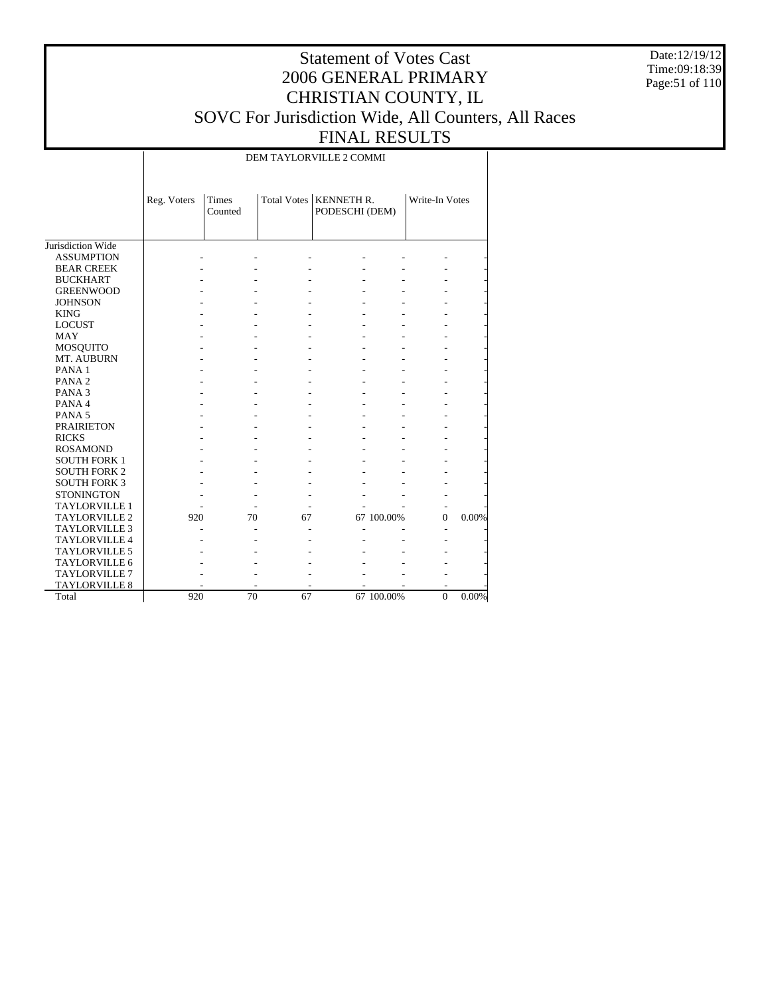Date:12/19/12 Time:09:18:39 Page:51 of 110

## Statement of Votes Cast 2006 GENERAL PRIMARY CHRISTIAN COUNTY, IL SOVC For Jurisdiction Wide, All Counters, All Races FINAL RESULTS

DEM TAYLORVILLE 2 COMMI

|                      | Reg. Voters | Times<br>Counted |    | Total Votes   KENNETH R.<br>PODESCHI (DEM) |            | Write-In Votes |       |
|----------------------|-------------|------------------|----|--------------------------------------------|------------|----------------|-------|
| Jurisdiction Wide    |             |                  |    |                                            |            |                |       |
| <b>ASSUMPTION</b>    |             |                  |    |                                            |            |                |       |
| <b>BEAR CREEK</b>    |             |                  |    |                                            |            |                |       |
| <b>BUCKHART</b>      |             |                  |    |                                            |            |                |       |
| <b>GREENWOOD</b>     |             |                  |    |                                            |            |                |       |
| <b>JOHNSON</b>       |             |                  |    |                                            |            |                |       |
| <b>KING</b>          |             |                  |    |                                            |            |                |       |
| <b>LOCUST</b>        |             |                  |    |                                            |            |                |       |
| <b>MAY</b>           |             |                  |    |                                            |            |                |       |
| <b>MOSQUITO</b>      |             |                  |    |                                            |            |                |       |
| MT. AUBURN           |             |                  |    |                                            |            |                |       |
| PANA <sub>1</sub>    |             |                  |    |                                            |            |                |       |
| PANA <sub>2</sub>    |             |                  |    |                                            |            |                |       |
| PANA <sub>3</sub>    |             |                  |    |                                            |            |                |       |
| PANA 4               |             |                  |    |                                            |            |                |       |
| PANA <sub>5</sub>    |             |                  |    |                                            |            |                |       |
| <b>PRAIRIETON</b>    |             |                  |    |                                            |            |                |       |
| <b>RICKS</b>         |             |                  |    |                                            |            |                |       |
| <b>ROSAMOND</b>      |             |                  |    |                                            |            |                |       |
| <b>SOUTH FORK 1</b>  |             |                  |    |                                            |            |                |       |
| <b>SOUTH FORK 2</b>  |             |                  |    |                                            |            |                |       |
| <b>SOUTH FORK 3</b>  |             |                  |    |                                            |            |                |       |
| <b>STONINGTON</b>    |             |                  |    |                                            |            |                |       |
| <b>TAYLORVILLE 1</b> |             |                  |    |                                            |            |                |       |
| <b>TAYLORVILLE 2</b> | 920         | 70               | 67 |                                            | 67 100.00% | $\Omega$       | 0.00% |
| <b>TAYLORVILLE 3</b> |             |                  |    |                                            |            |                |       |
| <b>TAYLORVILLE 4</b> |             |                  |    |                                            |            |                |       |
| <b>TAYLORVILLE 5</b> |             |                  |    |                                            |            |                |       |
| TAYLORVILLE 6        |             |                  |    |                                            |            |                |       |
| TAYLORVILLE 7        |             |                  |    |                                            |            |                |       |
| <b>TAYLORVILLE 8</b> |             |                  |    |                                            |            |                |       |
| Total                | 920         | 70               | 67 |                                            | 67 100.00% | $\overline{0}$ | 0.00% |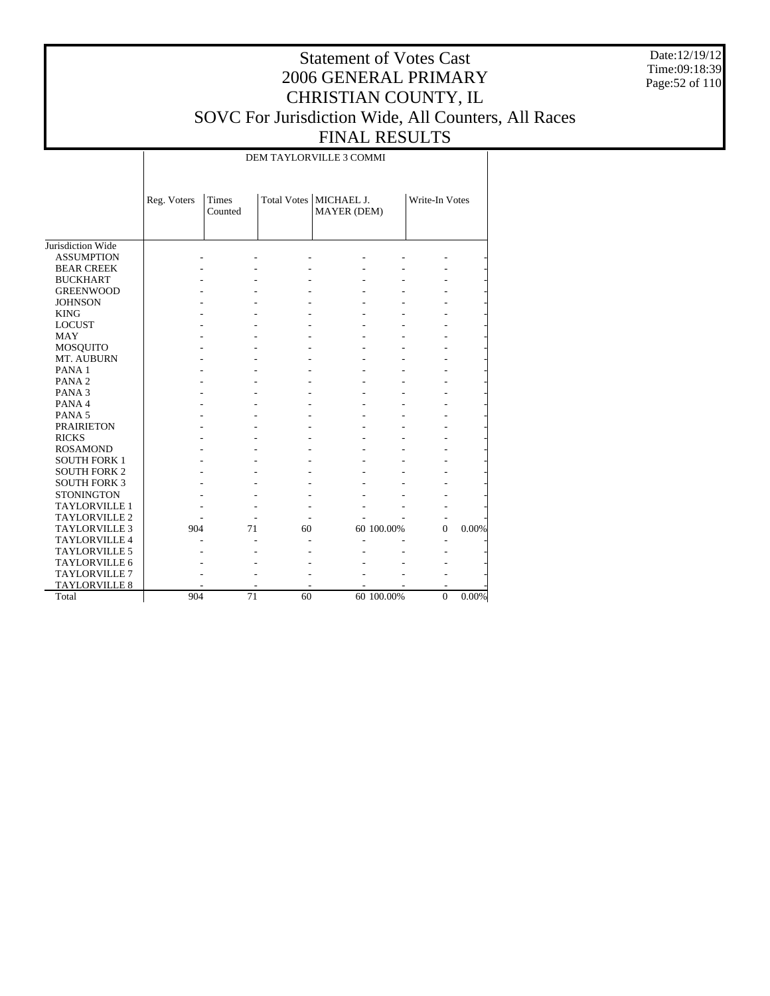Date:12/19/12 Time:09:18:39 Page:52 of 110

## Statement of Votes Cast 2006 GENERAL PRIMARY CHRISTIAN COUNTY, IL SOVC For Jurisdiction Wide, All Counters, All Races FINAL RESULTS

DEM TAYLORVILLE 3 COMMI

|                      | Reg. Voters | Times<br>Counted |    | Total Votes   MICHAEL J.<br>MAYER (DEM) |            | Write-In Votes |       |
|----------------------|-------------|------------------|----|-----------------------------------------|------------|----------------|-------|
| Jurisdiction Wide    |             |                  |    |                                         |            |                |       |
| <b>ASSUMPTION</b>    |             |                  |    |                                         |            |                |       |
| <b>BEAR CREEK</b>    |             |                  |    |                                         |            |                |       |
| <b>BUCKHART</b>      |             |                  |    |                                         |            |                |       |
| <b>GREENWOOD</b>     |             |                  |    |                                         |            |                |       |
| <b>JOHNSON</b>       |             |                  |    |                                         |            |                |       |
| <b>KING</b>          |             |                  |    |                                         |            |                |       |
| <b>LOCUST</b>        |             |                  |    |                                         |            |                |       |
| <b>MAY</b>           |             |                  |    |                                         |            |                |       |
| <b>MOSQUITO</b>      |             |                  |    |                                         |            |                |       |
| MT. AUBURN           |             |                  |    |                                         |            |                |       |
| PANA <sub>1</sub>    |             |                  |    |                                         |            |                |       |
| PANA <sub>2</sub>    |             |                  |    |                                         |            |                |       |
| PANA <sub>3</sub>    |             |                  |    |                                         |            |                |       |
| PANA 4               |             |                  |    |                                         |            |                |       |
| PANA <sub>5</sub>    |             |                  |    |                                         |            |                |       |
| <b>PRAIRIETON</b>    |             |                  |    |                                         |            |                |       |
| <b>RICKS</b>         |             |                  |    |                                         |            |                |       |
| <b>ROSAMOND</b>      |             |                  |    |                                         |            |                |       |
| <b>SOUTH FORK 1</b>  |             |                  |    |                                         |            |                |       |
| <b>SOUTH FORK 2</b>  |             |                  |    |                                         |            |                |       |
| <b>SOUTH FORK 3</b>  |             |                  |    |                                         |            |                |       |
| <b>STONINGTON</b>    |             |                  |    |                                         |            |                |       |
| <b>TAYLORVILLE 1</b> |             |                  |    |                                         |            |                |       |
| <b>TAYLORVILLE 2</b> |             |                  |    |                                         |            |                |       |
| <b>TAYLORVILLE 3</b> | 904         | 71               | 60 |                                         | 60 100.00% | $\mathbf{0}$   | 0.00% |
| <b>TAYLORVILLE 4</b> |             |                  |    |                                         |            |                |       |
| <b>TAYLORVILLE 5</b> |             |                  |    |                                         |            |                |       |
| <b>TAYLORVILLE 6</b> |             |                  |    |                                         |            |                |       |
| <b>TAYLORVILLE 7</b> |             |                  |    |                                         |            |                |       |
| <b>TAYLORVILLE 8</b> |             |                  |    |                                         |            |                |       |
| Total                | 904         | 71               | 60 |                                         | 60 100.00% | $\mathbf{0}$   | 0.00% |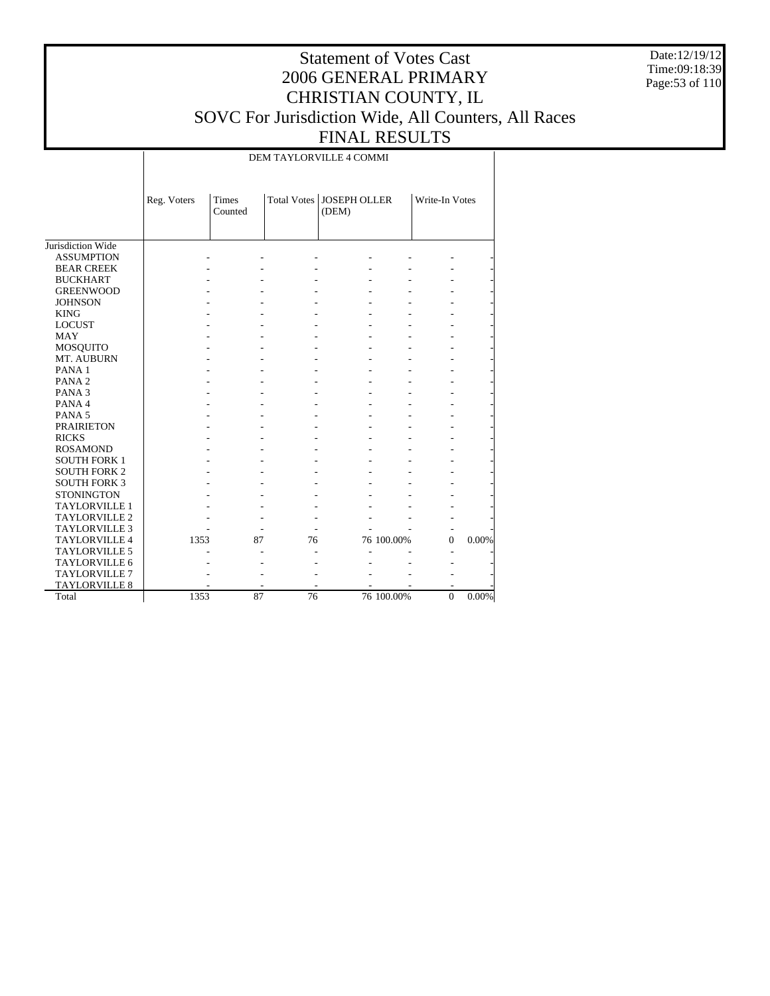Date:12/19/12 Time:09:18:39 Page:53 of 110

## Statement of Votes Cast 2006 GENERAL PRIMARY CHRISTIAN COUNTY, IL SOVC For Jurisdiction Wide, All Counters, All Races FINAL RESULTS

DEM TAYLORVILLE 4 COMMI

|                      | Reg. Voters | Times<br>Counted |    | Total Votes   JOSEPH OLLER<br>(DEM) |            | Write-In Votes |       |
|----------------------|-------------|------------------|----|-------------------------------------|------------|----------------|-------|
| Jurisdiction Wide    |             |                  |    |                                     |            |                |       |
| <b>ASSUMPTION</b>    |             |                  |    |                                     |            |                |       |
| <b>BEAR CREEK</b>    |             |                  |    |                                     |            |                |       |
| <b>BUCKHART</b>      |             |                  |    |                                     |            |                |       |
| <b>GREENWOOD</b>     |             |                  |    |                                     |            |                |       |
| <b>JOHNSON</b>       |             |                  |    |                                     |            |                |       |
| <b>KING</b>          |             |                  |    |                                     |            |                |       |
| <b>LOCUST</b>        |             |                  |    |                                     |            |                |       |
| <b>MAY</b>           |             |                  |    |                                     |            |                |       |
| MOSQUITO             |             |                  |    |                                     |            |                |       |
| MT. AUBURN           |             |                  |    |                                     |            |                |       |
| PANA <sub>1</sub>    |             |                  |    |                                     |            |                |       |
| PANA <sub>2</sub>    |             |                  |    |                                     |            |                |       |
| PANA <sub>3</sub>    |             |                  |    |                                     |            |                |       |
| PANA 4               |             |                  |    |                                     |            |                |       |
| PANA <sub>5</sub>    |             |                  |    |                                     |            |                |       |
| <b>PRAIRIETON</b>    |             |                  |    |                                     |            |                |       |
| <b>RICKS</b>         |             |                  |    |                                     |            |                |       |
| <b>ROSAMOND</b>      |             |                  |    |                                     |            |                |       |
| <b>SOUTH FORK 1</b>  |             |                  |    |                                     |            |                |       |
| <b>SOUTH FORK 2</b>  |             |                  |    |                                     |            |                |       |
| <b>SOUTH FORK 3</b>  |             |                  |    |                                     |            |                |       |
| <b>STONINGTON</b>    |             |                  |    |                                     |            |                |       |
| <b>TAYLORVILLE 1</b> |             |                  |    |                                     |            |                |       |
| <b>TAYLORVILLE 2</b> |             |                  |    |                                     |            |                |       |
| <b>TAYLORVILLE 3</b> |             |                  |    |                                     |            |                |       |
| <b>TAYLORVILLE 4</b> | 1353        | 87               | 76 |                                     | 76 100.00% | $\Omega$       | 0.00% |
| <b>TAYLORVILLE 5</b> |             |                  |    |                                     |            |                |       |
| TAYLORVILLE 6        |             |                  |    |                                     |            |                |       |
| TAYLORVILLE 7        |             |                  |    |                                     |            |                |       |
| <b>TAYLORVILLE 8</b> |             |                  |    |                                     |            |                |       |
| Total                | 1353        | 87               | 76 |                                     | 76 100.00% | $\overline{0}$ | 0.00% |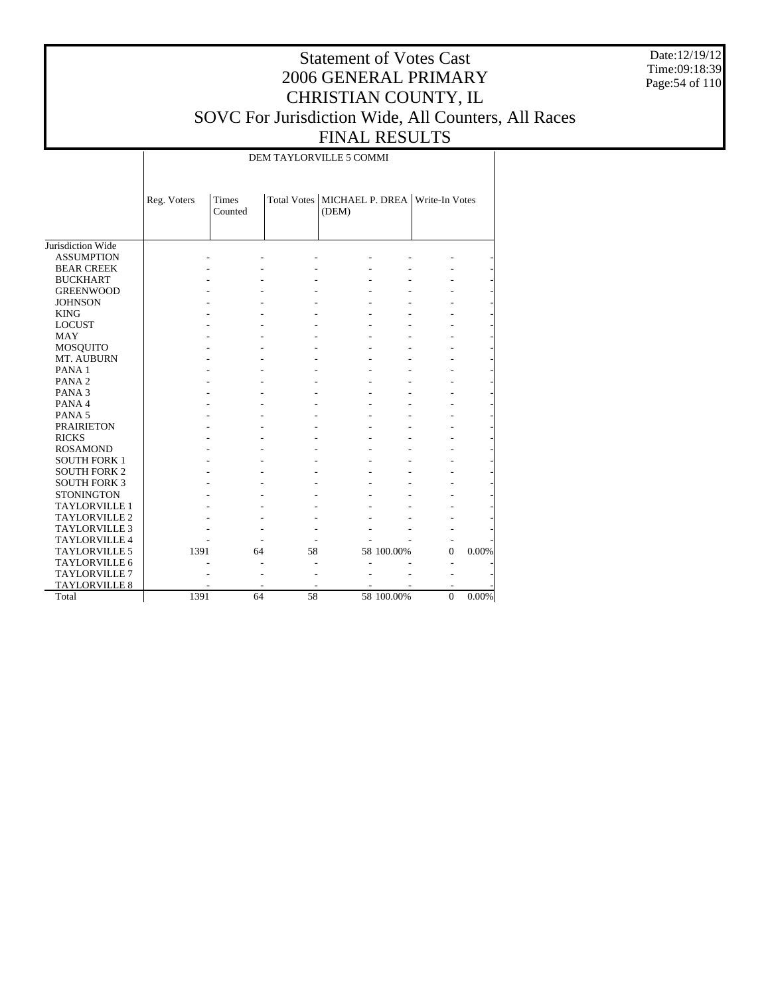Date:12/19/12 Time:09:18:39 Page:54 of 110

## Statement of Votes Cast 2006 GENERAL PRIMARY CHRISTIAN COUNTY, IL SOVC For Jurisdiction Wide, All Counters, All Races FINAL RESULTS

DEM TAYLORVILLE 5 COMMI

|                      | Reg. Voters | <b>Times</b><br>Counted |    | Total Votes   MICHAEL P. DREA   Write-In Votes<br>(DEM) |            |          |       |
|----------------------|-------------|-------------------------|----|---------------------------------------------------------|------------|----------|-------|
| Jurisdiction Wide    |             |                         |    |                                                         |            |          |       |
| <b>ASSUMPTION</b>    |             |                         |    |                                                         |            |          |       |
| <b>BEAR CREEK</b>    |             |                         |    |                                                         |            |          |       |
| <b>BUCKHART</b>      |             |                         |    |                                                         |            |          |       |
| <b>GREENWOOD</b>     |             |                         |    |                                                         |            |          |       |
| <b>JOHNSON</b>       |             |                         |    |                                                         |            |          |       |
| <b>KING</b>          |             |                         |    |                                                         |            |          |       |
| <b>LOCUST</b>        |             |                         |    |                                                         |            |          |       |
| <b>MAY</b>           |             |                         |    |                                                         |            |          |       |
| <b>MOSQUITO</b>      |             |                         |    |                                                         |            |          |       |
| MT. AUBURN           |             |                         |    |                                                         |            |          |       |
| PANA <sub>1</sub>    |             |                         |    |                                                         |            |          |       |
| PANA <sub>2</sub>    |             |                         |    |                                                         |            |          |       |
| PANA <sub>3</sub>    |             |                         |    |                                                         |            |          |       |
| PANA 4               |             |                         |    |                                                         |            |          |       |
| PANA <sub>5</sub>    |             |                         |    |                                                         |            |          |       |
| <b>PRAIRIETON</b>    |             |                         |    |                                                         |            |          |       |
| <b>RICKS</b>         |             |                         |    |                                                         |            |          |       |
| <b>ROSAMOND</b>      |             |                         |    |                                                         |            |          |       |
| <b>SOUTH FORK 1</b>  |             |                         |    |                                                         |            |          |       |
| <b>SOUTH FORK 2</b>  |             |                         |    |                                                         |            |          |       |
| <b>SOUTH FORK 3</b>  |             |                         |    |                                                         |            |          |       |
| <b>STONINGTON</b>    |             |                         |    |                                                         |            |          |       |
| <b>TAYLORVILLE 1</b> |             |                         |    |                                                         |            |          |       |
| TAYLORVILLE 2        |             |                         |    |                                                         |            |          |       |
| <b>TAYLORVILLE 3</b> |             |                         |    |                                                         |            |          |       |
| <b>TAYLORVILLE 4</b> |             |                         |    |                                                         |            |          |       |
| <b>TAYLORVILLE 5</b> | 1391        | 64                      | 58 |                                                         | 58 100.00% | $\Omega$ | 0.00% |
| <b>TAYLORVILLE 6</b> |             |                         |    |                                                         |            |          |       |
| <b>TAYLORVILLE 7</b> |             |                         |    |                                                         |            |          |       |
| <b>TAYLORVILLE 8</b> |             |                         |    |                                                         |            |          |       |
| Total                | 1391        | 64                      | 58 |                                                         | 58 100.00% | $\Omega$ | 0.00% |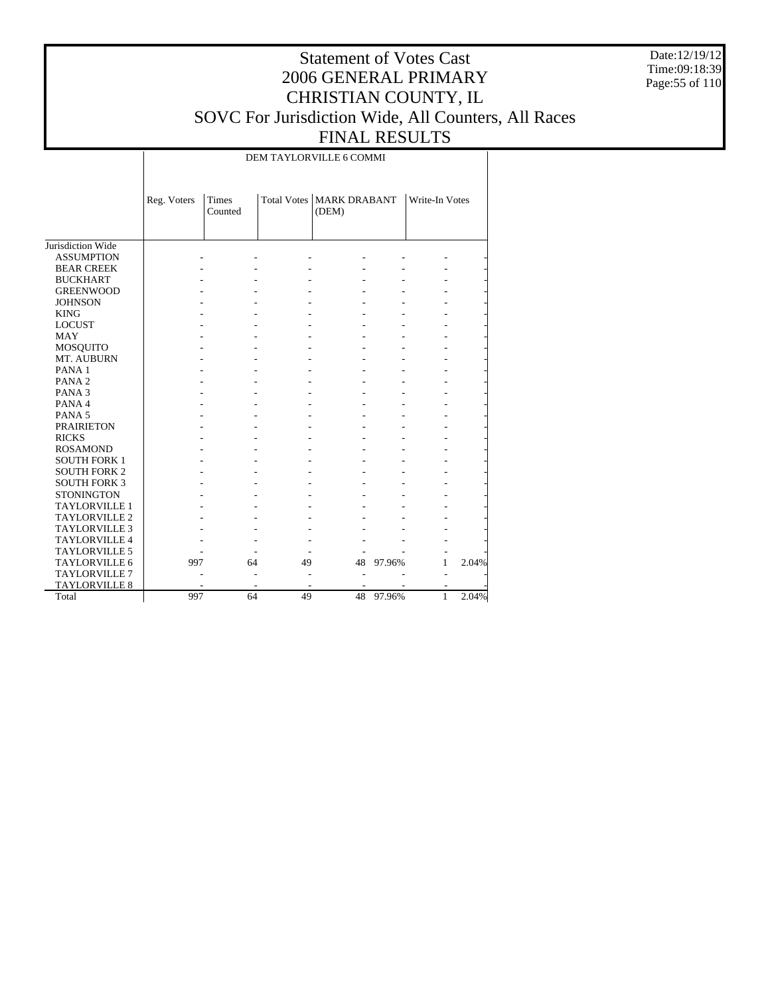Date:12/19/12 Time:09:18:39 Page:55 of 110

## Statement of Votes Cast 2006 GENERAL PRIMARY CHRISTIAN COUNTY, IL SOVC For Jurisdiction Wide, All Counters, All Races FINAL RESULTS

DEM TAYLORVILLE 6 COMMI

|                      | Reg. Voters | Times<br>Counted |    | Total Votes   MARK DRABANT<br>(DEM) |        | Write-In Votes |       |
|----------------------|-------------|------------------|----|-------------------------------------|--------|----------------|-------|
| Jurisdiction Wide    |             |                  |    |                                     |        |                |       |
| <b>ASSUMPTION</b>    |             |                  |    |                                     |        |                |       |
| <b>BEAR CREEK</b>    |             |                  |    |                                     |        |                |       |
| <b>BUCKHART</b>      |             |                  |    |                                     |        |                |       |
| <b>GREENWOOD</b>     |             |                  |    |                                     |        |                |       |
| <b>JOHNSON</b>       |             |                  |    |                                     |        |                |       |
| <b>KING</b>          |             |                  |    |                                     |        |                |       |
| <b>LOCUST</b>        |             |                  |    |                                     |        |                |       |
| <b>MAY</b>           |             |                  |    |                                     |        |                |       |
| <b>MOSQUITO</b>      |             |                  |    |                                     |        |                |       |
| MT. AUBURN           |             |                  |    |                                     |        |                |       |
| PANA <sub>1</sub>    |             |                  |    |                                     |        |                |       |
| PANA <sub>2</sub>    |             |                  |    |                                     |        |                |       |
| PANA <sub>3</sub>    |             |                  |    |                                     |        |                |       |
| PANA 4               |             |                  |    |                                     |        |                |       |
| PANA <sub>5</sub>    |             |                  |    |                                     |        |                |       |
| <b>PRAIRIETON</b>    |             |                  |    |                                     |        |                |       |
| <b>RICKS</b>         |             |                  |    |                                     |        |                |       |
| <b>ROSAMOND</b>      |             |                  |    |                                     |        |                |       |
| <b>SOUTH FORK 1</b>  |             |                  |    |                                     |        |                |       |
| <b>SOUTH FORK 2</b>  |             |                  |    |                                     |        |                |       |
| <b>SOUTH FORK 3</b>  |             |                  |    |                                     |        |                |       |
| <b>STONINGTON</b>    |             |                  |    |                                     |        |                |       |
| <b>TAYLORVILLE 1</b> |             |                  |    |                                     |        |                |       |
| <b>TAYLORVILLE 2</b> |             |                  |    |                                     |        |                |       |
| <b>TAYLORVILLE 3</b> |             |                  |    |                                     |        |                |       |
| <b>TAYLORVILLE 4</b> |             |                  |    |                                     |        |                |       |
| <b>TAYLORVILLE 5</b> |             |                  |    |                                     |        |                |       |
| TAYLORVILLE 6        | 997         | 64               | 49 | 48                                  | 97.96% | 1              | 2.04% |
| <b>TAYLORVILLE 7</b> |             |                  |    |                                     |        |                |       |
| <b>TAYLORVILLE 8</b> |             |                  | ۰  |                                     |        | ۰              |       |
| Total                | 997         | 64               | 49 | 48                                  | 97.96% | 1              | 2.04% |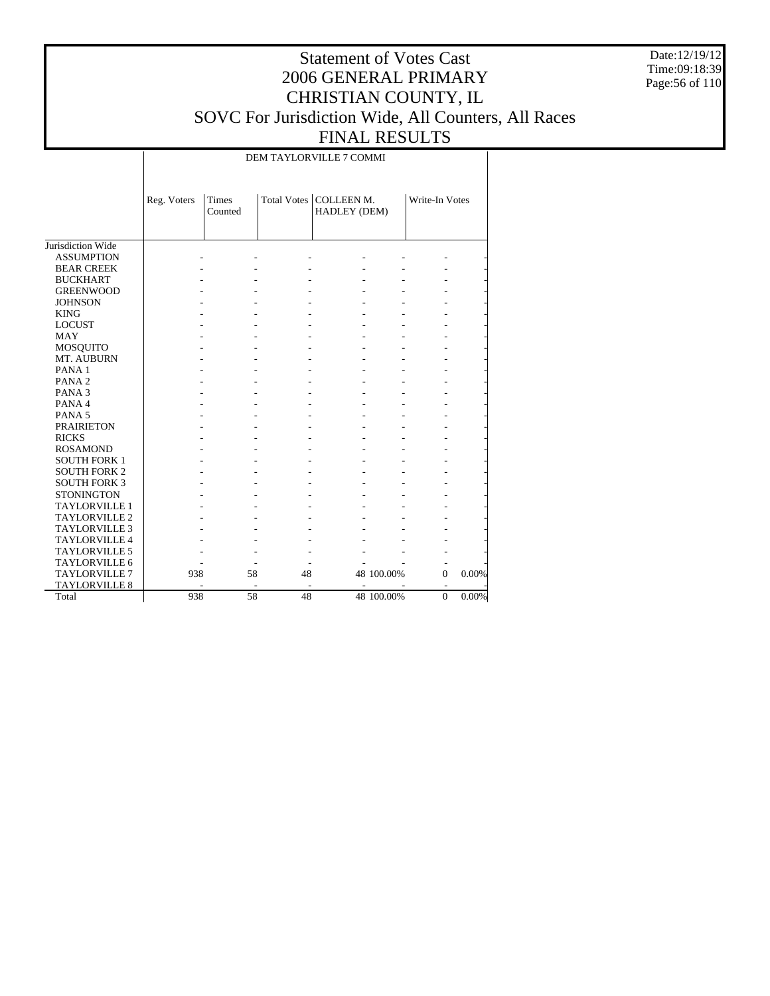Date:12/19/12 Time:09:18:39 Page:56 of 110

## Statement of Votes Cast 2006 GENERAL PRIMARY CHRISTIAN COUNTY, IL SOVC For Jurisdiction Wide, All Counters, All Races FINAL RESULTS

DEM TAYLORVILLE 7 COMMI

|                      | Reg. Voters | Times<br>Counted         |    | Total Votes   COLLEEN M.<br>HADLEY (DEM) |            | Write-In Votes           |       |
|----------------------|-------------|--------------------------|----|------------------------------------------|------------|--------------------------|-------|
| Jurisdiction Wide    |             |                          |    |                                          |            |                          |       |
| <b>ASSUMPTION</b>    |             |                          |    |                                          |            |                          |       |
| <b>BEAR CREEK</b>    |             |                          |    |                                          |            |                          |       |
| <b>BUCKHART</b>      |             |                          |    |                                          |            |                          |       |
| <b>GREENWOOD</b>     |             |                          |    |                                          |            |                          |       |
| <b>JOHNSON</b>       |             |                          |    |                                          |            |                          |       |
| <b>KING</b>          |             |                          |    |                                          |            |                          |       |
| <b>LOCUST</b>        |             |                          |    |                                          |            |                          |       |
| <b>MAY</b>           |             |                          |    |                                          |            |                          |       |
| MOSQUITO             |             |                          |    |                                          |            |                          |       |
| MT. AUBURN           |             |                          |    |                                          |            |                          |       |
| PANA <sub>1</sub>    |             |                          |    |                                          |            |                          |       |
| PANA <sub>2</sub>    |             |                          |    |                                          |            |                          |       |
| PANA <sub>3</sub>    |             |                          |    |                                          |            |                          |       |
| PANA4                |             |                          |    |                                          |            |                          |       |
| PANA <sub>5</sub>    |             |                          |    |                                          |            |                          |       |
| <b>PRAIRIETON</b>    |             |                          |    |                                          |            |                          |       |
| <b>RICKS</b>         |             |                          |    |                                          |            |                          |       |
| <b>ROSAMOND</b>      |             |                          |    |                                          |            |                          |       |
| <b>SOUTH FORK 1</b>  |             |                          |    |                                          |            |                          |       |
| <b>SOUTH FORK 2</b>  |             |                          |    |                                          |            |                          |       |
| <b>SOUTH FORK 3</b>  |             |                          |    |                                          |            |                          |       |
| <b>STONINGTON</b>    |             |                          |    |                                          |            |                          |       |
| <b>TAYLORVILLE 1</b> |             |                          |    |                                          |            |                          |       |
| TAYLORVILLE 2        |             |                          |    |                                          |            |                          |       |
| <b>TAYLORVILLE 3</b> |             |                          |    |                                          |            |                          |       |
| <b>TAYLORVILLE 4</b> |             |                          |    |                                          |            |                          |       |
| <b>TAYLORVILLE 5</b> |             |                          |    |                                          |            |                          |       |
| <b>TAYLORVILLE 6</b> |             |                          |    |                                          |            | $\overline{\phantom{a}}$ |       |
| <b>TAYLORVILLE 7</b> | 938         | 58                       | 48 |                                          | 48 100.00% | $\mathbf{0}$             | 0.00% |
| TAYLORVILLE 8        |             | $\overline{\phantom{a}}$ | ٠  | $\overline{\phantom{a}}$                 |            | $\overline{\phantom{a}}$ |       |
| Total                | 938         | 58                       | 48 |                                          | 48 100.00% | $\mathbf{0}$             | 0.00% |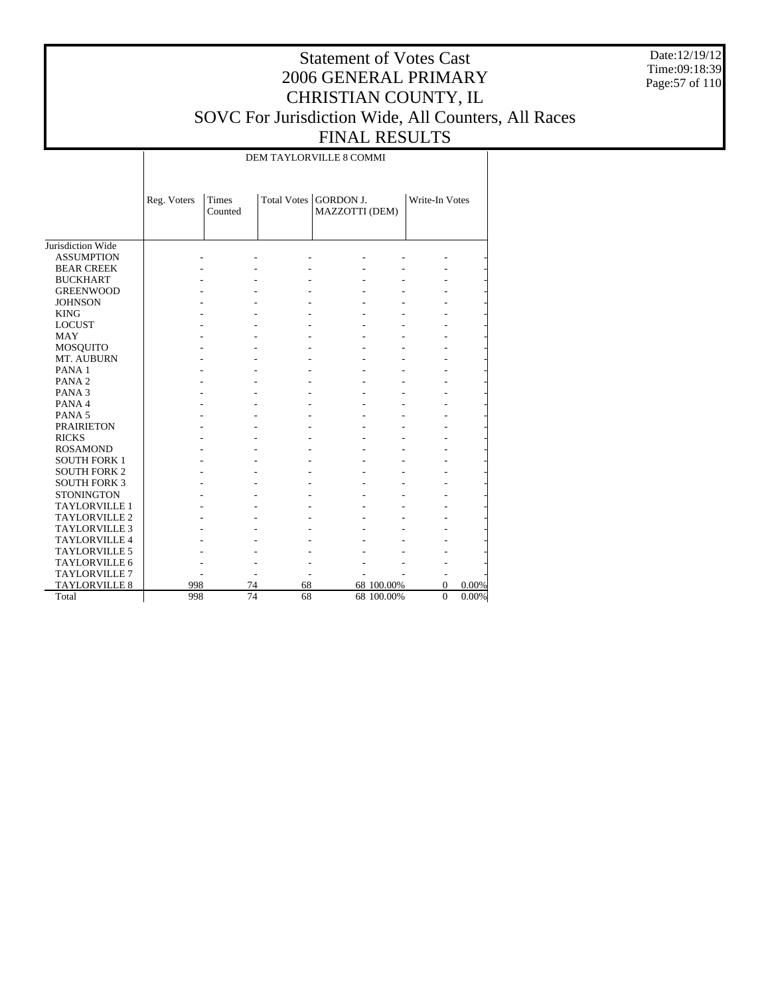Date:12/19/12 Time:09:18:39 Page:57 of 110

## Statement of Votes Cast 2006 GENERAL PRIMARY CHRISTIAN COUNTY, IL SOVC For Jurisdiction Wide, All Counters, All Races FINAL RESULTS

DEM TAYLORVILLE 8 COMMI

|                      | Reg. Voters | <b>Times</b><br>Counted |    | Total Votes   GORDON J.<br>MAZZOTTI (DEM) |            | Write-In Votes |       |
|----------------------|-------------|-------------------------|----|-------------------------------------------|------------|----------------|-------|
| Jurisdiction Wide    |             |                         |    |                                           |            |                |       |
| <b>ASSUMPTION</b>    |             |                         |    |                                           |            |                |       |
| <b>BEAR CREEK</b>    |             |                         |    |                                           |            |                |       |
| <b>BUCKHART</b>      |             |                         |    |                                           |            |                |       |
| <b>GREENWOOD</b>     |             |                         |    |                                           |            |                |       |
| <b>JOHNSON</b>       |             |                         |    |                                           |            |                |       |
| <b>KING</b>          |             |                         |    |                                           |            |                |       |
| <b>LOCUST</b>        |             |                         |    |                                           |            |                |       |
| <b>MAY</b>           |             |                         |    |                                           |            |                |       |
| <b>MOSQUITO</b>      |             |                         |    |                                           |            |                |       |
| MT. AUBURN           |             |                         |    |                                           |            |                |       |
| PANA <sub>1</sub>    |             |                         |    |                                           |            |                |       |
| PANA <sub>2</sub>    |             |                         |    |                                           |            |                |       |
| PANA <sub>3</sub>    |             |                         |    |                                           |            |                |       |
| PANA4                |             |                         |    |                                           |            |                |       |
| PANA <sub>5</sub>    |             |                         |    |                                           |            |                |       |
| <b>PRAIRIETON</b>    |             |                         |    |                                           |            |                |       |
| <b>RICKS</b>         |             |                         |    |                                           |            |                |       |
| <b>ROSAMOND</b>      |             |                         |    |                                           |            |                |       |
| <b>SOUTH FORK 1</b>  |             |                         |    |                                           |            |                |       |
| <b>SOUTH FORK 2</b>  |             |                         |    |                                           |            |                |       |
| <b>SOUTH FORK 3</b>  |             |                         |    |                                           |            |                |       |
| <b>STONINGTON</b>    |             |                         |    |                                           |            |                |       |
| <b>TAYLORVILLE 1</b> |             |                         |    |                                           |            |                |       |
| <b>TAYLORVILLE 2</b> |             |                         |    |                                           |            |                |       |
| <b>TAYLORVILLE 3</b> |             |                         |    |                                           |            |                |       |
| <b>TAYLORVILLE 4</b> |             |                         |    |                                           |            |                |       |
| <b>TAYLORVILLE 5</b> |             |                         |    |                                           |            |                |       |
| <b>TAYLORVILLE 6</b> |             |                         |    |                                           |            |                |       |
| <b>TAYLORVILLE 7</b> |             |                         |    |                                           |            |                |       |
| <b>TAYLORVILLE 8</b> | 998         | 74                      | 68 |                                           | 68 100.00% | 0              | 0.00% |
| Total                | 998         | 74                      | 68 |                                           | 68 100.00% | $\overline{0}$ | 0.00% |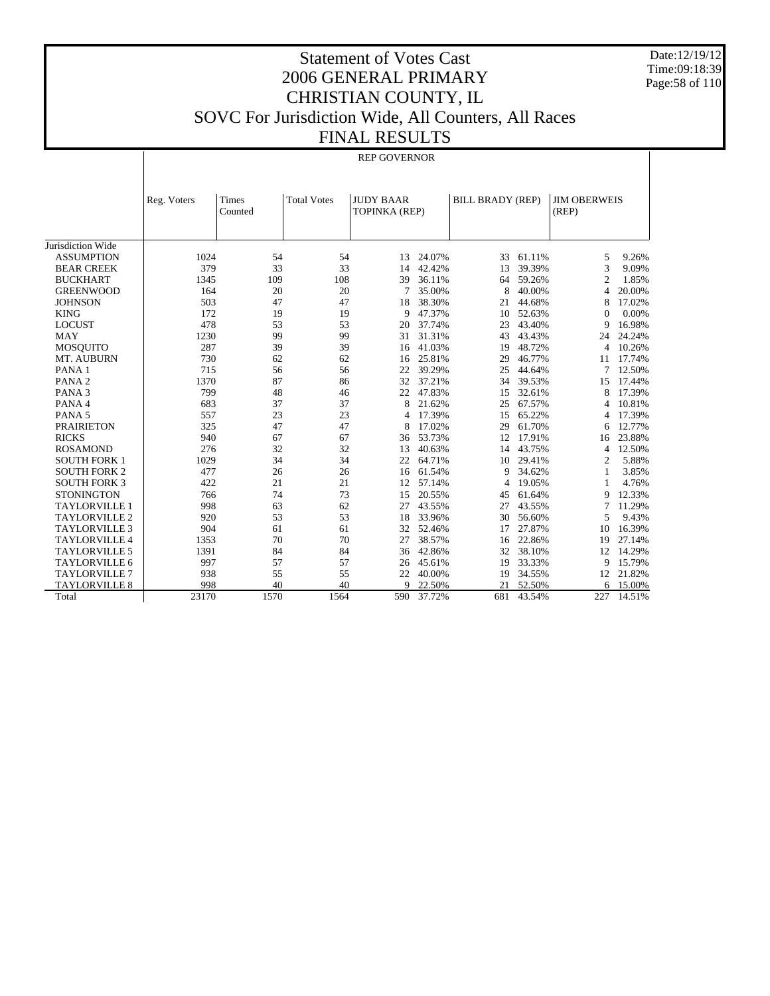Date:12/19/12 Time:09:18:39 Page:58 of 110

## Statement of Votes Cast 2006 GENERAL PRIMARY CHRISTIAN COUNTY, IL SOVC For Jurisdiction Wide, All Counters, All Races FINAL RESULTS

REP GOVERNOR

|                      | Reg. Voters | <b>Times</b> | <b>Total Votes</b> | <b>JUDY BAAR</b> |        | <b>BILL BRADY (REP)</b> |        | <b>JIM OBERWEIS</b> |        |
|----------------------|-------------|--------------|--------------------|------------------|--------|-------------------------|--------|---------------------|--------|
|                      |             | Counted      |                    | TOPINKA (REP)    |        |                         |        | (REP)               |        |
|                      |             |              |                    |                  |        |                         |        |                     |        |
| Jurisdiction Wide    |             |              |                    |                  |        |                         |        |                     |        |
| <b>ASSUMPTION</b>    | 1024        | 54           | 54                 | 13               | 24.07% | 33                      | 61.11% | 5                   | 9.26%  |
| <b>BEAR CREEK</b>    | 379         | 33           | 33                 | 14               | 42.42% | 13                      | 39.39% | 3                   | 9.09%  |
| <b>BUCKHART</b>      | 1345        | 109          | 108                | 39               | 36.11% | 64                      | 59.26% | 2                   | 1.85%  |
| <b>GREENWOOD</b>     | 164         | 20           | 20                 | 7                | 35.00% | 8                       | 40.00% | 4                   | 20.00% |
| <b>JOHNSON</b>       | 503         | 47           | 47                 | 18               | 38.30% | 21                      | 44.68% | 8                   | 17.02% |
| <b>KING</b>          | 172         | 19           | 19                 | 9                | 47.37% | 10                      | 52.63% | $\Omega$            | 0.00%  |
| <b>LOCUST</b>        | 478         | 53           | 53                 | 20               | 37.74% | 23                      | 43.40% | 9                   | 16.98% |
| <b>MAY</b>           | 1230        | 99           | 99                 | 31               | 31.31% | 43                      | 43.43% | 24                  | 24.24% |
| <b>MOSOUITO</b>      | 287         | 39           | 39                 | 16               | 41.03% | 19                      | 48.72% | 4                   | 10.26% |
| MT. AUBURN           | 730         | 62           | 62                 | 16               | 25.81% | 29                      | 46.77% | 11                  | 17.74% |
| PANA <sub>1</sub>    | 715         | 56           | 56                 | 22               | 39.29% | 25                      | 44.64% | 7                   | 12.50% |
| PANA <sub>2</sub>    | 1370        | 87           | 86                 | 32               | 37.21% | 34                      | 39.53% | 15                  | 17.44% |
| PANA <sub>3</sub>    | 799         | 48           | 46                 | 22               | 47.83% | 15                      | 32.61% | 8                   | 17.39% |
| PANA 4               | 683         | 37           | 37                 | 8                | 21.62% | 25                      | 67.57% | 4                   | 10.81% |
| PANA <sub>5</sub>    | 557         | 23           | 23                 | 4                | 17.39% | 15                      | 65.22% | 4                   | 17.39% |
| <b>PRAIRIETON</b>    | 325         | 47           | 47                 | 8                | 17.02% | 29                      | 61.70% | 6                   | 12.77% |
| <b>RICKS</b>         | 940         | 67           | 67                 | 36               | 53.73% | 12                      | 17.91% | 16                  | 23.88% |
| <b>ROSAMOND</b>      | 276         | 32           | 32                 | 13               | 40.63% | 14                      | 43.75% | 4                   | 12.50% |
| <b>SOUTH FORK 1</b>  | 1029        | 34           | 34                 | 22               | 64.71% | 10                      | 29.41% | 2                   | 5.88%  |
| <b>SOUTH FORK 2</b>  | 477         | 26           | 26                 | 16               | 61.54% | 9                       | 34.62% | 1                   | 3.85%  |
| <b>SOUTH FORK 3</b>  | 422         | 21           | 21                 | 12               | 57.14% | 4                       | 19.05% | 1                   | 4.76%  |
| <b>STONINGTON</b>    | 766         | 74           | 73                 | 15               | 20.55% | 45                      | 61.64% | 9                   | 12.33% |
| <b>TAYLORVILLE 1</b> | 998         | 63           | 62                 | 27               | 43.55% | 27                      | 43.55% | 7                   | 11.29% |
| <b>TAYLORVILLE 2</b> | 920         | 53           | 53                 | 18               | 33.96% | 30                      | 56.60% | 5                   | 9.43%  |
| <b>TAYLORVILLE 3</b> | 904         | 61           | 61                 | 32               | 52.46% | 17                      | 27.87% | 10                  | 16.39% |
| <b>TAYLORVILLE 4</b> | 1353        | 70           | 70                 | 27               | 38.57% | 16                      | 22.86% | 19                  | 27.14% |
| <b>TAYLORVILLE 5</b> | 1391        | 84           | 84                 | 36               | 42.86% | 32                      | 38.10% | 12                  | 14.29% |
| TAYLORVILLE 6        | 997         | 57           | 57                 | 26               | 45.61% | 19                      | 33.33% | 9                   | 15.79% |
| <b>TAYLORVILLE 7</b> | 938         | 55           | 55                 | 22               | 40.00% | 19                      | 34.55% | 12                  | 21.82% |
| <b>TAYLORVILLE 8</b> | 998         | 40           | 40                 | $\mathbf Q$      | 22.50% | 21                      | 52.50% | 6                   | 15.00% |
| Total                | 23170       | 1570         | 1564               | 590              | 37.72% | 681                     | 43.54% | 227                 | 14.51% |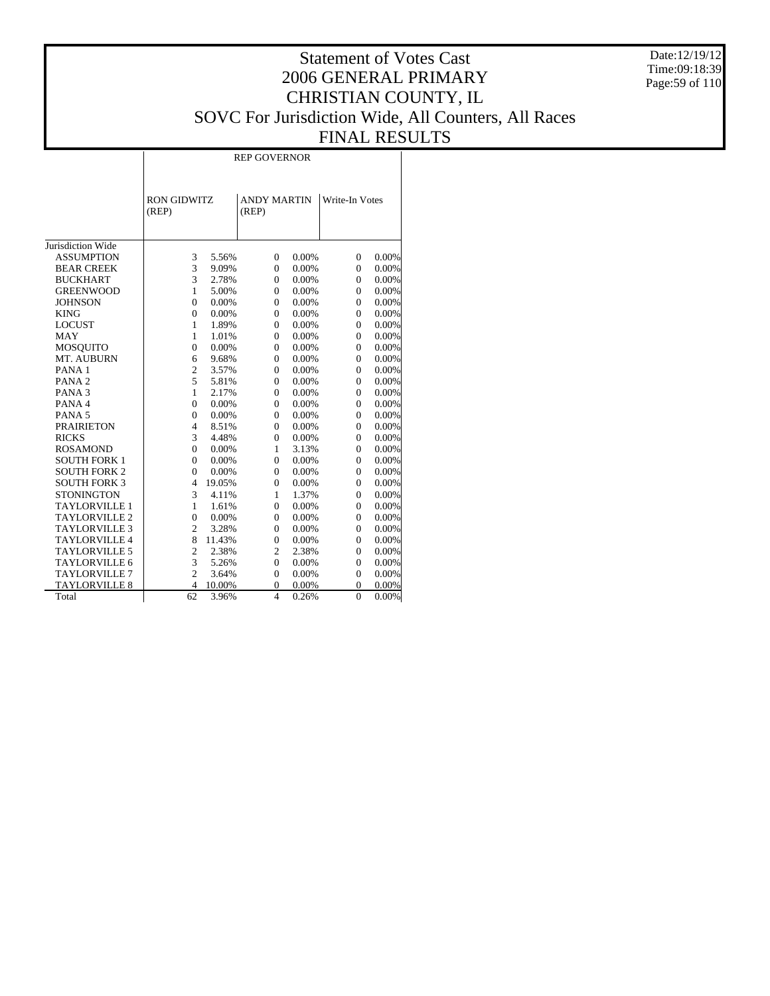Date:12/19/12 Time:09:18:39 Page:59 of 110

## Statement of Votes Cast 2006 GENERAL PRIMARY CHRISTIAN COUNTY, IL SOVC For Jurisdiction Wide, All Counters, All Races FINAL RESULTS

REP GOVERNOR

|                      | <b>RON GIDWITZ</b><br>(REP) |        | <b>ANDY MARTIN</b><br>(REP) |          | Write-In Votes |          |
|----------------------|-----------------------------|--------|-----------------------------|----------|----------------|----------|
| Jurisdiction Wide    |                             |        |                             |          |                |          |
| <b>ASSUMPTION</b>    | 3                           | 5.56%  | $\overline{0}$              | 0.00%    | $\mathbf{0}$   | 0.00%    |
| <b>BEAR CREEK</b>    | 3                           | 9.09%  | $\overline{0}$              | 0.00%    | $\theta$       | 0.00%    |
| <b>BUCKHART</b>      | $\overline{3}$              | 2.78%  | $\overline{0}$              | 0.00%    | $\theta$       | 0.00%    |
| <b>GREENWOOD</b>     | 1                           | 5.00%  | $\Omega$                    | 0.00%    | $\Omega$       | 0.00%    |
| <b>JOHNSON</b>       | $\theta$                    | 0.00%  | $\overline{0}$              | 0.00%    | $\theta$       | 0.00%    |
| <b>KING</b>          | $\overline{0}$              | 0.00%  | $\overline{0}$              | 0.00%    | $\Omega$       | 0.00%    |
| <b>LOCUST</b>        | $\mathbf{1}$                | 1.89%  | $\theta$                    | 0.00%    | $\theta$       | 0.00%    |
| MAY                  | 1                           | 1.01%  | $\overline{0}$              | 0.00%    | $\theta$       | 0.00%    |
| <b>MOSQUITO</b>      | $\overline{0}$              | 0.00%  | $\mathbf{0}$                | 0.00%    | $\mathbf{0}$   | 0.00%    |
| MT. AUBURN           | 6                           | 9.68%  | $\theta$                    | 0.00%    | $\theta$       | 0.00%    |
| PANA <sub>1</sub>    | $\overline{c}$              | 3.57%  | $\overline{0}$              | 0.00%    | $\theta$       | 0.00%    |
| PANA <sub>2</sub>    | 5                           | 5.81%  | $\Omega$                    | $0.00\%$ | $\Omega$       | 0.00%    |
| PANA <sub>3</sub>    | $\mathbf{1}$                | 2.17%  | $\overline{0}$              | 0.00%    | $\theta$       | 0.00%    |
| PANA 4               | $\theta$                    | 0.00%  | $\overline{0}$              | 0.00%    | $\Omega$       | 0.00%    |
| PANA <sub>5</sub>    | $\theta$                    | 0.00%  | $\Omega$                    | $0.00\%$ | $\Omega$       | 0.00%    |
| <b>PRAIRIETON</b>    | $\overline{4}$              | 8.51%  | $\overline{0}$              | 0.00%    | $\theta$       | 0.00%    |
| <b>RICKS</b>         | 3                           | 4.48%  | $\overline{0}$              | 0.00%    | $\Omega$       | 0.00%    |
| <b>ROSAMOND</b>      | $\theta$                    | 0.00%  | 1                           | 3.13%    | $\theta$       | 0.00%    |
| <b>SOUTH FORK 1</b>  | $\theta$                    | 0.00%  | $\overline{0}$              | 0.00%    | $\theta$       | 0.00%    |
| <b>SOUTH FORK 2</b>  | $\overline{0}$              | 0.00%  | $\overline{0}$              | 0.00%    | $\Omega$       | 0.00%    |
| <b>SOUTH FORK 3</b>  | $\overline{4}$              | 19.05% | $\overline{0}$              | 0.00%    | $\theta$       | 0.00%    |
| <b>STONINGTON</b>    | 3                           | 4.11%  | 1                           | 1.37%    | $\theta$       | 0.00%    |
| <b>TAYLORVILLE 1</b> | $\mathbf{1}$                | 1.61%  | $\theta$                    | 0.00%    | $\theta$       | 0.00%    |
| <b>TAYLORVILLE 2</b> | $\overline{0}$              | 0.00%  | $\overline{0}$              | 0.00%    | $\theta$       | 0.00%    |
| <b>TAYLORVILLE 3</b> | $\overline{2}$              | 3.28%  | $\overline{0}$              | 0.00%    | $\theta$       | 0.00%    |
| <b>TAYLORVILLE 4</b> | 8                           | 11.43% | $\theta$                    | 0.00%    | $\theta$       | 0.00%    |
| <b>TAYLORVILLE 5</b> | $\overline{c}$              | 2.38%  | $\overline{c}$              | 2.38%    | $\theta$       | 0.00%    |
| <b>TAYLORVILLE 6</b> | 3                           | 5.26%  | $\overline{0}$              | 0.00%    | $\theta$       | 0.00%    |
| <b>TAYLORVILLE 7</b> | $\overline{c}$              | 3.64%  | $\mathbf{0}$                | 0.00%    | $\theta$       | 0.00%    |
| <b>TAYLORVILLE 8</b> | $\overline{4}$              | 10.00% | $\overline{0}$              | 0.00%    | $\theta$       | 0.00%    |
| Total                | 62                          | 3.96%  | $\overline{4}$              | 0.26%    | $\theta$       | $0.00\%$ |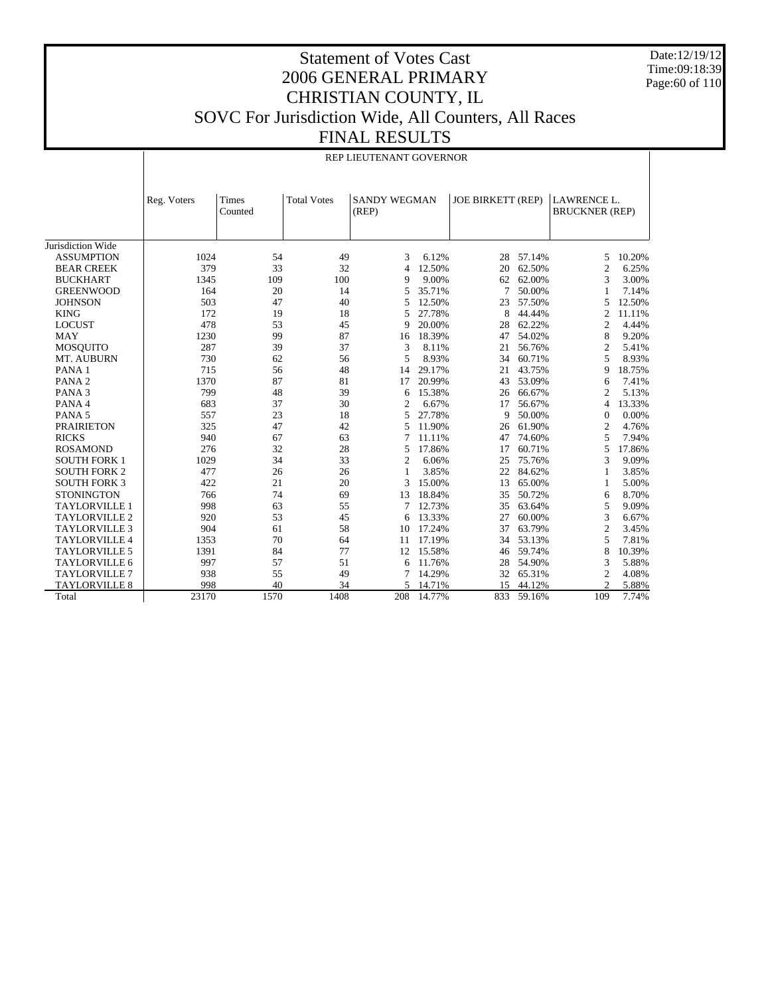Date:12/19/12 Time:09:18:39 Page:60 of 110

 $\overline{\phantom{a}}$ 

## Statement of Votes Cast 2006 GENERAL PRIMARY CHRISTIAN COUNTY, IL SOVC For Jurisdiction Wide, All Counters, All Races FINAL RESULTS

REP LIEUTENANT GOVERNOR

|                      | Reg. Voters | Times<br>Counted | <b>Total Votes</b> | <b>SANDY WEGMAN</b><br>(REP) |        | <b>JOE BIRKETT (REP)</b> |        | <b>LAWRENCE L.</b><br><b>BRUCKNER (REP)</b> |        |
|----------------------|-------------|------------------|--------------------|------------------------------|--------|--------------------------|--------|---------------------------------------------|--------|
| Jurisdiction Wide    |             |                  |                    |                              |        |                          |        |                                             |        |
| <b>ASSUMPTION</b>    | 1024        | 54               | 49                 | 3                            | 6.12%  | 28                       | 57.14% | 5                                           | 10.20% |
| <b>BEAR CREEK</b>    | 379         | 33               | 32                 | $\overline{4}$               | 12.50% | 20                       | 62.50% | 2                                           | 6.25%  |
| <b>BUCKHART</b>      | 1345        | 109              | 100                | 9                            | 9.00%  | 62                       | 62.00% | 3                                           | 3.00%  |
| <b>GREENWOOD</b>     | 164         | 20               | 14                 | 5                            | 35.71% | 7                        | 50.00% | 1                                           | 7.14%  |
| <b>JOHNSON</b>       | 503         | 47               | 40                 | 5                            | 12.50% | 23                       | 57.50% | 5                                           | 12.50% |
| <b>KING</b>          | 172         | 19               | 18                 | 5                            | 27.78% | 8                        | 44.44% | 2                                           | 11.11% |
| <b>LOCUST</b>        | 478         | 53               | 45                 | 9                            | 20.00% | 28                       | 62.22% | 2                                           | 4.44%  |
| <b>MAY</b>           | 1230        | 99               | 87                 | 16                           | 18.39% | 47                       | 54.02% | 8                                           | 9.20%  |
| <b>MOSQUITO</b>      | 287         | 39               | 37                 | 3                            | 8.11%  | 21                       | 56.76% | $\mathfrak{2}$                              | 5.41%  |
| MT. AUBURN           | 730         | 62               | 56                 | 5                            | 8.93%  | 34                       | 60.71% | 5                                           | 8.93%  |
| PANA <sub>1</sub>    | 715         | 56               | 48                 | 14                           | 29.17% | 21                       | 43.75% | 9                                           | 18.75% |
| PANA <sub>2</sub>    | 1370        | 87               | 81                 | 17                           | 20.99% | 43                       | 53.09% | 6                                           | 7.41%  |
| PANA <sub>3</sub>    | 799         | 48               | 39                 | 6                            | 15.38% | 26                       | 66.67% | 2                                           | 5.13%  |
| PANA 4               | 683         | 37               | 30                 | 2                            | 6.67%  | 17                       | 56.67% | 4                                           | 13.33% |
| PANA <sub>5</sub>    | 557         | 23               | 18                 | 5                            | 27.78% | 9                        | 50.00% | $\mathbf{0}$                                | 0.00%  |
| <b>PRAIRIETON</b>    | 325         | 47               | 42                 | 5                            | 11.90% | 26                       | 61.90% | $\overline{c}$                              | 4.76%  |
| <b>RICKS</b>         | 940         | 67               | 63                 | 7                            | 11.11% | 47                       | 74.60% | 5                                           | 7.94%  |
| <b>ROSAMOND</b>      | 276         | 32               | 28                 | 5                            | 17.86% | 17                       | 60.71% | 5                                           | 17.86% |
| <b>SOUTH FORK 1</b>  | 1029        | 34               | 33                 | $\overline{2}$               | 6.06%  | 25                       | 75.76% | 3                                           | 9.09%  |
| <b>SOUTH FORK 2</b>  | 477         | 26               | 26                 | 1                            | 3.85%  | 22                       | 84.62% | 1                                           | 3.85%  |
| <b>SOUTH FORK 3</b>  | 422         | 21               | 20                 | 3                            | 15.00% | 13                       | 65.00% | 1                                           | 5.00%  |
| <b>STONINGTON</b>    | 766         | 74               | 69                 | 13                           | 18.84% | 35                       | 50.72% | 6                                           | 8.70%  |
| <b>TAYLORVILLE 1</b> | 998         | 63               | 55                 | 7                            | 12.73% | 35                       | 63.64% | 5                                           | 9.09%  |
| <b>TAYLORVILLE 2</b> | 920         | 53               | 45                 | 6                            | 13.33% | 27                       | 60.00% | 3                                           | 6.67%  |
| <b>TAYLORVILLE 3</b> | 904         | 61               | 58                 | 10                           | 17.24% | 37                       | 63.79% | $\mathfrak{2}$                              | 3.45%  |
| <b>TAYLORVILLE 4</b> | 1353        | 70               | 64                 | 11                           | 17.19% | 34                       | 53.13% | 5                                           | 7.81%  |
| <b>TAYLORVILLE 5</b> | 1391        | 84               | 77                 | 12                           | 15.58% | 46                       | 59.74% | 8                                           | 10.39% |
| <b>TAYLORVILLE 6</b> | 997         | 57               | 51                 | 6                            | 11.76% | 28                       | 54.90% | 3                                           | 5.88%  |
| <b>TAYLORVILLE 7</b> | 938         | 55               | 49                 | 7                            | 14.29% | 32                       | 65.31% | $\mathfrak{2}$                              | 4.08%  |
| <b>TAYLORVILLE 8</b> | 998         | 40               | 34                 | 5                            | 14.71% | 15                       | 44.12% | $\overline{c}$                              | 5.88%  |
| Total                | 23170       | 1570             | 1408               | 208                          | 14.77% | 833                      | 59.16% | 109                                         | 7.74%  |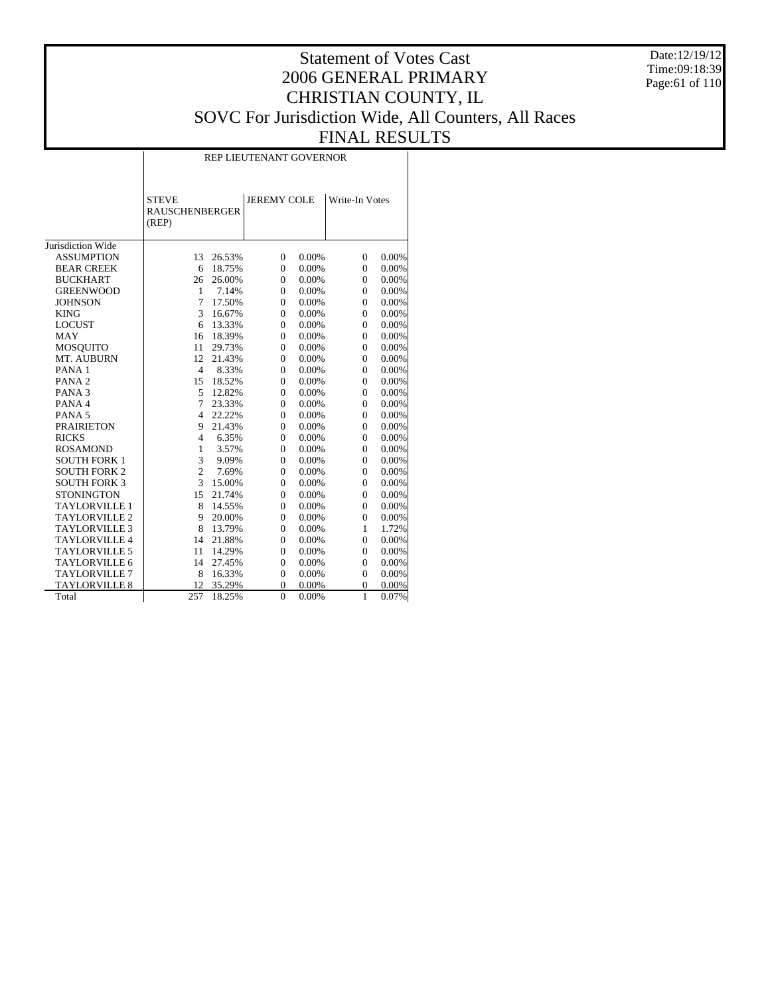Date:12/19/12 Time:09:18:39 Page:61 of 110

# Statement of Votes Cast 2006 GENERAL PRIMARY CHRISTIAN COUNTY, IL SOVC For Jurisdiction Wide, All Counters, All Races FINAL RESULTS

REP LIEUTENANT GOVERNOR

|                      | <b>STEVE</b><br><b>RAUSCHENBERGER</b><br>(REP) |        | <b>JEREMY COLE</b> |       | Write-In Votes |       |  |
|----------------------|------------------------------------------------|--------|--------------------|-------|----------------|-------|--|
| Jurisdiction Wide    |                                                |        |                    |       |                |       |  |
| <b>ASSUMPTION</b>    | 13                                             | 26.53% | $\mathbf{0}$       | 0.00% | $\mathbf{0}$   | 0.00% |  |
| <b>BEAR CREEK</b>    | 6                                              | 18.75% | $\overline{0}$     | 0.00% | $\theta$       | 0.00% |  |
| <b>BUCKHART</b>      | 26                                             | 26.00% | $\overline{0}$     | 0.00% | $\Omega$       | 0.00% |  |
| <b>GREENWOOD</b>     | $\mathbf{1}$                                   | 7.14%  | $\mathbf{0}$       | 0.00% | $\theta$       | 0.00% |  |
| <b>JOHNSON</b>       | 7                                              | 17.50% | $\overline{0}$     | 0.00% | $\theta$       | 0.00% |  |
| <b>KING</b>          | 3                                              | 16.67% | $\theta$           | 0.00% | $\Omega$       | 0.00% |  |
| <b>LOCUST</b>        | 6                                              | 13.33% | $\overline{0}$     | 0.00% | $\Omega$       | 0.00% |  |
| <b>MAY</b>           | 16                                             | 18.39% | $\overline{0}$     | 0.00% | $\Omega$       | 0.00% |  |
| MOSQUITO             | 11                                             | 29.73% | $\mathbf{0}$       | 0.00% | $\Omega$       | 0.00% |  |
| MT. AUBURN           | 12                                             | 21.43% | $\mathbf{0}$       | 0.00% | $\Omega$       | 0.00% |  |
| PANA <sub>1</sub>    | $\overline{4}$                                 | 8.33%  | $\Omega$           | 0.00% | $\Omega$       | 0.00% |  |
| PANA <sub>2</sub>    | 15                                             | 18.52% | $\mathbf{0}$       | 0.00% | $\Omega$       | 0.00% |  |
| PANA <sub>3</sub>    | 5                                              | 12.82% | $\Omega$           | 0.00% | $\Omega$       | 0.00% |  |
| PANA 4               | 7                                              | 23.33% | $\overline{0}$     | 0.00% | $\Omega$       | 0.00% |  |
| PANA <sub>5</sub>    | $\overline{4}$                                 | 22.22% | $\overline{0}$     | 0.00% | $\Omega$       | 0.00% |  |
| <b>PRAIRIETON</b>    | 9                                              | 21.43% | $\theta$           | 0.00% | $\theta$       | 0.00% |  |
| <b>RICKS</b>         | $\overline{4}$                                 | 6.35%  | $\overline{0}$     | 0.00% | $\theta$       | 0.00% |  |
| <b>ROSAMOND</b>      | $\mathbf{1}$                                   | 3.57%  | $\Omega$           | 0.00% | $\Omega$       | 0.00% |  |
| <b>SOUTH FORK 1</b>  | 3                                              | 9.09%  | $\theta$           | 0.00% | $\Omega$       | 0.00% |  |
| <b>SOUTH FORK 2</b>  | $\overline{c}$                                 | 7.69%  | $\Omega$           | 0.00% | $\Omega$       | 0.00% |  |
| <b>SOUTH FORK 3</b>  | 3                                              | 15.00% | $\theta$           | 0.00% | $\Omega$       | 0.00% |  |
| <b>STONINGTON</b>    | 15                                             | 21.74% | $\mathbf{0}$       | 0.00% | $\Omega$       | 0.00% |  |
| <b>TAYLORVILLE 1</b> | 8                                              | 14.55% | $\theta$           | 0.00% | $\Omega$       | 0.00% |  |
| <b>TAYLORVILLE 2</b> | 9                                              | 20.00% | $\theta$           | 0.00% | $\Omega$       | 0.00% |  |
| <b>TAYLORVILLE 3</b> | 8                                              | 13.79% | $\Omega$           | 0.00% | 1              | 1.72% |  |
| <b>TAYLORVILLE 4</b> | 14                                             | 21.88% | $\theta$           | 0.00% | $\theta$       | 0.00% |  |
| <b>TAYLORVILLE 5</b> | 11                                             | 14.29% | $\Omega$           | 0.00% | $\Omega$       | 0.00% |  |
| <b>TAYLORVILLE 6</b> | 14                                             | 27.45% | $\theta$           | 0.00% | $\theta$       | 0.00% |  |
| <b>TAYLORVILLE 7</b> | 8                                              | 16.33% | $\mathbf{0}$       | 0.00% | $\Omega$       | 0.00% |  |
| <b>TAYLORVILLE 8</b> | 12                                             | 35.29% | $\Omega$           | 0.00% | $\Omega$       | 0.00% |  |
| Total                | 257                                            | 18.25% | $\theta$           | 0.00% | $\mathbf{1}$   | 0.07% |  |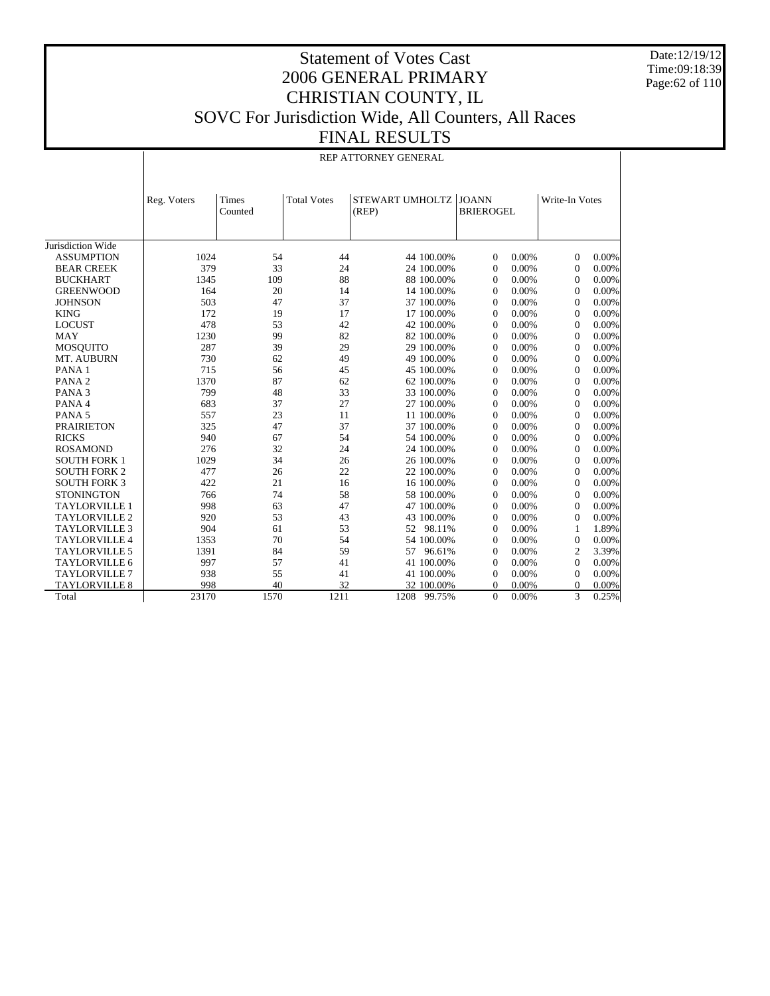Date:12/19/12 Time:09:18:39 Page:62 of 110

## Statement of Votes Cast 2006 GENERAL PRIMARY CHRISTIAN COUNTY, IL SOVC For Jurisdiction Wide, All Counters, All Races FINAL RESULTS

REP ATTORNEY GENERAL

|                      | Reg. Voters | Times<br>Counted | <b>Total Votes</b> | STEWART UMHOLTZ<br>(REP) | <b>JOANN</b><br><b>BRIEROGEL</b> | Write-In Votes          |
|----------------------|-------------|------------------|--------------------|--------------------------|----------------------------------|-------------------------|
| Jurisdiction Wide    |             |                  |                    |                          |                                  |                         |
| <b>ASSUMPTION</b>    | 1024        | 54               | 44                 | 44 100.00%               | 0.00%<br>$\Omega$                | 0.00%<br>$\Omega$       |
| <b>BEAR CREEK</b>    | 379         | 33               | 24                 | 24 100.00%               | 0.00%<br>$\theta$                | 0.00%<br>$\Omega$       |
| <b>BUCKHART</b>      | 1345        | 109              | 88                 | 88 100.00%               | 0.00%<br>$\theta$                | 0.00%<br>$\Omega$       |
| <b>GREENWOOD</b>     | 164         | 20               | 14                 | 14 100.00%               | 0.00%<br>$\theta$                | 0.00%<br>$\Omega$       |
| <b>JOHNSON</b>       | 503         | 47               | 37                 | 37 100.00%               | 0.00%<br>$\theta$                | 0.00%<br>$\Omega$       |
| <b>KING</b>          | 172         | 19               | 17                 | 17 100.00%               | 0.00%<br>$\theta$                | 0.00%<br>$\Omega$       |
| <b>LOCUST</b>        | 478         | 53               | 42                 | 42 100.00%               | 0.00%<br>$\theta$                | 0.00%<br>$\overline{0}$ |
| <b>MAY</b>           | 1230        | 99               | 82                 | 82 100.00%               | 0.00%<br>$\theta$                | 0.00%<br>$\mathbf{0}$   |
| <b>MOSOUITO</b>      | 287         | 39               | 29                 | 29 100.00%               | 0.00%<br>$\theta$                | 0.00%<br>$\overline{0}$ |
| MT. AUBURN           | 730         | 62               | 49                 | 49 100.00%               | 0.00%<br>$\theta$                | 0.00%<br>$\overline{0}$ |
| PANA <sub>1</sub>    | 715         | 56               | 45                 | 45 100.00%               | 0.00%<br>$\theta$                | 0.00%<br>$\overline{0}$ |
| PANA <sub>2</sub>    | 1370        | 87               | 62                 | 62 100.00%               | 0.00%<br>$\theta$                | 0.00%<br>$\overline{0}$ |
| PANA <sub>3</sub>    | 799         | 48               | 33                 | 33 100.00%               | 0.00%<br>$\Omega$                | 0.00%<br>$\Omega$       |
| PANA 4               | 683         | 37               | 27                 | 27 100.00%               | 0.00%<br>$\Omega$                | 0.00%<br>$\Omega$       |
| PANA <sub>5</sub>    | 557         | 23               | 11                 | 11 100.00%               | 0.00%<br>$\Omega$                | 0.00%<br>$\Omega$       |
| <b>PRAIRIETON</b>    | 325         | 47               | 37                 | 37 100.00%               | 0.00%<br>$\Omega$                | 0.00%<br>$\Omega$       |
| <b>RICKS</b>         | 940         | 67               | 54                 | 54 100.00%               | 0.00%<br>$\theta$                | 0.00%<br>$\Omega$       |
| <b>ROSAMOND</b>      | 276         | 32               | 24                 | 24 100.00%               | 0.00%<br>$\theta$                | 0.00%<br>$\Omega$       |
| <b>SOUTH FORK 1</b>  | 1029        | 34               | 26                 | 26 100.00%               | 0.00%<br>$\theta$                | 0.00%<br>$\Omega$       |
| <b>SOUTH FORK 2</b>  | 477         | 26               | 22                 | 22 100.00%               | 0.00%<br>$\theta$                | 0.00%<br>$\Omega$       |
| <b>SOUTH FORK 3</b>  | 422         | 21               | 16                 | 16 100.00%               | 0.00%<br>$\theta$                | 0.00%<br>$\Omega$       |
| <b>STONINGTON</b>    | 766         | 74               | 58                 | 58 100.00%               | 0.00%<br>$\theta$                | 0.00%<br>$\overline{0}$ |
| <b>TAYLORVILLE 1</b> | 998         | 63               | 47                 | 47 100.00%               | 0.00%<br>$\theta$                | $\overline{0}$<br>0.00% |
| <b>TAYLORVILLE 2</b> | 920         | 53               | 43                 | 43 100.00%               | 0.00%<br>$\theta$                | $\Omega$<br>0.00%       |
| <b>TAYLORVILLE 3</b> | 904         | 61               | 53                 | 52 98.11%                | 0.00%<br>$\theta$                | 1.89%<br>$\mathbf{1}$   |
| <b>TAYLORVILLE 4</b> | 1353        | 70               | 54                 | 54 100.00%               | 0.00%<br>$\theta$                | 0.00%<br>$\overline{0}$ |
| <b>TAYLORVILLE 5</b> | 1391        | 84               | 59                 | 57 96.61%                | 0.00%<br>$\Omega$                | 2<br>3.39%              |
| <b>TAYLORVILLE 6</b> | 997         | 57               | 41                 | 41 100.00%               | 0.00%<br>$\Omega$                | 0.00%<br>$\Omega$       |
| <b>TAYLORVILLE 7</b> | 938         | 55               | 41                 | 41 100.00%               | 0.00%<br>$\Omega$                | 0.00%<br>$\Omega$       |
| <b>TAYLORVILLE 8</b> | 998         | 40               | 32                 | 32 100.00%               | $\Omega$<br>0.00%                | 0.00%<br>$\Omega$       |
| Total                | 23170       | 1570             | 1211               | 1208 99.75%              | $\mathbf{0}$<br>0.00%            | 3<br>0.25%              |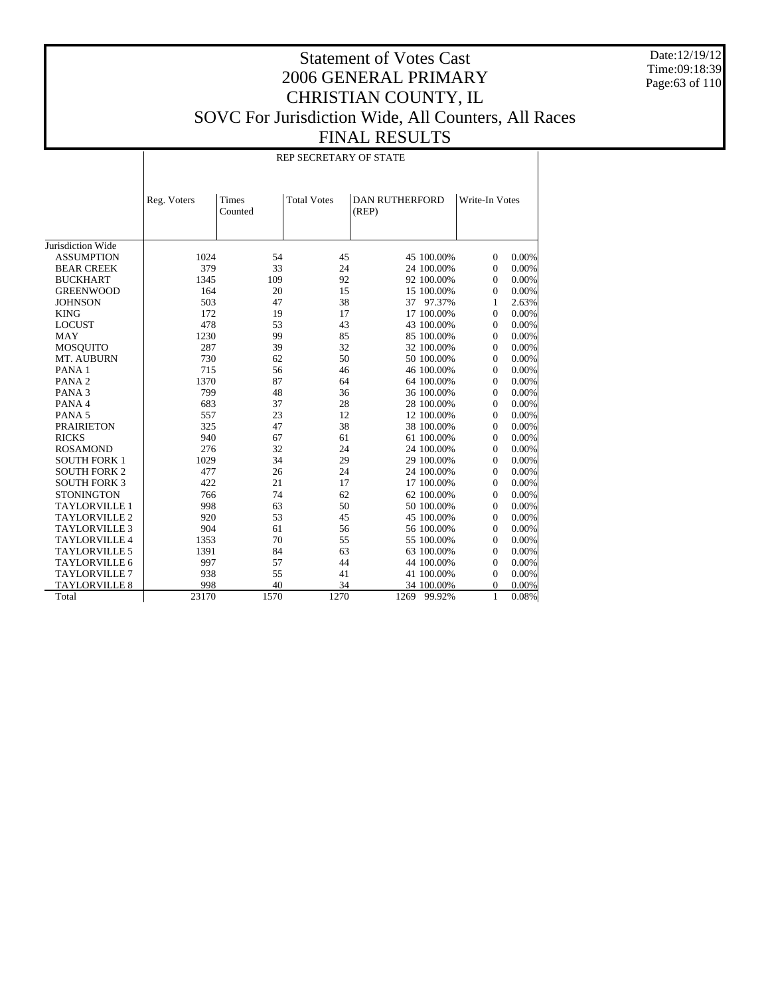Date:12/19/12 Time:09:18:39 Page:63 of 110

## Statement of Votes Cast 2006 GENERAL PRIMARY CHRISTIAN COUNTY, IL SOVC For Jurisdiction Wide, All Counters, All Races FINAL RESULTS

#### REP SECRETARY OF STATE

|                      | Reg. Voters | <b>Times</b><br>Counted | <b>Total Votes</b> | <b>DAN RUTHERFORD</b><br>(REP) | Write-In Votes |       |
|----------------------|-------------|-------------------------|--------------------|--------------------------------|----------------|-------|
| Jurisdiction Wide    |             |                         |                    |                                |                |       |
| <b>ASSUMPTION</b>    | 1024        | 54                      | 45                 | 45 100.00%                     | $\mathbf{0}$   | 0.00% |
| <b>BEAR CREEK</b>    | 379         | 33                      | 24                 | 24 100.00%                     | $\mathbf{0}$   | 0.00% |
| <b>BUCKHART</b>      | 1345        | 109                     | 92                 | 92 100.00%                     | $\mathbf{0}$   | 0.00% |
| <b>GREENWOOD</b>     | 164         | 20                      | 15                 | 15 100.00%                     | $\overline{0}$ | 0.00% |
| <b>JOHNSON</b>       | 503         | 47                      | 38                 | 37 97.37%                      | 1              | 2.63% |
| <b>KING</b>          | 172         | 19                      | 17                 | 17 100.00%                     | $\mathbf{0}$   | 0.00% |
| <b>LOCUST</b>        | 478         | 53                      | 43                 | 43 100.00%                     | $\overline{0}$ | 0.00% |
| <b>MAY</b>           | 1230        | 99                      | 85                 | 85 100.00%                     | $\mathbf{0}$   | 0.00% |
| <b>MOSQUITO</b>      | 287         | 39                      | 32                 | 32 100.00%                     | $\mathbf{0}$   | 0.00% |
| MT. AUBURN           | 730         | 62                      | 50                 | 50 100,00%                     | $\overline{0}$ | 0.00% |
| PANA <sub>1</sub>    | 715         | 56                      | 46                 | 46 100.00%                     | $\Omega$       | 0.00% |
| PANA <sub>2</sub>    | 1370        | 87                      | 64                 | 64 100.00%                     | $\overline{0}$ | 0.00% |
| PANA <sub>3</sub>    | 799         | 48                      | 36                 | 36 100.00%                     | $\overline{0}$ | 0.00% |
| PANA 4               | 683         | 37                      | 28                 | 28 100.00%                     | $\Omega$       | 0.00% |
| PANA <sub>5</sub>    | 557         | 23                      | 12                 | 12 100.00%                     | $\Omega$       | 0.00% |
| <b>PRAIRIETON</b>    | 325         | 47                      | 38                 | 38 100.00%                     | $\overline{0}$ | 0.00% |
| <b>RICKS</b>         | 940         | 67                      | 61                 | 61 100.00%                     | $\Omega$       | 0.00% |
| <b>ROSAMOND</b>      | 276         | 32                      | 24                 | 24 100.00%                     | $\Omega$       | 0.00% |
| <b>SOUTH FORK 1</b>  | 1029        | 34                      | 29                 | 29 100.00%                     | $\Omega$       | 0.00% |
| <b>SOUTH FORK 2</b>  | 477         | 26                      | 24                 | 24 100.00%                     | $\mathbf{0}$   | 0.00% |
| <b>SOUTH FORK 3</b>  | 422         | 21                      | 17                 | 17 100.00%                     | $\Omega$       | 0.00% |
| <b>STONINGTON</b>    | 766         | 74                      | 62                 | 62 100.00%                     | $\overline{0}$ | 0.00% |
| <b>TAYLORVILLE 1</b> | 998         | 63                      | 50                 | 50 100,00%                     | $\mathbf{0}$   | 0.00% |
| <b>TAYLORVILLE 2</b> | 920         | 53                      | 45                 | 45 100.00%                     | $\theta$       | 0.00% |
| <b>TAYLORVILLE 3</b> | 904         | 61                      | 56                 | 56 100.00%                     | $\theta$       | 0.00% |
| <b>TAYLORVILLE 4</b> | 1353        | 70                      | 55                 | 55 100.00%                     | $\mathbf{0}$   | 0.00% |
| <b>TAYLORVILLE 5</b> | 1391        | 84                      | 63                 | 63 100.00%                     | $\Omega$       | 0.00% |
| <b>TAYLORVILLE 6</b> | 997         | 57                      | 44                 | 44 100.00%                     | $\mathbf{0}$   | 0.00% |
| <b>TAYLORVILLE 7</b> | 938         | 55                      | 41                 | 41 100.00%                     | $\mathbf{0}$   | 0.00% |
| <b>TAYLORVILLE 8</b> | 998         | 40                      | 34                 | 34 100.00%                     | $\Omega$       | 0.00% |
| Total                | 23170       | 1570                    | 1270               | 1269<br>99.92%                 | $\mathbf{1}$   | 0.08% |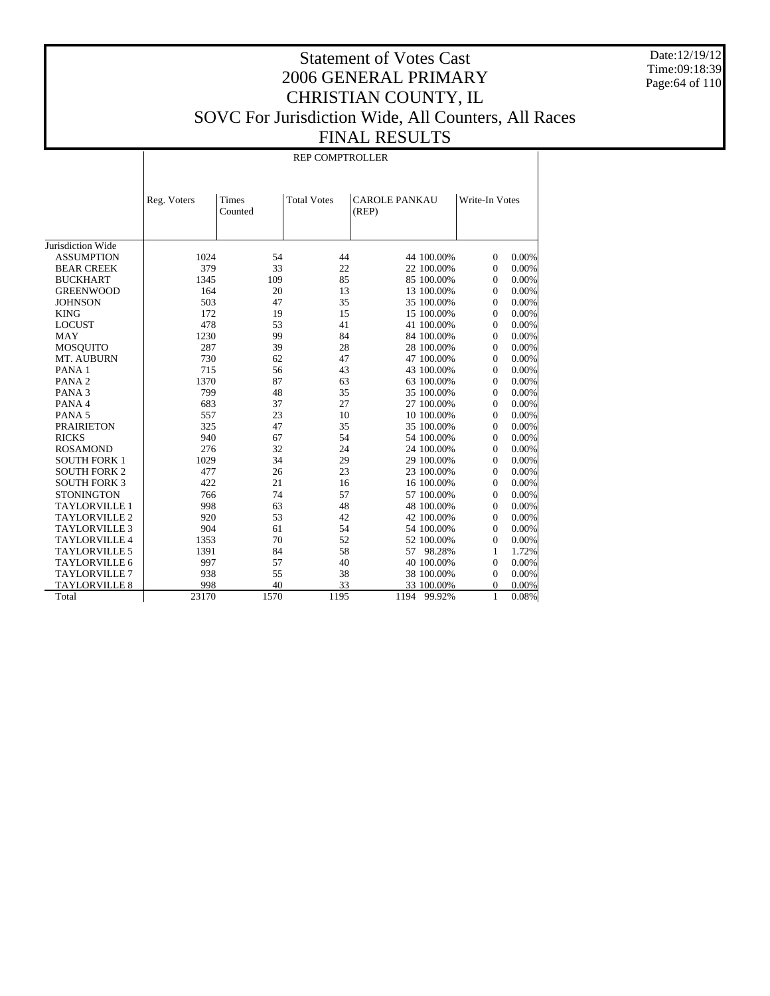Date:12/19/12 Time:09:18:39 Page:64 of 110

## Statement of Votes Cast 2006 GENERAL PRIMARY CHRISTIAN COUNTY, IL SOVC For Jurisdiction Wide, All Counters, All Races FINAL RESULTS

REP COMPTROLLER

|                      | Reg. Voters | Times<br>Counted | <b>Total Votes</b> | <b>CAROLE PANKAU</b><br>(REP) | Write-In Votes             |
|----------------------|-------------|------------------|--------------------|-------------------------------|----------------------------|
| Jurisdiction Wide    |             |                  |                    |                               |                            |
| <b>ASSUMPTION</b>    | 1024        | 54               | 44                 | 44 100.00%                    | 0.00%<br>$\Omega$          |
| <b>BEAR CREEK</b>    | 379         | 33               | 22                 | 22 100.00%                    | $\mathbf{0}$<br>$0.00\%$   |
| <b>BUCKHART</b>      | 1345        | 109              | 85                 | 85 100.00%                    | $\overline{0}$<br>$0.00\%$ |
| <b>GREENWOOD</b>     | 164         | 20               | 13                 | 13 100.00%                    | $\mathbf{0}$<br>$0.00\%$   |
| <b>JOHNSON</b>       | 503         | 47               | 35                 | 35 100.00%                    | $\mathbf{0}$<br>0.00%      |
| <b>KING</b>          | 172         | 19               | 15                 | 15 100.00%                    | 0.00%<br>$\overline{0}$    |
| <b>LOCUST</b>        | 478         | 53               | 41                 | 41 100.00%                    | 0.00%<br>$\overline{0}$    |
| <b>MAY</b>           | 1230        | 99               | 84                 | 84 100.00%                    | $\overline{0}$<br>0.00%    |
| <b>MOSQUITO</b>      | 287         | 39               | 28                 | 28 100.00%                    | 0.00%<br>$\overline{0}$    |
| MT. AUBURN           | 730         | 62               | 47                 | 47 100.00%                    | 0.00%<br>$\overline{0}$    |
| PANA <sub>1</sub>    | 715         | 56               | 43                 | 43 100.00%                    | 0.00%<br>$\overline{0}$    |
| PANA <sub>2</sub>    | 1370        | 87               | 63                 | 63 100.00%                    | 0.00%<br>$\Omega$          |
| PANA <sub>3</sub>    | 799         | 48               | 35                 | 35 100.00%                    | $\overline{0}$<br>0.00%    |
| PANA 4               | 683         | 37               | 27                 | 27 100.00%                    | 0.00%<br>$\overline{0}$    |
| PANA <sub>5</sub>    | 557         | 23               | 10                 | 10 100.00%                    | $\mathbf{0}$<br>0.00%      |
| <b>PRAIRIETON</b>    | 325         | 47               | 35                 | 35 100.00%                    | 0.00%<br>$\mathbf{0}$      |
| <b>RICKS</b>         | 940         | 67               | 54                 | 54 100.00%                    | 0.00%<br>$\mathbf{0}$      |
| <b>ROSAMOND</b>      | 276         | 32               | 24                 | 24 100.00%                    | 0.00%<br>$\mathbf{0}$      |
| <b>SOUTH FORK 1</b>  | 1029        | 34               | 29                 | 29 100.00%                    | 0.00%<br>$\mathbf{0}$      |
| <b>SOUTH FORK 2</b>  | 477         | 26               | 23                 | 23 100.00%                    | 0.00%<br>$\mathbf{0}$      |
| <b>SOUTH FORK 3</b>  | 422         | 21               | 16                 | 16 100.00%                    | 0.00%<br>$\mathbf{0}$      |
| <b>STONINGTON</b>    | 766         | 74               | 57                 | 57 100.00%                    | 0.00%<br>$\overline{0}$    |
| <b>TAYLORVILLE 1</b> | 998         | 63               | 48                 | 48 100.00%                    | 0.00%<br>$\mathbf{0}$      |
| <b>TAYLORVILLE 2</b> | 920         | 53               | 42                 | 42 100.00%                    | $\overline{0}$<br>0.00%    |
| <b>TAYLORVILLE 3</b> | 904         | 61               | 54                 | 54 100.00%                    | $\overline{0}$<br>$0.00\%$ |
| <b>TAYLORVILLE 4</b> | 1353        | 70               | 52                 | 52 100.00%                    | $\mathbf{0}$<br>0.00%      |
| <b>TAYLORVILLE 5</b> | 1391        | 84               | 58                 | 98.28%<br>57                  | 1.72%<br>1                 |
| <b>TAYLORVILLE 6</b> | 997         | 57               | 40                 | 40 100.00%                    | $\overline{0}$<br>$0.00\%$ |
| <b>TAYLORVILLE 7</b> | 938         | 55               | 38                 | 38 100.00%                    | $0.00\%$<br>$\overline{0}$ |
| <b>TAYLORVILLE 8</b> | 998         | 40               | 33                 | 33 100.00%                    | 0.00%<br>0                 |
| Total                | 23170       | 1570             | 1195               | 1194<br>99.92%                | 0.08%<br>$\mathbf{1}$      |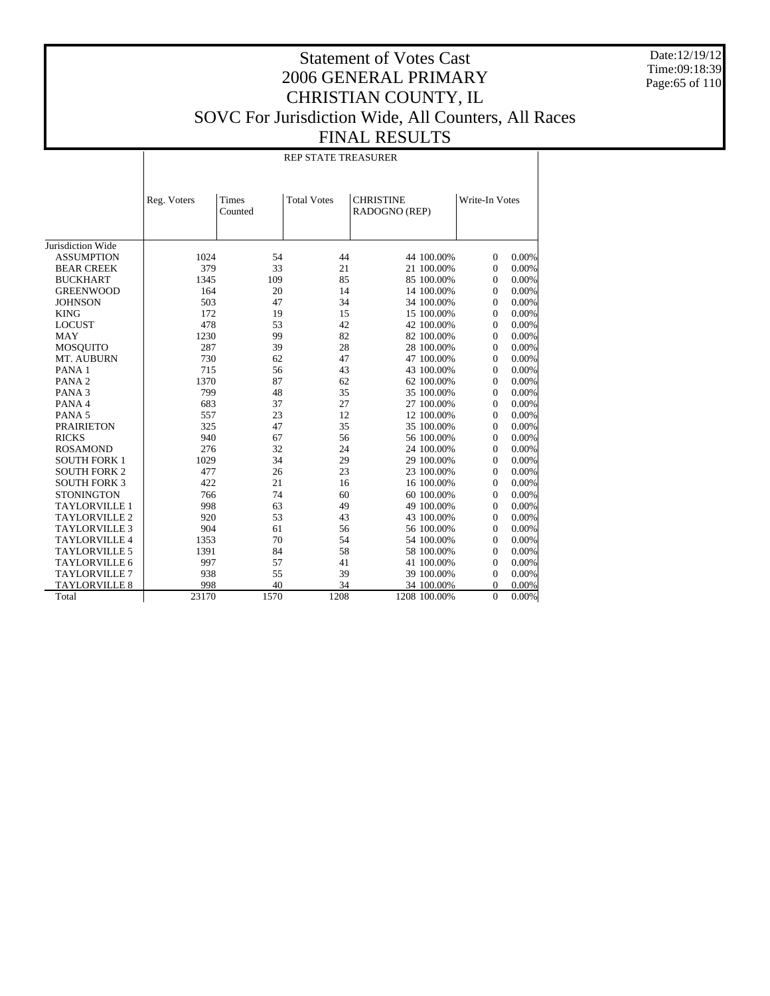Date:12/19/12 Time:09:18:39 Page:65 of 110

## Statement of Votes Cast 2006 GENERAL PRIMARY CHRISTIAN COUNTY, IL SOVC For Jurisdiction Wide, All Counters, All Races FINAL RESULTS

REP STATE TREASURER

|                      | Reg. Voters | Times<br>Counted | <b>Total Votes</b> | <b>CHRISTINE</b> | RADOGNO (REP) |                | Write-In Votes |
|----------------------|-------------|------------------|--------------------|------------------|---------------|----------------|----------------|
| Jurisdiction Wide    |             |                  |                    |                  |               |                |                |
| <b>ASSUMPTION</b>    | 1024        | 54               | 44                 |                  | 44 100.00%    | $\mathbf{0}$   | 0.00%          |
| <b>BEAR CREEK</b>    | 379         | 33               | 21                 |                  | 21 100.00%    | 0              | 0.00%          |
| <b>BUCKHART</b>      | 1345        | 109              | 85                 |                  | 85 100.00%    | $\mathbf{0}$   | 0.00%          |
| <b>GREENWOOD</b>     | 164         | 20               | 14                 |                  | 14 100.00%    | $\Omega$       | 0.00%          |
| <b>JOHNSON</b>       | 503         | 47               | 34                 |                  | 34 100.00%    | $\Omega$       | 0.00%          |
| <b>KING</b>          | 172         | 19               | 15                 |                  | 15 100.00%    | $\mathbf{0}$   | 0.00%          |
| <b>LOCUST</b>        | 478         | 53               | 42                 |                  | 42 100.00%    | $\mathbf{0}$   | 0.00%          |
| <b>MAY</b>           | 1230        | 99               | 82                 |                  | 82 100.00%    | $\mathbf{0}$   | 0.00%          |
| <b>MOSQUITO</b>      | 287         | 39               | 28                 |                  | 28 100.00%    | $\mathbf{0}$   | 0.00%          |
| MT. AUBURN           | 730         | 62               | 47                 |                  | 47 100.00%    | $\Omega$       | 0.00%          |
| PANA <sub>1</sub>    | 715         | 56               | 43                 |                  | 43 100.00%    | $\mathbf{0}$   | 0.00%          |
| PANA <sub>2</sub>    | 1370        | 87               | 62                 |                  | 62 100.00%    | $\mathbf{0}$   | 0.00%          |
| PANA <sub>3</sub>    | 799         | 48               | 35                 |                  | 35 100.00%    | $\mathbf{0}$   | 0.00%          |
| PANA 4               | 683         | 37               | 27                 |                  | 27 100.00%    | $\mathbf{0}$   | 0.00%          |
| PANA <sub>5</sub>    | 557         | 23               | 12                 |                  | 12 100.00%    | $\Omega$       | 0.00%          |
| <b>PRAIRIETON</b>    | 325         | 47               | 35                 |                  | 35 100.00%    | $\Omega$       | 0.00%          |
| <b>RICKS</b>         | 940         | 67               | 56                 |                  | 56 100.00%    | $\mathbf{0}$   | 0.00%          |
| <b>ROSAMOND</b>      | 276         | 32               | 24                 |                  | 24 100.00%    | $\mathbf{0}$   | 0.00%          |
| <b>SOUTH FORK 1</b>  | 1029        | 34               | 29                 |                  | 29 100.00%    | $\mathbf{0}$   | 0.00%          |
| <b>SOUTH FORK 2</b>  | 477         | 26               | 23                 |                  | 23 100.00%    | $\mathbf{0}$   | 0.00%          |
| <b>SOUTH FORK 3</b>  | 422         | 21               | 16                 |                  | 16 100.00%    | $\overline{0}$ | 0.00%          |
| <b>STONINGTON</b>    | 766         | 74               | 60                 |                  | 60 100.00%    | $\overline{0}$ | 0.00%          |
| <b>TAYLORVILLE 1</b> | 998         | 63               | 49                 |                  | 49 100.00%    | $\mathbf{0}$   | 0.00%          |
| TAYLORVILLE 2        | 920         | 53               | 43                 |                  | 43 100.00%    | $\mathbf{0}$   | 0.00%          |
| <b>TAYLORVILLE 3</b> | 904         | 61               | 56                 |                  | 56 100.00%    | $\mathbf{0}$   | 0.00%          |
| <b>TAYLORVILLE 4</b> | 1353        | 70               | 54                 |                  | 54 100.00%    | $\mathbf{0}$   | 0.00%          |
| <b>TAYLORVILLE 5</b> | 1391        | 84               | 58                 |                  | 58 100.00%    | $\mathbf{0}$   | 0.00%          |
| <b>TAYLORVILLE 6</b> | 997         | 57               | 41                 |                  | 41 100.00%    | $\mathbf{0}$   | 0.00%          |
| TAYLORVILLE 7        | 938         | 55               | 39                 |                  | 39 100.00%    | $\mathbf{0}$   | 0.00%          |
| <b>TAYLORVILLE 8</b> | 998         | 40               | 34                 |                  | 34 100.00%    | 0              | 0.00%          |
| Total                | 23170       | 1570             | 1208               |                  | 1208 100.00%  | $\overline{0}$ | $0.00\%$       |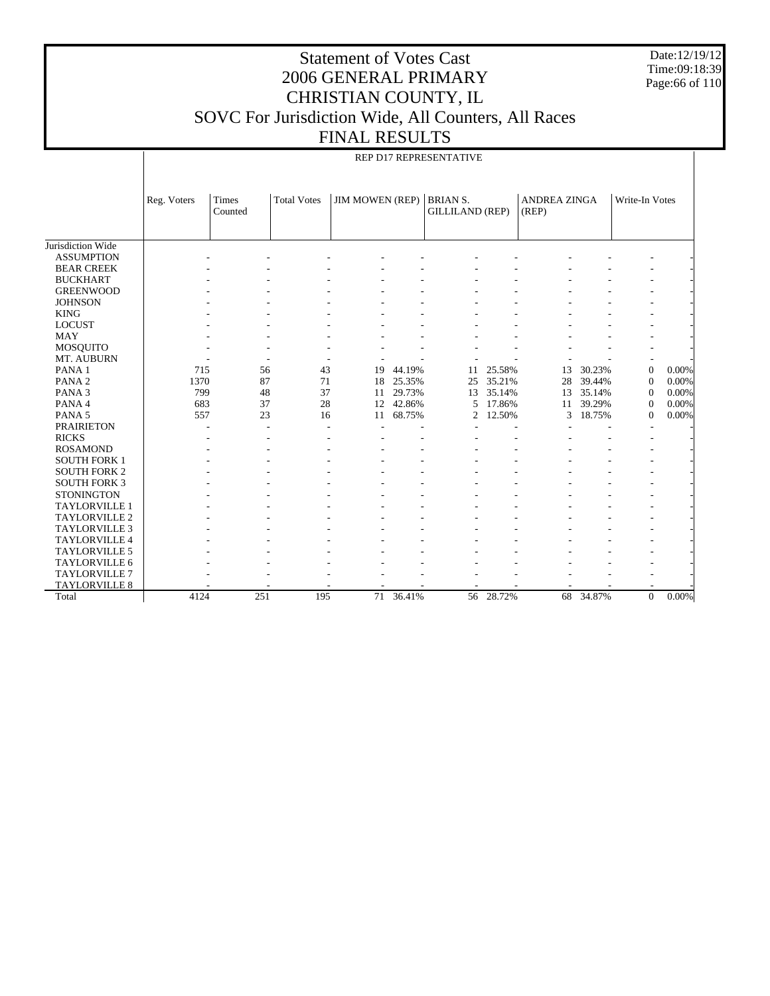Date:12/19/12 Time:09:18:39 Page:66 of 110

## Statement of Votes Cast 2006 GENERAL PRIMARY CHRISTIAN COUNTY, IL SOVC For Jurisdiction Wide, All Counters, All Races FINAL RESULTS

|                      | REP D17 REPRESENTATIVE |         |                    |                        |        |                        |        |                     |        |                          |          |
|----------------------|------------------------|---------|--------------------|------------------------|--------|------------------------|--------|---------------------|--------|--------------------------|----------|
|                      |                        |         |                    |                        |        |                        |        |                     |        |                          |          |
|                      |                        |         |                    |                        |        |                        |        |                     |        |                          |          |
|                      | Reg. Voters            | Times   | <b>Total Votes</b> | <b>JIM MOWEN (REP)</b> |        | <b>BRIAN S.</b>        |        | <b>ANDREA ZINGA</b> |        | Write-In Votes           |          |
|                      |                        | Counted |                    |                        |        | <b>GILLILAND (REP)</b> |        | (REP)               |        |                          |          |
|                      |                        |         |                    |                        |        |                        |        |                     |        |                          |          |
|                      |                        |         |                    |                        |        |                        |        |                     |        |                          |          |
| Jurisdiction Wide    |                        |         |                    |                        |        |                        |        |                     |        |                          |          |
| <b>ASSUMPTION</b>    |                        |         |                    |                        |        |                        |        |                     |        |                          |          |
| <b>BEAR CREEK</b>    |                        |         |                    |                        |        |                        |        |                     |        |                          |          |
| <b>BUCKHART</b>      |                        |         |                    |                        |        |                        |        |                     |        |                          |          |
| <b>GREENWOOD</b>     |                        |         |                    |                        |        |                        |        |                     |        | ۰                        |          |
| <b>JOHNSON</b>       |                        |         |                    |                        |        |                        |        |                     |        |                          |          |
| <b>KING</b>          |                        |         |                    |                        |        |                        |        |                     |        |                          |          |
| <b>LOCUST</b>        |                        |         |                    |                        |        |                        |        |                     |        |                          |          |
| <b>MAY</b>           |                        |         |                    |                        |        |                        |        |                     |        |                          |          |
| <b>MOSQUITO</b>      |                        |         |                    |                        |        |                        |        |                     |        |                          |          |
| MT. AUBURN           |                        |         |                    |                        |        |                        |        |                     |        |                          |          |
| PANA <sub>1</sub>    | 715                    | 56      | 43                 | 19                     | 44.19% | 11                     | 25.58% | 13                  | 30.23% | $\overline{0}$           | 0.00%    |
| PANA <sub>2</sub>    | 1370                   | 87      | 71                 | 18                     | 25.35% | 25                     | 35.21% | 28                  | 39.44% | $\mathbf{0}$             | 0.00%    |
| PANA <sub>3</sub>    | 799                    | 48      | 37                 | 11                     | 29.73% | 13                     | 35.14% | 13                  | 35.14% | $\mathbf{0}$             | 0.00%    |
| PANA 4               | 683                    | 37      | 28                 | 12                     | 42.86% | 5                      | 17.86% | 11                  | 39.29% | $\overline{0}$           | 0.00%    |
| PANA <sub>5</sub>    | 557                    | 23      | 16                 | 11                     | 68.75% | $\overline{c}$         | 12.50% | 3                   | 18.75% | $\overline{0}$           | 0.00%    |
| <b>PRAIRIETON</b>    |                        | ٠       | ٠                  |                        |        |                        |        |                     |        |                          |          |
| <b>RICKS</b>         |                        |         |                    |                        |        |                        |        |                     |        |                          |          |
| <b>ROSAMOND</b>      |                        |         |                    |                        |        |                        |        |                     |        | $\overline{\phantom{a}}$ |          |
| <b>SOUTH FORK 1</b>  |                        |         |                    |                        |        |                        |        |                     |        |                          |          |
| <b>SOUTH FORK 2</b>  |                        |         |                    |                        |        |                        |        |                     |        |                          |          |
| <b>SOUTH FORK 3</b>  |                        |         |                    |                        |        |                        |        |                     |        |                          |          |
| <b>STONINGTON</b>    |                        |         |                    |                        |        |                        |        |                     |        | ٠                        |          |
| TAYLORVILLE 1        |                        |         |                    |                        |        |                        |        |                     |        | ۰                        |          |
| TAYLORVILLE 2        |                        |         |                    |                        |        |                        |        |                     |        |                          |          |
| <b>TAYLORVILLE 3</b> |                        |         |                    |                        |        |                        |        |                     |        | ۰                        |          |
| TAYLORVILLE 4        |                        |         |                    |                        |        |                        |        |                     |        |                          |          |
| <b>TAYLORVILLE 5</b> |                        |         |                    |                        |        |                        |        |                     |        |                          |          |
| TAYLORVILLE 6        |                        |         |                    |                        |        |                        |        |                     |        |                          |          |
| <b>TAYLORVILLE 7</b> |                        |         |                    |                        |        |                        |        |                     |        |                          |          |
| TAYLORVILLE 8        |                        |         |                    |                        |        |                        |        |                     |        |                          |          |
| Total                | 4124                   | 251     | 195                | 71                     | 36.41% | 56                     | 28.72% | 68                  | 34.87% | $\overline{0}$           | $0.00\%$ |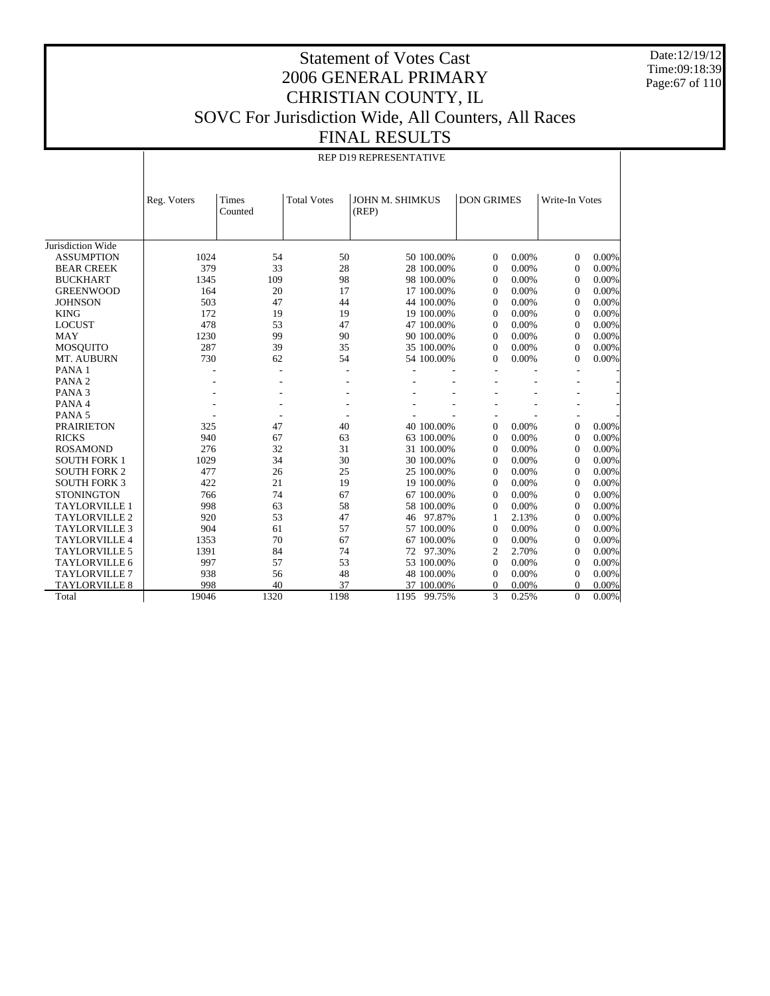Date:12/19/12 Time:09:18:39 Page:67 of 110

#### Statement of Votes Cast 2006 GENERAL PRIMARY CHRISTIAN COUNTY, IL SOVC For Jurisdiction Wide, All Counters, All Races FINAL RESULTS

#### REP D19 REPRESENTATIVE

|                      | Reg. Voters    | Times<br>Counted | <b>Total Votes</b> | JOHN M. SHIMKUS<br>(REP) |            | <b>DON GRIMES</b> |       | Write-In Votes |          |
|----------------------|----------------|------------------|--------------------|--------------------------|------------|-------------------|-------|----------------|----------|
|                      |                |                  |                    |                          |            |                   |       |                |          |
|                      |                |                  |                    |                          |            |                   |       |                |          |
| Jurisdiction Wide    |                |                  |                    |                          |            |                   |       |                |          |
| <b>ASSUMPTION</b>    | 1024           | 54               | 50                 |                          | 50 100.00% | $\Omega$          | 0.00% | $\Omega$       | 0.00%    |
| <b>BEAR CREEK</b>    | 379            | 33               | 28                 |                          | 28 100.00% | $\overline{0}$    | 0.00% | $\overline{0}$ | 0.00%    |
| <b>BUCKHART</b>      | 1345           | 109              | 98                 |                          | 98 100.00% | $\Omega$          | 0.00% | $\mathbf{0}$   | 0.00%    |
| <b>GREENWOOD</b>     | 164            | 20               | 17                 |                          | 17 100.00% | $\Omega$          | 0.00% | $\mathbf{0}$   | 0.00%    |
| <b>JOHNSON</b>       | 503            | 47               | 44                 |                          | 44 100.00% | $\Omega$          | 0.00% | $\mathbf{0}$   | 0.00%    |
| <b>KING</b>          | 172            | 19               | 19                 |                          | 19 100.00% | $\Omega$          | 0.00% | $\mathbf{0}$   | 0.00%    |
| <b>LOCUST</b>        | 478            | 53               | 47                 |                          | 47 100.00% | $\Omega$          | 0.00% | $\mathbf{0}$   | 0.00%    |
| <b>MAY</b>           | 1230           | 99               | 90                 |                          | 90 100.00% | $\Omega$          | 0.00% | $\mathbf{0}$   | 0.00%    |
| <b>MOSQUITO</b>      | 287            | 39               | 35                 |                          | 35 100.00% | $\Omega$          | 0.00% | $\Omega$       | 0.00%    |
| MT. AUBURN           | 730            | 62               | 54                 |                          | 54 100.00% | $\mathbf{0}$      | 0.00% | $\Omega$       | 0.00%    |
| PANA <sub>1</sub>    | $\overline{a}$ |                  | ۰                  |                          |            |                   |       |                |          |
| PANA <sub>2</sub>    |                | ٠                | ۰                  |                          |            |                   |       |                |          |
| PANA <sub>3</sub>    |                |                  |                    |                          |            |                   |       |                |          |
| PANA 4               |                |                  |                    |                          |            |                   |       |                |          |
| PANA <sub>5</sub>    |                |                  |                    |                          |            |                   |       |                |          |
| <b>PRAIRIETON</b>    | 325            | 47               | 40                 |                          | 40 100.00% | $\mathbf{0}$      | 0.00% | $\mathbf{0}$   | 0.00%    |
| <b>RICKS</b>         | 940            | 67               | 63                 |                          | 63 100.00% | $\overline{0}$    | 0.00% | $\mathbf{0}$   | 0.00%    |
| <b>ROSAMOND</b>      | 276            | 32               | 31                 |                          | 31 100.00% | $\Omega$          | 0.00% | $\mathbf{0}$   | 0.00%    |
| <b>SOUTH FORK 1</b>  | 1029           | 34               | 30                 |                          | 30 100.00% | $\Omega$          | 0.00% | $\mathbf{0}$   | 0.00%    |
| <b>SOUTH FORK 2</b>  | 477            | 26               | 25                 |                          | 25 100.00% | $\Omega$          | 0.00% | $\mathbf{0}$   | 0.00%    |
| <b>SOUTH FORK 3</b>  | 422            | 21               | 19                 |                          | 19 100.00% | $\Omega$          | 0.00% | $\mathbf{0}$   | 0.00%    |
| <b>STONINGTON</b>    | 766            | 74               | 67                 |                          | 67 100.00% | $\Omega$          | 0.00% | $\mathbf{0}$   | 0.00%    |
| <b>TAYLORVILLE 1</b> | 998            | 63               | 58                 |                          | 58 100.00% | $\Omega$          | 0.00% | $\mathbf{0}$   | 0.00%    |
| <b>TAYLORVILLE 2</b> | 920            | 53               | 47                 |                          | 46 97.87%  | 1                 | 2.13% | $\mathbf{0}$   | 0.00%    |
| <b>TAYLORVILLE 3</b> | 904            | 61               | 57                 |                          | 57 100.00% | $\Omega$          | 0.00% | $\mathbf{0}$   | 0.00%    |
| <b>TAYLORVILLE 4</b> | 1353           | 70               | 67                 |                          | 67 100.00% | $\overline{0}$    | 0.00% | $\mathbf{0}$   | 0.00%    |
| <b>TAYLORVILLE 5</b> | 1391           | 84               | 74                 |                          | 72 97.30%  | 2                 | 2.70% | $\mathbf{0}$   | 0.00%    |
| <b>TAYLORVILLE 6</b> | 997            | 57               | 53                 |                          | 53 100.00% | $\Omega$          | 0.00% | $\mathbf{0}$   | 0.00%    |
| <b>TAYLORVILLE 7</b> | 938            | 56               | 48                 |                          | 48 100.00% | $\Omega$          | 0.00% | $\mathbf{0}$   | 0.00%    |
| <b>TAYLORVILLE 8</b> | 998            | 40               | 37                 |                          | 37 100.00% | $\theta$          | 0.00% | $\Omega$       | 0.00%    |
| Total                | 19046          | 1320             | 1198               | 1195 99.75%              |            | 3                 | 0.25% | $\overline{0}$ | $0.00\%$ |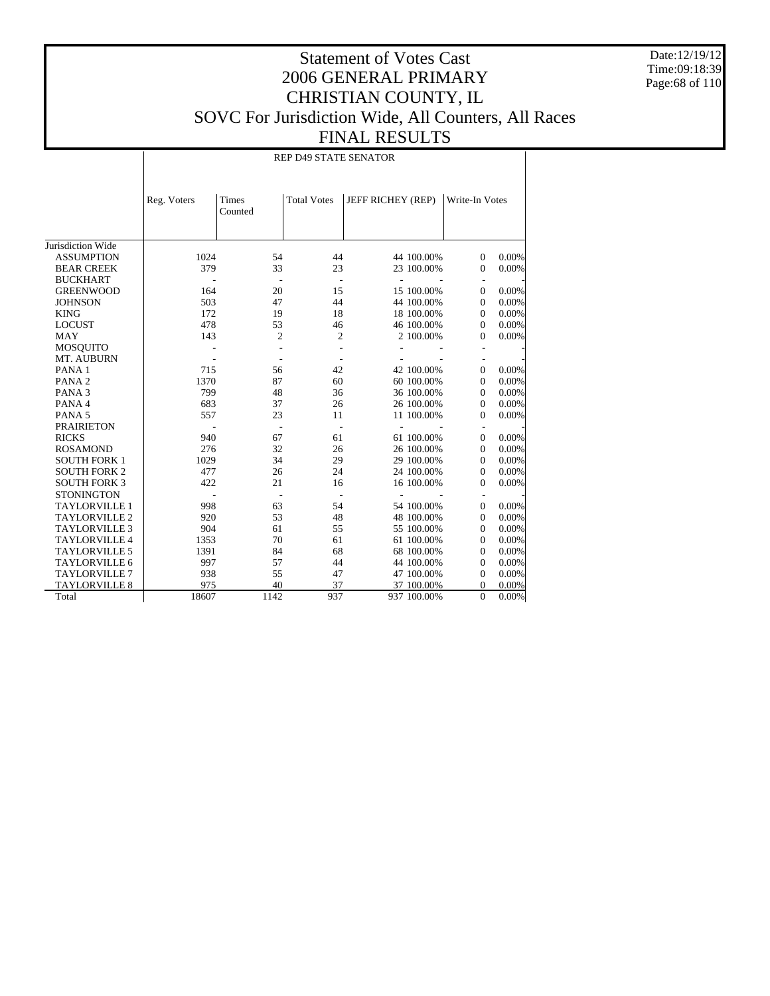Date:12/19/12 Time:09:18:39 Page:68 of 110

## Statement of Votes Cast 2006 GENERAL PRIMARY CHRISTIAN COUNTY, IL SOVC For Jurisdiction Wide, All Counters, All Races FINAL RESULTS

REP D49 STATE SENATOR

|                      | Reg. Voters | <b>Times</b><br>Counted | <b>Total Votes</b> | JEFF RICHEY (REP) |             | Write-In Votes           |       |
|----------------------|-------------|-------------------------|--------------------|-------------------|-------------|--------------------------|-------|
| Jurisdiction Wide    |             |                         |                    |                   |             |                          |       |
| <b>ASSUMPTION</b>    | 1024        | 54                      | 44                 |                   | 44 100.00%  | $\mathbf{0}$             | 0.00% |
| <b>BEAR CREEK</b>    | 379         | 33                      | 23                 |                   | 23 100.00%  | $\mathbf{0}$             | 0.00% |
| <b>BUCKHART</b>      |             |                         | ÷,                 | ÷.                |             |                          |       |
| <b>GREENWOOD</b>     | 164         | 20                      | 15                 |                   | 15 100.00%  | $\mathbf{0}$             | 0.00% |
| <b>JOHNSON</b>       | 503         | 47                      | 44                 |                   | 44 100.00%  | $\mathbf{0}$             | 0.00% |
| <b>KING</b>          | 172         | 19                      | 18                 |                   | 18 100.00%  | $\mathbf{0}$             | 0.00% |
| <b>LOCUST</b>        | 478         | 53                      | 46                 |                   | 46 100.00%  | $\mathbf{0}$             | 0.00% |
| <b>MAY</b>           | 143         | 2                       | $\overline{c}$     |                   | 2 100.00%   | 0                        | 0.00% |
| <b>MOSQUITO</b>      |             |                         |                    |                   |             |                          |       |
| MT. AUBURN           |             |                         |                    |                   |             | $\overline{\phantom{m}}$ |       |
| PANA <sub>1</sub>    | 715         | 56                      | 42                 |                   | 42 100.00%  | $\overline{0}$           | 0.00% |
| PANA <sub>2</sub>    | 1370        | 87                      | 60                 |                   | 60 100,00%  | $\mathbf{0}$             | 0.00% |
| PANA <sub>3</sub>    | 799         | 48                      | 36                 |                   | 36 100.00%  | $\mathbf{0}$             | 0.00% |
| PANA 4               | 683         | 37                      | 26                 |                   | 26 100.00%  | $\mathbf{0}$             | 0.00% |
| PANA <sub>5</sub>    | 557         | 23                      | 11                 |                   | 11 100.00%  | $\Omega$                 | 0.00% |
| <b>PRAIRIETON</b>    |             |                         | ÷,                 |                   |             |                          |       |
| <b>RICKS</b>         | 940         | 67                      | 61                 |                   | 61 100.00%  | $\mathbf{0}$             | 0.00% |
| <b>ROSAMOND</b>      | 276         | 32                      | 26                 |                   | 26 100.00%  | $\mathbf{0}$             | 0.00% |
| <b>SOUTH FORK 1</b>  | 1029        | 34                      | 29                 |                   | 29 100.00%  | $\mathbf{0}$             | 0.00% |
| <b>SOUTH FORK 2</b>  | 477         | 26                      | 24                 |                   | 24 100.00%  | $\mathbf{0}$             | 0.00% |
| <b>SOUTH FORK 3</b>  | 422         | 21                      | 16                 |                   | 16 100.00%  | $\mathbf{0}$             | 0.00% |
| <b>STONINGTON</b>    |             |                         |                    |                   |             |                          |       |
| <b>TAYLORVILLE 1</b> | 998         | 63                      | 54                 |                   | 54 100.00%  | $\mathbf{0}$             | 0.00% |
| <b>TAYLORVILLE 2</b> | 920         | 53                      | 48                 |                   | 48 100.00%  | $\mathbf{0}$             | 0.00% |
| <b>TAYLORVILLE 3</b> | 904         | 61                      | 55                 |                   | 55 100.00%  | $\Omega$                 | 0.00% |
| <b>TAYLORVILLE 4</b> | 1353        | 70                      | 61                 |                   | 61 100.00%  | $\Omega$                 | 0.00% |
| <b>TAYLORVILLE 5</b> | 1391        | 84                      | 68                 |                   | 68 100.00%  | $\mathbf{0}$             | 0.00% |
| <b>TAYLORVILLE 6</b> | 997         | 57                      | 44                 |                   | 44 100.00%  | $\Omega$                 | 0.00% |
| <b>TAYLORVILLE 7</b> | 938         | 55                      | 47                 |                   | 47 100.00%  | $\Omega$                 | 0.00% |
| <b>TAYLORVILLE 8</b> | 975         | 40                      | 37                 |                   | 37 100.00%  | $\mathbf{0}$             | 0.00% |
| Total                | 18607       | 1142                    | 937                |                   | 937 100.00% | $\mathbf{0}$             | 0.00% |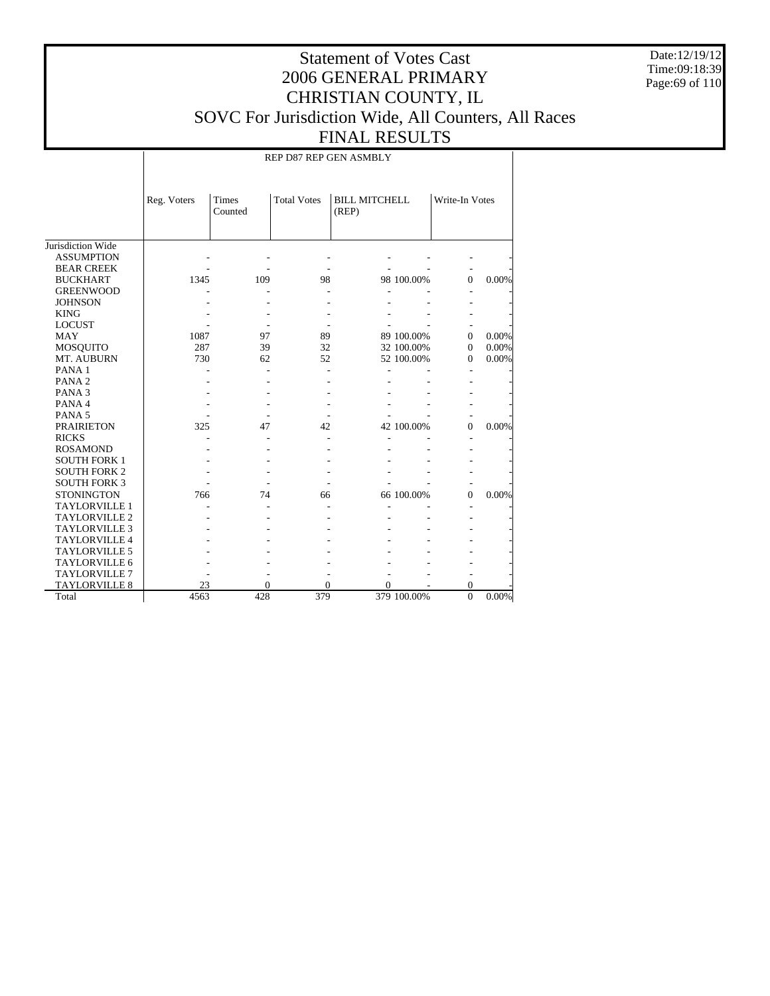Date:12/19/12 Time:09:18:39 Page:69 of 110

## Statement of Votes Cast 2006 GENERAL PRIMARY CHRISTIAN COUNTY, IL SOVC For Jurisdiction Wide, All Counters, All Races FINAL RESULTS

REP D87 REP GEN ASMBLY

|                      | Reg. Voters | Times<br>Counted | <b>Total Votes</b> | <b>BILL MITCHELL</b><br>(REP) |             | Write-In Votes |       |
|----------------------|-------------|------------------|--------------------|-------------------------------|-------------|----------------|-------|
| Jurisdiction Wide    |             |                  |                    |                               |             |                |       |
| <b>ASSUMPTION</b>    |             |                  |                    |                               |             |                |       |
| <b>BEAR CREEK</b>    |             |                  |                    |                               |             |                |       |
| <b>BUCKHART</b>      | 1345        | 109              | 98                 |                               | 98 100.00%  | $\Omega$       | 0.00% |
| <b>GREENWOOD</b>     |             |                  |                    |                               |             |                |       |
| <b>JOHNSON</b>       |             |                  |                    |                               |             |                |       |
| <b>KING</b>          |             |                  |                    |                               |             |                |       |
| <b>LOCUST</b>        |             |                  |                    |                               |             |                |       |
| <b>MAY</b>           | 1087        | 97               | 89                 |                               | 89 100.00%  | $\Omega$       | 0.00% |
| <b>MOSQUITO</b>      | 287         | 39               | 32                 |                               | 32 100.00%  | $\Omega$       | 0.00% |
| MT. AUBURN           | 730         | 62               | 52                 |                               | 52 100.00%  | $\Omega$       | 0.00% |
| PANA <sub>1</sub>    |             |                  |                    |                               |             |                |       |
| PANA <sub>2</sub>    |             |                  |                    |                               |             |                |       |
| PANA <sub>3</sub>    |             |                  |                    |                               |             |                |       |
| PANA 4               |             |                  |                    |                               |             |                |       |
| PANA <sub>5</sub>    |             |                  |                    |                               |             |                |       |
| <b>PRAIRIETON</b>    | 325         | 47               | 42                 |                               | 42 100.00%  | $\theta$       | 0.00% |
| <b>RICKS</b>         |             |                  |                    |                               |             |                |       |
| <b>ROSAMOND</b>      |             |                  |                    |                               |             |                |       |
| <b>SOUTH FORK 1</b>  |             |                  |                    |                               |             |                |       |
| <b>SOUTH FORK 2</b>  |             |                  |                    |                               |             |                |       |
| <b>SOUTH FORK 3</b>  |             |                  |                    |                               |             |                |       |
| <b>STONINGTON</b>    | 766         | 74               | 66                 |                               | 66 100.00%  | $\theta$       | 0.00% |
| <b>TAYLORVILLE 1</b> |             |                  |                    |                               |             |                |       |
| <b>TAYLORVILLE 2</b> |             |                  |                    |                               |             |                |       |
| <b>TAYLORVILLE 3</b> |             |                  |                    |                               |             |                |       |
| <b>TAYLORVILLE 4</b> |             |                  |                    |                               |             |                |       |
| <b>TAYLORVILLE 5</b> |             |                  |                    |                               |             |                |       |
| <b>TAYLORVILLE 6</b> |             |                  |                    |                               |             |                |       |
| <b>TAYLORVILLE 7</b> |             |                  |                    |                               |             |                |       |
| <b>TAYLORVILLE 8</b> | 23          | 0                | 0                  | 0                             |             | 0              |       |
| Total                | 4563        | 428              | 379                |                               | 379 100.00% | $\theta$       | 0.00% |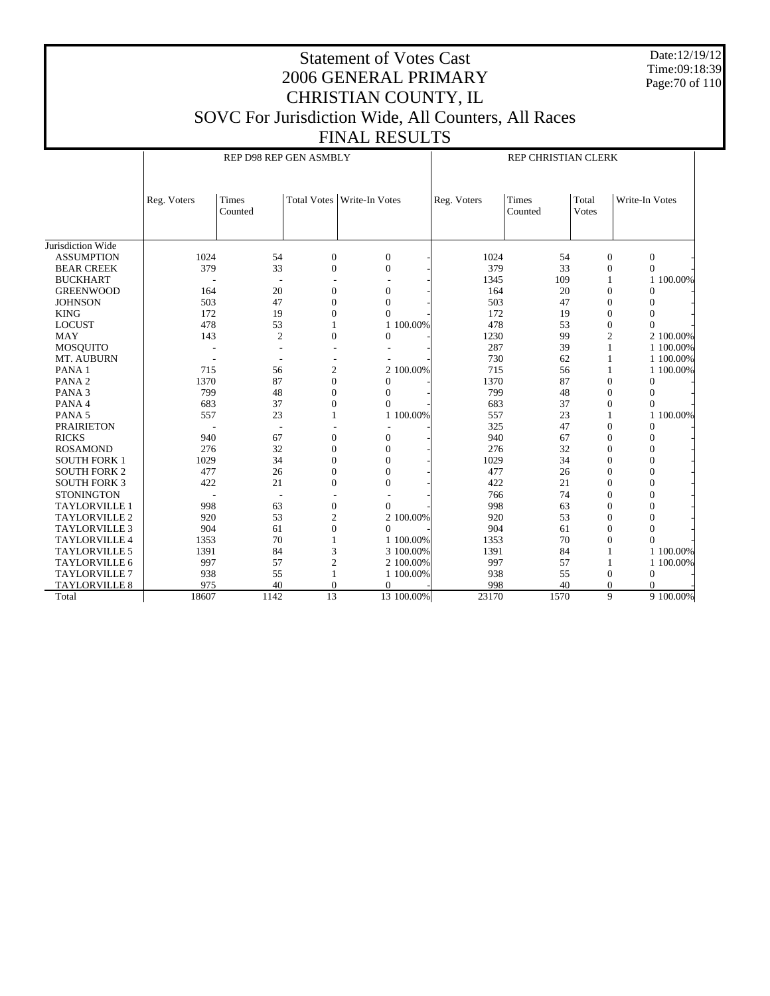Date:12/19/12 Time:09:18:39 Page:70 of 110

# Statement of Votes Cast 2006 GENERAL PRIMARY CHRISTIAN COUNTY, IL SOVC For Jurisdiction Wide, All Counters, All Races

FINAL RESULTS

REP D98 REP GEN ASMBLY

REP CHRISTIAN CLERK

|                      | Reg. Voters | Times<br>Counted         |                  | Total Votes   Write-In Votes | Reg. Voters | <b>Times</b><br>Counted | Total<br>Votes | Write-In Votes |
|----------------------|-------------|--------------------------|------------------|------------------------------|-------------|-------------------------|----------------|----------------|
|                      |             |                          |                  |                              |             |                         |                |                |
| Jurisdiction Wide    |             |                          |                  |                              |             |                         |                |                |
| <b>ASSUMPTION</b>    | 1024        | 54                       | $\boldsymbol{0}$ | $\mathbf{0}$                 | 1024        | 54                      | $\mathbf{0}$   | $\overline{0}$ |
| <b>BEAR CREEK</b>    | 379         | 33                       | $\theta$         | $\overline{0}$               | 379         | 33                      | $\mathbf{0}$   | $\Omega$       |
| <b>BUCKHART</b>      |             |                          |                  |                              | 1345        | 109                     | 1              | 100.00%<br>1   |
| <b>GREENWOOD</b>     | 164         | 20                       | $\theta$         | $\overline{0}$               | 164         | 20                      | $\mathbf{0}$   | $\theta$       |
| <b>JOHNSON</b>       | 503         | 47                       | $\Omega$         | $\theta$                     | 503         | 47                      | $\theta$       | $\theta$       |
| <b>KING</b>          | 172         | 19                       | 0                | $\Omega$                     | 172         | 19                      | $\theta$       | $\theta$       |
| <b>LOCUST</b>        | 478         | 53                       |                  | 1 100,00%                    | 478         | 53                      | $\mathbf{0}$   | $\Omega$       |
| <b>MAY</b>           | 143         | $\overline{2}$           | $\theta$         | $\Omega$                     | 1230        | 99                      | $\overline{2}$ | 2 100,00%      |
| <b>MOSQUITO</b>      |             |                          |                  |                              | 287         | 39                      | 1              | 1 100,00%      |
| MT. AUBURN           |             |                          |                  |                              | 730         | 62                      | 1              | 1 100.00%      |
| PANA <sub>1</sub>    | 715         | 56                       | 2                | 2 100,00%                    | 715         | 56                      |                | 1 100,00%      |
| PANA <sub>2</sub>    | 1370        | 87                       | $\Omega$         | $\theta$                     | 1370        | 87                      | $\theta$       | $\Omega$       |
| PANA <sub>3</sub>    | 799         | 48                       | 0                | $\theta$                     | 799         | 48                      | $\theta$       | $\theta$       |
| PANA 4               | 683         | 37                       | 0                | $\Omega$                     | 683         | 37                      | $\theta$       | $\theta$       |
| PANA <sub>5</sub>    | 557         | 23                       |                  | 1 100,00%                    | 557         | 23                      |                | 100.00%<br>1   |
| <b>PRAIRIETON</b>    |             | $\overline{\phantom{a}}$ |                  |                              | 325         | 47                      | $\Omega$       | $\Omega$       |
| <b>RICKS</b>         | 940         | 67                       | $\theta$         | $\overline{0}$               | 940         | 67                      | $\Omega$       | $\theta$       |
| <b>ROSAMOND</b>      | 276         | 32                       | $\Omega$         | $\theta$                     | 276         | 32                      | $\Omega$       | $\theta$       |
| <b>SOUTH FORK 1</b>  | 1029        | 34                       | $\Omega$         | $\theta$                     | 1029        | 34                      | $\Omega$       | $\theta$       |
| <b>SOUTH FORK 2</b>  | 477         | 26                       | $\Omega$         | $\theta$                     | 477         | 26                      | $\Omega$       | $\theta$       |
| <b>SOUTH FORK 3</b>  | 422         | 21                       | $\Omega$         | $\Omega$                     | 422         | 21                      | $\Omega$       | $\theta$       |
| <b>STONINGTON</b>    |             | $\overline{\phantom{a}}$ |                  |                              | 766         | 74                      | $\Omega$       | $\theta$       |
| <b>TAYLORVILLE 1</b> | 998         | 63                       | $\theta$         | $\theta$                     | 998         | 63                      | $\Omega$       | $\theta$       |
| <b>TAYLORVILLE 2</b> | 920         | 53                       | 2                | 2 100,00%                    | 920         | 53                      | $\Omega$       | $\theta$       |
| <b>TAYLORVILLE 3</b> | 904         | 61                       | $\mathbf{0}$     | $\theta$                     | 904         | 61                      | $\Omega$       | $\theta$       |
| TAYLORVILLE 4        | 1353        | 70                       |                  | 1 100.00%                    | 1353        | 70                      | $\mathbf{0}$   | $\theta$       |
| <b>TAYLORVILLE 5</b> | 1391        | 84                       | 3                | 3 100.00%                    | 1391        | 84                      |                | 1 100.00%      |
| <b>TAYLORVILLE 6</b> | 997         | 57                       | $\overline{2}$   | 2 100.00%                    | 997         | 57                      | $\mathbf{1}$   | 1 100.00%      |
| <b>TAYLORVILLE 7</b> | 938         | 55                       |                  | 1 100.00%                    | 938         | 55                      | $\theta$       | $\mathbf{0}$   |
| <b>TAYLORVILLE 8</b> | 975         | 40                       | $\Omega$         | $\theta$                     | 998         | 40                      | $\theta$       |                |
| Total                | 18607       | 1142                     | $\overline{13}$  | 13 100.00%                   | 23170       | 1570                    | 9              | 9 100.00%      |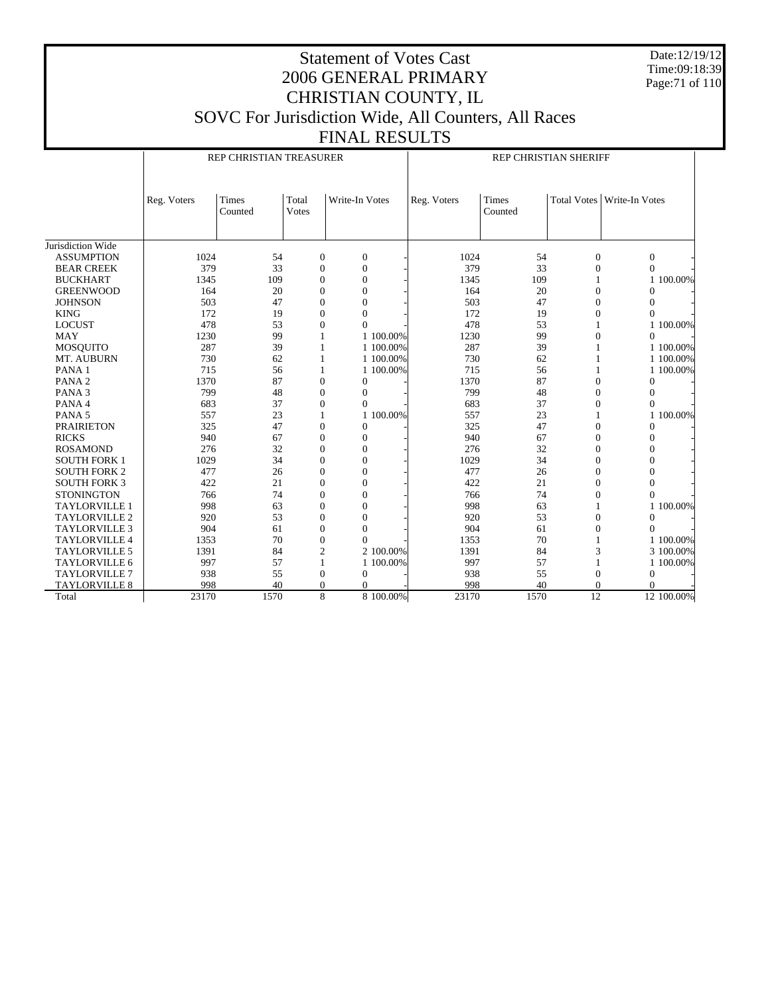Date:12/19/12 Time:09:18:39 Page:71 of 110

# Statement of Votes Cast 2006 GENERAL PRIMARY CHRISTIAN COUNTY, IL SOVC For Jurisdiction Wide, All Counters, All Races

FINAL RESULTS Jurisdiction Wide ASSUMPTION BEAR CREEK BUCKHART GREENWOOD JOHNSON KING LOCUST MAY MOSQUITO MT. AUBURN PANA 1 PANA 2 PANA 3 PANA 4 PANA 5 PRAIRIETON RICKS ROSAMOND SOUTH FORK 1 SOUTH FORK 2 SOUTH FORK 3 **STONINGTON**  TAYLORVILLE 1 TAYLORVILLE 2 TAYLORVILLE 3 TAYLORVILLE 4 TAYLORVILLE 5 TAYLORVILLE 6 TAYLORVILLE 7 TAYLORVILLE 8 Total Reg. Voters | Times Counted Total Votes Write-In Votes REP CHRISTIAN TREASURER Reg. Voters | Times Counted Total Votes | Write-In Votes REP CHRISTIAN SHERIFF 1024 54 0 0 - 1024 54 0 0 -379 33 0 0 - 379 33 0 0 - 1345 109 0 0 - 1345 109 1 1100.00% 164 20 0 0 - 164 20 0 0 - $503$  47 0 0  $-$  503 47 0 0  $-$ 172 19 0 0 - 172 19 0 0 -478 53 0 0  $-1$  478 53 1 1 100.00% 1230 99 1 1 100.00% 1230 99 0 0 -287 39 1 1 100.00% 287 39 1 1 100.00% 730 62 1 1 100.00% 730 62 1 1 100.00% 715 56 1 1 100.00% 715 56 1 1 100.00% 1370 87 0 0 - 1370 87 0 0 -799 48 0 0 - 799 48 0 0 - 683 37 0 0 - 683 37 0 0 - 557 23 1 1 100.00% 557 23 1 1 100.00%  $325$  47 0 0  $325$  47 0 0  $-$ 940 67 0 0 - 940 67 0 0 -276 32 0 0 - 276 32 0 0 -1029 34 0 0 - 1029 34 0 0 -477 26 0 0 - 477 26 0 0 - $422$  21 0 0  $422$  21 0 0  $-$ 766 74 0 0 - 766 74 0 0 - 998 63 0 0 - 998 63 1 1 100.00%  $920$  53 0 0  $920$  53 0 0  $-$ 904 61 0 0 - 904 61 0 0 -1353 70 0 0 - 1353 70 1 1100.00% 1391 84 2 2 100.00% 1391 84 3 3 100.00% 997 57 1 1 100.00% 997 57 1 1 100.00% 938 55 0 0 - 938 55 0 0 - 998 40 0 0 <del>|</del> 998 40 0 0 -23170 1570 8 8 100.00% 23170 1570 12 12 100.00%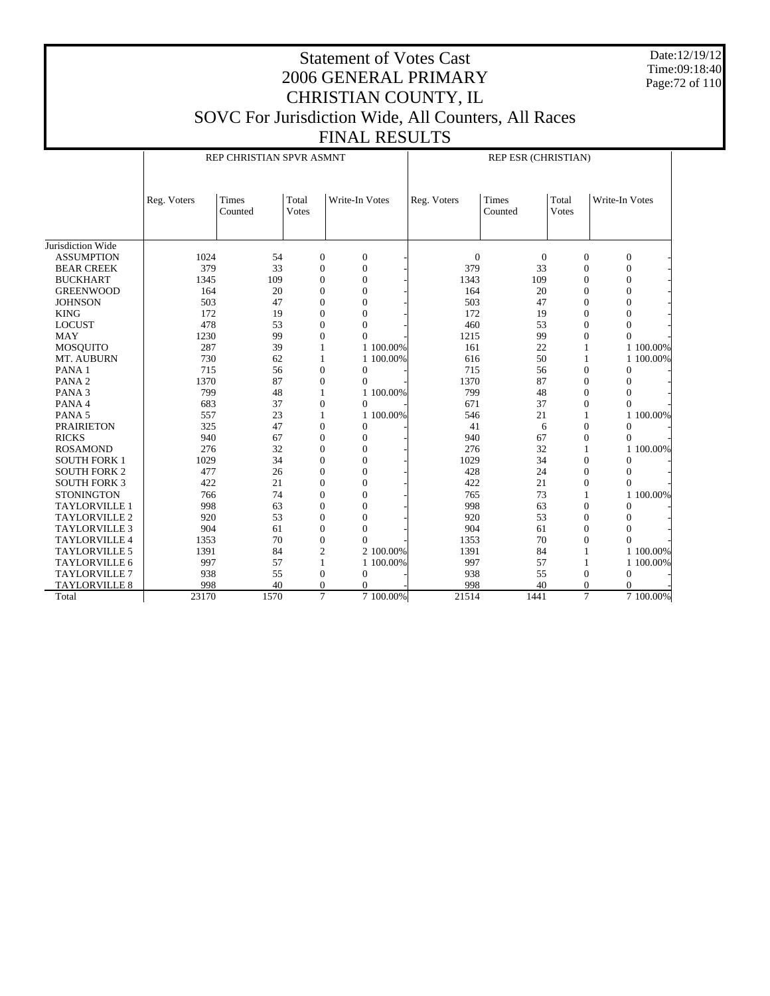Date:12/19/12 Time:09:18:40 Page:72 of 110

## Statement of Votes Cast 2006 GENERAL PRIMARY CHRISTIAN COUNTY, IL SOVC For Jurisdiction Wide, All Counters, All Races FINAL RESULTS

|                      |             | REP CHRISTIAN SPVR ASMNT |                |                  |           |                | REP ESR (CHRISTIAN) |                       |                |
|----------------------|-------------|--------------------------|----------------|------------------|-----------|----------------|---------------------|-----------------------|----------------|
|                      | Reg. Voters | Times<br>Counted         | Total<br>Votes | Write-In Votes   |           | Reg. Voters    | Times<br>Counted    | Total<br><b>Votes</b> | Write-In Votes |
| Jurisdiction Wide    |             |                          |                |                  |           |                |                     |                       |                |
| <b>ASSUMPTION</b>    | 1024        | 54                       | $\mathbf{0}$   | $\mathbf{0}$     |           | $\overline{0}$ | $\mathbf{0}$        | $\mathbf{0}$          | $\mathbf{0}$   |
| <b>BEAR CREEK</b>    | 379         | 33                       | $\mathbf{0}$   | $\overline{0}$   |           | 379            | 33                  | $\mathbf{0}$          | $\Omega$       |
| <b>BUCKHART</b>      | 1345        | 109                      | $\Omega$       | $\mathbf{0}$     |           | 1343           | 109                 | $\mathbf{0}$          | $\Omega$       |
| <b>GREENWOOD</b>     | 164         | 20                       | $\mathbf{0}$   | $\overline{0}$   |           | 164            | 20                  | $\mathbf{0}$          | $\mathbf{0}$   |
| <b>JOHNSON</b>       | 503         | 47                       | $\mathbf{0}$   | $\mathbf{0}$     |           | 503            | 47                  | $\mathbf{0}$          | $\theta$       |
| <b>KING</b>          | 172         | 19                       | $\overline{0}$ | $\overline{0}$   |           | 172            | 19                  | $\overline{0}$        | $\overline{0}$ |
| <b>LOCUST</b>        | 478         | 53                       | $\Omega$       | $\mathbf{0}$     |           | 460            | 53                  | $\mathbf{0}$          | 0              |
| <b>MAY</b>           | 1230        | 99                       | $\mathbf{0}$   | $\theta$         |           | 1215           | 99                  | $\overline{0}$        | $\theta$       |
| <b>MOSOUITO</b>      | 287         | 39                       | 1              |                  | 1 100,00% | 161            | 22                  |                       | 1 100,00%      |
| MT. AUBURN           | 730         | 62                       | 1              |                  | 1 100,00% | 616            | 50                  | 1                     | 1 100.00%      |
| PANA 1               | 715         | 56                       | $\mathbf{0}$   | $\boldsymbol{0}$ |           | 715            | 56                  | $\mathbf{0}$          | $\mathbf{0}$   |
| PANA <sub>2</sub>    | 1370        | 87                       | $\mathbf{0}$   | $\Omega$         |           | 1370           | 87                  | $\mathbf{0}$          | $\mathbf{0}$   |
| PANA <sub>3</sub>    | 799         | 48                       | $\mathbf{1}$   |                  | 1 100,00% | 799            | 48                  | $\overline{0}$        | $\theta$       |
| PANA 4               | 683         | 37                       | $\mathbf{0}$   | $\Omega$         |           | 671            | 37                  | $\mathbf{0}$          | $\Omega$       |
| PANA <sub>5</sub>    | 557         | 23                       | 1              |                  | 1 100,00% | 546            | 21                  |                       | 100.00%<br>1   |
| <b>PRAIRIETON</b>    | 325         | 47                       | $\Omega$       | $\mathbf{0}$     |           | 41             | 6                   | $\mathbf{0}$          | $\Omega$       |
| <b>RICKS</b>         | 940         | 67                       | $\mathbf{0}$   | $\mathbf{0}$     |           | 940            | 67                  | $\mathbf{0}$          | $\theta$       |
| <b>ROSAMOND</b>      | 276         | 32                       | $\mathbf{0}$   | $\overline{0}$   |           | 276            | 32                  | 1                     | 1 100.00%      |
| <b>SOUTH FORK 1</b>  | 1029        | 34                       | $\mathbf{0}$   | $\mathbf{0}$     |           | 1029           | 34                  | $\mathbf{0}$          | $\Omega$       |
| <b>SOUTH FORK 2</b>  | 477         | 26                       | $\mathbf{0}$   | $\overline{0}$   |           | 428            | 24                  | $\overline{0}$        | $\Omega$       |
| <b>SOUTH FORK 3</b>  | 422         | 21                       | $\Omega$       | $\Omega$         |           | 422            | 21                  | $\mathbf{0}$          | $\Omega$       |
| <b>STONINGTON</b>    | 766         | 74                       | $\Omega$       | $\mathbf{0}$     |           | 765            | 73                  |                       | 1 100.00%      |
| <b>TAYLORVILLE 1</b> | 998         | 63                       | $\Omega$       | $\overline{0}$   |           | 998            | 63                  | $\Omega$              | $\Omega$       |
| TAYLORVILLE 2        | 920         | 53                       | $\mathbf{0}$   | $\mathbf{0}$     |           | 920            | 53                  | $\mathbf{0}$          | $\Omega$       |
| <b>TAYLORVILLE 3</b> | 904         | 61                       | $\mathbf{0}$   | $\overline{0}$   |           | 904            | 61                  | $\overline{0}$        | $\overline{0}$ |
| <b>TAYLORVILLE 4</b> | 1353        | 70                       | $\mathbf{0}$   | $\Omega$         |           | 1353           | 70                  | $\overline{0}$        | $\theta$       |
| <b>TAYLORVILLE 5</b> | 1391        | 84                       | $\overline{2}$ |                  | 2 100,00% | 1391           | 84                  | 1                     | 1 100.00%      |
| <b>TAYLORVILLE 6</b> | 997         | 57                       | 1              |                  | 1 100,00% | 997            | 57                  |                       | 1 100.00%      |
| <b>TAYLORVILLE 7</b> | 938         | 55                       | $\mathbf{0}$   | $\mathbf{0}$     |           | 938            | 55                  | $\mathbf{0}$          | $\mathbf{0}$   |
| <b>TAYLORVILLE 8</b> | 998         | 40                       | $\mathbf{0}$   | $\theta$         |           | 998            | 40                  | $\theta$              | $\theta$       |
| Total                | 23170       | 1570                     | $\overline{7}$ |                  | 7 100,00% | 21514          | 1441                | $\overline{7}$        | 7 100,00%      |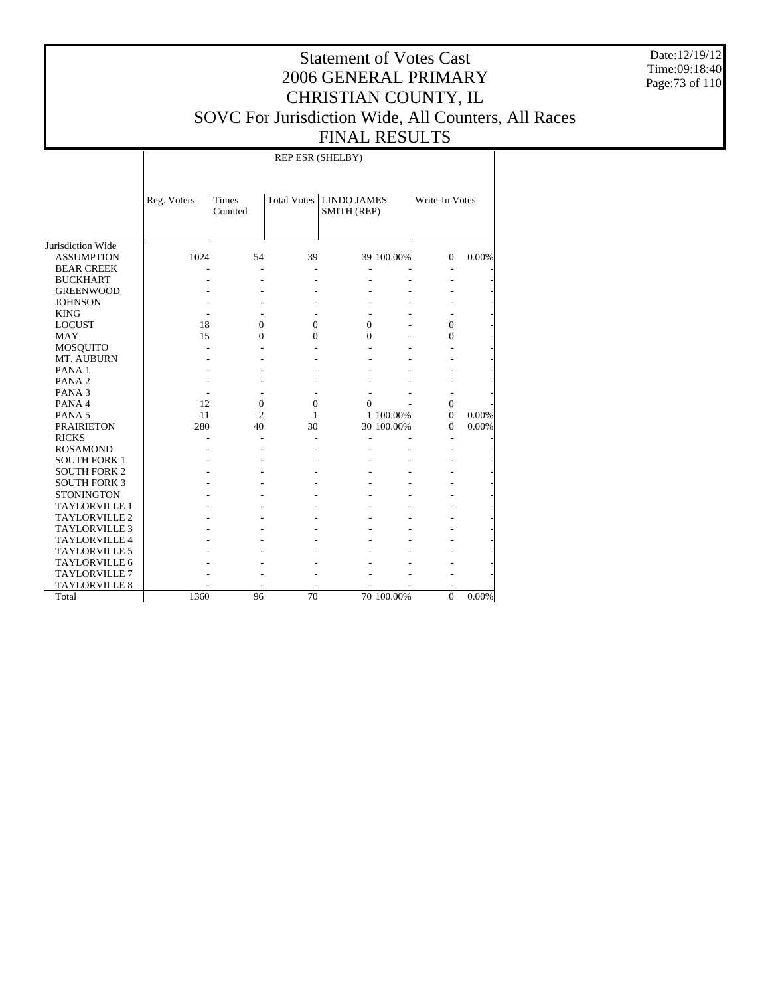Date:12/19/12 Time:09:18:40 Page:73 of 110

### Statement of Votes Cast 2006 GENERAL PRIMARY CHRISTIAN COUNTY, IL SOVC For Jurisdiction Wide, All Counters, All Races FINAL RESULTS

REP ESR (SHELBY)

|                      | Reg. Voters | Times<br>Counted |          | Total Votes   LINDO JAMES<br>SMITH (REP) |            | Write-In Votes |       |
|----------------------|-------------|------------------|----------|------------------------------------------|------------|----------------|-------|
| Jurisdiction Wide    |             |                  |          |                                          |            |                |       |
| <b>ASSUMPTION</b>    | 1024        | 54               | 39       |                                          | 39 100.00% | $\Omega$       | 0.00% |
| <b>BEAR CREEK</b>    |             |                  |          |                                          |            |                |       |
| <b>BUCKHART</b>      |             |                  |          |                                          |            |                |       |
| <b>GREENWOOD</b>     |             |                  |          |                                          |            |                |       |
| <b>JOHNSON</b>       |             |                  |          |                                          |            |                |       |
| <b>KING</b>          |             |                  |          |                                          |            |                |       |
| <b>LOCUST</b>        | 18          | $\Omega$         | $\Omega$ | 0                                        |            | $\Omega$       |       |
| <b>MAY</b>           | 15          | $\Omega$         | 0        | $\Omega$                                 |            | 0              |       |
| MOSQUITO             |             |                  |          |                                          |            |                |       |
| MT. AUBURN           |             |                  |          |                                          |            |                |       |
| PANA <sub>1</sub>    |             |                  |          |                                          |            |                |       |
| PANA <sub>2</sub>    |             |                  |          |                                          |            |                |       |
| PANA <sub>3</sub>    |             |                  |          |                                          |            |                |       |
| PANA 4               | 12          | $\Omega$         | $\Omega$ | $\Omega$                                 |            | $\Omega$       |       |
| PANA <sub>5</sub>    | 11          | $\overline{c}$   | 1        |                                          | 1 100.00%  | $\Omega$       | 0.00% |
| <b>PRAIRIETON</b>    | 280         | 40               | 30       |                                          | 30 100.00% | 0              | 0.00% |
| <b>RICKS</b>         |             |                  |          |                                          |            |                |       |
| <b>ROSAMOND</b>      |             |                  |          |                                          |            |                |       |
| <b>SOUTH FORK 1</b>  |             |                  |          |                                          |            |                |       |
| <b>SOUTH FORK 2</b>  |             |                  |          |                                          |            |                |       |
| <b>SOUTH FORK 3</b>  |             |                  |          |                                          |            |                |       |
| <b>STONINGTON</b>    |             |                  |          |                                          |            |                |       |
| <b>TAYLORVILLE 1</b> |             |                  |          |                                          |            |                |       |
| <b>TAYLORVILLE 2</b> |             |                  |          |                                          |            |                |       |
| <b>TAYLORVILLE 3</b> |             |                  |          |                                          |            |                |       |
| <b>TAYLORVILLE 4</b> |             |                  |          |                                          |            |                |       |
| <b>TAYLORVILLE 5</b> |             |                  |          |                                          |            |                |       |
| <b>TAYLORVILLE 6</b> |             |                  |          |                                          |            |                |       |
| <b>TAYLORVILLE 7</b> |             |                  |          |                                          |            |                |       |
| <b>TAYLORVILLE 8</b> |             |                  |          |                                          |            |                |       |
| Total                | 1360        | 96               | 70       |                                          | 70 100.00% | $\mathbf{0}$   | 0.00% |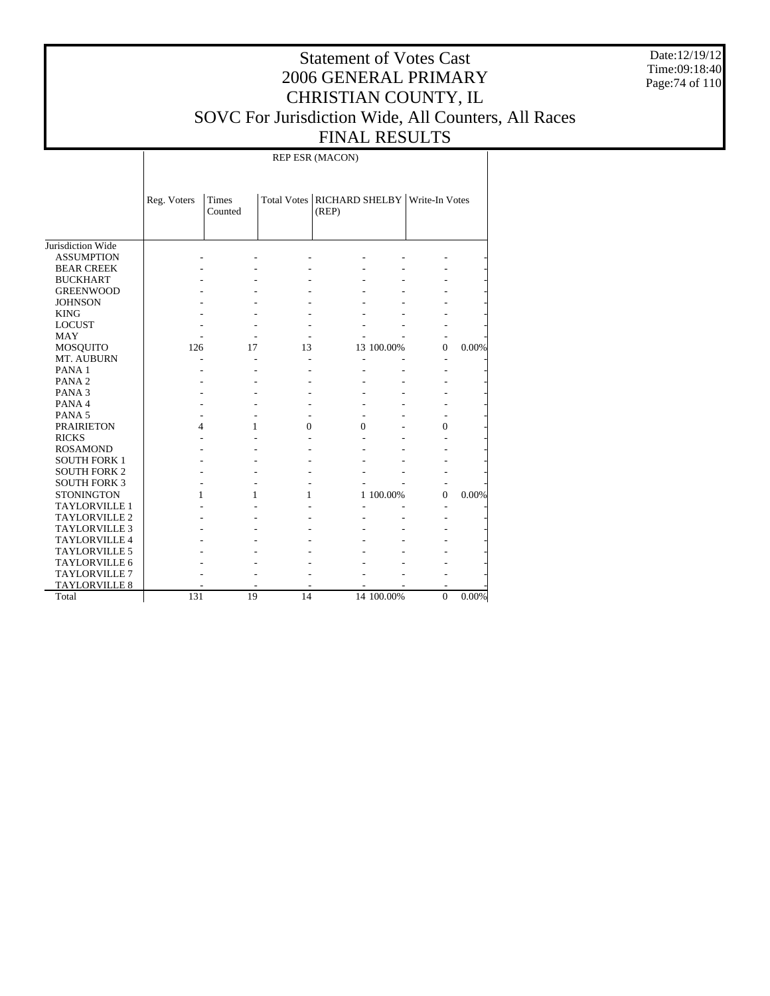Date:12/19/12 Time:09:18:40 Page:74 of 110

### Statement of Votes Cast 2006 GENERAL PRIMARY CHRISTIAN COUNTY, IL SOVC For Jurisdiction Wide, All Counters, All Races FINAL RESULTS

REP ESR (MACON)

|                      | Reg. Voters | <b>Times</b><br>Counted |          | (REP)    |            | Total Votes   RICHARD SHELBY   Write-In Votes |       |
|----------------------|-------------|-------------------------|----------|----------|------------|-----------------------------------------------|-------|
| Jurisdiction Wide    |             |                         |          |          |            |                                               |       |
| <b>ASSUMPTION</b>    |             |                         |          |          |            |                                               |       |
| <b>BEAR CREEK</b>    |             |                         |          |          |            |                                               |       |
| <b>BUCKHART</b>      |             |                         |          |          |            |                                               |       |
| <b>GREENWOOD</b>     |             |                         |          |          |            |                                               |       |
| <b>JOHNSON</b>       |             |                         |          |          |            |                                               |       |
| <b>KING</b>          |             |                         |          |          |            |                                               |       |
| <b>LOCUST</b>        |             |                         |          |          |            |                                               |       |
| <b>MAY</b>           |             |                         |          |          |            |                                               |       |
| <b>MOSQUITO</b>      | 126         | 17                      | 13       |          | 13 100.00% | $\theta$                                      | 0.00% |
| MT. AUBURN           |             |                         |          |          |            |                                               |       |
| PANA <sub>1</sub>    |             |                         |          |          |            |                                               |       |
| PANA <sub>2</sub>    |             |                         |          |          |            |                                               |       |
| PANA <sub>3</sub>    |             |                         |          |          |            |                                               |       |
| PANA4                |             |                         |          |          |            |                                               |       |
| PANA <sub>5</sub>    |             |                         |          |          |            |                                               |       |
| <b>PRAIRIETON</b>    | 4           | 1                       | $\Omega$ | $\Omega$ |            | $\theta$                                      |       |
| <b>RICKS</b>         |             |                         |          |          |            |                                               |       |
| <b>ROSAMOND</b>      |             |                         |          |          |            |                                               |       |
| <b>SOUTH FORK 1</b>  |             |                         |          |          |            |                                               |       |
| <b>SOUTH FORK 2</b>  |             |                         |          |          |            |                                               |       |
| <b>SOUTH FORK 3</b>  |             |                         |          |          |            |                                               |       |
| <b>STONINGTON</b>    |             | 1                       | 1        |          | 1 100.00%  | $\Omega$                                      | 0.00% |
| <b>TAYLORVILLE 1</b> |             |                         |          |          |            |                                               |       |
| TAYLORVILLE 2        |             |                         |          |          |            |                                               |       |
| <b>TAYLORVILLE 3</b> |             |                         |          |          |            |                                               |       |
| <b>TAYLORVILLE 4</b> |             |                         |          |          |            |                                               |       |
| TAYLORVILLE 5        |             |                         |          |          |            |                                               |       |
| <b>TAYLORVILLE 6</b> |             |                         |          |          |            |                                               |       |
| <b>TAYLORVILLE 7</b> |             |                         |          |          |            |                                               |       |
| <b>TAYLORVILLE 8</b> |             |                         |          |          |            |                                               |       |
| Total                | 131         | 19                      | 14       |          | 14 100.00% | $\Omega$                                      | 0.00% |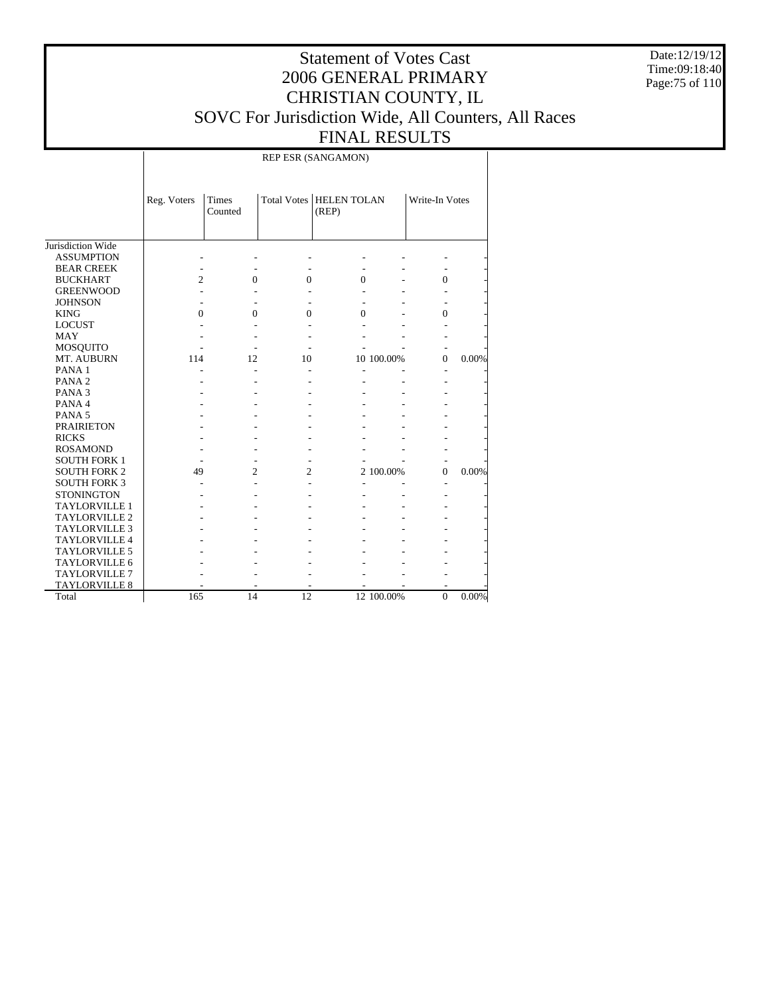Date:12/19/12 Time:09:18:40 Page:75 of 110

### Statement of Votes Cast 2006 GENERAL PRIMARY CHRISTIAN COUNTY, IL SOVC For Jurisdiction Wide, All Counters, All Races FINAL RESULTS

REP ESR (SANGAMON)

|                      | Reg. Voters | <b>Times</b><br>Counted |              | <b>Total Votes   HELEN TOLAN</b><br>(REP) |            | Write-In Votes |       |
|----------------------|-------------|-------------------------|--------------|-------------------------------------------|------------|----------------|-------|
| Jurisdiction Wide    |             |                         |              |                                           |            |                |       |
| <b>ASSUMPTION</b>    |             |                         |              |                                           |            |                |       |
| <b>BEAR CREEK</b>    |             |                         |              |                                           |            |                |       |
| <b>BUCKHART</b>      | 2           | $\Omega$                | $\mathbf{0}$ | 0                                         |            | $\theta$       |       |
| <b>GREENWOOD</b>     |             |                         |              |                                           |            |                |       |
| <b>JOHNSON</b>       |             |                         |              |                                           |            |                |       |
| <b>KING</b>          | 0           | $\Omega$                | $\Omega$     | 0                                         |            | 0              |       |
| <b>LOCUST</b>        |             |                         |              |                                           |            |                |       |
| <b>MAY</b>           |             |                         |              |                                           |            |                |       |
| MOSQUITO             |             |                         |              |                                           |            |                |       |
| MT. AUBURN           | 114         | 12                      | 10           |                                           | 10 100.00% | $\mathbf{0}$   | 0.00% |
| PANA <sub>1</sub>    |             | ÷,                      |              |                                           |            |                |       |
| PANA <sub>2</sub>    |             |                         |              |                                           |            |                |       |
| PANA <sub>3</sub>    |             |                         |              |                                           |            |                |       |
| PANA <sub>4</sub>    |             |                         |              |                                           |            |                |       |
| PANA <sub>5</sub>    |             |                         |              |                                           |            |                |       |
| <b>PRAIRIETON</b>    |             |                         |              |                                           |            |                |       |
| <b>RICKS</b>         |             |                         |              |                                           |            |                |       |
| <b>ROSAMOND</b>      |             |                         |              |                                           |            |                |       |
| <b>SOUTH FORK 1</b>  |             |                         |              |                                           |            |                |       |
| <b>SOUTH FORK 2</b>  | 49          | $\overline{c}$          | 2            |                                           | 2 100.00%  | $\Omega$       | 0.00% |
| <b>SOUTH FORK 3</b>  |             |                         |              |                                           |            |                |       |
| <b>STONINGTON</b>    |             |                         |              |                                           |            |                |       |
| <b>TAYLORVILLE 1</b> |             |                         |              |                                           |            |                |       |
| <b>TAYLORVILLE 2</b> |             |                         |              |                                           |            |                |       |
| <b>TAYLORVILLE 3</b> |             |                         |              |                                           |            |                |       |
| <b>TAYLORVILLE 4</b> |             |                         |              |                                           |            |                |       |
| <b>TAYLORVILLE 5</b> |             |                         |              |                                           |            |                |       |
| <b>TAYLORVILLE 6</b> |             |                         |              |                                           |            |                |       |
| <b>TAYLORVILLE 7</b> |             |                         |              |                                           |            |                |       |
| <b>TAYLORVILLE 8</b> |             |                         |              |                                           |            |                |       |
| Total                | 165         | 14                      | 12           |                                           | 12 100.00% | $\mathbf{0}$   | 0.00% |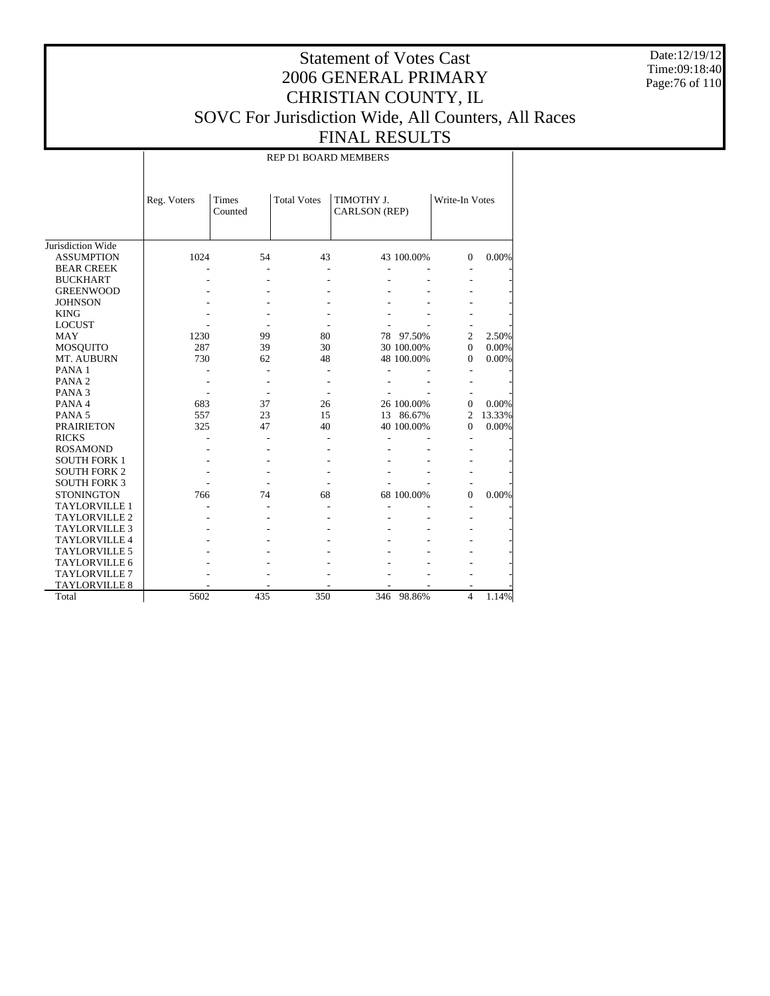Date:12/19/12 Time:09:18:40 Page:76 of 110

### Statement of Votes Cast 2006 GENERAL PRIMARY CHRISTIAN COUNTY, IL SOVC For Jurisdiction Wide, All Counters, All Races FINAL RESULTS

REP D1 BOARD MEMBERS

|                      | Reg. Voters | Times<br>Counted | <b>Total Votes</b> | TIMOTHY J.<br>CARLSON (REP) |            | Write-In Votes |        |
|----------------------|-------------|------------------|--------------------|-----------------------------|------------|----------------|--------|
| Jurisdiction Wide    |             |                  |                    |                             |            |                |        |
| <b>ASSUMPTION</b>    | 1024        | 54               | 43                 |                             | 43 100.00% | $\Omega$       | 0.00%  |
| <b>BEAR CREEK</b>    |             |                  |                    |                             |            |                |        |
| <b>BUCKHART</b>      |             |                  |                    |                             |            |                |        |
| <b>GREENWOOD</b>     |             |                  |                    |                             |            |                |        |
| <b>JOHNSON</b>       |             |                  |                    |                             |            |                |        |
| <b>KING</b>          |             |                  |                    |                             |            |                |        |
| <b>LOCUST</b>        |             |                  |                    |                             |            |                |        |
| <b>MAY</b>           | 1230        | 99               | 80                 | 78                          | 97.50%     | 2              | 2.50%  |
| <b>MOSQUITO</b>      | 287         | 39               | 30                 |                             | 30 100.00% | $\Omega$       | 0.00%  |
| MT. AUBURN           | 730         | 62               | 48                 |                             | 48 100.00% | $\Omega$       | 0.00%  |
| PANA <sub>1</sub>    |             |                  |                    |                             |            |                |        |
| PANA <sub>2</sub>    |             |                  |                    |                             |            |                |        |
| PANA <sub>3</sub>    |             |                  |                    |                             |            |                |        |
| PANA 4               | 683         | 37               | 26                 |                             | 26 100.00% | $\Omega$       | 0.00%  |
| PANA <sub>5</sub>    | 557         | 23               | 15                 |                             | 13 86.67%  | 2              | 13.33% |
| <b>PRAIRIETON</b>    | 325         | 47               | 40                 |                             | 40 100.00% | $\Omega$       | 0.00%  |
| <b>RICKS</b>         |             |                  |                    |                             |            |                |        |
| <b>ROSAMOND</b>      |             |                  |                    |                             |            |                |        |
| <b>SOUTH FORK 1</b>  |             |                  |                    |                             |            |                |        |
| <b>SOUTH FORK 2</b>  |             |                  |                    |                             |            |                |        |
| <b>SOUTH FORK 3</b>  |             |                  |                    |                             |            |                |        |
| <b>STONINGTON</b>    | 766         | 74               | 68                 |                             | 68 100.00% | $\Omega$       | 0.00%  |
| <b>TAYLORVILLE 1</b> |             |                  |                    |                             |            |                |        |
| <b>TAYLORVILLE 2</b> |             |                  |                    |                             |            |                |        |
| <b>TAYLORVILLE 3</b> |             |                  |                    |                             |            |                |        |
| <b>TAYLORVILLE 4</b> |             |                  |                    |                             |            |                |        |
| <b>TAYLORVILLE 5</b> |             |                  |                    |                             |            |                |        |
| <b>TAYLORVILLE 6</b> |             |                  |                    |                             |            |                |        |
| <b>TAYLORVILLE 7</b> |             |                  |                    |                             |            |                |        |
| <b>TAYLORVILLE 8</b> |             |                  |                    |                             |            |                |        |
| Total                | 5602        | 435              | 350                | 346                         | 98.86%     | 4              | 1.14%  |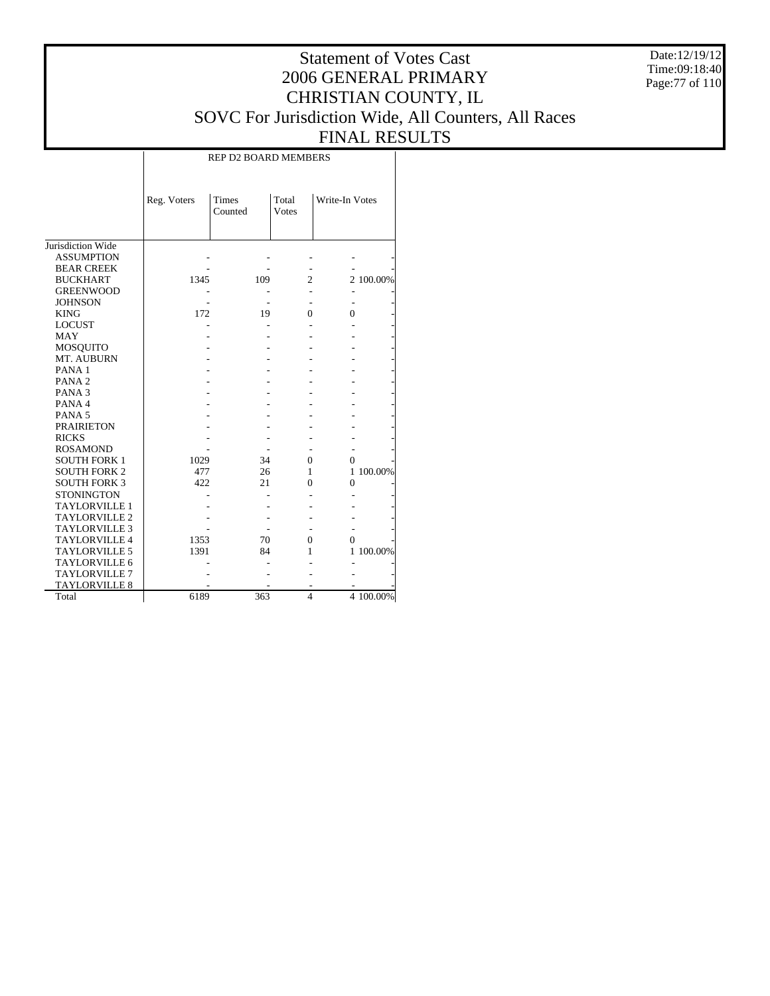Date:12/19/12 Time:09:18:40 Page:77 of 110

### Statement of Votes Cast 2006 GENERAL PRIMARY CHRISTIAN COUNTY, IL SOVC For Jurisdiction Wide, All Counters, All Races FINAL RESULTS

| <b>REP D2 BOARD MEMBERS</b> |  |
|-----------------------------|--|
|                             |  |

|                      | Reg. Voters | <b>Times</b><br>Counted | Total<br><b>V</b> otes | Write-In Votes |           |
|----------------------|-------------|-------------------------|------------------------|----------------|-----------|
| Jurisdiction Wide    |             |                         |                        |                |           |
| <b>ASSUMPTION</b>    |             |                         |                        |                |           |
| <b>BEAR CREEK</b>    |             |                         |                        |                |           |
| <b>BUCKHART</b>      | 1345        | 109                     | $\overline{c}$         |                | 2 100.00% |
| <b>GREENWOOD</b>     |             |                         |                        |                |           |
| <b>JOHNSON</b>       |             |                         |                        |                |           |
| <b>KING</b>          | 172         | 19                      | $\Omega$               | 0              |           |
| <b>LOCUST</b>        |             |                         |                        |                |           |
| <b>MAY</b>           |             |                         |                        |                |           |
| <b>MOSQUITO</b>      |             |                         |                        |                |           |
| MT. AUBURN           |             |                         |                        |                |           |
| PANA <sub>1</sub>    |             |                         |                        |                |           |
| PANA <sub>2</sub>    |             |                         |                        |                |           |
| PANA <sub>3</sub>    |             |                         |                        |                |           |
| PANA 4               |             |                         |                        |                |           |
| PANA <sub>5</sub>    |             |                         |                        |                |           |
| <b>PRAIRIETON</b>    |             |                         |                        |                |           |
| <b>RICKS</b>         |             |                         |                        |                |           |
| <b>ROSAMOND</b>      |             |                         |                        |                |           |
| <b>SOUTH FORK 1</b>  | 1029        | 34                      | $\Omega$               | 0              |           |
| <b>SOUTH FORK 2</b>  | 477         | 26                      | 1                      |                | 1 100.00% |
| <b>SOUTH FORK 3</b>  | 422         | 21                      | 0                      | $\theta$       |           |
| <b>STONINGTON</b>    |             |                         |                        |                |           |
| <b>TAYLORVILLE 1</b> |             |                         |                        |                |           |
| <b>TAYLORVILLE 2</b> |             |                         |                        |                |           |
| TAYLORVILLE 3        |             |                         |                        |                |           |
| <b>TAYLORVILLE 4</b> | 1353        | 70                      | $\theta$               | 0              |           |
| <b>TAYLORVILLE 5</b> | 1391        | 84                      | 1                      |                | 1 100.00% |
| <b>TAYLORVILLE 6</b> |             |                         |                        |                |           |
| <b>TAYLORVILLE 7</b> |             |                         |                        |                |           |
| <b>TAYLORVILLE 8</b> |             |                         |                        |                |           |
| Total                | 6189        | 363                     | $\overline{4}$         |                | 4 100.00% |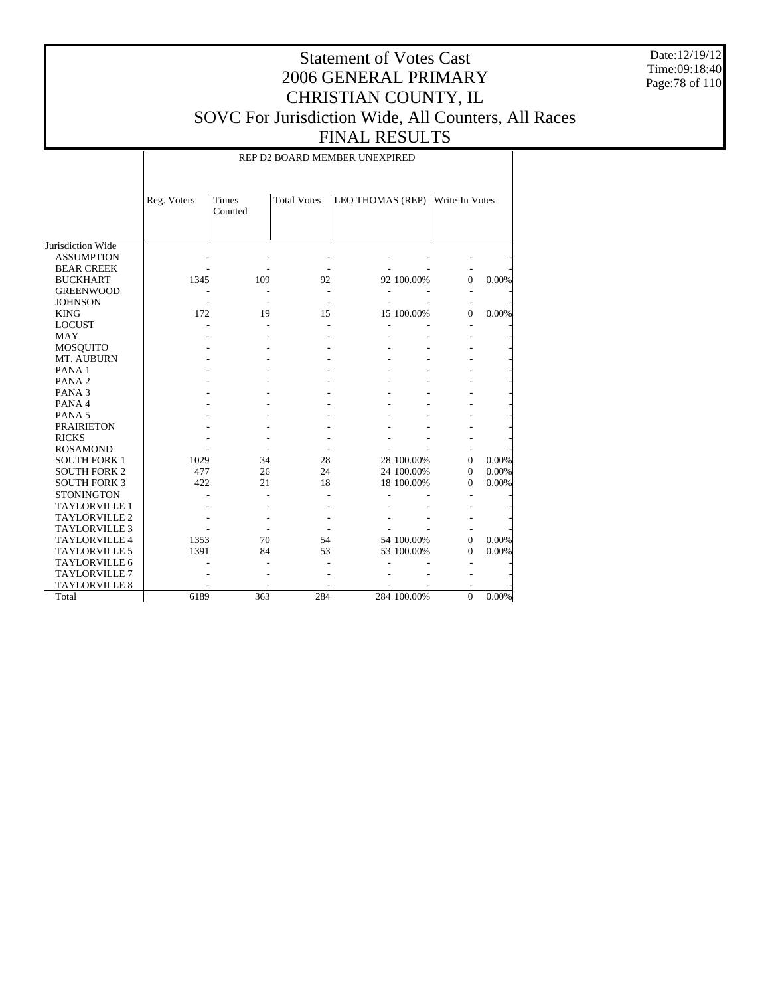Date:12/19/12 Time:09:18:40 Page:78 of 110

### Statement of Votes Cast 2006 GENERAL PRIMARY CHRISTIAN COUNTY, IL SOVC For Jurisdiction Wide, All Counters, All Races FINAL RESULTS

REP D2 BOARD MEMBER UNEXPIRED

|                      | Reg. Voters | Times<br>Counted | <b>Total Votes</b> | LEO THOMAS (REP) Write-In Votes |              |       |
|----------------------|-------------|------------------|--------------------|---------------------------------|--------------|-------|
| Jurisdiction Wide    |             |                  |                    |                                 |              |       |
| <b>ASSUMPTION</b>    |             |                  |                    |                                 |              |       |
| <b>BEAR CREEK</b>    |             |                  |                    |                                 |              |       |
| <b>BUCKHART</b>      | 1345        | 109              | 92                 | 92 100.00%                      | $\Omega$     | 0.00% |
| <b>GREENWOOD</b>     |             |                  |                    |                                 |              |       |
| <b>JOHNSON</b>       |             |                  |                    |                                 |              |       |
| <b>KING</b>          | 172         | 19               | 15                 | 15 100.00%                      | $\Omega$     | 0.00% |
| <b>LOCUST</b>        |             |                  |                    |                                 |              |       |
| <b>MAY</b>           |             |                  |                    |                                 |              |       |
| MOSQUITO             |             |                  |                    |                                 |              |       |
| MT. AUBURN           |             |                  |                    |                                 |              |       |
| PANA <sub>1</sub>    |             |                  |                    |                                 |              |       |
| PANA <sub>2</sub>    |             |                  |                    |                                 |              |       |
| PANA <sub>3</sub>    |             |                  |                    |                                 |              |       |
| PANA 4               |             |                  |                    |                                 |              |       |
| PANA <sub>5</sub>    |             |                  |                    |                                 |              |       |
| <b>PRAIRIETON</b>    |             |                  |                    |                                 |              |       |
| <b>RICKS</b>         |             |                  |                    |                                 |              |       |
| <b>ROSAMOND</b>      |             |                  |                    |                                 |              |       |
| <b>SOUTH FORK 1</b>  | 1029        | 34               | 28                 | 28 100.00%                      | $\Omega$     | 0.00% |
| <b>SOUTH FORK 2</b>  | 477         | 26               | 24                 | 24 100.00%                      | $\Omega$     | 0.00% |
| <b>SOUTH FORK 3</b>  | 422         | 21               | 18                 | 18 100.00%                      | $\Omega$     | 0.00% |
| <b>STONINGTON</b>    |             |                  |                    |                                 |              |       |
| <b>TAYLORVILLE 1</b> |             |                  |                    |                                 |              |       |
| <b>TAYLORVILLE 2</b> |             |                  |                    |                                 |              |       |
| <b>TAYLORVILLE 3</b> |             |                  |                    |                                 |              |       |
| <b>TAYLORVILLE 4</b> | 1353        | 70               | 54                 | 54 100.00%                      | $\Omega$     | 0.00% |
| <b>TAYLORVILLE 5</b> | 1391        | 84               | 53                 | 53 100.00%                      | $\Omega$     | 0.00% |
| TAYLORVILLE 6        |             |                  |                    |                                 |              |       |
| <b>TAYLORVILLE 7</b> |             |                  |                    |                                 |              |       |
| <b>TAYLORVILLE 8</b> |             |                  |                    |                                 |              |       |
| Total                | 6189        | 363              | 284                | 284 100.00%                     | $\mathbf{0}$ | 0.00% |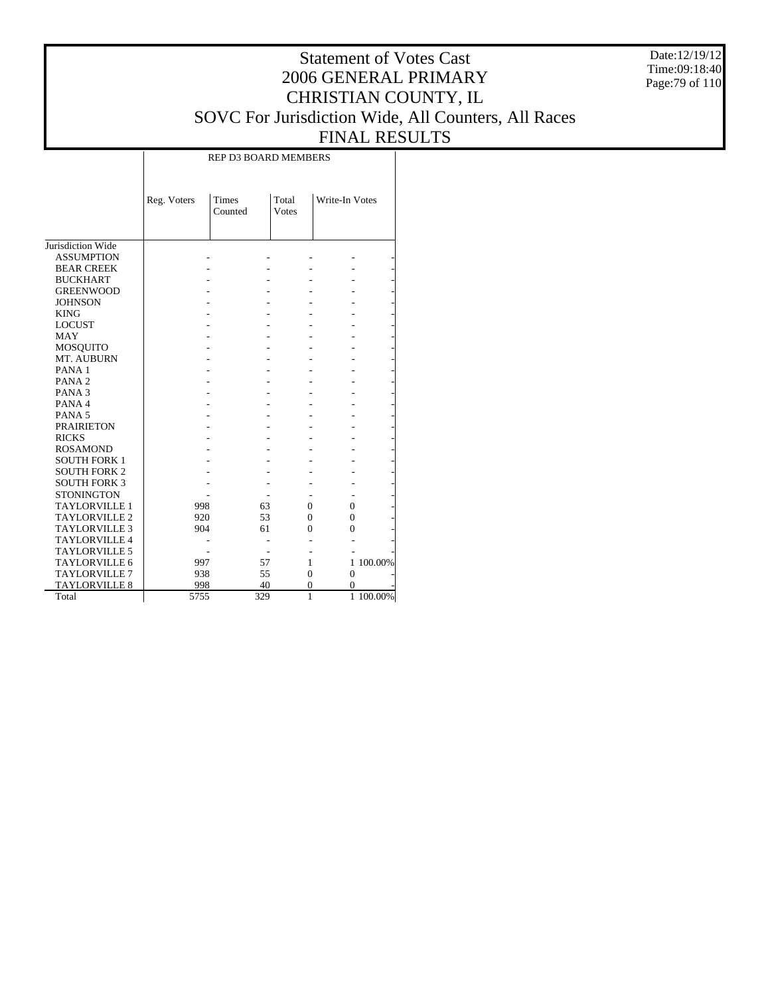Date:12/19/12 Time:09:18:40 Page:79 of 110

### Statement of Votes Cast 2006 GENERAL PRIMARY CHRISTIAN COUNTY, IL SOVC For Jurisdiction Wide, All Counters, All Races FINAL RESULTS

Τ

|                      |             | <b>REP D3 BOARD MEMBERS</b> |                |                |           |
|----------------------|-------------|-----------------------------|----------------|----------------|-----------|
|                      | Reg. Voters | Times<br>Counted            | Total<br>Votes | Write-In Votes |           |
| Jurisdiction Wide    |             |                             |                |                |           |
| <b>ASSUMPTION</b>    |             |                             |                |                |           |
| <b>BEAR CREEK</b>    |             |                             |                |                |           |
| <b>BUCKHART</b>      |             |                             |                |                |           |
| <b>GREENWOOD</b>     |             |                             |                |                |           |
| <b>JOHNSON</b>       |             |                             |                |                |           |
| <b>KING</b>          |             |                             |                |                |           |
| <b>LOCUST</b>        |             |                             |                |                |           |
| <b>MAY</b>           |             |                             |                |                |           |
| <b>MOSQUITO</b>      |             |                             |                |                |           |
| MT. AUBURN           |             |                             |                |                |           |
| PANA <sub>1</sub>    |             |                             |                |                |           |
| PANA <sub>2</sub>    |             |                             |                |                |           |
| PANA <sub>3</sub>    |             |                             |                |                |           |
| PANA 4               |             |                             |                |                |           |
| PANA <sub>5</sub>    |             |                             |                |                |           |
| <b>PRAIRIETON</b>    |             |                             |                |                |           |
| <b>RICKS</b>         |             |                             |                |                |           |
| <b>ROSAMOND</b>      |             |                             |                |                |           |
| <b>SOUTH FORK 1</b>  |             |                             |                |                |           |
| <b>SOUTH FORK 2</b>  |             |                             |                |                |           |
| <b>SOUTH FORK 3</b>  |             |                             |                |                |           |
| <b>STONINGTON</b>    |             |                             |                |                |           |
| <b>TAYLORVILLE 1</b> | 998         | 63                          | $\Omega$       | $\theta$       |           |
| <b>TAYLORVILLE 2</b> | 920         | 53                          | $\theta$       | $\overline{0}$ |           |
| <b>TAYLORVILLE 3</b> | 904         | 61                          | 0              | $\theta$       |           |
| <b>TAYLORVILLE 4</b> |             |                             |                |                |           |
| <b>TAYLORVILLE 5</b> |             |                             |                |                |           |
| <b>TAYLORVILLE 6</b> | 997         | 57                          | 1              |                | 1 100.00% |
| <b>TAYLORVILLE 7</b> | 938         | 55                          | $\overline{0}$ | $\overline{0}$ |           |
| <b>TAYLORVILLE 8</b> | 998         | 40                          | $\overline{0}$ | 0              |           |
| Total                | 5755        | 329                         | 1              |                | 1 100.00% |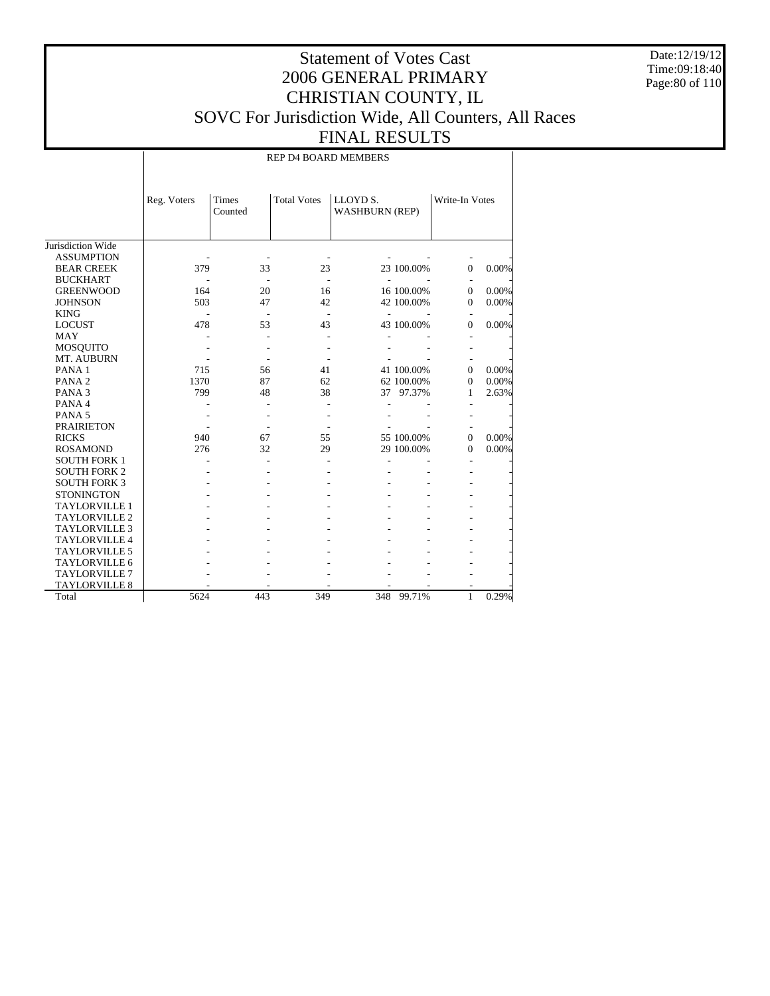Date:12/19/12 Time:09:18:40 Page:80 of 110

### Statement of Votes Cast 2006 GENERAL PRIMARY CHRISTIAN COUNTY, IL SOVC For Jurisdiction Wide, All Counters, All Races FINAL RESULTS

REP D4 BOARD MEMBERS

|                      | Reg. Voters | Times<br>Counted | <b>Total Votes</b> | LLOYD S.                 | <b>WASHBURN (REP)</b> |          | Write-In Votes |
|----------------------|-------------|------------------|--------------------|--------------------------|-----------------------|----------|----------------|
| Jurisdiction Wide    |             |                  |                    |                          |                       |          |                |
| <b>ASSUMPTION</b>    |             |                  |                    |                          |                       |          |                |
| <b>BEAR CREEK</b>    | 379         | 33               | 23                 |                          | 23 100.00%            | $\Omega$ | 0.00%          |
| <b>BUCKHART</b>      |             |                  | $\overline{a}$     | $\overline{\phantom{a}}$ |                       |          |                |
| <b>GREENWOOD</b>     | 164         | 20               | 16                 |                          | 16 100.00%            | $\Omega$ | 0.00%          |
| <b>JOHNSON</b>       | 503         | 47               | 42                 |                          | 42 100.00%            | $\Omega$ | 0.00%          |
| <b>KING</b>          |             |                  |                    | $\overline{a}$           |                       |          |                |
| <b>LOCUST</b>        | 478         | 53               | 43                 |                          | 43 100.00%            | $\Omega$ | 0.00%          |
| MAY                  |             |                  |                    |                          |                       |          |                |
| MOSQUITO             |             |                  |                    |                          |                       |          |                |
| MT. AUBURN           |             |                  |                    |                          |                       |          |                |
| PANA <sub>1</sub>    | 715         | 56               | 41                 |                          | 41 100.00%            | $\Omega$ | 0.00%          |
| PANA <sub>2</sub>    | 1370        | 87               | 62                 |                          | 62 100.00%            | $\Omega$ | 0.00%          |
| PANA <sub>3</sub>    | 799         | 48               | 38                 | 37                       | 97.37%                | 1.       | 2.63%          |
| PANA 4               |             |                  |                    |                          |                       |          |                |
| PANA <sub>5</sub>    |             |                  |                    |                          |                       |          |                |
| <b>PRAIRIETON</b>    |             |                  |                    |                          |                       |          |                |
| <b>RICKS</b>         | 940         | 67               | 55                 |                          | 55 100.00%            | $\Omega$ | 0.00%          |
| <b>ROSAMOND</b>      | 276         | 32               | 29                 |                          | 29 100.00%            | $\Omega$ | 0.00%          |
| <b>SOUTH FORK 1</b>  |             |                  |                    |                          |                       |          |                |
| <b>SOUTH FORK 2</b>  |             |                  |                    |                          |                       |          |                |
| <b>SOUTH FORK 3</b>  |             |                  |                    |                          |                       |          |                |
| <b>STONINGTON</b>    |             |                  |                    |                          |                       |          |                |
| <b>TAYLORVILLE 1</b> |             |                  |                    |                          |                       |          |                |
| <b>TAYLORVILLE 2</b> |             |                  |                    |                          |                       |          |                |
| <b>TAYLORVILLE 3</b> |             |                  |                    |                          |                       |          |                |
| <b>TAYLORVILLE 4</b> |             |                  |                    |                          |                       |          |                |
| <b>TAYLORVILLE 5</b> |             |                  |                    |                          |                       |          |                |
| TAYLORVILLE 6        |             |                  |                    |                          |                       |          |                |
| <b>TAYLORVILLE 7</b> |             |                  |                    |                          |                       |          |                |
| <b>TAYLORVILLE 8</b> |             |                  |                    |                          |                       |          |                |
| Total                | 5624        | 443              | 349                |                          | 348 99.71%            | 1        | 0.29%          |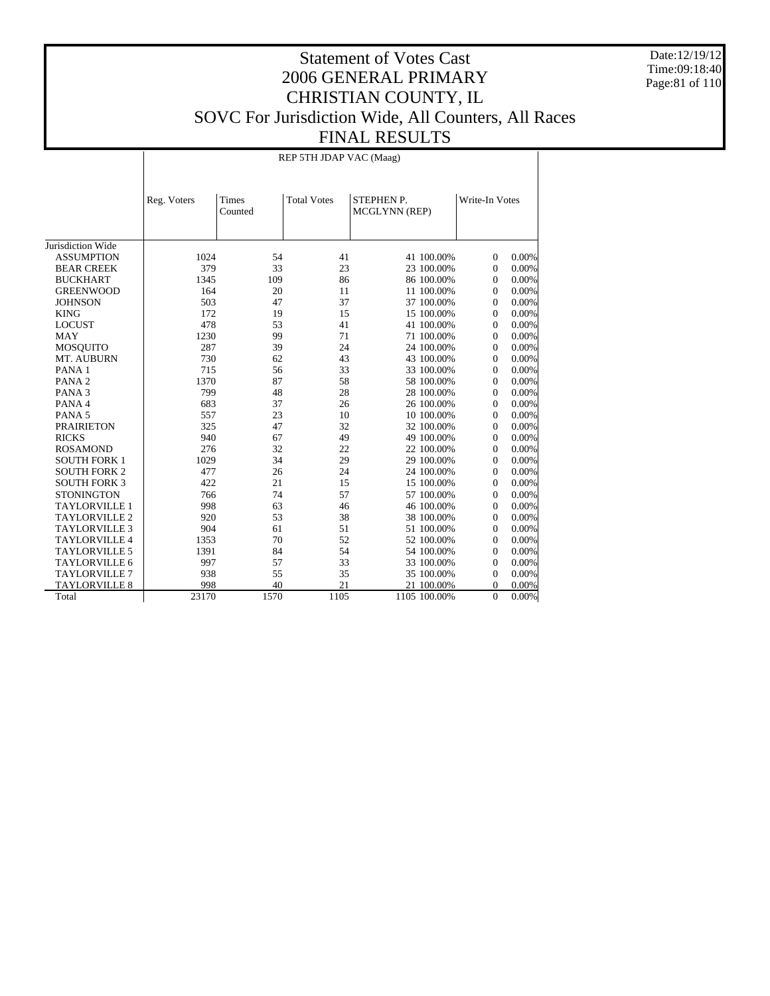Date:12/19/12 Time:09:18:40 Page:81 of 110

### Statement of Votes Cast 2006 GENERAL PRIMARY CHRISTIAN COUNTY, IL SOVC For Jurisdiction Wide, All Counters, All Races FINAL RESULTS

REP 5TH JDAP VAC (Maag)

|                      | Reg. Voters | <b>Times</b><br>Counted | <b>Total Votes</b> | <b>STEPHEN P.</b><br>MCGLYNN (REP) | Write-In Votes             |  |
|----------------------|-------------|-------------------------|--------------------|------------------------------------|----------------------------|--|
| Jurisdiction Wide    |             |                         |                    |                                    |                            |  |
| <b>ASSUMPTION</b>    | 1024        | 54                      | 41                 | 41 100.00%                         | 0.00%<br>$\overline{0}$    |  |
| <b>BEAR CREEK</b>    | 379         | 33                      | 23                 | 23 100.00%                         | $0.00\%$<br>$\Omega$       |  |
| <b>BUCKHART</b>      | 1345        | 109                     | 86                 | 86 100.00%                         | 0.00%<br>$\Omega$          |  |
| <b>GREENWOOD</b>     | 164         | 20                      | 11                 | 11 100.00%                         | 0.00%<br>$\mathbf{0}$      |  |
| <b>JOHNSON</b>       | 503         | 47                      | 37                 | 37 100.00%                         | $0.00\%$<br>$\overline{0}$ |  |
| <b>KING</b>          | 172         | 19                      | 15                 | 15 100.00%                         | $\overline{0}$<br>$0.00\%$ |  |
| <b>LOCUST</b>        | 478         | 53                      | 41                 | 41 100.00%                         | $\overline{0}$<br>$0.00\%$ |  |
| <b>MAY</b>           | 1230        | 99                      | 71                 | 71 100.00%                         | $\overline{0}$<br>$0.00\%$ |  |
| <b>MOSQUITO</b>      | 287         | 39                      | 24                 | 24 100.00%                         | $\theta$<br>$0.00\%$       |  |
| MT. AUBURN           | 730         | 62                      | 43                 | 43 100.00%                         | $\theta$<br>$0.00\%$       |  |
| PANA <sub>1</sub>    | 715         | 56                      | 33                 | 33 100.00%                         | $0.00\%$<br>$\mathbf{0}$   |  |
| PANA <sub>2</sub>    | 1370        | 87                      | 58                 | 58 100.00%                         | $0.00\%$<br>$\mathbf{0}$   |  |
| PANA <sub>3</sub>    | 799         | 48                      | 28                 | 28 100.00%                         | $0.00\%$<br>$\mathbf{0}$   |  |
| PANA 4               | 683         | 37                      | 26                 | 26 100.00%                         | 0.00%<br>$\mathbf{0}$      |  |
| PANA <sub>5</sub>    | 557         | 23                      | 10                 | 10 100.00%                         | $\mathbf{0}$<br>0.00%      |  |
| <b>PRAIRIETON</b>    | 325         | 47                      | 32                 | 32 100.00%                         | $\overline{0}$<br>0.00%    |  |
| <b>RICKS</b>         | 940         | 67                      | 49                 | 49 100.00%                         | $\overline{0}$<br>0.00%    |  |
| <b>ROSAMOND</b>      | 276         | 32                      | 22                 | 22 100.00%                         | 0.00%<br>$\mathbf{0}$      |  |
| <b>SOUTH FORK 1</b>  | 1029        | 34                      | 29                 | 29 100.00%                         | 0.00%<br>$\mathbf{0}$      |  |
| <b>SOUTH FORK 2</b>  | 477         | 26                      | 24                 | 24 100.00%                         | 0.00%<br>$\mathbf{0}$      |  |
| <b>SOUTH FORK 3</b>  | 422         | 21                      | 15                 | 15 100.00%                         | 0.00%<br>$\mathbf{0}$      |  |
| <b>STONINGTON</b>    | 766         | 74                      | 57                 | 57 100.00%                         | 0.00%<br>$\mathbf{0}$      |  |
| <b>TAYLORVILLE 1</b> | 998         | 63                      | 46                 | 46 100.00%                         | $\theta$<br>0.00%          |  |
| <b>TAYLORVILLE 2</b> | 920         | 53                      | 38                 | 38 100.00%                         | 0.00%<br>$\Omega$          |  |
| <b>TAYLORVILLE 3</b> | 904         | 61                      | 51                 | 51 100.00%                         | 0.00%<br>$\Omega$          |  |
| <b>TAYLORVILLE 4</b> | 1353        | 70                      | 52                 | 52 100.00%                         | 0.00%<br>$\mathbf{0}$      |  |
| <b>TAYLORVILLE 5</b> | 1391        | 84                      | 54                 | 54 100.00%                         | 0.00%<br>$\mathbf{0}$      |  |
| <b>TAYLORVILLE 6</b> | 997         | 57                      | 33                 | 33 100.00%                         | 0<br>0.00%                 |  |
| <b>TAYLORVILLE 7</b> | 938         | 55                      | 35                 | 35 100.00%                         | $\mathbf{0}$<br>0.00%      |  |
| <b>TAYLORVILLE 8</b> | 998         | 40                      | 21                 | 21 100.00%                         | 0.00%<br>0                 |  |
| Total                | 23170       | 1570                    | 1105               | 1105 100.00%                       | $\theta$<br>$0.00\%$       |  |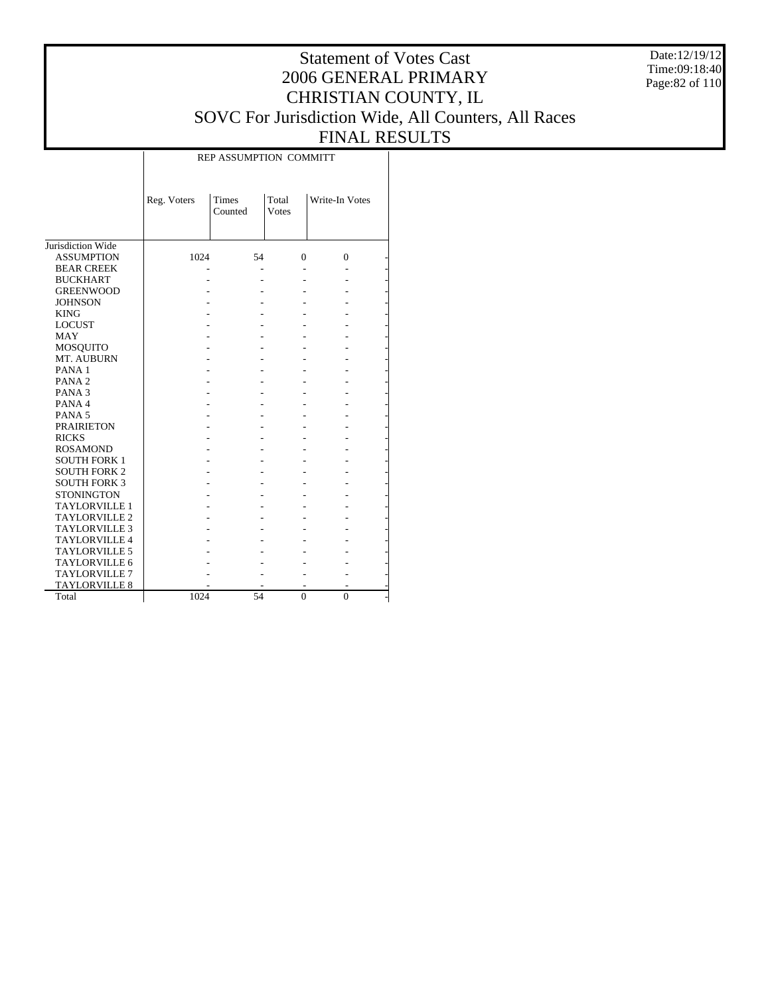Date:12/19/12 Time:09:18:40 Page:82 of 110

### Statement of Votes Cast 2006 GENERAL PRIMARY CHRISTIAN COUNTY, IL SOVC For Jurisdiction Wide, All Counters, All Races FINAL RESULTS

T

|                      |             | REP ASSUMPTION COMMITT |                |                |  |
|----------------------|-------------|------------------------|----------------|----------------|--|
|                      | Reg. Voters | Times<br>Counted       | Total<br>Votes | Write-In Votes |  |
| Jurisdiction Wide    |             |                        |                |                |  |
| <b>ASSUMPTION</b>    | 1024        | 54                     | $\mathbf{0}$   | $\mathbf{0}$   |  |
| <b>BEAR CREEK</b>    |             |                        |                |                |  |
| <b>BUCKHART</b>      |             |                        |                |                |  |
| <b>GREENWOOD</b>     |             |                        |                |                |  |
| <b>JOHNSON</b>       |             |                        |                |                |  |
| <b>KING</b>          |             |                        |                |                |  |
| <b>LOCUST</b>        |             |                        |                |                |  |
| <b>MAY</b>           |             |                        |                |                |  |
| MOSQUITO             |             |                        |                |                |  |
| MT. AUBURN           |             |                        |                |                |  |
| PANA <sub>1</sub>    |             |                        |                |                |  |
| PANA <sub>2</sub>    |             |                        |                |                |  |
| PANA <sub>3</sub>    |             |                        |                |                |  |
| PANA 4               |             |                        |                |                |  |
| PANA <sub>5</sub>    |             |                        |                |                |  |
| <b>PRAIRIETON</b>    |             |                        |                |                |  |
| <b>RICKS</b>         |             |                        |                |                |  |
| <b>ROSAMOND</b>      |             |                        |                |                |  |
| <b>SOUTH FORK 1</b>  |             |                        |                |                |  |
| <b>SOUTH FORK 2</b>  |             |                        |                |                |  |
| <b>SOUTH FORK 3</b>  |             |                        |                |                |  |
| <b>STONINGTON</b>    |             |                        |                |                |  |
| <b>TAYLORVILLE 1</b> |             |                        |                |                |  |
| <b>TAYLORVILLE 2</b> |             |                        |                |                |  |
| <b>TAYLORVILLE 3</b> |             |                        |                |                |  |
| <b>TAYLORVILLE 4</b> |             |                        |                |                |  |
| <b>TAYLORVILLE 5</b> |             |                        |                |                |  |
| <b>TAYLORVILLE 6</b> |             |                        |                |                |  |
| <b>TAYLORVILLE 7</b> |             |                        |                |                |  |
| <b>TAYLORVILLE 8</b> |             |                        |                |                |  |
| Total                | 1024        | 54                     | $\theta$       | $\theta$       |  |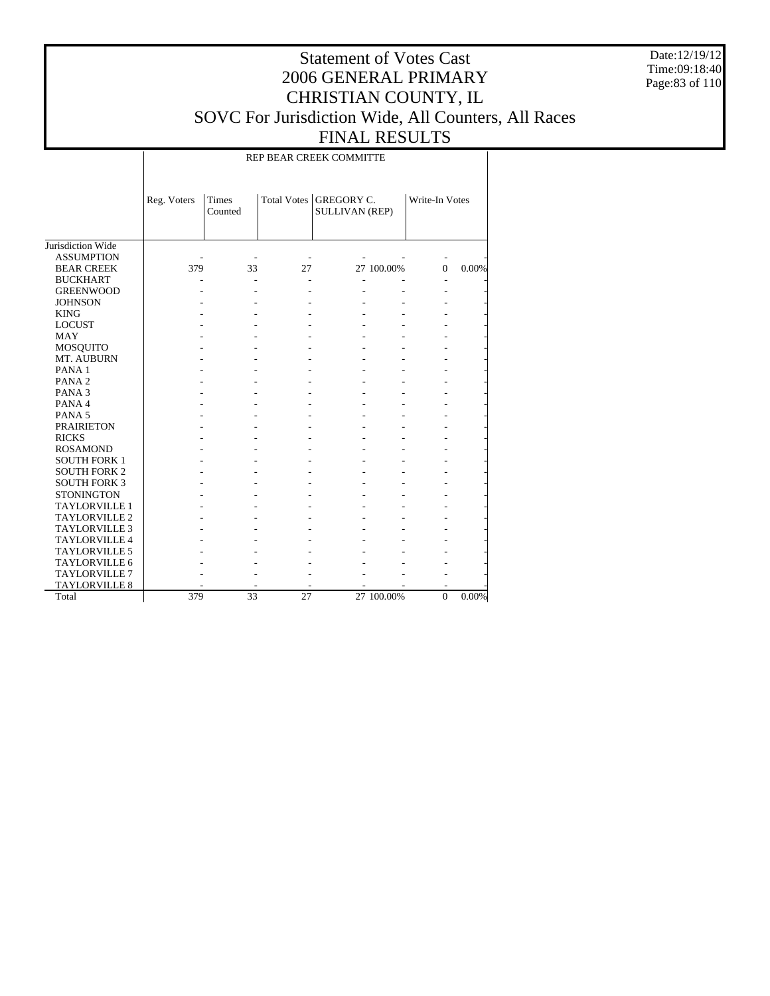Date:12/19/12 Time:09:18:40 Page:83 of 110

### Statement of Votes Cast 2006 GENERAL PRIMARY CHRISTIAN COUNTY, IL SOVC For Jurisdiction Wide, All Counters, All Races FINAL RESULTS

REP BEAR CREEK COMMITTE

|                      | Reg. Voters | Times<br>Counted |    | Total Votes   GREGORY C. | <b>SULLIVAN (REP)</b> |          | Write-In Votes |  |
|----------------------|-------------|------------------|----|--------------------------|-----------------------|----------|----------------|--|
| Jurisdiction Wide    |             |                  |    |                          |                       |          |                |  |
| <b>ASSUMPTION</b>    |             |                  |    |                          |                       |          |                |  |
| <b>BEAR CREEK</b>    | 379         | 33               | 27 |                          | 27 100.00%            | $\Omega$ | 0.00%          |  |
| <b>BUCKHART</b>      |             |                  |    |                          |                       |          |                |  |
| <b>GREENWOOD</b>     |             |                  |    |                          |                       |          |                |  |
| <b>JOHNSON</b>       |             |                  |    |                          |                       |          |                |  |
| <b>KING</b>          |             |                  |    |                          |                       |          |                |  |
| <b>LOCUST</b>        |             |                  |    |                          |                       |          |                |  |
| <b>MAY</b>           |             |                  |    |                          |                       |          |                |  |
| <b>MOSQUITO</b>      |             |                  |    |                          |                       |          |                |  |
| MT. AUBURN           |             |                  |    |                          |                       |          |                |  |
| PANA <sub>1</sub>    |             |                  |    |                          |                       |          |                |  |
| PANA <sub>2</sub>    |             |                  |    |                          |                       |          |                |  |
| PANA <sub>3</sub>    |             |                  |    |                          |                       |          |                |  |
| PANA 4               |             |                  |    |                          |                       |          |                |  |
| PANA <sub>5</sub>    |             |                  |    |                          |                       |          |                |  |
| <b>PRAIRIETON</b>    |             |                  |    |                          |                       |          |                |  |
| <b>RICKS</b>         |             |                  |    |                          |                       |          |                |  |
| <b>ROSAMOND</b>      |             |                  |    |                          |                       |          |                |  |
| <b>SOUTH FORK 1</b>  |             |                  |    |                          |                       |          |                |  |
| <b>SOUTH FORK 2</b>  |             |                  |    |                          |                       |          |                |  |
| <b>SOUTH FORK 3</b>  |             |                  |    |                          |                       |          |                |  |
| <b>STONINGTON</b>    |             |                  |    |                          |                       |          |                |  |
| <b>TAYLORVILLE 1</b> |             |                  |    |                          |                       |          |                |  |
| <b>TAYLORVILLE 2</b> |             |                  |    |                          |                       |          |                |  |
| <b>TAYLORVILLE 3</b> |             |                  |    |                          |                       |          |                |  |
| <b>TAYLORVILLE 4</b> |             |                  |    |                          |                       |          |                |  |
| <b>TAYLORVILLE 5</b> |             |                  |    |                          |                       |          |                |  |
| <b>TAYLORVILLE 6</b> |             |                  |    |                          |                       |          |                |  |
| TAYLORVILLE 7        |             |                  |    |                          |                       |          |                |  |
| <b>TAYLORVILLE 8</b> |             |                  |    |                          |                       |          |                |  |
| Total                | 379         | 33               | 27 |                          | 27 100.00%            | $\Omega$ | 0.00%          |  |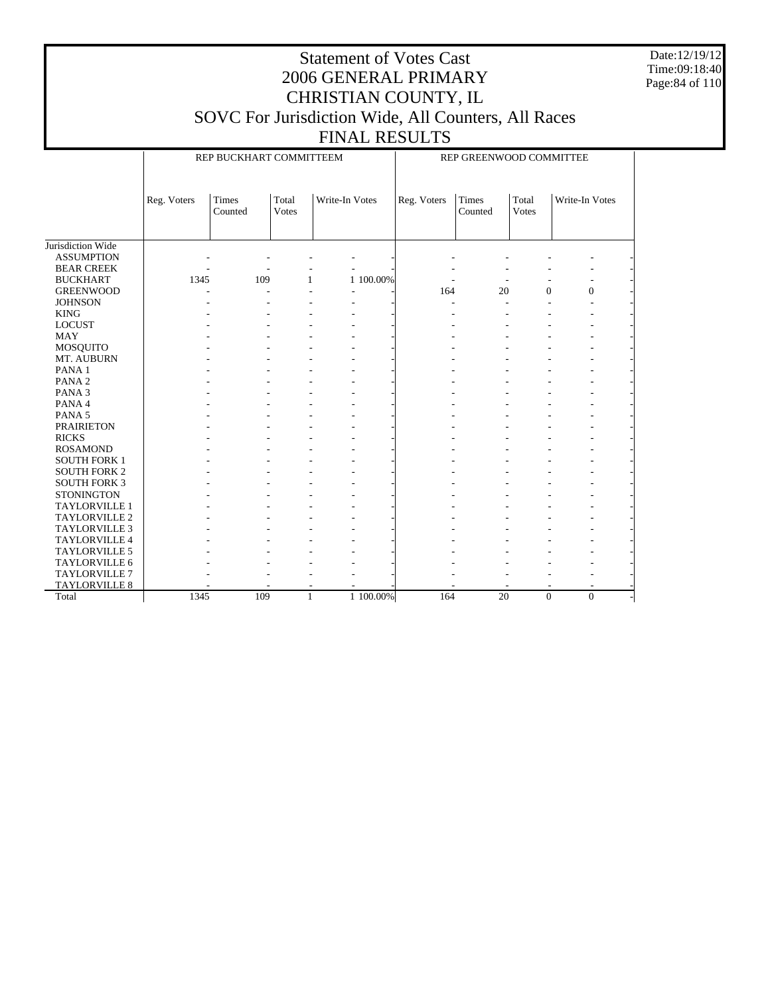Date:12/19/12 Time:09:18:40 Page:84 of 110

## Statement of Votes Cast 2006 GENERAL PRIMARY CHRISTIAN COUNTY, IL SOVC For Jurisdiction Wide, All Counters, All Races

| <b>FINAL RESULTS</b>    |                         |
|-------------------------|-------------------------|
| REP BUCKHART COMMITTEEM | REP GREENWOOD COMMITTEE |

|                      | Reg. Voters | Times   | Total         | Write-In Votes |           | Reg. Voters | Times   | Total            | Write-In Votes   |  |
|----------------------|-------------|---------|---------------|----------------|-----------|-------------|---------|------------------|------------------|--|
|                      |             | Counted | <b>V</b> otes |                |           |             | Counted | <b>Votes</b>     |                  |  |
|                      |             |         |               |                |           |             |         |                  |                  |  |
|                      |             |         |               |                |           |             |         |                  |                  |  |
| Jurisdiction Wide    |             |         |               |                |           |             |         |                  |                  |  |
| <b>ASSUMPTION</b>    |             |         |               |                |           |             |         |                  |                  |  |
| <b>BEAR CREEK</b>    |             |         |               |                |           |             |         |                  |                  |  |
| <b>BUCKHART</b>      | 1345        | 109     | 1             |                | 1 100.00% |             |         |                  |                  |  |
| <b>GREENWOOD</b>     |             |         |               |                |           | 164         | 20      | $\boldsymbol{0}$ | $\boldsymbol{0}$ |  |
| <b>JOHNSON</b>       |             |         |               |                |           |             |         |                  | ÷.               |  |
| <b>KING</b>          |             |         |               |                |           |             |         |                  |                  |  |
| <b>LOCUST</b>        |             |         |               |                |           |             |         |                  |                  |  |
| <b>MAY</b>           |             |         |               |                |           |             |         |                  |                  |  |
| <b>MOSQUITO</b>      |             |         |               |                |           |             |         |                  |                  |  |
| MT. AUBURN           |             |         |               |                |           |             |         |                  |                  |  |
| PANA <sub>1</sub>    |             |         |               |                |           |             |         |                  |                  |  |
| PANA <sub>2</sub>    |             |         |               |                |           |             |         |                  |                  |  |
| PANA <sub>3</sub>    |             |         |               |                |           |             |         |                  |                  |  |
| PANA 4               |             |         |               |                |           |             |         |                  |                  |  |
| PANA <sub>5</sub>    |             |         |               |                |           |             |         |                  |                  |  |
| <b>PRAIRIETON</b>    |             |         |               |                |           |             |         |                  |                  |  |
| <b>RICKS</b>         |             |         |               |                |           |             |         |                  |                  |  |
| <b>ROSAMOND</b>      |             |         |               |                |           |             |         |                  |                  |  |
| <b>SOUTH FORK 1</b>  |             |         |               |                |           |             |         |                  |                  |  |
| <b>SOUTH FORK 2</b>  |             |         |               |                |           |             |         |                  |                  |  |
| <b>SOUTH FORK 3</b>  |             |         |               |                |           |             |         |                  |                  |  |
| <b>STONINGTON</b>    |             |         |               |                |           |             |         |                  |                  |  |
| TAYLORVILLE 1        |             |         |               |                |           |             |         |                  |                  |  |
| TAYLORVILLE 2        |             |         |               |                |           |             |         |                  |                  |  |
| <b>TAYLORVILLE 3</b> |             |         |               |                |           |             |         |                  |                  |  |
| TAYLORVILLE 4        |             |         |               |                |           |             |         |                  |                  |  |
| TAYLORVILLE 5        |             |         |               |                |           |             |         |                  |                  |  |
| TAYLORVILLE 6        |             |         |               |                |           |             |         |                  |                  |  |
| <b>TAYLORVILLE 7</b> |             |         |               |                |           |             |         |                  |                  |  |
| <b>TAYLORVILLE 8</b> |             |         | ٠             |                |           |             |         | ٠                |                  |  |
| Total                | 1345        | 109     | 1             |                | 1 100.00% | 164         | 20      | $\mathbf{0}$     | $\mathbf{0}$     |  |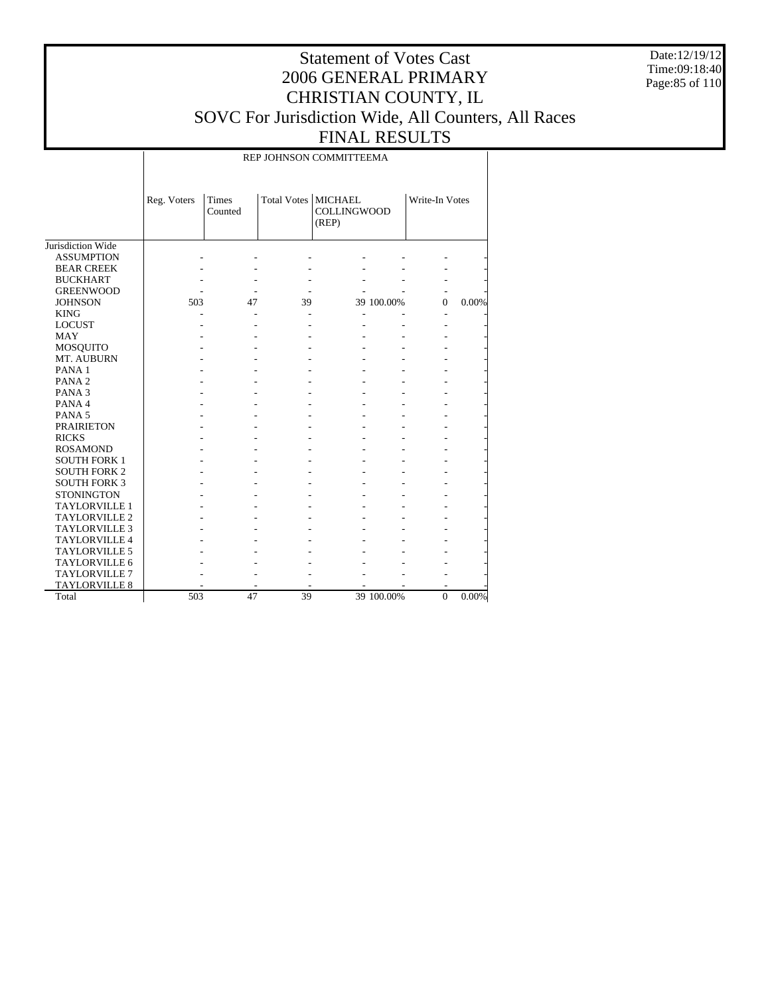Date:12/19/12 Time:09:18:40 Page:85 of 110

### Statement of Votes Cast 2006 GENERAL PRIMARY CHRISTIAN COUNTY, IL SOVC For Jurisdiction Wide, All Counters, All Races FINAL RESULTS

#### REP JOHNSON COMMITTEEMA

|                          | Reg. Voters | <b>Times</b><br>Counted | Total Votes   MICHAEL | <b>COLLINGWOOD</b><br>(REP) |            | Write-In Votes |       |
|--------------------------|-------------|-------------------------|-----------------------|-----------------------------|------------|----------------|-------|
| Jurisdiction Wide        |             |                         |                       |                             |            |                |       |
| <b>ASSUMPTION</b>        |             |                         |                       |                             |            |                |       |
| <b>BEAR CREEK</b>        |             |                         |                       |                             |            |                |       |
| <b>BUCKHART</b>          |             |                         |                       |                             |            |                |       |
| <b>GREENWOOD</b>         |             |                         |                       |                             |            |                |       |
| <b>JOHNSON</b>           | 503         | 47                      | 39                    |                             | 39 100.00% | $\theta$       | 0.00% |
| <b>KING</b>              |             |                         |                       |                             |            |                |       |
| <b>LOCUST</b>            |             |                         |                       |                             |            |                |       |
| <b>MAY</b>               |             |                         |                       |                             |            |                |       |
| <b>MOSQUITO</b>          |             |                         |                       |                             |            |                |       |
| MT. AUBURN               |             |                         |                       |                             |            |                |       |
| PANA <sub>1</sub>        |             |                         |                       |                             |            |                |       |
| PANA <sub>2</sub>        |             |                         |                       |                             |            |                |       |
| PANA <sub>3</sub>        |             |                         |                       |                             |            |                |       |
| PANA4                    |             |                         |                       |                             |            |                |       |
| PANA <sub>5</sub>        |             |                         |                       |                             |            |                |       |
| <b>PRAIRIETON</b>        |             |                         |                       |                             |            |                |       |
| <b>RICKS</b>             |             |                         |                       |                             |            |                |       |
| <b>ROSAMOND</b>          |             |                         |                       |                             |            |                |       |
| <b>SOUTH FORK 1</b>      |             |                         |                       |                             |            |                |       |
| <b>SOUTH FORK 2</b>      |             |                         |                       |                             |            |                |       |
| <b>SOUTH FORK 3</b>      |             |                         |                       |                             |            |                |       |
| <b>STONINGTON</b>        |             |                         |                       |                             |            |                |       |
| <b>TAYLORVILLE 1</b>     |             |                         |                       |                             |            |                |       |
| TAYLORVILLE <sub>2</sub> |             |                         |                       |                             |            |                |       |
| <b>TAYLORVILLE 3</b>     |             |                         |                       |                             |            |                |       |
| <b>TAYLORVILLE 4</b>     |             |                         |                       |                             |            |                |       |
| <b>TAYLORVILLE 5</b>     |             |                         |                       |                             |            |                |       |
| <b>TAYLORVILLE 6</b>     |             |                         |                       |                             |            |                |       |
| <b>TAYLORVILLE 7</b>     |             |                         |                       |                             |            |                |       |
| <b>TAYLORVILLE 8</b>     |             |                         |                       |                             |            |                |       |
| Total                    | 503         | 47                      | 39                    |                             | 39 100.00% | $\mathbf{0}$   | 0.00% |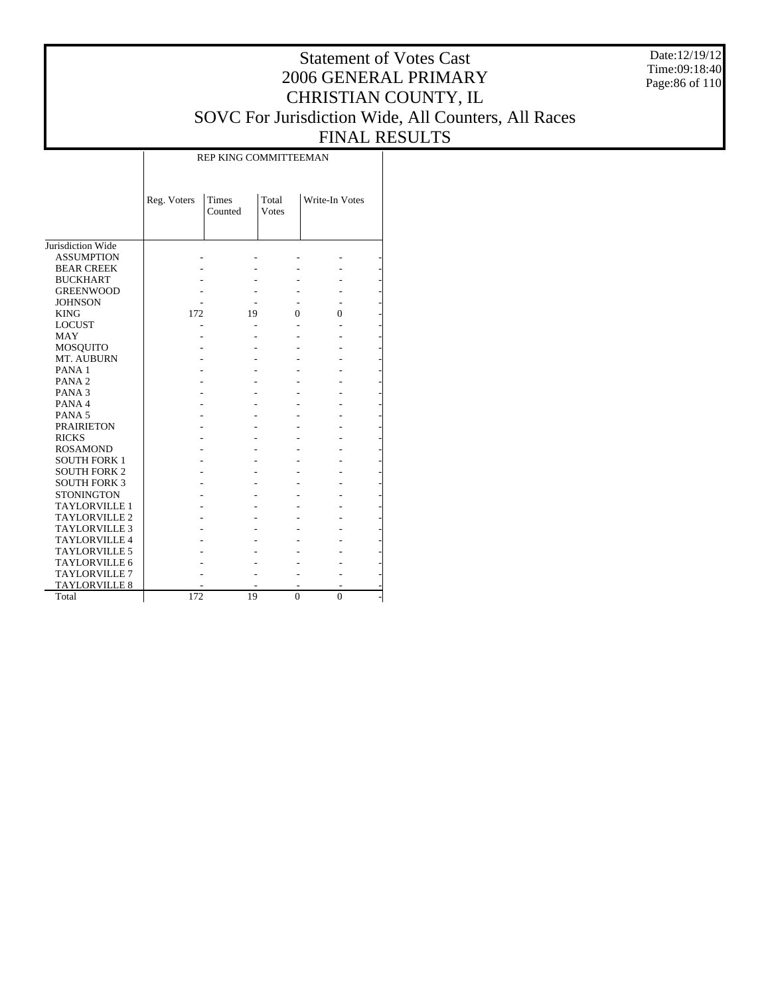Date:12/19/12 Time:09:18:40 Page:86 of 110

# Statement of Votes Cast 2006 GENERAL PRIMARY CHRISTIAN COUNTY, IL SOVC For Jurisdiction Wide, All Counters, All Races FINAL RESULTS

|                      |             | KET KING COMMITTEEMAN   |                       |                |  |
|----------------------|-------------|-------------------------|-----------------------|----------------|--|
|                      | Reg. Voters | <b>Times</b><br>Counted | Total<br><b>Votes</b> | Write-In Votes |  |
| Jurisdiction Wide    |             |                         |                       |                |  |
| <b>ASSUMPTION</b>    |             |                         |                       |                |  |
| <b>BEAR CREEK</b>    |             |                         |                       |                |  |
| <b>BUCKHART</b>      |             |                         |                       |                |  |
| <b>GREENWOOD</b>     |             |                         |                       |                |  |
| <b>JOHNSON</b>       |             |                         |                       |                |  |
| <b>KING</b>          | 172         | 19                      | 0                     | 0              |  |
| <b>LOCUST</b>        |             |                         |                       |                |  |
| <b>MAY</b>           |             |                         |                       |                |  |
| MOSQUITO             |             |                         |                       |                |  |
| MT. AUBURN           |             |                         |                       |                |  |
| PANA <sub>1</sub>    |             |                         |                       |                |  |
| PANA <sub>2</sub>    |             |                         |                       |                |  |
| PANA <sub>3</sub>    |             |                         |                       |                |  |
| PANA 4               |             |                         |                       |                |  |
| PANA <sub>5</sub>    |             |                         |                       |                |  |
| <b>PRAIRIETON</b>    |             |                         |                       |                |  |
| <b>RICKS</b>         |             |                         |                       |                |  |
| <b>ROSAMOND</b>      |             |                         |                       |                |  |
| <b>SOUTH FORK 1</b>  |             |                         |                       |                |  |
| <b>SOUTH FORK 2</b>  |             |                         |                       |                |  |
| <b>SOUTH FORK 3</b>  |             |                         |                       |                |  |
| <b>STONINGTON</b>    |             |                         |                       |                |  |
| <b>TAYLORVILLE 1</b> |             |                         |                       |                |  |
| TAYLORVILLE 2        |             |                         |                       |                |  |
| <b>TAYLORVILLE 3</b> |             |                         |                       |                |  |
| <b>TAYLORVILLE 4</b> |             |                         |                       |                |  |
| <b>TAYLORVILLE 5</b> |             |                         |                       |                |  |
| <b>TAYLORVILLE 6</b> |             |                         |                       |                |  |
| <b>TAYLORVILLE 7</b> |             |                         |                       |                |  |
| TAYLORVILLE 8        |             |                         |                       |                |  |
| Total                | 172         | 19                      | $\Omega$              | $\theta$       |  |

REP KING COMMITTEEMAN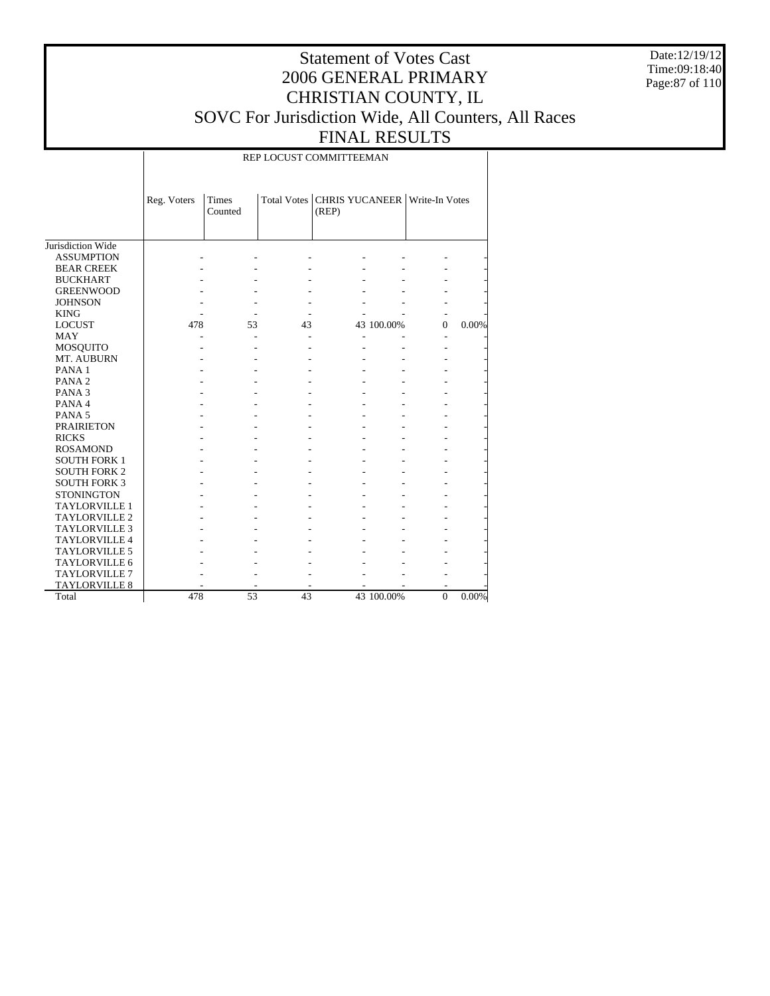Date:12/19/12 Time:09:18:40 Page:87 of 110

### Statement of Votes Cast 2006 GENERAL PRIMARY CHRISTIAN COUNTY, IL SOVC For Jurisdiction Wide, All Counters, All Races FINAL RESULTS

REP LOCUST COMMITTEEMAN

|                      | Reg. Voters | <b>Times</b><br>Counted |    | Total Votes   CHRIS YUCANEER   Write-In Votes<br>(REP) |            |          |       |
|----------------------|-------------|-------------------------|----|--------------------------------------------------------|------------|----------|-------|
| Jurisdiction Wide    |             |                         |    |                                                        |            |          |       |
| <b>ASSUMPTION</b>    |             |                         |    |                                                        |            |          |       |
| <b>BEAR CREEK</b>    |             |                         |    |                                                        |            |          |       |
| <b>BUCKHART</b>      |             |                         |    |                                                        |            |          |       |
| <b>GREENWOOD</b>     |             |                         |    |                                                        |            |          |       |
| <b>JOHNSON</b>       |             |                         |    |                                                        |            |          |       |
| <b>KING</b>          |             |                         |    |                                                        |            |          |       |
| <b>LOCUST</b>        | 478         | 53                      | 43 |                                                        | 43 100.00% | $\Omega$ | 0.00% |
| <b>MAY</b>           |             | ٠                       |    |                                                        |            |          |       |
| MOSQUITO             |             |                         |    |                                                        |            |          |       |
| MT. AUBURN           |             |                         |    |                                                        |            |          |       |
| PANA <sub>1</sub>    |             |                         |    |                                                        |            |          |       |
| PANA <sub>2</sub>    |             |                         |    |                                                        |            |          |       |
| PANA <sub>3</sub>    |             |                         |    |                                                        |            |          |       |
| PANA 4               |             |                         |    |                                                        |            |          |       |
| PANA <sub>5</sub>    |             |                         |    |                                                        |            |          |       |
| <b>PRAIRIETON</b>    |             |                         |    |                                                        |            |          |       |
| <b>RICKS</b>         |             |                         |    |                                                        |            |          |       |
| <b>ROSAMOND</b>      |             |                         |    |                                                        |            |          |       |
| <b>SOUTH FORK 1</b>  |             |                         |    |                                                        |            |          |       |
| <b>SOUTH FORK 2</b>  |             |                         |    |                                                        |            |          |       |
| <b>SOUTH FORK 3</b>  |             |                         |    |                                                        |            |          |       |
| <b>STONINGTON</b>    |             |                         |    |                                                        |            |          |       |
| <b>TAYLORVILLE 1</b> |             |                         |    |                                                        |            |          |       |
| <b>TAYLORVILLE 2</b> |             |                         |    |                                                        |            |          |       |
| <b>TAYLORVILLE 3</b> |             |                         |    |                                                        |            |          |       |
| <b>TAYLORVILLE 4</b> |             |                         |    |                                                        |            |          |       |
| <b>TAYLORVILLE 5</b> |             |                         |    |                                                        |            |          |       |
| <b>TAYLORVILLE 6</b> |             |                         |    |                                                        |            |          |       |
| <b>TAYLORVILLE 7</b> |             |                         |    |                                                        |            |          |       |
| <b>TAYLORVILLE 8</b> |             |                         |    |                                                        |            |          |       |
| Total                | 478         | 53                      | 43 |                                                        | 43 100.00% | $\Omega$ | 0.00% |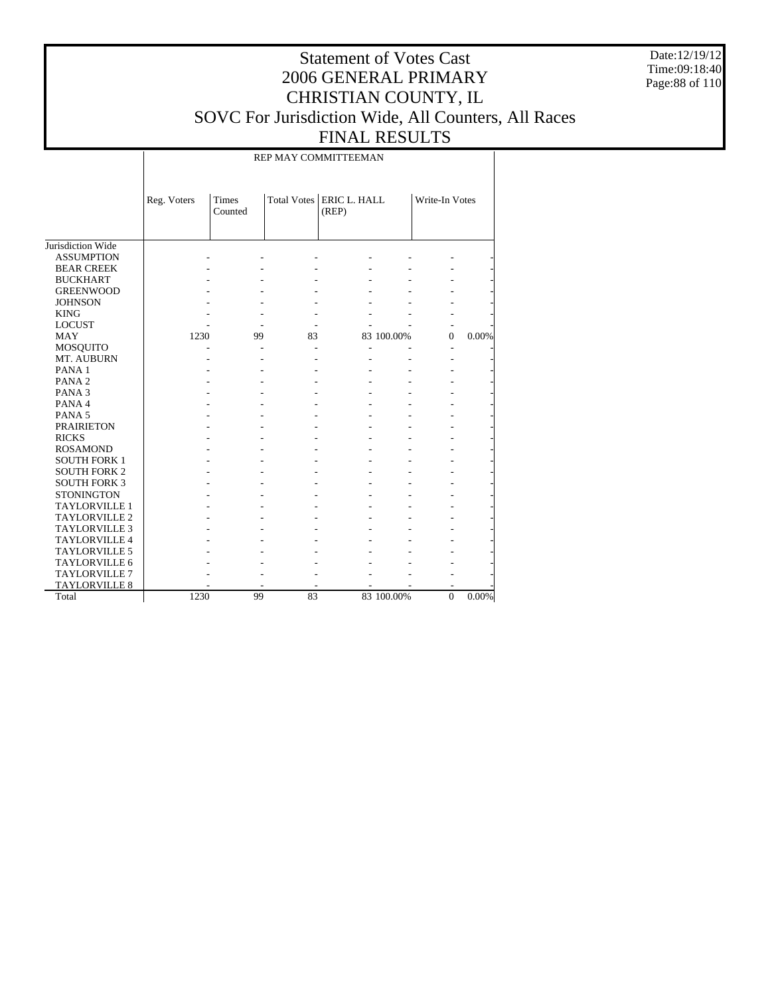Date:12/19/12 Time:09:18:40 Page:88 of 110

### Statement of Votes Cast 2006 GENERAL PRIMARY CHRISTIAN COUNTY, IL SOVC For Jurisdiction Wide, All Counters, All Races FINAL RESULTS

REP MAY COMMITTEEMAN

|                      | Reg. Voters | <b>Times</b><br>Counted |    | Total Votes   ERIC L. HALL<br>(REP) |            | Write-In Votes |          |
|----------------------|-------------|-------------------------|----|-------------------------------------|------------|----------------|----------|
| Jurisdiction Wide    |             |                         |    |                                     |            |                |          |
| <b>ASSUMPTION</b>    |             |                         |    |                                     |            |                |          |
| <b>BEAR CREEK</b>    |             |                         |    |                                     |            |                |          |
| <b>BUCKHART</b>      |             |                         |    |                                     |            |                |          |
| <b>GREENWOOD</b>     |             |                         |    |                                     |            |                |          |
| <b>JOHNSON</b>       |             |                         |    |                                     |            |                |          |
| <b>KING</b>          |             |                         |    |                                     |            |                |          |
| <b>LOCUST</b>        |             |                         |    |                                     |            |                |          |
| <b>MAY</b>           | 1230        | 99                      | 83 |                                     | 83 100.00% | $\Omega$       | 0.00%    |
| <b>MOSQUITO</b>      |             |                         |    |                                     |            |                |          |
| MT. AUBURN           |             |                         |    |                                     |            |                |          |
| PANA <sub>1</sub>    |             |                         |    |                                     |            |                |          |
| PANA <sub>2</sub>    |             |                         |    |                                     |            |                |          |
| PANA <sub>3</sub>    |             |                         |    |                                     |            |                |          |
| PANA 4               |             |                         |    |                                     |            |                |          |
| PANA <sub>5</sub>    |             |                         |    |                                     |            |                |          |
| <b>PRAIRIETON</b>    |             |                         |    |                                     |            |                |          |
| <b>RICKS</b>         |             |                         |    |                                     |            |                |          |
| <b>ROSAMOND</b>      |             |                         |    |                                     |            |                |          |
| <b>SOUTH FORK 1</b>  |             |                         |    |                                     |            |                |          |
| <b>SOUTH FORK 2</b>  |             |                         |    |                                     |            |                |          |
| <b>SOUTH FORK 3</b>  |             |                         |    |                                     |            |                |          |
| <b>STONINGTON</b>    |             |                         |    |                                     |            |                |          |
| <b>TAYLORVILLE 1</b> |             |                         |    |                                     |            |                |          |
| <b>TAYLORVILLE 2</b> |             |                         |    |                                     |            |                |          |
| <b>TAYLORVILLE 3</b> |             |                         |    |                                     |            |                |          |
| <b>TAYLORVILLE 4</b> |             |                         |    |                                     |            |                |          |
| <b>TAYLORVILLE 5</b> |             |                         |    |                                     |            |                |          |
| <b>TAYLORVILLE 6</b> |             |                         |    |                                     |            |                |          |
| <b>TAYLORVILLE 7</b> |             |                         |    |                                     |            |                |          |
| <b>TAYLORVILLE 8</b> |             |                         |    |                                     |            |                |          |
| Total                | 1230        | 99                      | 83 |                                     | 83 100.00% | $\Omega$       | $0.00\%$ |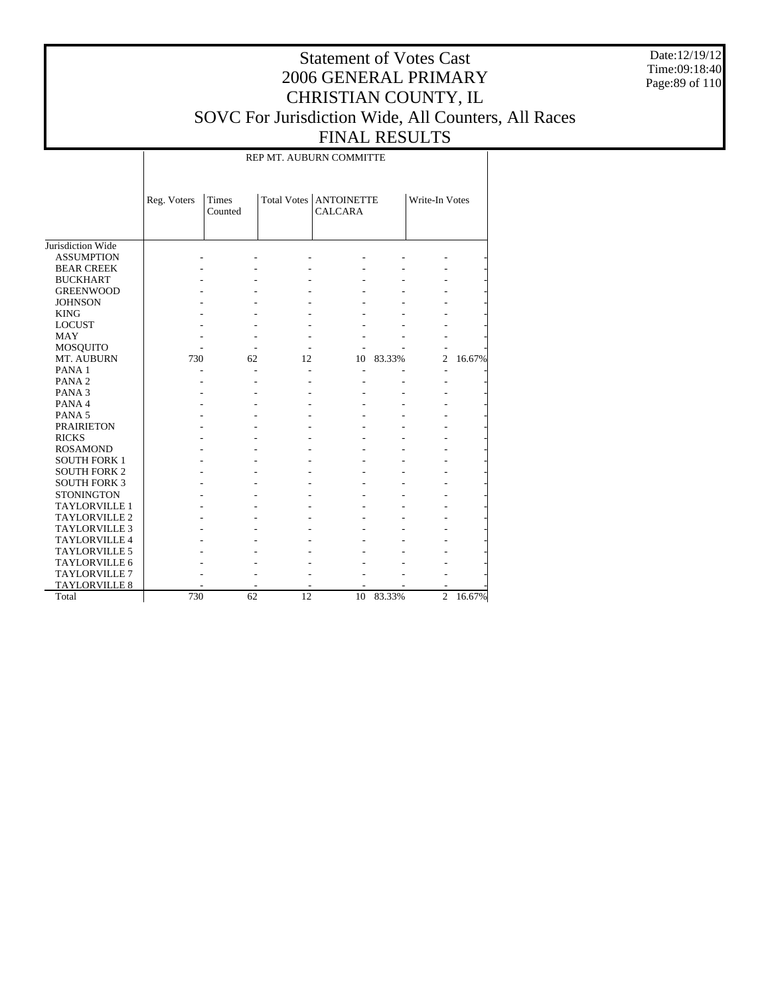Date:12/19/12 Time:09:18:40 Page:89 of 110

### Statement of Votes Cast 2006 GENERAL PRIMARY CHRISTIAN COUNTY, IL SOVC For Jurisdiction Wide, All Counters, All Races FINAL RESULTS

REP MT. AUBURN COMMITTE

|                      | Reg. Voters | Times<br>Counted |    | Total Votes   ANTOINETTE<br><b>CALCARA</b> |        | Write-In Votes |        |
|----------------------|-------------|------------------|----|--------------------------------------------|--------|----------------|--------|
| Jurisdiction Wide    |             |                  |    |                                            |        |                |        |
| <b>ASSUMPTION</b>    |             |                  |    |                                            |        |                |        |
| <b>BEAR CREEK</b>    |             |                  |    |                                            |        |                |        |
| <b>BUCKHART</b>      |             |                  |    |                                            |        |                |        |
| <b>GREENWOOD</b>     |             |                  |    |                                            |        |                |        |
| <b>JOHNSON</b>       |             |                  |    |                                            |        |                |        |
| <b>KING</b>          |             |                  |    |                                            |        |                |        |
| <b>LOCUST</b>        |             |                  |    |                                            |        |                |        |
| MAY                  |             |                  |    |                                            |        |                |        |
| MOSQUITO             |             |                  |    |                                            |        |                |        |
| MT. AUBURN           | 730         | 62               | 12 | 10                                         | 83.33% | $\overline{2}$ | 16.67% |
| PANA <sub>1</sub>    |             |                  |    |                                            |        |                |        |
| PANA <sub>2</sub>    |             |                  |    |                                            |        |                |        |
| PANA <sub>3</sub>    |             |                  |    |                                            |        |                |        |
| PANA <sub>4</sub>    |             |                  |    |                                            |        |                |        |
| PANA <sub>5</sub>    |             |                  |    |                                            |        |                |        |
| <b>PRAIRIETON</b>    |             |                  |    |                                            |        |                |        |
| <b>RICKS</b>         |             |                  |    |                                            |        |                |        |
| <b>ROSAMOND</b>      |             |                  |    |                                            |        |                |        |
| <b>SOUTH FORK 1</b>  |             |                  |    |                                            |        |                |        |
| <b>SOUTH FORK 2</b>  |             |                  |    |                                            |        |                |        |
| <b>SOUTH FORK 3</b>  |             |                  |    |                                            |        |                |        |
| <b>STONINGTON</b>    |             |                  |    |                                            |        |                |        |
| <b>TAYLORVILLE 1</b> |             |                  |    |                                            |        |                |        |
| <b>TAYLORVILLE 2</b> |             |                  |    |                                            |        |                |        |
| <b>TAYLORVILLE 3</b> |             |                  |    |                                            |        |                |        |
| <b>TAYLORVILLE 4</b> |             |                  |    |                                            |        |                |        |
| <b>TAYLORVILLE 5</b> |             |                  |    |                                            |        |                |        |
| TAYLORVILLE 6        |             |                  |    |                                            |        |                |        |
| <b>TAYLORVILLE 7</b> |             |                  |    |                                            |        |                |        |
| <b>TAYLORVILLE 8</b> |             |                  |    |                                            |        |                |        |
| Total                | 730         | 62               | 12 | 10                                         | 83.33% | $\overline{2}$ | 16.67% |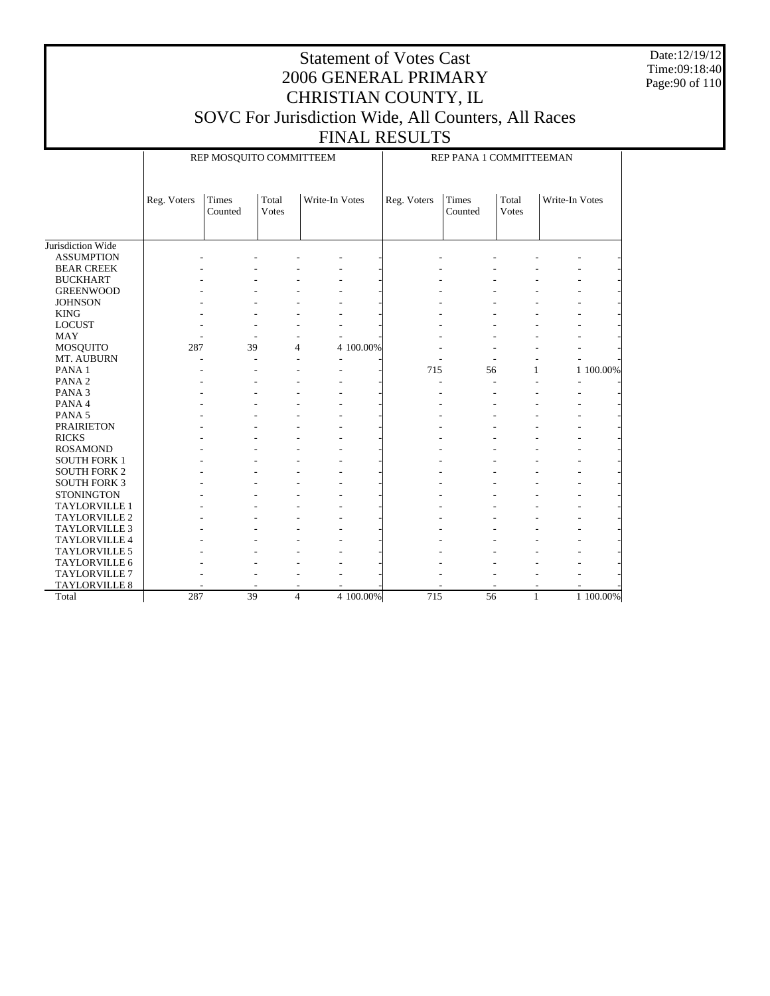Date:12/19/12 Time:09:18:40 Page:90 of 110

## Statement of Votes Cast 2006 GENERAL PRIMARY CHRISTIAN COUNTY, IL SOVC For Jurisdiction Wide, All Counters, All Races

|                      |             | REP MOSQUITO COMMITTEEM | REP PANA 1 COMMITTEEMAN |                          |           |             |                  |                |                |           |
|----------------------|-------------|-------------------------|-------------------------|--------------------------|-----------|-------------|------------------|----------------|----------------|-----------|
|                      | Reg. Voters | Times<br>Counted        | Total<br><b>Votes</b>   | Write-In Votes           |           | Reg. Voters | Times<br>Counted | Total<br>Votes | Write-In Votes |           |
| Jurisdiction Wide    |             |                         |                         |                          |           |             |                  |                |                |           |
| <b>ASSUMPTION</b>    |             |                         |                         |                          |           |             |                  |                |                |           |
| <b>BEAR CREEK</b>    |             |                         |                         |                          |           |             |                  |                |                |           |
| <b>BUCKHART</b>      |             |                         |                         |                          |           |             |                  |                |                |           |
| <b>GREENWOOD</b>     |             |                         |                         |                          |           |             |                  |                |                |           |
| <b>JOHNSON</b>       |             |                         |                         |                          |           |             |                  |                |                |           |
| <b>KING</b>          |             |                         |                         |                          |           |             |                  |                |                |           |
| <b>LOCUST</b>        |             |                         |                         |                          |           |             |                  |                |                |           |
| <b>MAY</b>           |             |                         |                         | $\overline{\phantom{a}}$ |           |             |                  |                |                |           |
| MOSQUITO             | 287         | 39                      | $\overline{4}$          |                          | 4 100.00% |             |                  |                |                |           |
| MT. AUBURN           |             |                         |                         | ٠                        |           |             |                  |                |                |           |
| PANA <sub>1</sub>    |             |                         |                         |                          |           | 715         | 56               | 1              |                | 1 100.00% |
| PANA <sub>2</sub>    |             |                         |                         |                          |           |             |                  |                |                |           |
| PANA <sub>3</sub>    |             |                         |                         |                          |           |             |                  |                |                |           |
| PANA 4               |             |                         |                         |                          |           |             |                  |                |                |           |
| PANA 5               |             |                         |                         |                          |           |             |                  |                |                |           |
| <b>PRAIRIETON</b>    |             |                         |                         |                          |           |             |                  |                |                |           |
| <b>RICKS</b>         |             |                         |                         |                          |           |             |                  |                |                |           |
| <b>ROSAMOND</b>      |             |                         |                         |                          |           |             |                  |                |                |           |
| <b>SOUTH FORK 1</b>  |             |                         |                         |                          |           |             |                  |                |                |           |
| <b>SOUTH FORK 2</b>  |             |                         |                         |                          |           |             |                  |                |                |           |
| <b>SOUTH FORK 3</b>  |             |                         |                         |                          |           |             |                  |                |                |           |
| <b>STONINGTON</b>    |             |                         |                         |                          |           |             |                  |                |                |           |
| <b>TAYLORVILLE 1</b> |             |                         |                         |                          |           |             |                  |                |                |           |
| TAYLORVILLE 2        |             |                         |                         |                          |           |             |                  |                |                |           |
| TAYLORVILLE 3        |             |                         |                         |                          |           |             |                  |                |                |           |
| TAYLORVILLE 4        |             |                         |                         |                          |           |             |                  |                |                |           |
| TAYLORVILLE 5        |             |                         |                         |                          |           |             |                  |                |                |           |
| TAYLORVILLE 6        |             |                         |                         |                          |           |             |                  |                |                |           |
| TAYLORVILLE 7        |             |                         |                         |                          |           |             |                  |                |                |           |
| TAYLORVILLE 8        |             |                         |                         |                          |           |             |                  |                |                |           |
| Total                | 287         | 39                      | $\overline{4}$          |                          | 4 100.00% | 715         | $\overline{56}$  | $\mathbf{1}$   |                | 1 100.00% |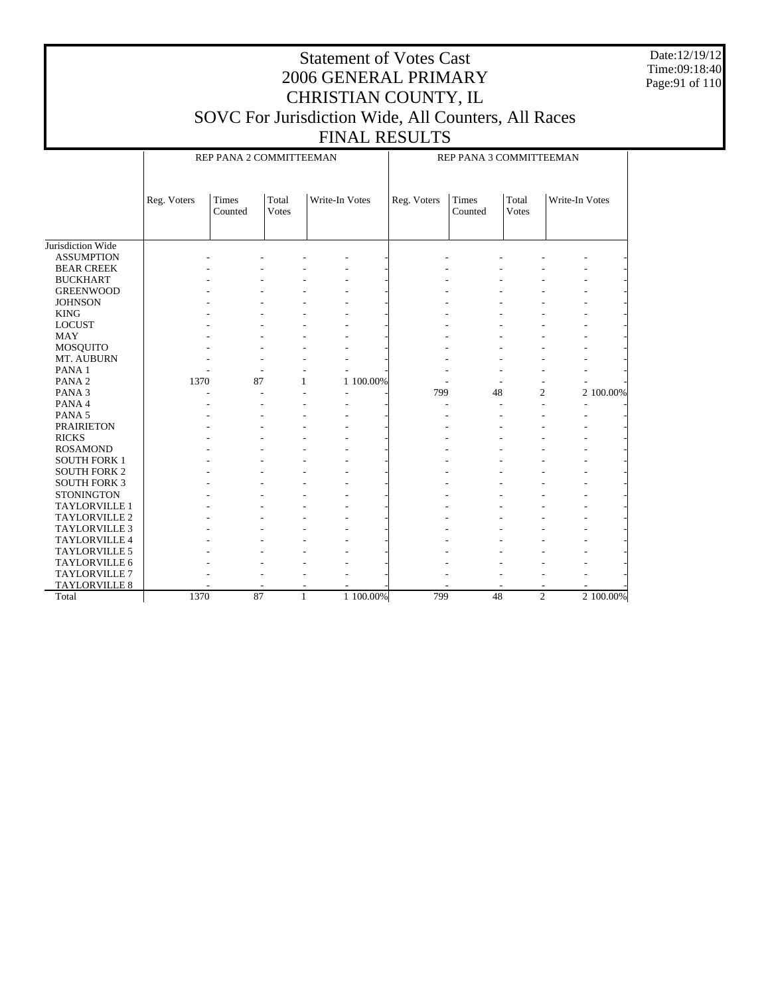Date:12/19/12 Time:09:18:40 Page:91 of 110

### Statement of Votes Cast 2006 GENERAL PRIMARY CHRISTIAN COUNTY, IL SOVC For Jurisdiction Wide, All Counters, All Races

FINAL RESULTS

|                      |             | REP PANA 2 COMMITTEEMAN |                       |                |           | REP PANA 3 COMMITTEEMAN |                         |                       |                |           |
|----------------------|-------------|-------------------------|-----------------------|----------------|-----------|-------------------------|-------------------------|-----------------------|----------------|-----------|
|                      | Reg. Voters | <b>Times</b><br>Counted | Total<br><b>Votes</b> | Write-In Votes |           | Reg. Voters             | <b>Times</b><br>Counted | Total<br><b>Votes</b> | Write-In Votes |           |
| Jurisdiction Wide    |             |                         |                       |                |           |                         |                         |                       |                |           |
| <b>ASSUMPTION</b>    |             |                         |                       |                |           |                         |                         |                       |                |           |
| <b>BEAR CREEK</b>    |             |                         |                       |                |           |                         |                         |                       |                |           |
| <b>BUCKHART</b>      |             |                         |                       |                |           |                         |                         |                       |                |           |
| <b>GREENWOOD</b>     |             |                         |                       |                |           |                         |                         |                       |                |           |
| <b>JOHNSON</b>       |             |                         |                       |                |           |                         |                         |                       |                |           |
| <b>KING</b>          |             |                         |                       |                |           |                         |                         |                       |                |           |
| <b>LOCUST</b>        |             |                         |                       |                |           |                         |                         |                       |                |           |
| MAY                  |             |                         |                       |                |           |                         |                         |                       |                |           |
| MOSQUITO             |             |                         |                       |                |           |                         |                         |                       |                |           |
| MT. AUBURN           |             |                         |                       |                |           |                         |                         |                       |                |           |
| PANA <sub>1</sub>    |             |                         |                       |                |           |                         |                         |                       |                |           |
| PANA <sub>2</sub>    | 1370        | 87                      | 1                     |                | 1 100.00% |                         |                         |                       |                |           |
| PANA <sub>3</sub>    |             | ٠                       |                       |                |           | 799                     | 48                      | $\mathfrak{2}$        |                | 2 100.00% |
| PANA 4               |             |                         |                       |                |           |                         |                         |                       |                | L,        |
| PANA <sub>5</sub>    |             |                         |                       |                |           |                         |                         |                       |                |           |
| <b>PRAIRIETON</b>    |             |                         |                       |                |           |                         |                         |                       |                |           |
| <b>RICKS</b>         |             |                         |                       |                |           |                         |                         |                       |                |           |
| <b>ROSAMOND</b>      |             |                         |                       |                |           |                         |                         |                       |                |           |
| <b>SOUTH FORK 1</b>  |             |                         |                       |                |           |                         |                         |                       |                |           |
| <b>SOUTH FORK 2</b>  |             |                         |                       |                |           |                         |                         |                       |                |           |
| <b>SOUTH FORK 3</b>  |             |                         |                       |                |           |                         |                         |                       |                |           |
| <b>STONINGTON</b>    |             |                         |                       |                |           |                         |                         |                       |                |           |
| <b>TAYLORVILLE 1</b> |             |                         |                       |                |           |                         |                         |                       |                |           |
| <b>TAYLORVILLE 2</b> |             |                         |                       |                |           |                         |                         |                       |                |           |
| <b>TAYLORVILLE 3</b> |             |                         |                       |                |           |                         |                         |                       |                |           |
| TAYLORVILLE 4        |             |                         |                       |                |           |                         |                         |                       |                |           |
| TAYLORVILLE 5        |             |                         |                       |                |           |                         |                         |                       |                |           |
| TAYLORVILLE 6        |             |                         |                       |                |           |                         |                         |                       |                |           |
| TAYLORVILLE 7        |             |                         |                       |                |           |                         |                         |                       |                |           |
| TAYLORVILLE 8        |             |                         |                       |                |           |                         |                         |                       |                |           |
| Total                | 1370        | 87                      | $\mathbf{1}$          |                | 1 100.00% | 799                     | 48                      | $\overline{2}$        |                | 2 100.00% |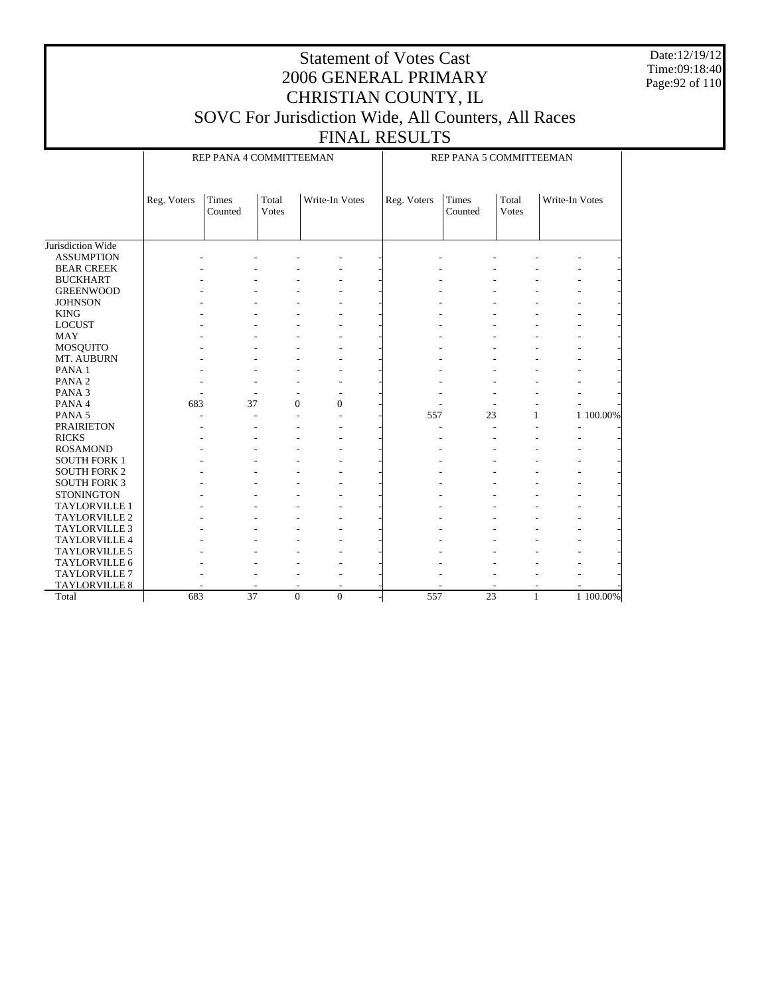Date:12/19/12 Time:09:18:40 Page:92 of 110

### Statement of Votes Cast 2006 GENERAL PRIMARY CHRISTIAN COUNTY, IL SOVC For Jurisdiction Wide, All Counters, All Races

FINAL RESULTS

|                      |             | REP PANA 4 COMMITTEEMAN |                  | REP PANA 5 COMMITTEEMAN  |  |             |                  |                |                |           |
|----------------------|-------------|-------------------------|------------------|--------------------------|--|-------------|------------------|----------------|----------------|-----------|
|                      | Reg. Voters | Times<br>Counted        | Total<br>Votes   | Write-In Votes           |  | Reg. Voters | Times<br>Counted | Total<br>Votes | Write-In Votes |           |
| Jurisdiction Wide    |             |                         |                  |                          |  |             |                  |                |                |           |
| <b>ASSUMPTION</b>    |             |                         |                  |                          |  |             |                  |                |                |           |
| <b>BEAR CREEK</b>    |             |                         |                  |                          |  |             |                  |                |                |           |
| <b>BUCKHART</b>      |             |                         |                  |                          |  |             |                  |                |                |           |
| <b>GREENWOOD</b>     |             |                         |                  |                          |  |             |                  |                |                |           |
| <b>JOHNSON</b>       |             |                         |                  |                          |  |             |                  |                |                |           |
| <b>KING</b>          |             |                         |                  |                          |  |             |                  |                |                |           |
| <b>LOCUST</b>        |             |                         |                  |                          |  |             |                  |                |                |           |
| <b>MAY</b>           |             |                         |                  |                          |  |             |                  |                |                |           |
| <b>MOSQUITO</b>      |             |                         |                  |                          |  |             |                  |                |                |           |
| MT. AUBURN           |             |                         |                  |                          |  |             |                  |                |                |           |
| PANA <sub>1</sub>    |             |                         |                  |                          |  |             |                  |                |                |           |
| PANA <sub>2</sub>    |             |                         |                  |                          |  |             |                  |                |                |           |
| PANA <sub>3</sub>    |             |                         |                  | $\overline{\phantom{a}}$ |  |             |                  |                |                |           |
| PANA 4               | 683         | 37                      | $\boldsymbol{0}$ | $\boldsymbol{0}$         |  |             |                  |                |                |           |
| PANA 5               |             |                         |                  | $\overline{a}$           |  | 557         | 23               |                | 1              | 1 100.00% |
| <b>PRAIRIETON</b>    |             |                         |                  |                          |  |             |                  |                |                |           |
| <b>RICKS</b>         |             |                         |                  |                          |  |             |                  |                |                |           |
| <b>ROSAMOND</b>      |             |                         |                  |                          |  |             |                  |                |                |           |
| <b>SOUTH FORK 1</b>  |             |                         |                  |                          |  |             |                  |                |                |           |
| <b>SOUTH FORK 2</b>  |             |                         |                  |                          |  |             |                  |                |                |           |
| <b>SOUTH FORK 3</b>  |             |                         |                  |                          |  |             |                  |                |                |           |
| <b>STONINGTON</b>    |             |                         |                  |                          |  |             |                  |                |                |           |
| <b>TAYLORVILLE 1</b> |             |                         |                  |                          |  |             |                  |                |                |           |
| TAYLORVILLE 2        |             |                         |                  |                          |  |             |                  |                |                |           |
| TAYLORVILLE 3        |             |                         |                  |                          |  |             |                  |                |                |           |
| TAYLORVILLE 4        |             |                         |                  |                          |  |             |                  |                |                |           |
| TAYLORVILLE 5        |             |                         |                  |                          |  |             |                  |                |                |           |
| TAYLORVILLE 6        |             |                         |                  |                          |  |             |                  |                |                |           |
| TAYLORVILLE 7        |             |                         |                  |                          |  |             |                  |                |                |           |
| <b>TAYLORVILLE 8</b> |             |                         |                  | $\overline{\phantom{a}}$ |  |             |                  |                |                |           |
| Total                | 683         | $\overline{37}$         | $\theta$         | $\Omega$                 |  | 557         | 23               |                | $\mathbf{1}$   | 1 100.00% |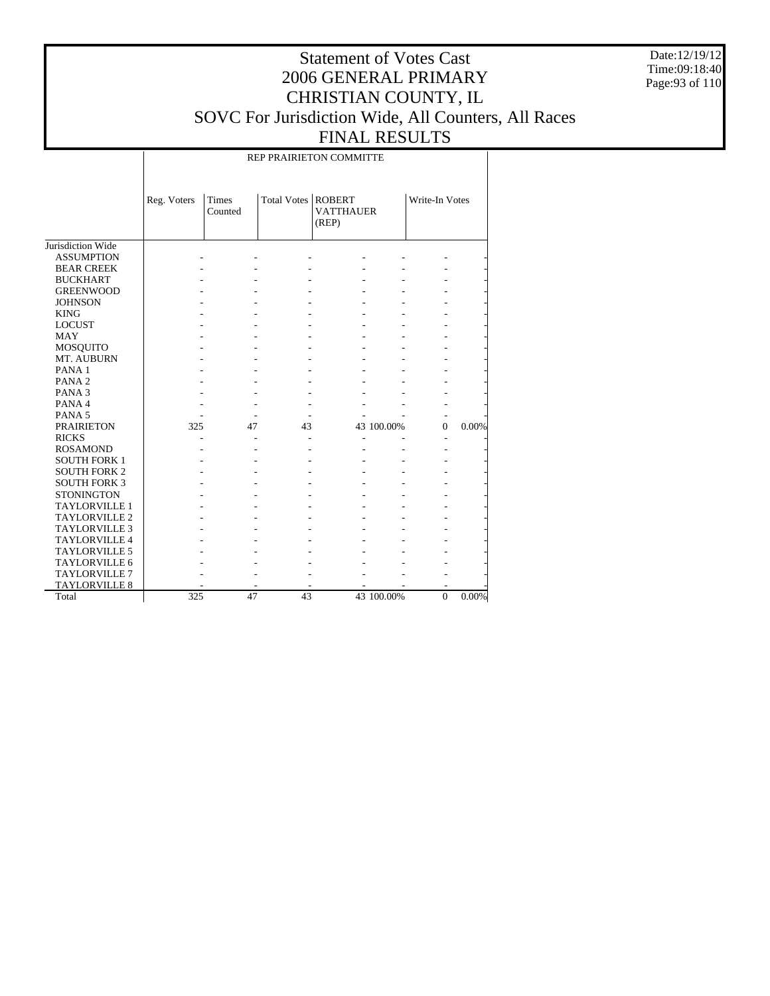Date:12/19/12 Time:09:18:40 Page:93 of 110

### Statement of Votes Cast 2006 GENERAL PRIMARY CHRISTIAN COUNTY, IL SOVC For Jurisdiction Wide, All Counters, All Races FINAL RESULTS

REP PRAIRIETON COMMITTE

|                      | Reg. Voters | <b>Times</b><br>Counted | Total Votes   ROBERT | <b>VATTHAUER</b><br>(REP) |            | Write-In Votes |       |
|----------------------|-------------|-------------------------|----------------------|---------------------------|------------|----------------|-------|
| Jurisdiction Wide    |             |                         |                      |                           |            |                |       |
| <b>ASSUMPTION</b>    |             |                         |                      |                           |            |                |       |
| <b>BEAR CREEK</b>    |             |                         |                      |                           |            |                |       |
| <b>BUCKHART</b>      |             |                         |                      |                           |            |                |       |
| <b>GREENWOOD</b>     |             |                         |                      |                           |            |                |       |
| <b>JOHNSON</b>       |             |                         |                      |                           |            |                |       |
| <b>KING</b>          |             |                         |                      |                           |            |                |       |
| <b>LOCUST</b>        |             |                         |                      |                           |            |                |       |
| <b>MAY</b>           |             |                         |                      |                           |            |                |       |
| <b>MOSQUITO</b>      |             |                         |                      |                           |            |                |       |
| MT. AUBURN           |             |                         |                      |                           |            |                |       |
| PANA <sub>1</sub>    |             |                         |                      |                           |            |                |       |
| PANA <sub>2</sub>    |             |                         |                      |                           |            |                |       |
| PANA <sub>3</sub>    |             |                         |                      |                           |            |                |       |
| PANA 4               |             |                         |                      |                           |            |                |       |
| PANA <sub>5</sub>    |             |                         |                      |                           |            |                |       |
| <b>PRAIRIETON</b>    | 325         | 47                      | 43                   |                           | 43 100.00% | $\Omega$       | 0.00% |
| <b>RICKS</b>         |             |                         |                      |                           |            |                |       |
| <b>ROSAMOND</b>      |             |                         |                      |                           |            |                |       |
| <b>SOUTH FORK 1</b>  |             |                         |                      |                           |            |                |       |
| <b>SOUTH FORK 2</b>  |             |                         |                      |                           |            |                |       |
| <b>SOUTH FORK 3</b>  |             |                         |                      |                           |            |                |       |
| <b>STONINGTON</b>    |             |                         |                      |                           |            |                |       |
| <b>TAYLORVILLE 1</b> |             |                         |                      |                           |            |                |       |
| <b>TAYLORVILLE 2</b> |             |                         |                      |                           |            |                |       |
| <b>TAYLORVILLE 3</b> |             |                         |                      |                           |            |                |       |
| <b>TAYLORVILLE 4</b> |             |                         |                      |                           |            |                |       |
| <b>TAYLORVILLE 5</b> |             |                         |                      |                           |            |                |       |
| <b>TAYLORVILLE 6</b> |             |                         |                      |                           |            |                |       |
| <b>TAYLORVILLE 7</b> |             |                         |                      |                           |            |                |       |
| <b>TAYLORVILLE 8</b> |             |                         |                      |                           |            | ۰              |       |
| Total                | 325         | 47                      | 43                   |                           | 43 100.00% | $\Omega$       | 0.00% |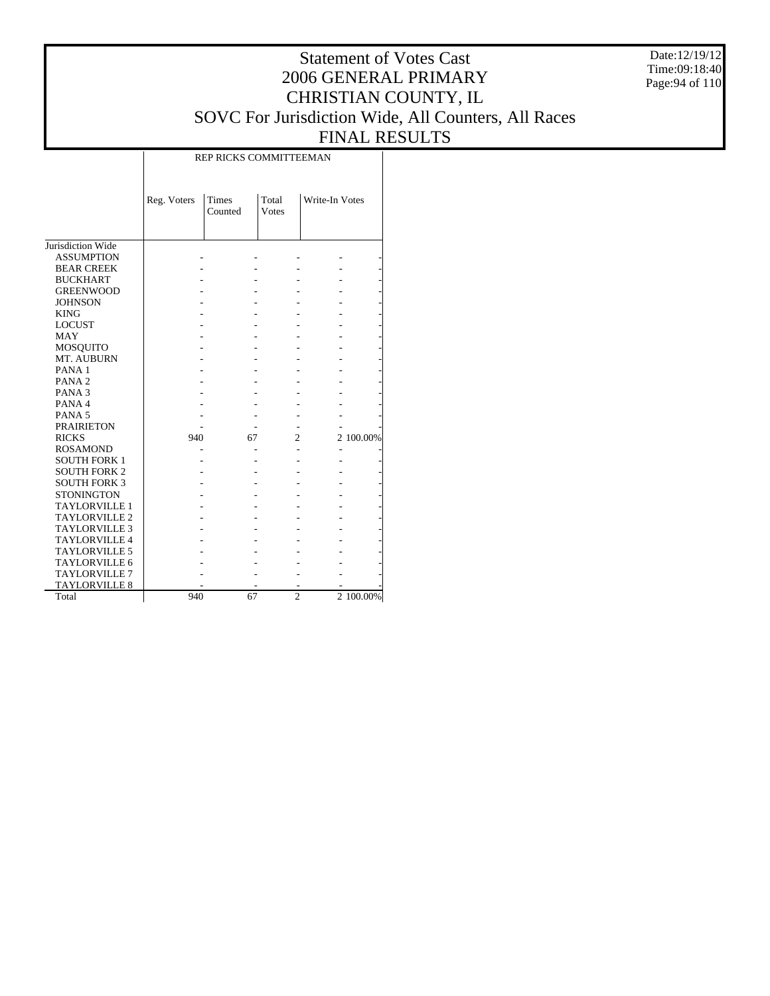Date:12/19/12 Time:09:18:40 Page:94 of 110

# Statement of Votes Cast 2006 GENERAL PRIMARY CHRISTIAN COUNTY, IL SOVC For Jurisdiction Wide, All Counters, All Races FINAL RESULTS

|                      | Reg. Voters | Times<br>Counted | Total<br><b>Votes</b> | Write-In Votes |           |
|----------------------|-------------|------------------|-----------------------|----------------|-----------|
| Jurisdiction Wide    |             |                  |                       |                |           |
| <b>ASSUMPTION</b>    |             |                  |                       |                |           |
| <b>BEAR CREEK</b>    |             |                  |                       |                |           |
| <b>BUCKHART</b>      |             |                  |                       |                |           |
| <b>GREENWOOD</b>     |             |                  |                       |                |           |
| <b>JOHNSON</b>       |             |                  |                       |                |           |
| <b>KING</b>          |             |                  |                       |                |           |
| <b>LOCUST</b>        |             |                  |                       |                |           |
| <b>MAY</b>           |             |                  |                       |                |           |
| MOSQUITO             |             |                  |                       |                |           |
| MT. AUBURN           |             |                  |                       |                |           |
| PANA <sub>1</sub>    |             |                  |                       |                |           |
| PANA <sub>2</sub>    |             |                  |                       |                |           |
| PANA <sub>3</sub>    |             |                  |                       |                |           |
| PANA 4               |             |                  |                       |                |           |
| PANA <sub>5</sub>    |             |                  |                       |                |           |
| <b>PRAIRIETON</b>    |             |                  |                       |                |           |
| <b>RICKS</b>         | 940         | 67               | 2                     |                | 2 100.00% |
| <b>ROSAMOND</b>      |             |                  |                       |                |           |
| <b>SOUTH FORK 1</b>  |             |                  |                       |                |           |
| <b>SOUTH FORK 2</b>  |             |                  |                       |                |           |
| <b>SOUTH FORK 3</b>  |             |                  |                       |                |           |
| <b>STONINGTON</b>    |             |                  |                       |                |           |
| <b>TAYLORVILLE 1</b> |             |                  |                       |                |           |
| <b>TAYLORVILLE 2</b> |             |                  |                       |                |           |
| <b>TAYLORVILLE 3</b> |             |                  |                       |                |           |
| <b>TAYLORVILLE 4</b> |             |                  |                       |                |           |
| <b>TAYLORVILLE 5</b> |             |                  |                       |                |           |
| <b>TAYLORVILLE 6</b> |             |                  |                       |                |           |
| <b>TAYLORVILLE 7</b> |             |                  |                       |                |           |
| <b>TAYLORVILLE 8</b> |             |                  |                       |                |           |
| Total                | 940         | 67               | $\overline{c}$        |                | 2 100.00% |

#### REP RICKS COMMITTEEMAN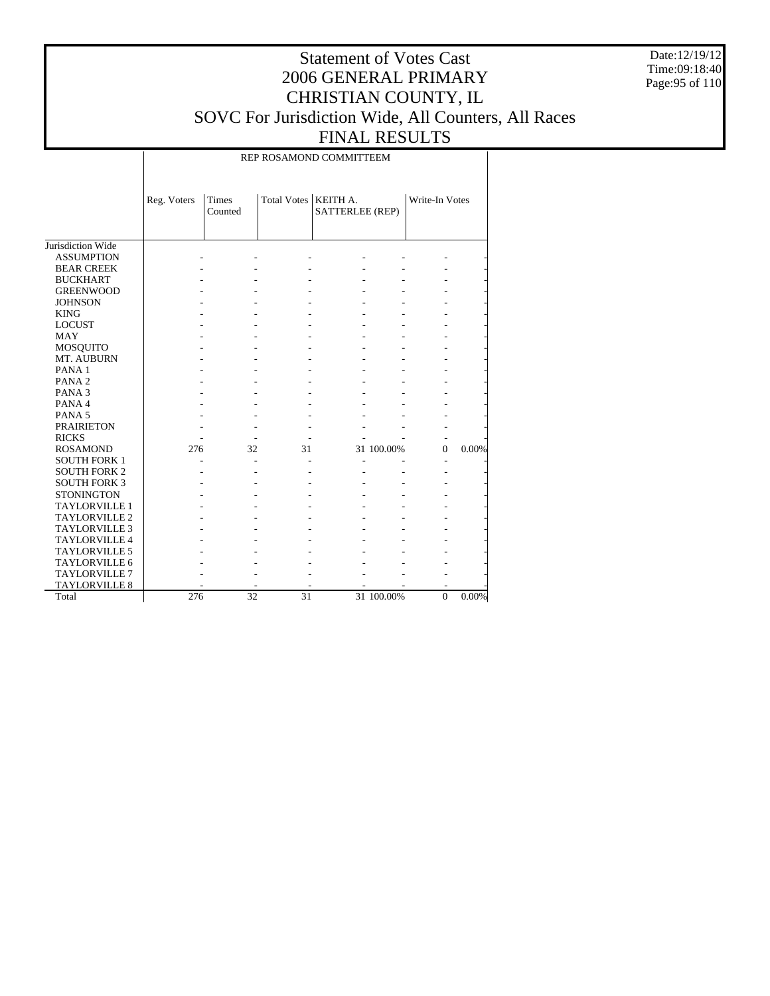Date:12/19/12 Time:09:18:40 Page:95 of 110

### Statement of Votes Cast 2006 GENERAL PRIMARY CHRISTIAN COUNTY, IL SOVC For Jurisdiction Wide, All Counters, All Races FINAL RESULTS

REP ROSAMOND COMMITTEEM

|                      | Reg. Voters | Times<br>Counted | Total Votes   KEITH A. | SATTERLEE (REP) |            | Write-In Votes |       |
|----------------------|-------------|------------------|------------------------|-----------------|------------|----------------|-------|
| Jurisdiction Wide    |             |                  |                        |                 |            |                |       |
| <b>ASSUMPTION</b>    |             |                  |                        |                 |            |                |       |
| <b>BEAR CREEK</b>    |             |                  |                        |                 |            |                |       |
| <b>BUCKHART</b>      |             |                  |                        |                 |            |                |       |
| <b>GREENWOOD</b>     |             |                  |                        |                 |            |                |       |
| <b>JOHNSON</b>       |             |                  |                        |                 |            |                |       |
| <b>KING</b>          |             |                  |                        |                 |            |                |       |
| <b>LOCUST</b>        |             |                  |                        |                 |            |                |       |
| <b>MAY</b>           |             |                  |                        |                 |            |                |       |
| MOSQUITO             |             |                  |                        |                 |            |                |       |
| MT. AUBURN           |             |                  |                        |                 |            |                |       |
| PANA <sub>1</sub>    |             |                  |                        |                 |            |                |       |
| PANA <sub>2</sub>    |             |                  |                        |                 |            |                |       |
| PANA <sub>3</sub>    |             |                  |                        |                 |            |                |       |
| PANA 4               |             |                  |                        |                 |            |                |       |
| PANA <sub>5</sub>    |             |                  |                        |                 |            |                |       |
| <b>PRAIRIETON</b>    |             |                  |                        |                 |            |                |       |
| <b>RICKS</b>         |             |                  |                        |                 |            |                |       |
| <b>ROSAMOND</b>      | 276         | 32               | 31                     |                 | 31 100.00% | $\mathbf{0}$   | 0.00% |
| <b>SOUTH FORK 1</b>  |             |                  |                        |                 |            |                |       |
| <b>SOUTH FORK 2</b>  |             |                  |                        |                 |            |                |       |
| <b>SOUTH FORK 3</b>  |             |                  |                        |                 |            |                |       |
| <b>STONINGTON</b>    |             |                  |                        |                 |            |                |       |
| <b>TAYLORVILLE 1</b> |             |                  |                        |                 |            |                |       |
| <b>TAYLORVILLE 2</b> |             |                  |                        |                 |            |                |       |
| <b>TAYLORVILLE 3</b> |             |                  |                        |                 |            |                |       |
| <b>TAYLORVILLE 4</b> |             |                  |                        |                 |            |                |       |
| <b>TAYLORVILLE 5</b> |             |                  |                        |                 |            |                |       |
| TAYLORVILLE 6        |             |                  |                        |                 |            |                |       |
| <b>TAYLORVILLE 7</b> |             |                  |                        |                 |            |                |       |
| <b>TAYLORVILLE 8</b> |             |                  |                        |                 |            |                |       |
| Total                | 276         | 32               | 31                     |                 | 31 100.00% | $\mathbf{0}$   | 0.00% |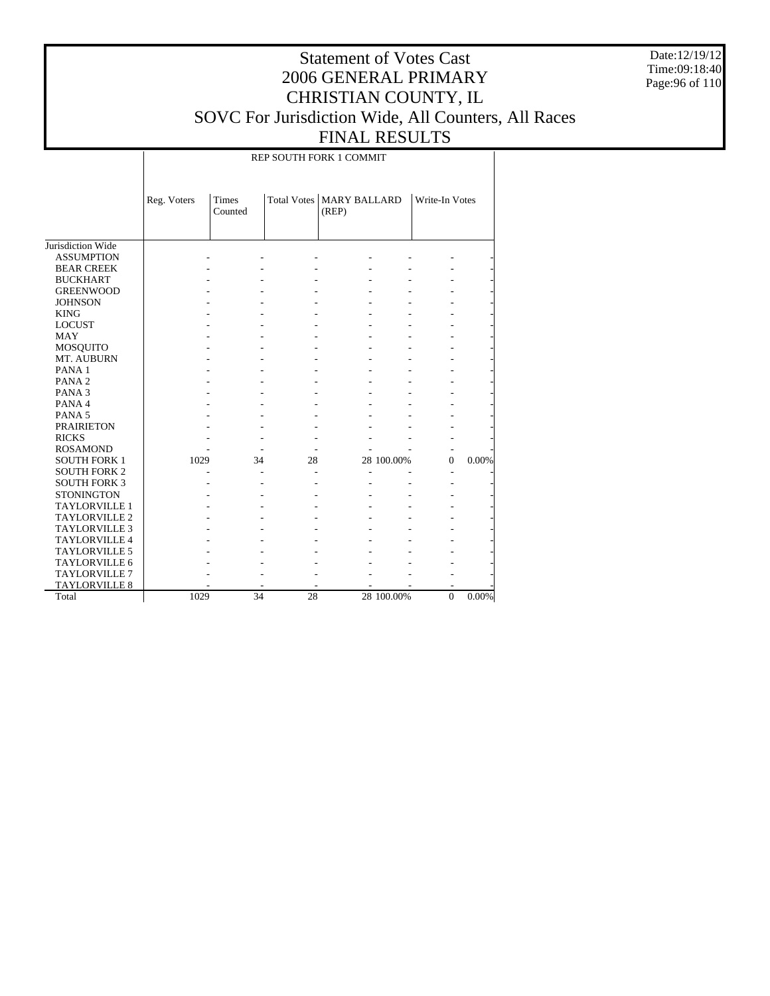Date:12/19/12 Time:09:18:40 Page:96 of 110

### Statement of Votes Cast 2006 GENERAL PRIMARY CHRISTIAN COUNTY, IL SOVC For Jurisdiction Wide, All Counters, All Races FINAL RESULTS

REP SOUTH FORK 1 COMMIT

|                      | Reg. Voters | Times<br>Counted |    | Total Votes   MARY BALLARD<br>(REP) |            | Write-In Votes |          |
|----------------------|-------------|------------------|----|-------------------------------------|------------|----------------|----------|
| Jurisdiction Wide    |             |                  |    |                                     |            |                |          |
| <b>ASSUMPTION</b>    |             |                  |    |                                     |            |                |          |
| <b>BEAR CREEK</b>    |             |                  |    |                                     |            |                |          |
| <b>BUCKHART</b>      |             |                  |    |                                     |            |                |          |
| <b>GREENWOOD</b>     |             |                  |    |                                     |            |                |          |
| <b>JOHNSON</b>       |             |                  |    |                                     |            |                |          |
| <b>KING</b>          |             |                  |    |                                     |            |                |          |
| <b>LOCUST</b>        |             |                  |    |                                     |            |                |          |
| <b>MAY</b>           |             |                  |    |                                     |            |                |          |
| MOSQUITO             |             |                  |    |                                     |            |                |          |
| MT. AUBURN           |             |                  |    |                                     |            |                |          |
| PANA <sub>1</sub>    |             |                  |    |                                     |            |                |          |
| PANA <sub>2</sub>    |             |                  |    |                                     |            |                |          |
| PANA <sub>3</sub>    |             |                  |    |                                     |            |                |          |
| PANA 4               |             |                  |    |                                     |            |                |          |
| PANA <sub>5</sub>    |             |                  |    |                                     |            |                |          |
| <b>PRAIRIETON</b>    |             |                  |    |                                     |            |                |          |
| <b>RICKS</b>         |             |                  |    |                                     |            |                |          |
| <b>ROSAMOND</b>      |             |                  |    |                                     |            |                |          |
| <b>SOUTH FORK 1</b>  | 1029        | 34               | 28 |                                     | 28 100.00% | $\Omega$       | 0.00%    |
| <b>SOUTH FORK 2</b>  |             |                  |    |                                     |            |                |          |
| <b>SOUTH FORK 3</b>  |             |                  |    |                                     |            |                |          |
| <b>STONINGTON</b>    |             |                  |    |                                     |            |                |          |
| <b>TAYLORVILLE 1</b> |             |                  |    |                                     |            |                |          |
| <b>TAYLORVILLE 2</b> |             |                  |    |                                     |            |                |          |
| <b>TAYLORVILLE 3</b> |             |                  |    |                                     |            |                |          |
| <b>TAYLORVILLE 4</b> |             |                  |    |                                     |            |                |          |
| <b>TAYLORVILLE 5</b> |             |                  |    |                                     |            |                |          |
| <b>TAYLORVILLE 6</b> |             |                  |    |                                     |            |                |          |
| TAYLORVILLE 7        |             |                  |    |                                     |            |                |          |
| <b>TAYLORVILLE 8</b> |             |                  |    |                                     |            |                |          |
| Total                | 1029        | 34               | 28 |                                     | 28 100.00% | $\Omega$       | $0.00\%$ |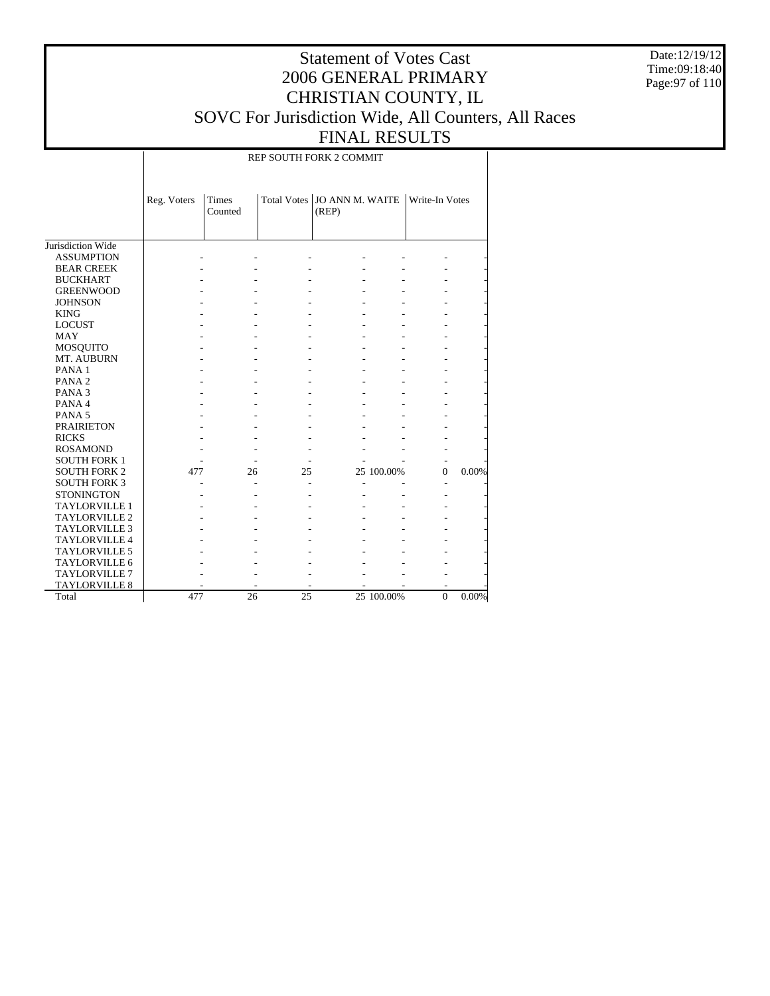Date:12/19/12 Time:09:18:40 Page:97 of 110

### Statement of Votes Cast 2006 GENERAL PRIMARY CHRISTIAN COUNTY, IL SOVC For Jurisdiction Wide, All Counters, All Races FINAL RESULTS

REP SOUTH FORK 2 COMMIT

|                      | Reg. Voters | <b>Times</b><br>Counted |    | Total Votes   JO ANN M. WAITE<br>(REP) |            | Write-In Votes |       |
|----------------------|-------------|-------------------------|----|----------------------------------------|------------|----------------|-------|
| Jurisdiction Wide    |             |                         |    |                                        |            |                |       |
| <b>ASSUMPTION</b>    |             |                         |    |                                        |            |                |       |
| <b>BEAR CREEK</b>    |             |                         |    |                                        |            |                |       |
| <b>BUCKHART</b>      |             |                         |    |                                        |            |                |       |
| <b>GREENWOOD</b>     |             |                         |    |                                        |            |                |       |
| <b>JOHNSON</b>       |             |                         |    |                                        |            |                |       |
| <b>KING</b>          |             |                         |    |                                        |            |                |       |
| <b>LOCUST</b>        |             |                         |    |                                        |            |                |       |
| <b>MAY</b>           |             |                         |    |                                        |            |                |       |
| MOSQUITO             |             |                         |    |                                        |            |                |       |
| MT. AUBURN           |             |                         |    |                                        |            |                |       |
| PANA <sub>1</sub>    |             |                         |    |                                        |            |                |       |
| PANA <sub>2</sub>    |             |                         |    |                                        |            |                |       |
| PANA <sub>3</sub>    |             |                         |    |                                        |            |                |       |
| PANA 4               |             |                         |    |                                        |            |                |       |
| PANA <sub>5</sub>    |             |                         |    |                                        |            |                |       |
| <b>PRAIRIETON</b>    |             |                         |    |                                        |            |                |       |
| <b>RICKS</b>         |             |                         |    |                                        |            |                |       |
| <b>ROSAMOND</b>      |             |                         |    |                                        |            |                |       |
| <b>SOUTH FORK 1</b>  |             |                         |    |                                        |            |                |       |
| <b>SOUTH FORK 2</b>  | 477         | 26                      | 25 |                                        | 25 100.00% | $\Omega$       | 0.00% |
| <b>SOUTH FORK 3</b>  |             |                         |    |                                        |            |                |       |
| <b>STONINGTON</b>    |             |                         |    |                                        |            |                |       |
| <b>TAYLORVILLE 1</b> |             |                         |    |                                        |            |                |       |
| <b>TAYLORVILLE 2</b> |             |                         |    |                                        |            |                |       |
| <b>TAYLORVILLE 3</b> |             |                         |    |                                        |            |                |       |
| <b>TAYLORVILLE 4</b> |             |                         |    |                                        |            |                |       |
| <b>TAYLORVILLE 5</b> |             |                         |    |                                        |            |                |       |
| <b>TAYLORVILLE 6</b> |             |                         |    |                                        |            |                |       |
| <b>TAYLORVILLE 7</b> |             |                         |    |                                        |            |                |       |
| <b>TAYLORVILLE 8</b> |             |                         |    |                                        |            |                |       |
| Total                | 477         | 26                      | 25 |                                        | 25 100.00% | $\Omega$       | 0.00% |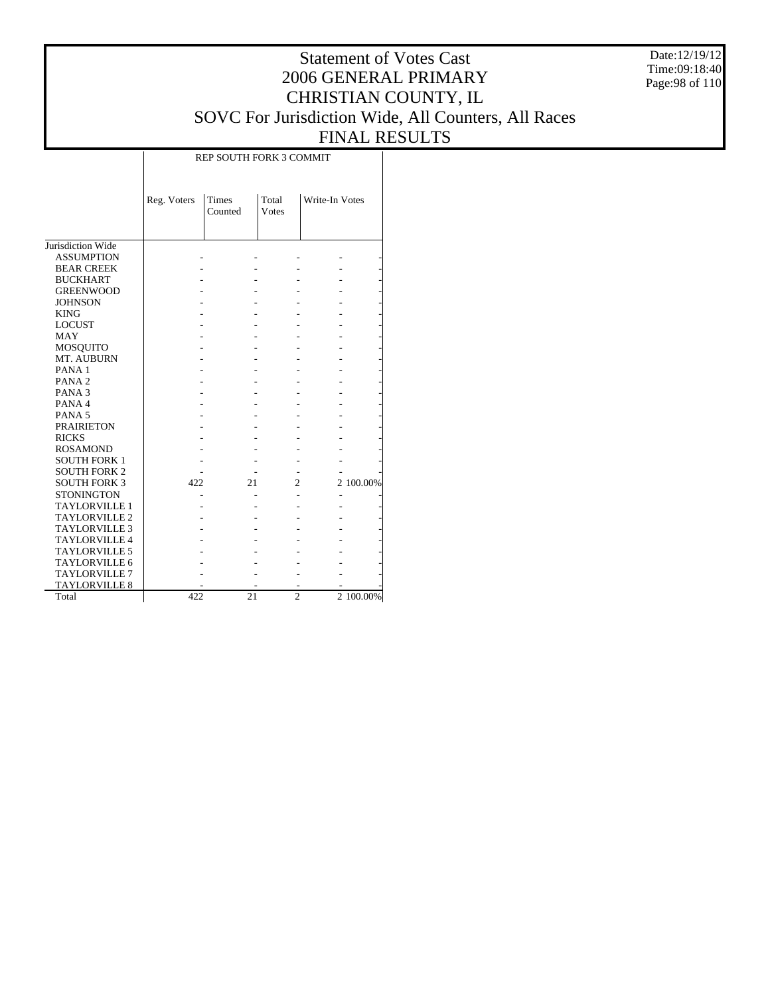Date:12/19/12 Time:09:18:40 Page:98 of 110

# Statement of Votes Cast 2006 GENERAL PRIMARY CHRISTIAN COUNTY, IL SOVC For Jurisdiction Wide, All Counters, All Races FINAL RESULTS

|                      |             | REP SOUTH FORK 3 COMMIT |                       |                |           |  |  |  |  |  |
|----------------------|-------------|-------------------------|-----------------------|----------------|-----------|--|--|--|--|--|
|                      | Reg. Voters | Times<br>Counted        | Total<br><b>Votes</b> | Write-In Votes |           |  |  |  |  |  |
| Jurisdiction Wide    |             |                         |                       |                |           |  |  |  |  |  |
| <b>ASSUMPTION</b>    |             |                         |                       |                |           |  |  |  |  |  |
| <b>BEAR CREEK</b>    |             |                         |                       |                |           |  |  |  |  |  |
| <b>BUCKHART</b>      |             |                         |                       |                |           |  |  |  |  |  |
| <b>GREENWOOD</b>     |             |                         |                       |                |           |  |  |  |  |  |
| <b>JOHNSON</b>       |             |                         |                       |                |           |  |  |  |  |  |
| <b>KING</b>          |             |                         |                       |                |           |  |  |  |  |  |
| <b>LOCUST</b>        |             |                         |                       |                |           |  |  |  |  |  |
| <b>MAY</b>           |             |                         |                       |                |           |  |  |  |  |  |
| MOSQUITO             |             |                         |                       |                |           |  |  |  |  |  |
| MT. AUBURN           |             |                         |                       |                |           |  |  |  |  |  |
| PANA <sub>1</sub>    |             |                         |                       |                |           |  |  |  |  |  |
| PANA <sub>2</sub>    |             |                         |                       |                |           |  |  |  |  |  |
| PANA <sub>3</sub>    |             |                         |                       |                |           |  |  |  |  |  |
| PANA 4               |             |                         |                       |                |           |  |  |  |  |  |
| PANA <sub>5</sub>    |             |                         |                       |                |           |  |  |  |  |  |
| <b>PRAIRIETON</b>    |             |                         |                       |                |           |  |  |  |  |  |
| <b>RICKS</b>         |             |                         |                       |                |           |  |  |  |  |  |
| <b>ROSAMOND</b>      |             |                         |                       |                |           |  |  |  |  |  |
| <b>SOUTH FORK 1</b>  |             |                         |                       |                |           |  |  |  |  |  |
| <b>SOUTH FORK 2</b>  |             |                         |                       |                |           |  |  |  |  |  |
| <b>SOUTH FORK 3</b>  | 422         | 21                      | 2                     |                | 2 100.00% |  |  |  |  |  |
| <b>STONINGTON</b>    |             |                         |                       |                |           |  |  |  |  |  |
| <b>TAYLORVILLE 1</b> |             |                         |                       |                |           |  |  |  |  |  |
| <b>TAYLORVILLE 2</b> |             |                         |                       |                |           |  |  |  |  |  |
| <b>TAYLORVILLE 3</b> |             |                         |                       |                |           |  |  |  |  |  |
| <b>TAYLORVILLE 4</b> |             |                         |                       |                |           |  |  |  |  |  |
| <b>TAYLORVILLE 5</b> |             |                         |                       |                |           |  |  |  |  |  |
| TAYLORVILLE 6        |             |                         |                       |                |           |  |  |  |  |  |
| <b>TAYLORVILLE 7</b> |             |                         |                       |                |           |  |  |  |  |  |
| TAYLORVILLE 8        |             |                         |                       |                |           |  |  |  |  |  |
| Total                | 422         | 21                      | $\overline{c}$        |                | 2 100.00% |  |  |  |  |  |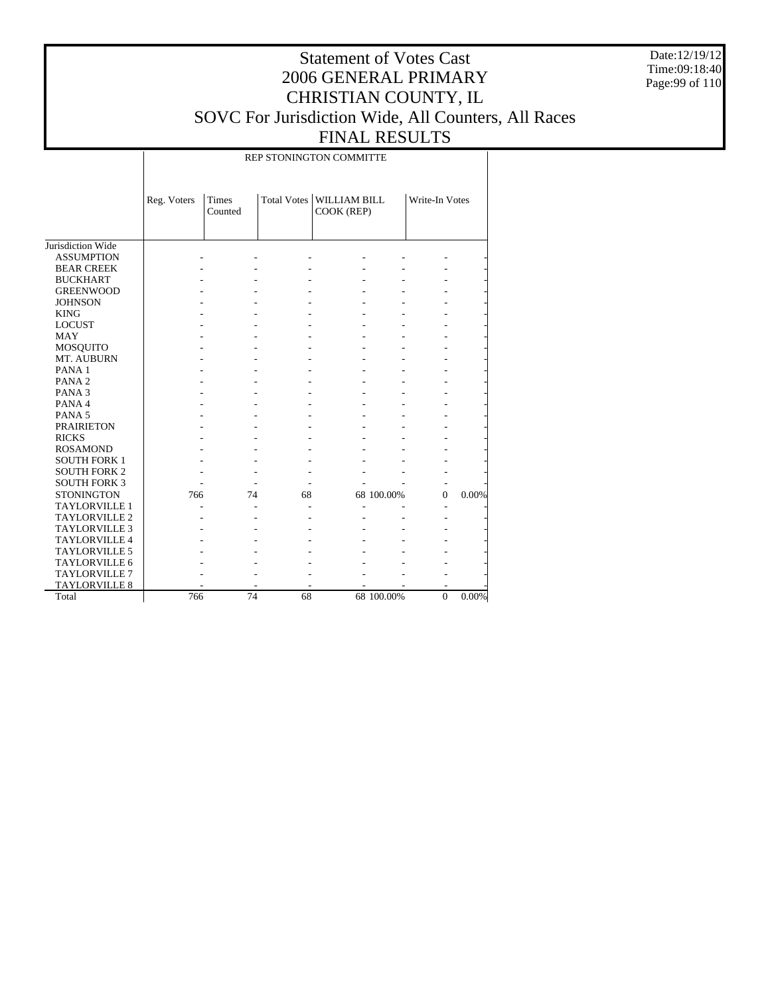Date:12/19/12 Time:09:18:40 Page:99 of 110

### Statement of Votes Cast 2006 GENERAL PRIMARY CHRISTIAN COUNTY, IL SOVC For Jurisdiction Wide, All Counters, All Races FINAL RESULTS

REP STONINGTON COMMITTE

|                      | Reg. Voters | <b>Times</b><br>Counted |    | Total Votes   WILLIAM BILL<br>COOK (REP) |            | Write-In Votes |       |
|----------------------|-------------|-------------------------|----|------------------------------------------|------------|----------------|-------|
| Jurisdiction Wide    |             |                         |    |                                          |            |                |       |
| <b>ASSUMPTION</b>    |             |                         |    |                                          |            |                |       |
| <b>BEAR CREEK</b>    |             |                         |    |                                          |            |                |       |
| <b>BUCKHART</b>      |             |                         |    |                                          |            |                |       |
| <b>GREENWOOD</b>     |             |                         |    |                                          |            |                |       |
| <b>JOHNSON</b>       |             |                         |    |                                          |            |                |       |
| <b>KING</b>          |             |                         |    |                                          |            |                |       |
| <b>LOCUST</b>        |             |                         |    |                                          |            |                |       |
| MAY                  |             |                         |    |                                          |            |                |       |
| <b>MOSQUITO</b>      |             |                         |    |                                          |            |                |       |
| MT. AUBURN           |             |                         |    |                                          |            |                |       |
| PANA <sub>1</sub>    |             |                         |    |                                          |            |                |       |
| PANA <sub>2</sub>    |             |                         |    |                                          |            |                |       |
| PANA <sub>3</sub>    |             |                         |    |                                          |            |                |       |
| PANA4                |             |                         |    |                                          |            |                |       |
| PANA <sub>5</sub>    |             |                         |    |                                          |            |                |       |
| <b>PRAIRIETON</b>    |             |                         |    |                                          |            |                |       |
| <b>RICKS</b>         |             |                         |    |                                          |            |                |       |
| <b>ROSAMOND</b>      |             |                         |    |                                          |            |                |       |
| <b>SOUTH FORK 1</b>  |             |                         |    |                                          |            |                |       |
| <b>SOUTH FORK 2</b>  |             |                         |    |                                          |            |                |       |
| <b>SOUTH FORK 3</b>  |             |                         |    |                                          |            |                |       |
| <b>STONINGTON</b>    | 766         | 74                      | 68 |                                          | 68 100.00% | $\Omega$       | 0.00% |
| <b>TAYLORVILLE 1</b> |             |                         |    |                                          |            |                |       |
| <b>TAYLORVILLE 2</b> |             |                         |    |                                          |            |                |       |
| <b>TAYLORVILLE 3</b> |             |                         |    |                                          |            |                |       |
| <b>TAYLORVILLE 4</b> |             |                         |    |                                          |            |                |       |
| <b>TAYLORVILLE 5</b> |             |                         |    |                                          |            |                |       |
| <b>TAYLORVILLE 6</b> |             |                         |    |                                          |            |                |       |
| <b>TAYLORVILLE 7</b> |             |                         |    |                                          |            |                |       |
| <b>TAYLORVILLE 8</b> |             |                         |    |                                          |            | ۰              |       |
| Total                | 766         | 74                      | 68 |                                          | 68 100.00% | $\theta$       | 0.00% |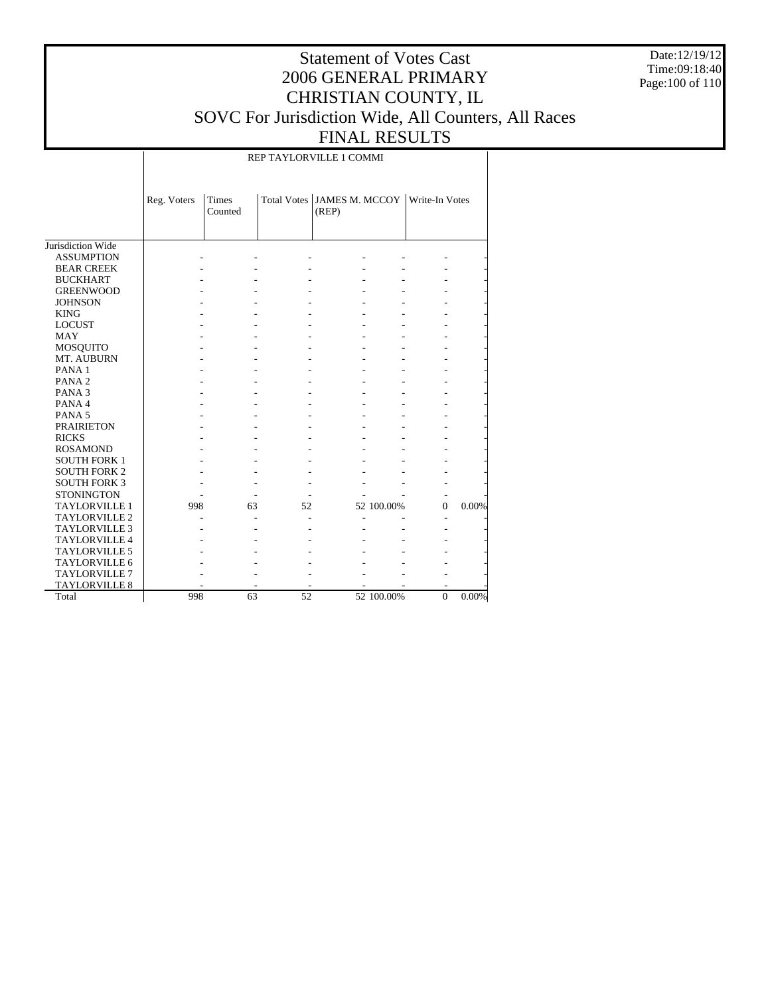Date:12/19/12 Time:09:18:40 Page:100 of 110

### Statement of Votes Cast 2006 GENERAL PRIMARY CHRISTIAN COUNTY, IL SOVC For Jurisdiction Wide, All Counters, All Races FINAL RESULTS

REP TAYLORVILLE 1 COMMI

|                      | Reg. Voters | <b>Times</b><br>Counted |    | Total Votes   JAMES M. MCCOY<br>(REP) |            | Write-In Votes |       |
|----------------------|-------------|-------------------------|----|---------------------------------------|------------|----------------|-------|
| Jurisdiction Wide    |             |                         |    |                                       |            |                |       |
| <b>ASSUMPTION</b>    |             |                         |    |                                       |            |                |       |
| <b>BEAR CREEK</b>    |             |                         |    |                                       |            |                |       |
| <b>BUCKHART</b>      |             |                         |    |                                       |            |                |       |
| <b>GREENWOOD</b>     |             |                         |    |                                       |            |                |       |
| <b>JOHNSON</b>       |             |                         |    |                                       |            |                |       |
| <b>KING</b>          |             |                         |    |                                       |            |                |       |
| <b>LOCUST</b>        |             |                         |    |                                       |            |                |       |
| <b>MAY</b>           |             |                         |    |                                       |            |                |       |
| <b>MOSQUITO</b>      |             |                         |    |                                       |            |                |       |
| MT. AUBURN           |             |                         |    |                                       |            |                |       |
| PANA <sub>1</sub>    |             |                         |    |                                       |            |                |       |
| PANA <sub>2</sub>    |             |                         |    |                                       |            |                |       |
| PANA <sub>3</sub>    |             |                         |    |                                       |            |                |       |
| PANA 4               |             |                         |    |                                       |            |                |       |
| PANA <sub>5</sub>    |             |                         |    |                                       |            |                |       |
| <b>PRAIRIETON</b>    |             |                         |    |                                       |            |                |       |
| <b>RICKS</b>         |             |                         |    |                                       |            |                |       |
| <b>ROSAMOND</b>      |             |                         |    |                                       |            |                |       |
| <b>SOUTH FORK 1</b>  |             |                         |    |                                       |            |                |       |
| <b>SOUTH FORK 2</b>  |             |                         |    |                                       |            |                |       |
| <b>SOUTH FORK 3</b>  |             |                         |    |                                       |            |                |       |
| <b>STONINGTON</b>    |             |                         |    |                                       |            |                |       |
| <b>TAYLORVILLE 1</b> | 998         | 63                      | 52 |                                       | 52 100.00% | $\Omega$       | 0.00% |
| <b>TAYLORVILLE 2</b> |             |                         |    |                                       |            |                |       |
| <b>TAYLORVILLE 3</b> |             |                         |    |                                       |            |                |       |
| <b>TAYLORVILLE 4</b> |             |                         |    |                                       |            |                |       |
| <b>TAYLORVILLE 5</b> |             |                         |    |                                       |            |                |       |
| <b>TAYLORVILLE 6</b> |             |                         |    |                                       |            |                |       |
| TAYLORVILLE 7        |             |                         |    |                                       |            |                |       |
| <b>TAYLORVILLE 8</b> |             |                         |    |                                       |            |                |       |
| Total                | 998         | 63                      | 52 |                                       | 52 100.00% | $\Omega$       | 0.00% |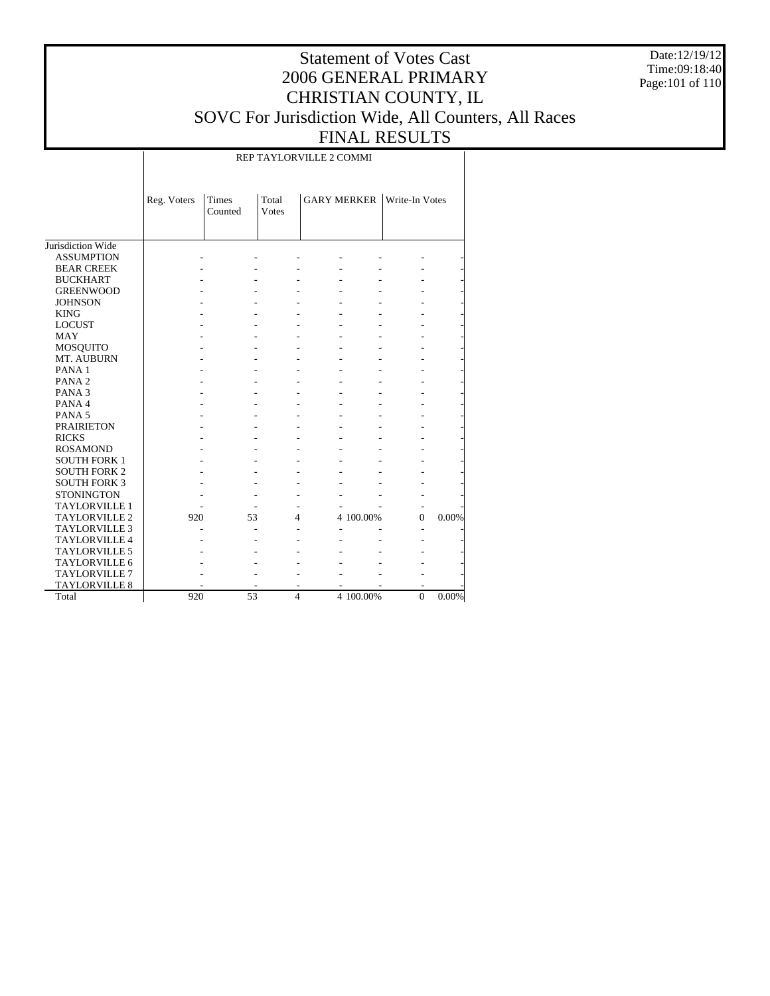Date:12/19/12 Time:09:18:40 Page:101 of 110

### Statement of Votes Cast 2006 GENERAL PRIMARY CHRISTIAN COUNTY, IL SOVC For Jurisdiction Wide, All Counters, All Races FINAL RESULTS

REP TAYLORVILLE 2 COMMI

|                      | Reg. Voters | Times<br>Counted | Total<br><b>Votes</b> |                |           | <b>GARY MERKER</b> Write-In Votes |       |
|----------------------|-------------|------------------|-----------------------|----------------|-----------|-----------------------------------|-------|
| Jurisdiction Wide    |             |                  |                       |                |           |                                   |       |
| <b>ASSUMPTION</b>    |             |                  |                       |                |           |                                   |       |
| <b>BEAR CREEK</b>    |             |                  |                       |                |           |                                   |       |
| <b>BUCKHART</b>      |             |                  |                       |                |           |                                   |       |
| <b>GREENWOOD</b>     |             |                  |                       |                |           |                                   |       |
| <b>JOHNSON</b>       |             |                  |                       |                |           |                                   |       |
| <b>KING</b>          |             |                  |                       |                |           |                                   |       |
| <b>LOCUST</b>        |             |                  |                       |                |           |                                   |       |
| <b>MAY</b>           |             |                  |                       |                |           |                                   |       |
| MOSQUITO             |             |                  |                       |                |           |                                   |       |
| MT. AUBURN           |             |                  |                       |                |           |                                   |       |
| PANA <sub>1</sub>    |             |                  |                       |                |           |                                   |       |
| PANA <sub>2</sub>    |             |                  |                       |                |           |                                   |       |
| PANA <sub>3</sub>    |             |                  |                       |                |           |                                   |       |
| PANA 4               |             |                  |                       |                |           |                                   |       |
| PANA <sub>5</sub>    |             |                  |                       |                |           |                                   |       |
| <b>PRAIRIETON</b>    |             |                  |                       |                |           |                                   |       |
| <b>RICKS</b>         |             |                  |                       |                |           |                                   |       |
| <b>ROSAMOND</b>      |             |                  |                       |                |           |                                   |       |
| <b>SOUTH FORK 1</b>  |             |                  |                       |                |           |                                   |       |
| <b>SOUTH FORK 2</b>  |             |                  |                       |                |           |                                   |       |
| <b>SOUTH FORK 3</b>  |             |                  |                       |                |           |                                   |       |
| <b>STONINGTON</b>    |             |                  |                       |                |           |                                   |       |
| <b>TAYLORVILLE 1</b> |             |                  |                       |                |           |                                   |       |
| <b>TAYLORVILLE 2</b> | 920         |                  | 53                    | 4              | 4 100.00% | $\overline{0}$                    | 0.00% |
| <b>TAYLORVILLE 3</b> |             |                  |                       |                |           |                                   |       |
| <b>TAYLORVILLE 4</b> |             |                  |                       |                |           |                                   |       |
| <b>TAYLORVILLE 5</b> |             |                  |                       |                |           |                                   |       |
| TAYLORVILLE 6        |             |                  |                       |                |           |                                   |       |
| <b>TAYLORVILLE 7</b> |             |                  |                       |                |           |                                   |       |
| <b>TAYLORVILLE 8</b> |             |                  |                       |                |           |                                   |       |
| Total                | 920         |                  | 53                    | $\overline{4}$ | 4 100.00% | $\overline{0}$                    | 0.00% |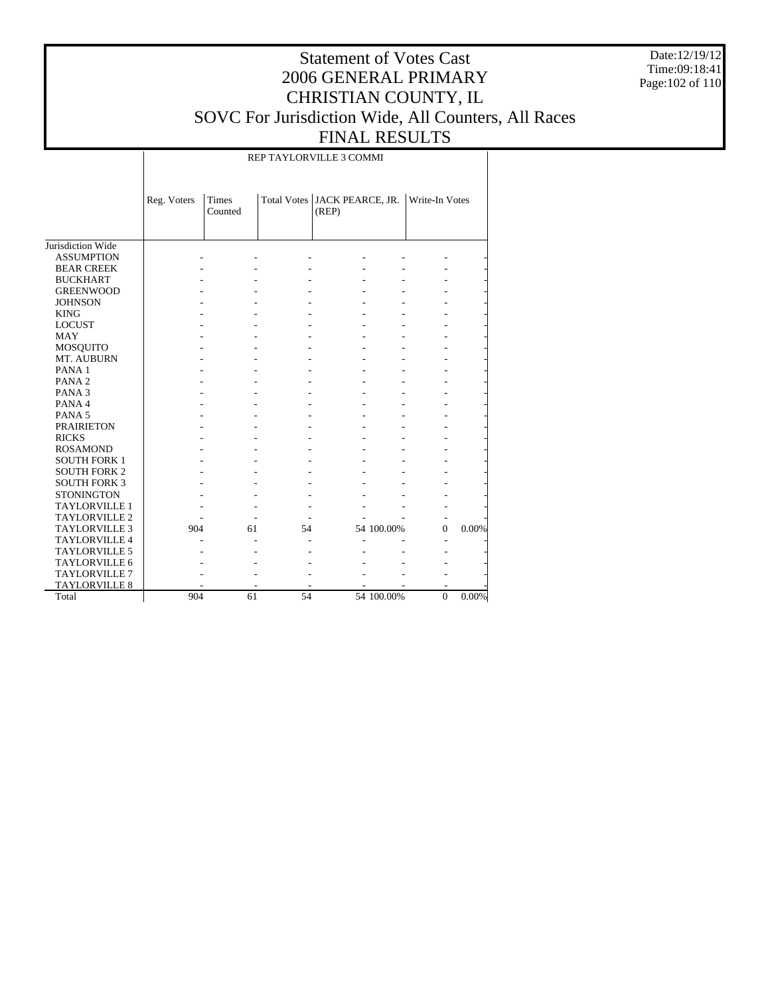Date:12/19/12 Time:09:18:41 Page:102 of 110

### Statement of Votes Cast 2006 GENERAL PRIMARY CHRISTIAN COUNTY, IL SOVC For Jurisdiction Wide, All Counters, All Races FINAL RESULTS

REP TAYLORVILLE 3 COMMI

|                      | Reg. Voters | <b>Times</b><br>Counted |    | Total Votes   JACK PEARCE, JR.<br>(REP) |            | Write-In Votes |       |
|----------------------|-------------|-------------------------|----|-----------------------------------------|------------|----------------|-------|
| Jurisdiction Wide    |             |                         |    |                                         |            |                |       |
| <b>ASSUMPTION</b>    |             |                         |    |                                         |            |                |       |
| <b>BEAR CREEK</b>    |             |                         |    |                                         |            |                |       |
| <b>BUCKHART</b>      |             |                         |    |                                         |            |                |       |
| <b>GREENWOOD</b>     |             |                         |    |                                         |            |                |       |
| <b>JOHNSON</b>       |             |                         |    |                                         |            |                |       |
| <b>KING</b>          |             |                         |    |                                         |            |                |       |
| <b>LOCUST</b>        |             |                         |    |                                         |            |                |       |
| <b>MAY</b>           |             |                         |    |                                         |            |                |       |
| <b>MOSQUITO</b>      |             |                         |    |                                         |            |                |       |
| MT. AUBURN           |             |                         |    |                                         |            |                |       |
| PANA <sub>1</sub>    |             |                         |    |                                         |            |                |       |
| PANA <sub>2</sub>    |             |                         |    |                                         |            |                |       |
| PANA <sub>3</sub>    |             |                         |    |                                         |            |                |       |
| PANA 4               |             |                         |    |                                         |            |                |       |
| PANA <sub>5</sub>    |             |                         |    |                                         |            |                |       |
| <b>PRAIRIETON</b>    |             |                         |    |                                         |            |                |       |
| <b>RICKS</b>         |             |                         |    |                                         |            |                |       |
| <b>ROSAMOND</b>      |             |                         |    |                                         |            |                |       |
| <b>SOUTH FORK 1</b>  |             |                         |    |                                         |            |                |       |
| <b>SOUTH FORK 2</b>  |             |                         |    |                                         |            |                |       |
| <b>SOUTH FORK 3</b>  |             |                         |    |                                         |            |                |       |
| <b>STONINGTON</b>    |             |                         |    |                                         |            |                |       |
| <b>TAYLORVILLE 1</b> |             |                         |    |                                         |            |                |       |
| <b>TAYLORVILLE 2</b> |             |                         |    |                                         |            |                |       |
| <b>TAYLORVILLE 3</b> | 904         | 61                      | 54 |                                         | 54 100.00% | $\Omega$       | 0.00% |
| <b>TAYLORVILLE 4</b> |             |                         |    |                                         |            |                |       |
| <b>TAYLORVILLE 5</b> |             |                         |    |                                         |            |                |       |
| TAYLORVILLE 6        |             |                         |    |                                         |            |                |       |
| TAYLORVILLE 7        |             |                         |    |                                         |            |                |       |
| <b>TAYLORVILLE 8</b> |             |                         |    |                                         |            |                |       |
| Total                | 904         | 61                      | 54 |                                         | 54 100.00% | $\mathbf{0}$   | 0.00% |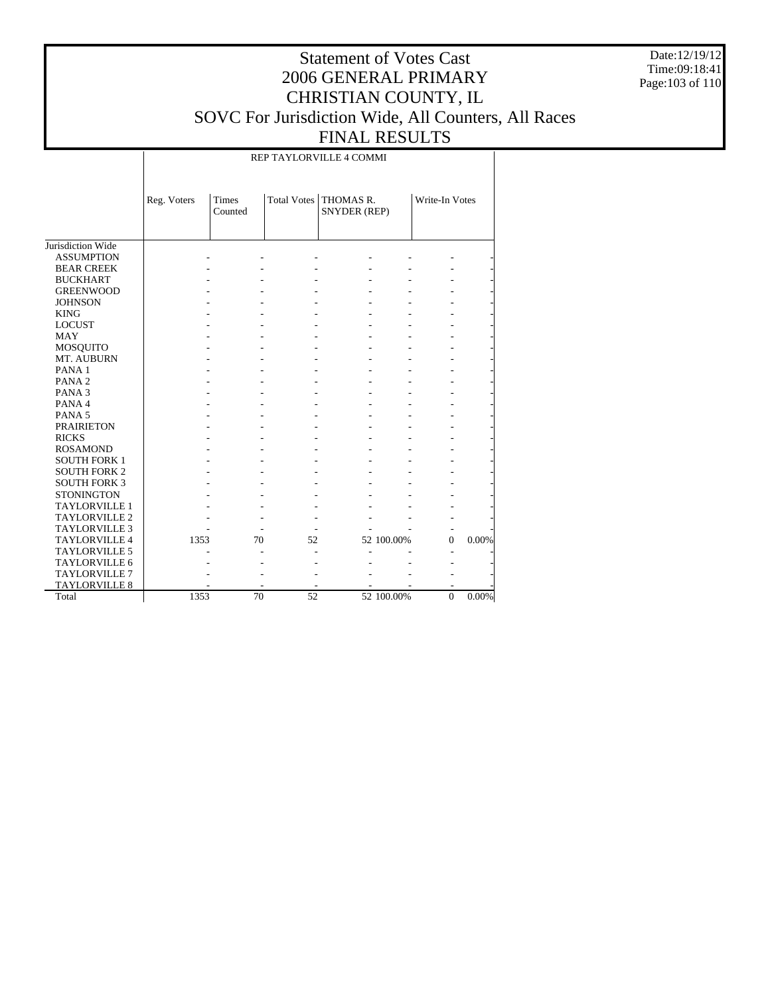Date:12/19/12 Time:09:18:41 Page:103 of 110

### Statement of Votes Cast 2006 GENERAL PRIMARY CHRISTIAN COUNTY, IL SOVC For Jurisdiction Wide, All Counters, All Races FINAL RESULTS

REP TAYLORVILLE 4 COMMI

|                      | Reg. Voters | Times<br>Counted |    | Total Votes   THOMAS R.<br>SNYDER (REP) |            | Write-In Votes |       |
|----------------------|-------------|------------------|----|-----------------------------------------|------------|----------------|-------|
| Jurisdiction Wide    |             |                  |    |                                         |            |                |       |
| <b>ASSUMPTION</b>    |             |                  |    |                                         |            |                |       |
| <b>BEAR CREEK</b>    |             |                  |    |                                         |            |                |       |
| <b>BUCKHART</b>      |             |                  |    |                                         |            |                |       |
| <b>GREENWOOD</b>     |             |                  |    |                                         |            |                |       |
| <b>JOHNSON</b>       |             |                  |    |                                         |            |                |       |
| <b>KING</b>          |             |                  |    |                                         |            |                |       |
| <b>LOCUST</b>        |             |                  |    |                                         |            |                |       |
| <b>MAY</b>           |             |                  |    |                                         |            |                |       |
| MOSQUITO             |             |                  |    |                                         |            |                |       |
| MT. AUBURN           |             |                  |    |                                         |            |                |       |
| PANA <sub>1</sub>    |             |                  |    |                                         |            |                |       |
| PANA <sub>2</sub>    |             |                  |    |                                         |            |                |       |
| PANA <sub>3</sub>    |             |                  |    |                                         |            |                |       |
| PANA <sub>4</sub>    |             |                  |    |                                         |            |                |       |
| PANA <sub>5</sub>    |             |                  |    |                                         |            |                |       |
| <b>PRAIRIETON</b>    |             |                  |    |                                         |            |                |       |
| <b>RICKS</b>         |             |                  |    |                                         |            |                |       |
| <b>ROSAMOND</b>      |             |                  |    |                                         |            |                |       |
| <b>SOUTH FORK 1</b>  |             |                  |    |                                         |            |                |       |
| <b>SOUTH FORK 2</b>  |             |                  |    |                                         |            |                |       |
| <b>SOUTH FORK 3</b>  |             |                  |    |                                         |            |                |       |
| <b>STONINGTON</b>    |             |                  |    |                                         |            |                |       |
| <b>TAYLORVILLE 1</b> |             |                  |    |                                         |            |                |       |
| <b>TAYLORVILLE 2</b> |             |                  |    |                                         |            |                |       |
| <b>TAYLORVILLE 3</b> |             |                  |    |                                         |            |                |       |
| <b>TAYLORVILLE 4</b> | 1353        | 70               | 52 |                                         | 52 100.00% | $\Omega$       | 0.00% |
| <b>TAYLORVILLE 5</b> |             |                  |    |                                         |            |                |       |
| <b>TAYLORVILLE 6</b> |             |                  |    |                                         |            |                |       |
| <b>TAYLORVILLE 7</b> |             |                  |    |                                         |            |                |       |
| <b>TAYLORVILLE 8</b> |             |                  |    |                                         |            |                |       |
| Total                | 1353        | 70               | 52 |                                         | 52 100.00% | $\mathbf{0}$   | 0.00% |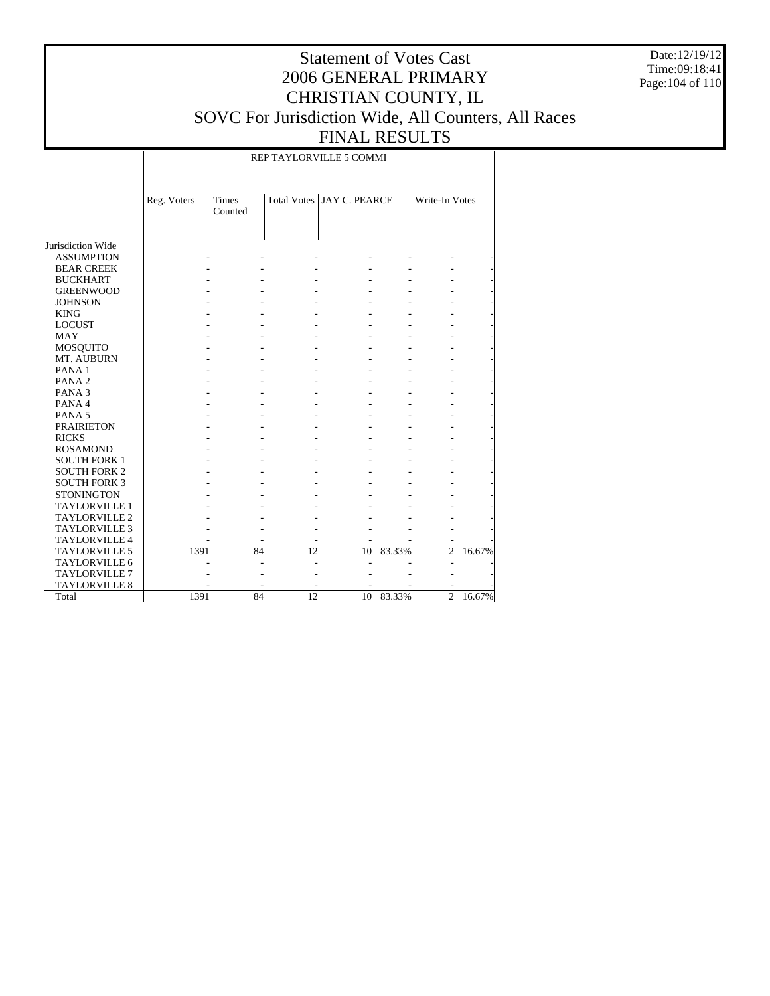Date:12/19/12 Time:09:18:41 Page:104 of 110

### Statement of Votes Cast 2006 GENERAL PRIMARY CHRISTIAN COUNTY, IL SOVC For Jurisdiction Wide, All Counters, All Races FINAL RESULTS

REP TAYLORVILLE 5 COMMI

|                      | Reg. Voters | Times<br>Counted |    | Total Votes   JAY C. PEARCE |        | Write-In Votes |        |
|----------------------|-------------|------------------|----|-----------------------------|--------|----------------|--------|
| Jurisdiction Wide    |             |                  |    |                             |        |                |        |
| <b>ASSUMPTION</b>    |             |                  |    |                             |        |                |        |
| <b>BEAR CREEK</b>    |             |                  |    |                             |        |                |        |
| <b>BUCKHART</b>      |             |                  |    |                             |        |                |        |
| <b>GREENWOOD</b>     |             |                  |    |                             |        |                |        |
| <b>JOHNSON</b>       |             |                  |    |                             |        |                |        |
| <b>KING</b>          |             |                  |    |                             |        |                |        |
| <b>LOCUST</b>        |             |                  |    |                             |        |                |        |
| <b>MAY</b>           |             |                  |    |                             |        |                |        |
| MOSQUITO             |             |                  |    |                             |        |                |        |
| MT. AUBURN           |             |                  |    |                             |        |                |        |
| PANA <sub>1</sub>    |             |                  |    |                             |        |                |        |
| PANA <sub>2</sub>    |             |                  |    |                             |        |                |        |
| PANA <sub>3</sub>    |             |                  |    |                             |        |                |        |
| PANA 4               |             |                  |    |                             |        |                |        |
| PANA <sub>5</sub>    |             |                  |    |                             |        |                |        |
| <b>PRAIRIETON</b>    |             |                  |    |                             |        |                |        |
| <b>RICKS</b>         |             |                  |    |                             |        |                |        |
| <b>ROSAMOND</b>      |             |                  |    |                             |        |                |        |
| <b>SOUTH FORK 1</b>  |             |                  |    |                             |        |                |        |
| <b>SOUTH FORK 2</b>  |             |                  |    |                             |        |                |        |
| <b>SOUTH FORK 3</b>  |             |                  |    |                             |        |                |        |
| <b>STONINGTON</b>    |             |                  |    |                             |        |                |        |
| <b>TAYLORVILLE 1</b> |             |                  |    |                             |        |                |        |
| <b>TAYLORVILLE 2</b> |             |                  |    |                             |        |                |        |
| <b>TAYLORVILLE 3</b> |             |                  |    |                             |        |                |        |
| <b>TAYLORVILLE 4</b> |             |                  |    |                             |        |                |        |
| <b>TAYLORVILLE 5</b> | 1391        | 84               | 12 | 10                          | 83.33% | 2              | 16.67% |
| <b>TAYLORVILLE 6</b> |             |                  |    |                             |        |                |        |
| <b>TAYLORVILLE 7</b> |             |                  |    |                             |        |                |        |
| <b>TAYLORVILLE 8</b> |             |                  |    |                             |        |                |        |
| Total                | 1391        | 84               | 12 | 10                          | 83.33% | $\overline{c}$ | 16.67% |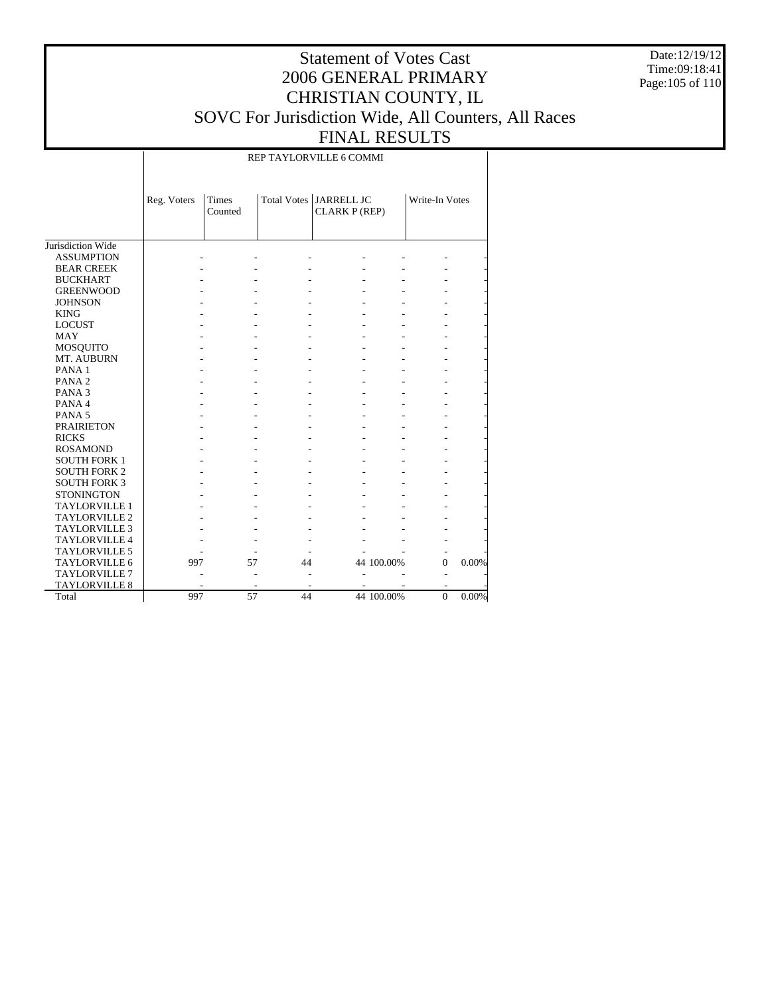Date:12/19/12 Time:09:18:41 Page:105 of 110

### Statement of Votes Cast 2006 GENERAL PRIMARY CHRISTIAN COUNTY, IL SOVC For Jurisdiction Wide, All Counters, All Races FINAL RESULTS

REP TAYLORVILLE 6 COMMI

|                      | Reg. Voters | <b>Times</b><br>Counted |    | Total Votes   JARRELL JC<br><b>CLARK P (REP)</b> |            | Write-In Votes |       |
|----------------------|-------------|-------------------------|----|--------------------------------------------------|------------|----------------|-------|
| Jurisdiction Wide    |             |                         |    |                                                  |            |                |       |
| <b>ASSUMPTION</b>    |             |                         |    |                                                  |            |                |       |
| <b>BEAR CREEK</b>    |             |                         |    |                                                  |            |                |       |
| <b>BUCKHART</b>      |             |                         |    |                                                  |            |                |       |
| <b>GREENWOOD</b>     |             |                         |    |                                                  |            |                |       |
| <b>JOHNSON</b>       |             |                         |    |                                                  |            |                |       |
| <b>KING</b>          |             |                         |    |                                                  |            |                |       |
| <b>LOCUST</b>        |             |                         |    |                                                  |            |                |       |
| MAY                  |             |                         |    |                                                  |            |                |       |
| MOSQUITO             |             |                         |    |                                                  |            |                |       |
| MT. AUBURN           |             |                         |    |                                                  |            |                |       |
| PANA <sub>1</sub>    |             |                         |    |                                                  |            |                |       |
| PANA <sub>2</sub>    |             |                         |    |                                                  |            |                |       |
| PANA <sub>3</sub>    |             |                         |    |                                                  |            |                |       |
| PANA 4               |             |                         |    |                                                  |            |                |       |
| PANA <sub>5</sub>    |             |                         |    |                                                  |            |                |       |
| <b>PRAIRIETON</b>    |             |                         |    |                                                  |            |                |       |
| <b>RICKS</b>         |             |                         |    |                                                  |            |                |       |
| <b>ROSAMOND</b>      |             |                         |    |                                                  |            |                |       |
| <b>SOUTH FORK 1</b>  |             |                         |    |                                                  |            |                |       |
| <b>SOUTH FORK 2</b>  |             |                         |    |                                                  |            |                |       |
| <b>SOUTH FORK 3</b>  |             |                         |    |                                                  |            |                |       |
| <b>STONINGTON</b>    |             |                         |    |                                                  |            |                |       |
| <b>TAYLORVILLE 1</b> |             |                         |    |                                                  |            |                |       |
| <b>TAYLORVILLE 2</b> |             |                         |    |                                                  |            |                |       |
| <b>TAYLORVILLE 3</b> |             |                         |    |                                                  |            |                |       |
| <b>TAYLORVILLE 4</b> |             |                         |    |                                                  |            |                |       |
| <b>TAYLORVILLE 5</b> |             |                         |    |                                                  |            |                |       |
| <b>TAYLORVILLE 6</b> | 997         | 57                      | 44 |                                                  | 44 100.00% | $\mathbf{0}$   | 0.00% |
| <b>TAYLORVILLE 7</b> |             |                         |    |                                                  |            |                |       |
| <b>TAYLORVILLE 8</b> |             |                         |    |                                                  |            |                |       |
| Total                | 997         | 57                      | 44 |                                                  | 44 100.00% | $\mathbf{0}$   | 0.00% |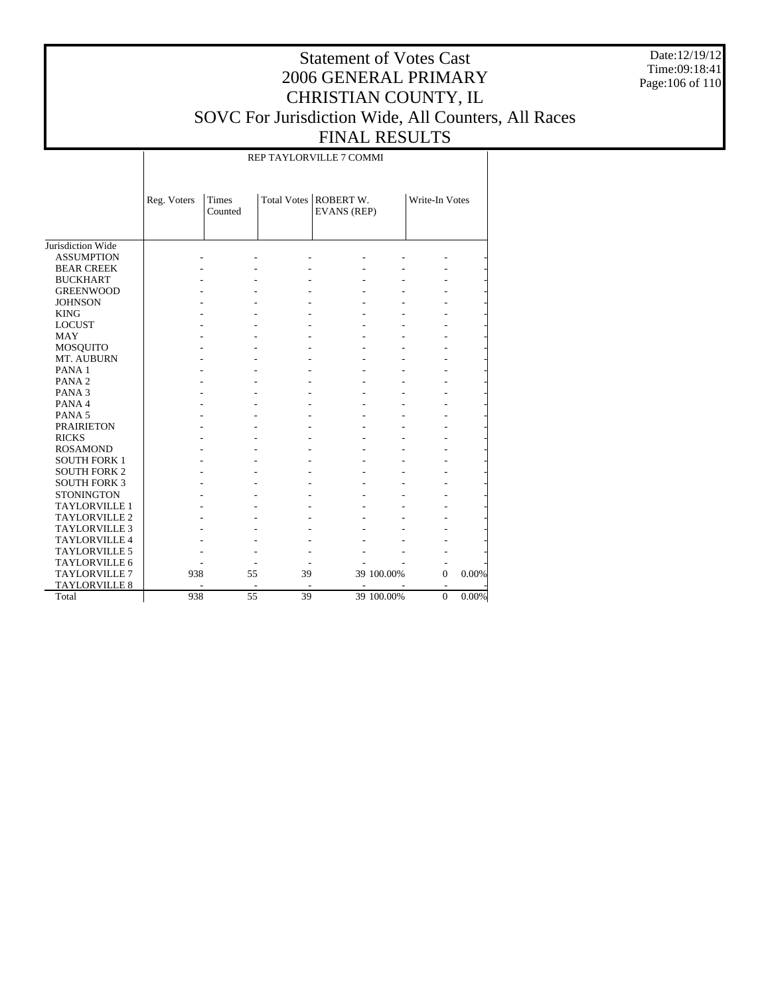Date:12/19/12 Time:09:18:41 Page:106 of 110

### Statement of Votes Cast 2006 GENERAL PRIMARY CHRISTIAN COUNTY, IL SOVC For Jurisdiction Wide, All Counters, All Races FINAL RESULTS

REP TAYLORVILLE 7 COMMI

|                      | Reg. Voters | <b>Times</b><br>Counted  |    | Total Votes   ROBERT W.<br><b>EVANS</b> (REP) |            | Write-In Votes           |       |
|----------------------|-------------|--------------------------|----|-----------------------------------------------|------------|--------------------------|-------|
| Jurisdiction Wide    |             |                          |    |                                               |            |                          |       |
| <b>ASSUMPTION</b>    |             |                          |    |                                               |            |                          |       |
| <b>BEAR CREEK</b>    |             |                          |    |                                               |            |                          |       |
| <b>BUCKHART</b>      |             |                          |    |                                               |            |                          |       |
| <b>GREENWOOD</b>     |             |                          |    |                                               |            |                          |       |
| <b>JOHNSON</b>       |             |                          |    |                                               |            |                          |       |
| <b>KING</b>          |             |                          |    |                                               |            |                          |       |
| <b>LOCUST</b>        |             |                          |    |                                               |            |                          |       |
| <b>MAY</b>           |             |                          |    |                                               |            |                          |       |
| <b>MOSQUITO</b>      |             |                          |    |                                               |            |                          |       |
| MT. AUBURN           |             |                          |    |                                               |            |                          |       |
| PANA <sub>1</sub>    |             |                          |    |                                               |            |                          |       |
| PANA <sub>2</sub>    |             |                          |    |                                               |            |                          |       |
| PANA <sub>3</sub>    |             |                          |    |                                               |            |                          |       |
| PANA 4               |             |                          |    |                                               |            |                          |       |
| PANA <sub>5</sub>    |             |                          |    |                                               |            |                          |       |
| <b>PRAIRIETON</b>    |             |                          |    |                                               |            |                          |       |
| <b>RICKS</b>         |             |                          |    |                                               |            |                          |       |
| <b>ROSAMOND</b>      |             |                          |    |                                               |            |                          |       |
| <b>SOUTH FORK 1</b>  |             |                          |    |                                               |            |                          |       |
| <b>SOUTH FORK 2</b>  |             |                          |    |                                               |            |                          |       |
| <b>SOUTH FORK 3</b>  |             |                          |    |                                               |            |                          |       |
| <b>STONINGTON</b>    |             |                          |    |                                               |            |                          |       |
| <b>TAYLORVILLE 1</b> |             |                          |    |                                               |            |                          |       |
| <b>TAYLORVILLE 2</b> |             |                          |    |                                               |            |                          |       |
| <b>TAYLORVILLE 3</b> |             |                          |    |                                               |            |                          |       |
| <b>TAYLORVILLE 4</b> |             |                          |    |                                               |            |                          |       |
| <b>TAYLORVILLE 5</b> |             |                          |    |                                               |            |                          |       |
| <b>TAYLORVILLE 6</b> |             |                          |    |                                               |            |                          |       |
| <b>TAYLORVILLE 7</b> | 938         | 55                       | 39 |                                               | 39 100.00% | $\Omega$                 | 0.00% |
| <b>TAYLORVILLE 8</b> |             | $\overline{\phantom{a}}$ |    | ٠                                             |            | $\overline{\phantom{a}}$ |       |
| Total                | 938         | 55                       | 39 |                                               | 39 100.00% | $\Omega$                 | 0.00% |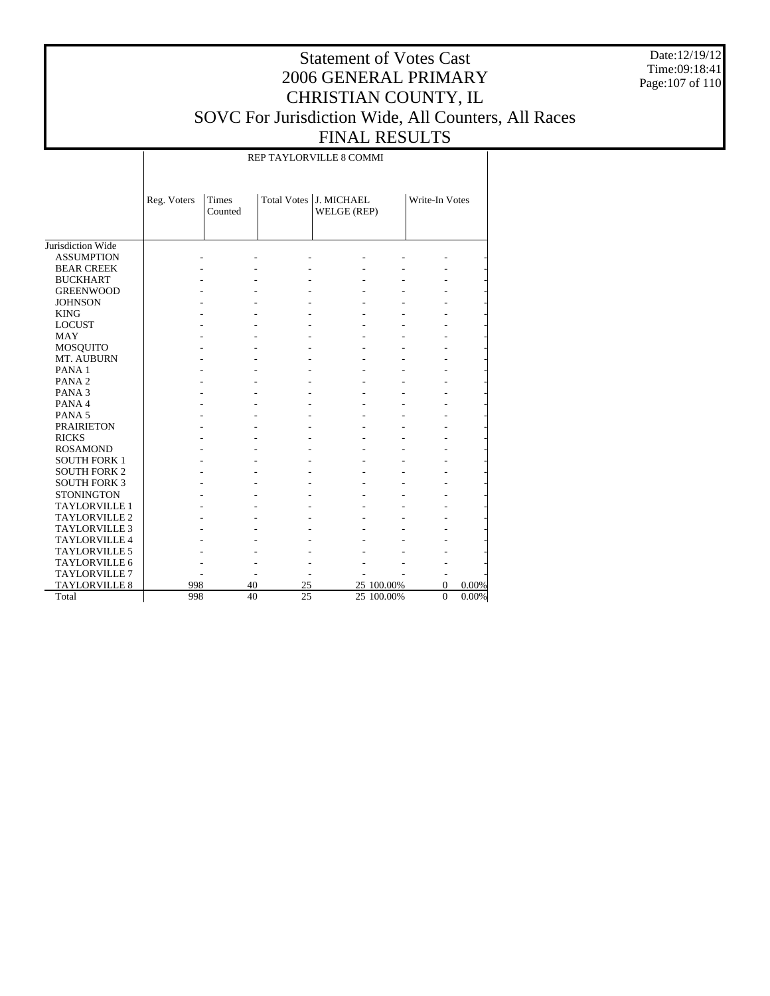Date:12/19/12 Time:09:18:41 Page:107 of 110

### Statement of Votes Cast 2006 GENERAL PRIMARY CHRISTIAN COUNTY, IL SOVC For Jurisdiction Wide, All Counters, All Races FINAL RESULTS

REP TAYLORVILLE 8 COMMI

|                      | Reg. Voters | Times<br>Counted |                 | Total Votes J. MICHAEL<br>WELGE (REP) |            | Write-In Votes |       |
|----------------------|-------------|------------------|-----------------|---------------------------------------|------------|----------------|-------|
| Jurisdiction Wide    |             |                  |                 |                                       |            |                |       |
| <b>ASSUMPTION</b>    |             |                  |                 |                                       |            |                |       |
| <b>BEAR CREEK</b>    |             |                  |                 |                                       |            |                |       |
| <b>BUCKHART</b>      |             |                  |                 |                                       |            |                |       |
| <b>GREENWOOD</b>     |             |                  |                 |                                       |            |                |       |
| <b>JOHNSON</b>       |             |                  |                 |                                       |            |                |       |
| <b>KING</b>          |             |                  |                 |                                       |            |                |       |
| <b>LOCUST</b>        |             |                  |                 |                                       |            |                |       |
| <b>MAY</b>           |             |                  |                 |                                       |            |                |       |
| <b>MOSQUITO</b>      |             |                  |                 |                                       |            |                |       |
| MT. AUBURN           |             |                  |                 |                                       |            |                |       |
| PANA <sub>1</sub>    |             |                  |                 |                                       |            |                |       |
| PANA <sub>2</sub>    |             |                  |                 |                                       |            |                |       |
| PANA <sub>3</sub>    |             |                  |                 |                                       |            |                |       |
| PANA 4               |             |                  |                 |                                       |            |                |       |
| PANA <sub>5</sub>    |             |                  |                 |                                       |            |                |       |
| <b>PRAIRIETON</b>    |             |                  |                 |                                       |            |                |       |
| <b>RICKS</b>         |             |                  |                 |                                       |            |                |       |
| <b>ROSAMOND</b>      |             |                  |                 |                                       |            |                |       |
| <b>SOUTH FORK 1</b>  |             |                  |                 |                                       |            |                |       |
| <b>SOUTH FORK 2</b>  |             |                  |                 |                                       |            |                |       |
| <b>SOUTH FORK 3</b>  |             |                  |                 |                                       |            |                |       |
| <b>STONINGTON</b>    |             |                  |                 |                                       |            |                |       |
| <b>TAYLORVILLE 1</b> |             |                  |                 |                                       |            |                |       |
| <b>TAYLORVILLE 2</b> |             |                  |                 |                                       |            |                |       |
| <b>TAYLORVILLE 3</b> |             |                  |                 |                                       |            |                |       |
| <b>TAYLORVILLE 4</b> |             |                  |                 |                                       |            |                |       |
| <b>TAYLORVILLE 5</b> |             |                  |                 |                                       |            |                |       |
| <b>TAYLORVILLE 6</b> |             |                  |                 |                                       |            |                |       |
| <b>TAYLORVILLE 7</b> |             |                  |                 |                                       |            |                |       |
| <b>TAYLORVILLE 8</b> | 998         | 40               | 25              |                                       | 25 100.00% | $\Omega$       | 0.00% |
| Total                | 998         | 40               | $\overline{25}$ |                                       | 25 100.00% | $\theta$       | 0.00% |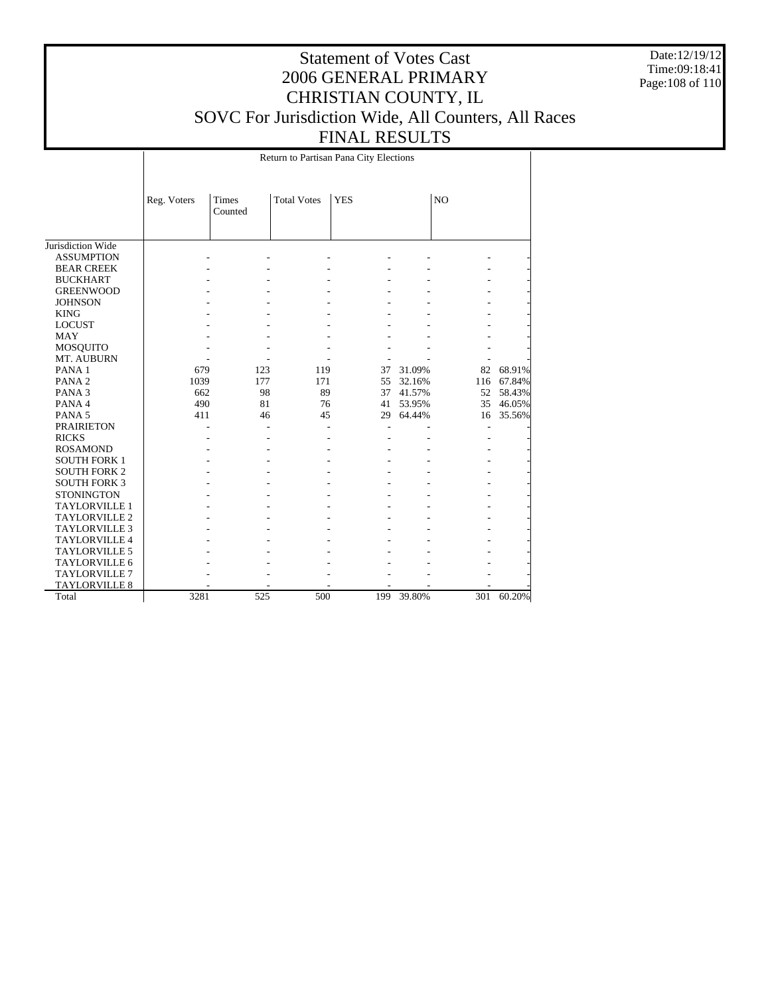Date:12/19/12 Time:09:18:41 Page:108 of 110

### Statement of Votes Cast 2006 GENERAL PRIMARY CHRISTIAN COUNTY, IL SOVC For Jurisdiction Wide, All Counters, All Races FINAL RESULTS

Return to Partisan Pana City Elections

|                      | Reg. Voters | Times   | <b>Total Votes</b> | <b>YES</b> |        | N <sub>O</sub> |        |
|----------------------|-------------|---------|--------------------|------------|--------|----------------|--------|
|                      |             | Counted |                    |            |        |                |        |
|                      |             |         |                    |            |        |                |        |
|                      |             |         |                    |            |        |                |        |
| Jurisdiction Wide    |             |         |                    |            |        |                |        |
| <b>ASSUMPTION</b>    |             |         |                    |            |        |                |        |
| <b>BEAR CREEK</b>    |             |         |                    |            |        |                |        |
| <b>BUCKHART</b>      |             |         |                    |            |        |                |        |
| <b>GREENWOOD</b>     |             |         |                    |            |        |                |        |
| <b>JOHNSON</b>       |             |         |                    |            |        |                |        |
| <b>KING</b>          |             |         |                    |            |        |                |        |
| <b>LOCUST</b>        |             |         |                    |            |        |                |        |
| <b>MAY</b>           |             |         |                    |            |        |                |        |
| <b>MOSQUITO</b>      |             |         |                    |            |        |                |        |
| MT. AUBURN           |             |         |                    |            |        |                |        |
| PANA <sub>1</sub>    | 679         | 123     | 119                | 37         | 31.09% | 82             | 68.91% |
| PANA <sub>2</sub>    | 1039        | 177     | 171                | 55         | 32.16% | 116            | 67.84% |
| PANA <sub>3</sub>    | 662         | 98      | 89                 | 37         | 41.57% | 52             | 58.43% |
| PANA4                | 490         | 81      | 76                 | 41         | 53.95% | 35             | 46.05% |
| PANA <sub>5</sub>    | 411         | 46      | 45                 | 29         | 64.44% | 16             | 35.56% |
| <b>PRAIRIETON</b>    |             |         |                    |            |        |                |        |
| <b>RICKS</b>         |             |         |                    |            |        |                |        |
| <b>ROSAMOND</b>      |             |         |                    |            |        |                |        |
| <b>SOUTH FORK 1</b>  |             |         |                    |            |        |                |        |
| <b>SOUTH FORK 2</b>  |             |         |                    |            |        |                |        |
| <b>SOUTH FORK 3</b>  |             |         |                    |            |        |                |        |
| <b>STONINGTON</b>    |             |         |                    |            |        |                |        |
| <b>TAYLORVILLE 1</b> |             |         |                    |            |        |                |        |
| TAYLORVILLE 2        |             |         |                    |            |        |                |        |
| <b>TAYLORVILLE 3</b> |             |         |                    |            |        |                |        |
| <b>TAYLORVILLE 4</b> |             |         |                    |            |        |                |        |
| TAYLORVILLE 5        |             |         |                    |            |        |                |        |
| TAYLORVILLE 6        |             |         |                    |            |        |                |        |
| <b>TAYLORVILLE 7</b> |             |         |                    |            |        |                |        |
| <b>TAYLORVILLE 8</b> |             |         |                    |            |        |                |        |
| Total                | 3281        | 525     | 500                | 199        | 39.80% | 301            | 60.20% |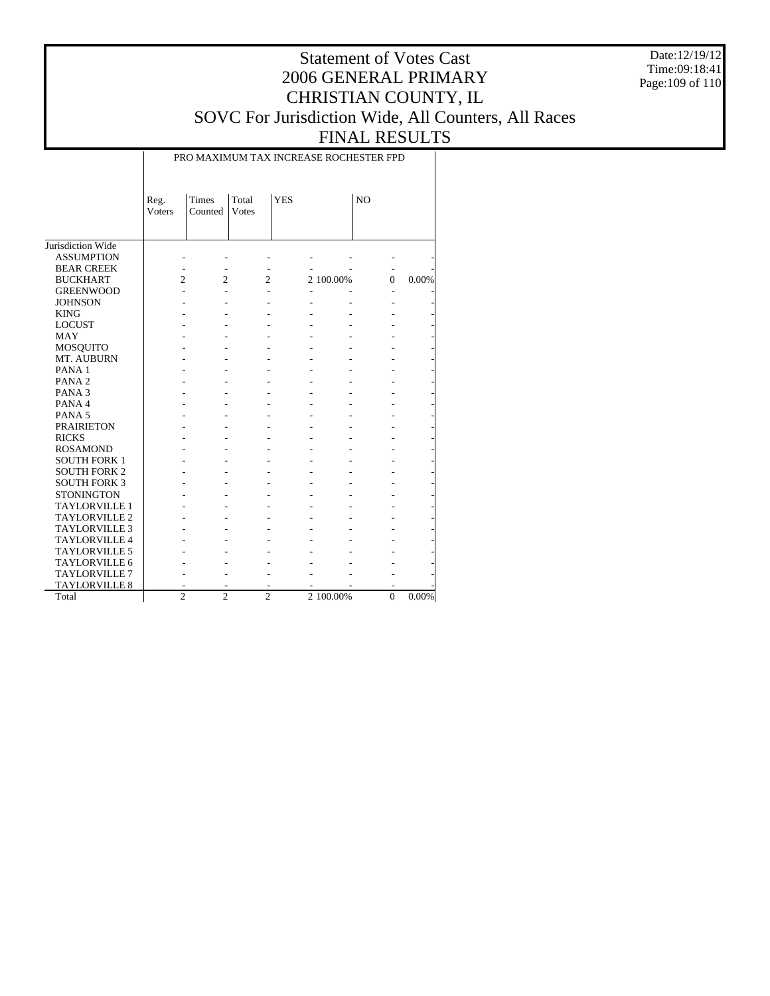Date:12/19/12 Time:09:18:41 Page:109 of 110

## Statement of Votes Cast 2006 GENERAL PRIMARY CHRISTIAN COUNTY, IL SOVC For Jurisdiction Wide, All Counters, All Races FINAL RESULTS

PRO MAXIMUM TAX INCREASE ROCHESTER FPD

|                      | Reg.<br>Voters | Times<br>Counted | Total<br>Votes | <b>YES</b> |           | N <sub>O</sub> |       |
|----------------------|----------------|------------------|----------------|------------|-----------|----------------|-------|
| Jurisdiction Wide    |                |                  |                |            |           |                |       |
| <b>ASSUMPTION</b>    |                |                  |                |            |           |                |       |
| <b>BEAR CREEK</b>    |                |                  |                |            |           |                |       |
| <b>BUCKHART</b>      | 2              | $\overline{c}$   | $\overline{c}$ |            | 2 100.00% | $\Omega$       | 0.00% |
| <b>GREENWOOD</b>     |                |                  |                |            |           |                |       |
| <b>JOHNSON</b>       |                |                  |                |            |           |                |       |
| <b>KING</b>          |                |                  |                |            |           |                |       |
| <b>LOCUST</b>        |                |                  |                |            |           |                |       |
| <b>MAY</b>           |                |                  |                |            |           |                |       |
| <b>MOSQUITO</b>      |                |                  |                |            |           |                |       |
| MT. AUBURN           |                |                  |                |            |           |                |       |
| PANA <sub>1</sub>    |                |                  |                |            |           |                |       |
| PANA <sub>2</sub>    |                |                  |                |            |           |                |       |
| PANA <sub>3</sub>    |                |                  |                |            |           |                |       |
| PANA 4               |                |                  |                |            |           |                |       |
| PANA <sub>5</sub>    |                |                  |                |            |           |                |       |
| <b>PRAIRIETON</b>    |                |                  |                |            |           |                |       |
| <b>RICKS</b>         |                |                  |                |            |           |                |       |
| <b>ROSAMOND</b>      |                |                  |                |            |           |                |       |
| <b>SOUTH FORK 1</b>  |                |                  |                |            |           |                |       |
| <b>SOUTH FORK 2</b>  |                |                  |                |            |           |                |       |
| <b>SOUTH FORK 3</b>  |                |                  |                |            |           |                |       |
| <b>STONINGTON</b>    |                |                  |                |            |           |                |       |
| <b>TAYLORVILLE 1</b> |                |                  |                |            |           |                |       |
| <b>TAYLORVILLE 2</b> |                |                  |                |            |           |                |       |
| <b>TAYLORVILLE 3</b> |                |                  |                |            |           |                |       |
| TAYLORVILLE 4        |                |                  |                |            |           |                |       |
| <b>TAYLORVILLE 5</b> |                |                  |                |            |           |                |       |
| TAYLORVILLE 6        |                |                  |                |            |           |                |       |
| <b>TAYLORVILLE 7</b> |                |                  |                |            |           |                |       |
| <b>TAYLORVILLE 8</b> |                |                  |                |            |           |                |       |
| Total                | $\overline{c}$ | $\overline{c}$   | $\overline{c}$ |            | 2 100.00% | $\overline{0}$ | 0.00% |